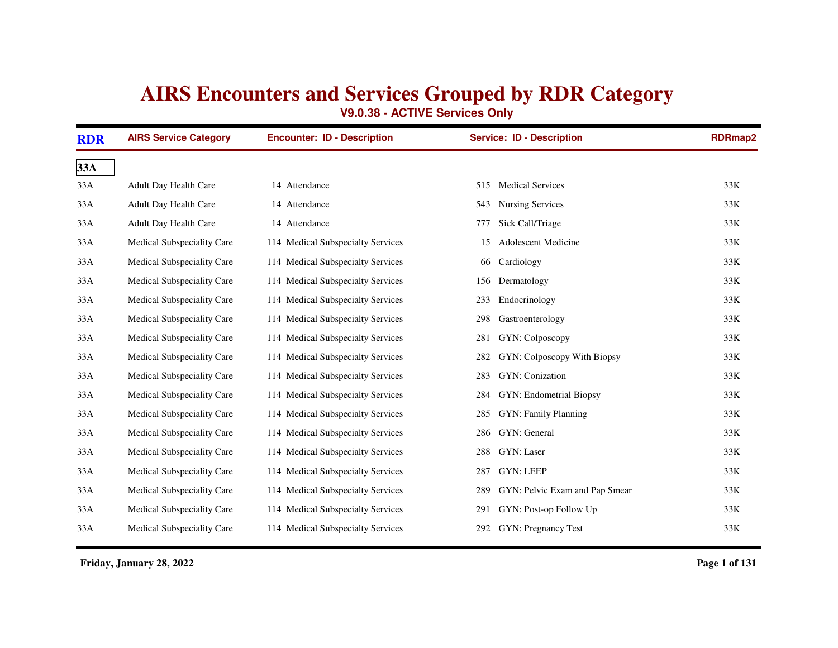## **AIRS Encounters and Services Grouped by RDR Category**

**V9.0.38 - ACTIVE Services Only**

| <b>RDR</b> | <b>AIRS Service Category</b> | <b>Encounter: ID - Description</b> | <b>Service: ID - Description</b>      | <b>RDRmap2</b> |
|------------|------------------------------|------------------------------------|---------------------------------------|----------------|
| 33A        |                              |                                    |                                       |                |
| 33A        | Adult Day Health Care        | 14 Attendance                      | <b>Medical Services</b><br>515        | 33K            |
| 33A        | <b>Adult Day Health Care</b> | 14 Attendance                      | <b>Nursing Services</b><br>543        | 33K            |
| 33A        | Adult Day Health Care        | 14 Attendance                      | Sick Call/Triage<br>777               | 33K            |
| 33A        | Medical Subspeciality Care   | 114 Medical Subspecialty Services  | <b>Adolescent Medicine</b><br>15      | 33K            |
| 33A        | Medical Subspeciality Care   | 114 Medical Subspecialty Services  | Cardiology<br>66                      | 33K            |
| 33A        | Medical Subspeciality Care   | 114 Medical Subspecialty Services  | Dermatology<br>156                    | 33K            |
| 33A        | Medical Subspeciality Care   | 114 Medical Subspecialty Services  | Endocrinology<br>233                  | 33K            |
| 33A        | Medical Subspeciality Care   | 114 Medical Subspecialty Services  | Gastroenterology<br>298               | 33K            |
| 33A        | Medical Subspeciality Care   | 114 Medical Subspecialty Services  | GYN: Colposcopy<br>281                | 33K            |
| 33A        | Medical Subspeciality Care   | 114 Medical Subspecialty Services  | GYN: Colposcopy With Biopsy<br>282    | 33K            |
| 33A        | Medical Subspeciality Care   | 114 Medical Subspecialty Services  | GYN: Conization<br>283                | 33K            |
| 33A        | Medical Subspeciality Care   | 114 Medical Subspecialty Services  | GYN: Endometrial Biopsy<br>284        | 33K            |
| 33A        | Medical Subspeciality Care   | 114 Medical Subspecialty Services  | GYN: Family Planning<br>285           | 33K            |
| 33A        | Medical Subspeciality Care   | 114 Medical Subspecialty Services  | GYN: General<br>286                   | 33K            |
| 33A        | Medical Subspeciality Care   | 114 Medical Subspecialty Services  | 288<br>GYN: Laser                     | 33K            |
| 33A        | Medical Subspeciality Care   | 114 Medical Subspecialty Services  | <b>GYN: LEEP</b><br>287               | 33K            |
| 33A        | Medical Subspeciality Care   | 114 Medical Subspecialty Services  | GYN: Pelvic Exam and Pap Smear<br>289 | 33K            |
| 33A        | Medical Subspeciality Care   | 114 Medical Subspecialty Services  | GYN: Post-op Follow Up<br>291         | 33K            |
| 33A        | Medical Subspeciality Care   | 114 Medical Subspecialty Services  | <b>GYN: Pregnancy Test</b><br>292     | 33K            |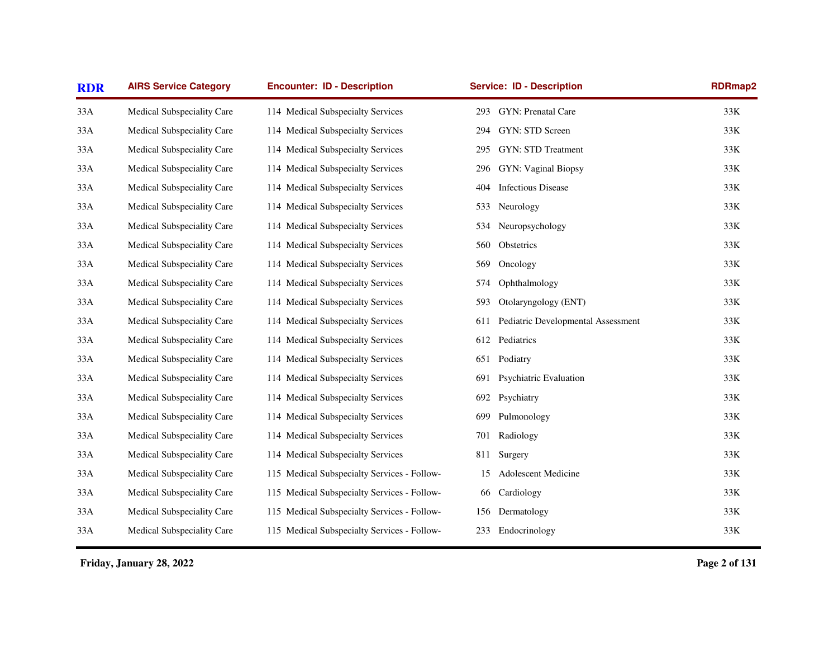| <b>RDR</b> | <b>AIRS Service Category</b> | <b>Encounter: ID - Description</b>          |     | <b>Service: ID - Description</b>   | <b>RDRmap2</b> |
|------------|------------------------------|---------------------------------------------|-----|------------------------------------|----------------|
| 33A        | Medical Subspeciality Care   | 114 Medical Subspecialty Services           | 293 | GYN: Prenatal Care                 | 33K            |
| 33A        | Medical Subspeciality Care   | 114 Medical Subspecialty Services           | 294 | GYN: STD Screen                    | 33K            |
| 33A        | Medical Subspeciality Care   | 114 Medical Subspecialty Services           | 295 | GYN: STD Treatment                 | 33K            |
| 33A        | Medical Subspeciality Care   | 114 Medical Subspecialty Services           | 296 | GYN: Vaginal Biopsy                | 33K            |
| 33A        | Medical Subspeciality Care   | 114 Medical Subspecialty Services           | 404 | <b>Infectious Disease</b>          | 33K            |
| 33A        | Medical Subspeciality Care   | 114 Medical Subspecialty Services           | 533 | Neurology                          | 33K            |
| 33A        | Medical Subspeciality Care   | 114 Medical Subspecialty Services           | 534 | Neuropsychology                    | 33K            |
| 33A        | Medical Subspeciality Care   | 114 Medical Subspecialty Services           | 560 | Obstetrics                         | 33K            |
| 33A        | Medical Subspeciality Care   | 114 Medical Subspecialty Services           | 569 | Oncology                           | 33K            |
| 33A        | Medical Subspeciality Care   | 114 Medical Subspecialty Services           | 574 | Ophthalmology                      | 33K            |
| 33A        | Medical Subspeciality Care   | 114 Medical Subspecialty Services           | 593 | Otolaryngology (ENT)               | 33K            |
| 33A        | Medical Subspeciality Care   | 114 Medical Subspecialty Services           | 611 | Pediatric Developmental Assessment | 33K            |
| 33A        | Medical Subspeciality Care   | 114 Medical Subspecialty Services           |     | 612 Pediatrics                     | 33K            |
| 33A        | Medical Subspeciality Care   | 114 Medical Subspecialty Services           | 651 | Podiatry                           | 33K            |
| 33A        | Medical Subspeciality Care   | 114 Medical Subspecialty Services           | 691 | Psychiatric Evaluation             | 33K            |
| 33A        | Medical Subspeciality Care   | 114 Medical Subspecialty Services           | 692 | Psychiatry                         | 33K            |
| 33A        | Medical Subspeciality Care   | 114 Medical Subspecialty Services           | 699 | Pulmonology                        | 33K            |
| 33A        | Medical Subspeciality Care   | 114 Medical Subspecialty Services           | 701 | Radiology                          | 33K            |
| 33A        | Medical Subspeciality Care   | 114 Medical Subspecialty Services           | 811 | Surgery                            | 33K            |
| 33A        | Medical Subspeciality Care   | 115 Medical Subspecialty Services - Follow- | 15  | Adolescent Medicine                | 33K            |
| 33A        | Medical Subspeciality Care   | 115 Medical Subspecialty Services - Follow- | 66  | Cardiology                         | 33K            |
| 33A        | Medical Subspeciality Care   | 115 Medical Subspecialty Services - Follow- | 156 | Dermatology                        | 33K            |
| 33A        | Medical Subspeciality Care   | 115 Medical Subspecialty Services - Follow- | 233 | Endocrinology                      | 33K            |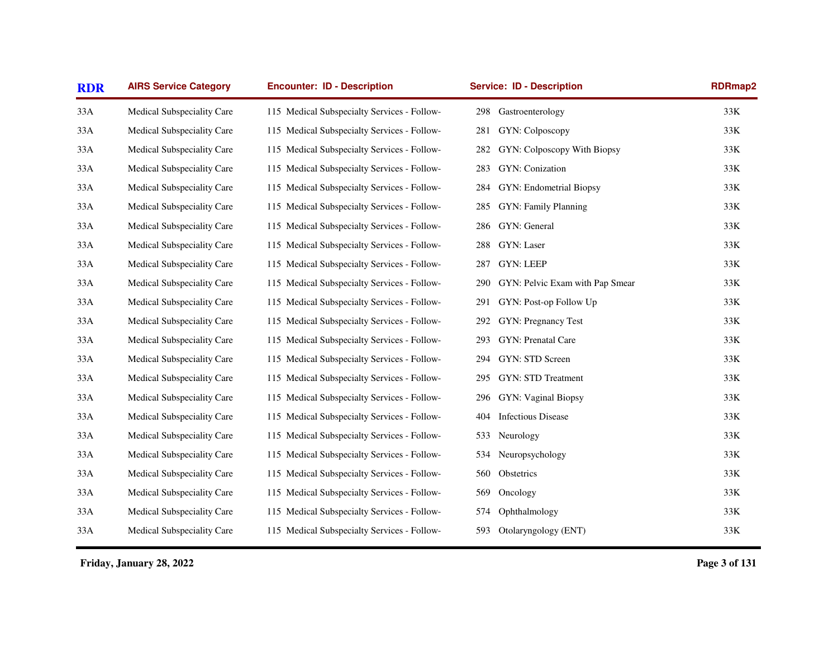| <b>RDR</b> | <b>AIRS Service Category</b> | <b>Encounter: ID - Description</b>          | <b>Service: ID - Description</b>       | <b>RDRmap2</b> |
|------------|------------------------------|---------------------------------------------|----------------------------------------|----------------|
| 33A        | Medical Subspeciality Care   | 115 Medical Subspecialty Services - Follow- | Gastroenterology<br>298                | 33K            |
| 33A        | Medical Subspeciality Care   | 115 Medical Subspecialty Services - Follow- | GYN: Colposcopy<br>281                 | 33K            |
| 33A        | Medical Subspeciality Care   | 115 Medical Subspecialty Services - Follow- | GYN: Colposcopy With Biopsy<br>282     | 33K            |
| 33A        | Medical Subspeciality Care   | 115 Medical Subspecialty Services - Follow- | GYN: Conization<br>283                 | 33K            |
| 33A        | Medical Subspeciality Care   | 115 Medical Subspecialty Services - Follow- | GYN: Endometrial Biopsy<br>284         | 33K            |
| 33A        | Medical Subspeciality Care   | 115 Medical Subspecialty Services - Follow- | GYN: Family Planning<br>285            | 33K            |
| 33A        | Medical Subspeciality Care   | 115 Medical Subspecialty Services - Follow- | GYN: General<br>286                    | 33K            |
| 33A        | Medical Subspeciality Care   | 115 Medical Subspecialty Services - Follow- | GYN: Laser<br>288                      | 33K            |
| 33A        | Medical Subspeciality Care   | 115 Medical Subspecialty Services - Follow- | <b>GYN: LEEP</b><br>287                | 33K            |
| 33A        | Medical Subspeciality Care   | 115 Medical Subspecialty Services - Follow- | GYN: Pelvic Exam with Pap Smear<br>290 | 33K            |
| 33A        | Medical Subspeciality Care   | 115 Medical Subspecialty Services - Follow- | GYN: Post-op Follow Up<br>291          | 33K            |
| 33A        | Medical Subspeciality Care   | 115 Medical Subspecialty Services - Follow- | GYN: Pregnancy Test<br>292             | 33K            |
| 33A        | Medical Subspeciality Care   | 115 Medical Subspecialty Services - Follow- | GYN: Prenatal Care<br>293              | 33K            |
| 33A        | Medical Subspeciality Care   | 115 Medical Subspecialty Services - Follow- | GYN: STD Screen<br>294                 | 33K            |
| 33A        | Medical Subspeciality Care   | 115 Medical Subspecialty Services - Follow- | GYN: STD Treatment<br>295              | 33K            |
| 33A        | Medical Subspeciality Care   | 115 Medical Subspecialty Services - Follow- | GYN: Vaginal Biopsy<br>296             | 33K            |
| 33A        | Medical Subspeciality Care   | 115 Medical Subspecialty Services - Follow- | <b>Infectious Disease</b><br>404       | 33K            |
| 33A        | Medical Subspeciality Care   | 115 Medical Subspecialty Services - Follow- | 533<br>Neurology                       | 33K            |
| 33A        | Medical Subspeciality Care   | 115 Medical Subspecialty Services - Follow- | Neuropsychology<br>534                 | 33K            |
| 33A        | Medical Subspeciality Care   | 115 Medical Subspecialty Services - Follow- | Obstetrics<br>560                      | 33K            |
| 33A        | Medical Subspeciality Care   | 115 Medical Subspecialty Services - Follow- | 569<br>Oncology                        | 33K            |
| 33A        | Medical Subspeciality Care   | 115 Medical Subspecialty Services - Follow- | Ophthalmology<br>574                   | 33K            |
| 33A        | Medical Subspeciality Care   | 115 Medical Subspecialty Services - Follow- | Otolaryngology (ENT)<br>593            | 33K            |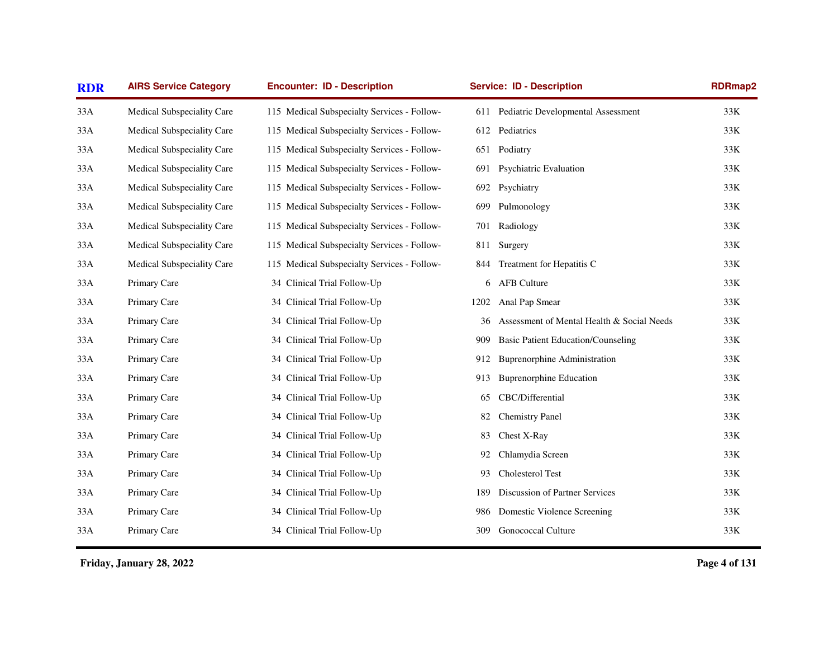| <b>RDR</b> | <b>AIRS Service Category</b> | <b>Encounter: ID - Description</b>          |      | <b>Service: ID - Description</b>           | <b>RDRmap2</b> |
|------------|------------------------------|---------------------------------------------|------|--------------------------------------------|----------------|
| 33A        | Medical Subspeciality Care   | 115 Medical Subspecialty Services - Follow- | 611  | Pediatric Developmental Assessment         | 33K            |
| 33A        | Medical Subspeciality Care   | 115 Medical Subspecialty Services - Follow- |      | 612 Pediatrics                             | 33K            |
| 33A        | Medical Subspeciality Care   | 115 Medical Subspecialty Services - Follow- |      | 651 Podiatry                               | 33K            |
| 33A        | Medical Subspeciality Care   | 115 Medical Subspecialty Services - Follow- | 691  | Psychiatric Evaluation                     | 33K            |
| 33A        | Medical Subspeciality Care   | 115 Medical Subspecialty Services - Follow- | 692  | Psychiatry                                 | 33K            |
| 33A        | Medical Subspeciality Care   | 115 Medical Subspecialty Services - Follow- | 699  | Pulmonology                                | 33K            |
| 33A        | Medical Subspeciality Care   | 115 Medical Subspecialty Services - Follow- | 701  | Radiology                                  | 33K            |
| 33A        | Medical Subspeciality Care   | 115 Medical Subspecialty Services - Follow- | 811  | Surgery                                    | 33K            |
| 33A        | Medical Subspeciality Care   | 115 Medical Subspecialty Services - Follow- | 844  | Treatment for Hepatitis C                  | 33K            |
| 33A        | Primary Care                 | 34 Clinical Trial Follow-Up                 | 6    | <b>AFB Culture</b>                         | 33K            |
| 33A        | Primary Care                 | 34 Clinical Trial Follow-Up                 | 1202 | Anal Pap Smear                             | 33K            |
| 33A        | Primary Care                 | 34 Clinical Trial Follow-Up                 | 36   | Assessment of Mental Health & Social Needs | 33K            |
| 33A        | Primary Care                 | 34 Clinical Trial Follow-Up                 | 909. | <b>Basic Patient Education/Counseling</b>  | 33K            |
| 33A        | Primary Care                 | 34 Clinical Trial Follow-Up                 | 912  | <b>Buprenorphine Administration</b>        | 33K            |
| 33A        | Primary Care                 | 34 Clinical Trial Follow-Up                 | 913  | <b>Buprenorphine Education</b>             | 33K            |
| 33A        | Primary Care                 | 34 Clinical Trial Follow-Up                 | 65   | CBC/Differential                           | 33K            |
| 33A        | Primary Care                 | 34 Clinical Trial Follow-Up                 | 82   | <b>Chemistry Panel</b>                     | 33K            |
| 33A        | Primary Care                 | 34 Clinical Trial Follow-Up                 | 83   | Chest X-Ray                                | 33K            |
| 33A        | Primary Care                 | 34 Clinical Trial Follow-Up                 | 92   | Chlamydia Screen                           | 33K            |
| 33A        | Primary Care                 | 34 Clinical Trial Follow-Up                 | 93   | Cholesterol Test                           | 33K            |
| 33A        | Primary Care                 | 34 Clinical Trial Follow-Up                 | 189  | Discussion of Partner Services             | 33K            |
| 33A        | Primary Care                 | 34 Clinical Trial Follow-Up                 | 986  | Domestic Violence Screening                | 33K            |
| 33A        | Primary Care                 | 34 Clinical Trial Follow-Up                 | 309  | <b>Gonococcal Culture</b>                  | $33K$          |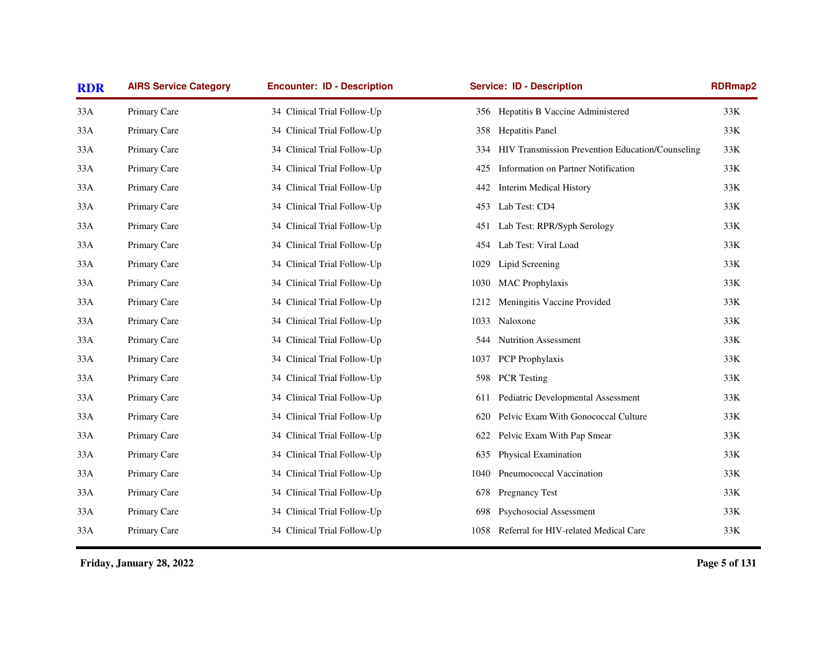| <b>RDR</b> | <b>AIRS Service Category</b> | <b>Encounter: ID - Description</b> | <b>Service: ID - Description</b>                     | <b>RDRmap2</b> |
|------------|------------------------------|------------------------------------|------------------------------------------------------|----------------|
| 33A        | Primary Care                 | 34 Clinical Trial Follow-Up        | 356 Hepatitis B Vaccine Administered                 | 33K            |
| 33A        | Primary Care                 | 34 Clinical Trial Follow-Up        | <b>Hepatitis Panel</b><br>358                        | 33K            |
| 33A        | Primary Care                 | 34 Clinical Trial Follow-Up        | 334 HIV Transmission Prevention Education/Counseling | 33K            |
| 33A        | Primary Care                 | 34 Clinical Trial Follow-Up        | Information on Partner Notification<br>425           | 33K            |
| 33A        | Primary Care                 | 34 Clinical Trial Follow-Up        | <b>Interim Medical History</b><br>442                | 33K            |
| 33A        | Primary Care                 | 34 Clinical Trial Follow-Up        | Lab Test: CD4<br>453                                 | 33K            |
| 33A        | Primary Care                 | 34 Clinical Trial Follow-Up        | Lab Test: RPR/Syph Serology<br>451                   | 33K            |
| 33A        | Primary Care                 | 34 Clinical Trial Follow-Up        | Lab Test: Viral Load<br>454                          | 33K            |
| 33A        | Primary Care                 | 34 Clinical Trial Follow-Up        | Lipid Screening<br>1029                              | 33K            |
| 33A        | Primary Care                 | 34 Clinical Trial Follow-Up        | <b>MAC</b> Prophylaxis<br>1030                       | 33K            |
| 33A        | Primary Care                 | 34 Clinical Trial Follow-Up        | Meningitis Vaccine Provided<br>1212                  | 33K            |
| 33A        | Primary Care                 | 34 Clinical Trial Follow-Up        | 1033<br>Naloxone                                     | 33K            |
| 33A        | Primary Care                 | 34 Clinical Trial Follow-Up        | <b>Nutrition Assessment</b><br>544 -                 | 33K            |
| 33A        | Primary Care                 | 34 Clinical Trial Follow-Up        | 1037<br>PCP Prophylaxis                              | 33K            |
| 33A        | Primary Care                 | 34 Clinical Trial Follow-Up        | <b>PCR</b> Testing<br>598                            | 33K            |
| 33A        | Primary Care                 | 34 Clinical Trial Follow-Up        | Pediatric Developmental Assessment<br>611            | 33K            |
| 33A        | Primary Care                 | 34 Clinical Trial Follow-Up        | Pelvic Exam With Gonococcal Culture<br>620           | 33K            |
| 33A        | Primary Care                 | 34 Clinical Trial Follow-Up        | Pelvic Exam With Pap Smear<br>622                    | 33K            |
| 33A        | Primary Care                 | 34 Clinical Trial Follow-Up        | Physical Examination<br>635                          | 33K            |
| 33A        | Primary Care                 | 34 Clinical Trial Follow-Up        | Pneumococcal Vaccination<br>1040                     | 33K            |
| 33A        | Primary Care                 | 34 Clinical Trial Follow-Up        | <b>Pregnancy Test</b><br>678                         | 33K            |
| 33A        | Primary Care                 | 34 Clinical Trial Follow-Up        | Psychosocial Assessment<br>698                       | 33K            |
| 33A        | Primary Care                 | 34 Clinical Trial Follow-Up        | Referral for HIV-related Medical Care<br>1058        | 33K            |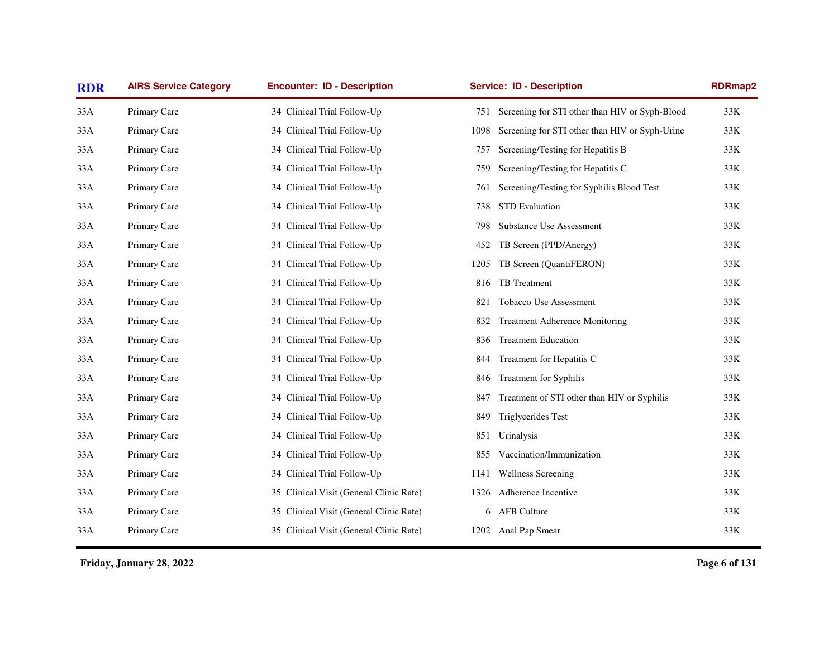| <b>RDR</b> | <b>AIRS Service Category</b> | <b>Encounter: ID - Description</b>      | <b>Service: ID - Description</b>                       | <b>RDRmap2</b> |
|------------|------------------------------|-----------------------------------------|--------------------------------------------------------|----------------|
| 33A        | Primary Care                 | 34 Clinical Trial Follow-Up             | Screening for STI other than HIV or Syph-Blood<br>751  | 33K            |
| 33A        | Primary Care                 | 34 Clinical Trial Follow-Up             | Screening for STI other than HIV or Syph-Urine<br>1098 | $33K$          |
| 33A        | Primary Care                 | 34 Clinical Trial Follow-Up             | Screening/Testing for Hepatitis B<br>757               | 33K            |
| 33A        | Primary Care                 | 34 Clinical Trial Follow-Up             | Screening/Testing for Hepatitis C<br>759               | $33K$          |
| 33A        | Primary Care                 | 34 Clinical Trial Follow-Up             | Screening/Testing for Syphilis Blood Test<br>761       | 33K            |
| 33A        | Primary Care                 | 34 Clinical Trial Follow-Up             | <b>STD</b> Evaluation<br>738                           | 33K            |
| 33A        | Primary Care                 | 34 Clinical Trial Follow-Up             | <b>Substance Use Assessment</b><br>798                 | 33K            |
| 33A        | Primary Care                 | 34 Clinical Trial Follow-Up             | TB Screen (PPD/Anergy)<br>452                          | $33K$          |
| 33A        | Primary Care                 | 34 Clinical Trial Follow-Up             | TB Screen (QuantiFERON)<br>1205                        | $33K$          |
| 33A        | Primary Care                 | 34 Clinical Trial Follow-Up             | TB Treatment<br>816                                    | 33K            |
| 33A        | Primary Care                 | 34 Clinical Trial Follow-Up             | Tobacco Use Assessment<br>821                          | 33K            |
| 33A        | Primary Care                 | 34 Clinical Trial Follow-Up             | <b>Treatment Adherence Monitoring</b><br>832           | 33K            |
| 33A        | Primary Care                 | 34 Clinical Trial Follow-Up             | <b>Treatment Education</b><br>836                      | 33K            |
| 33A        | Primary Care                 | 34 Clinical Trial Follow-Up             | Treatment for Hepatitis C<br>844                       | $33K$          |
| 33A        | Primary Care                 | 34 Clinical Trial Follow-Up             | <b>Treatment for Syphilis</b><br>846                   | $33K$          |
| 33A        | Primary Care                 | 34 Clinical Trial Follow-Up             | Treatment of STI other than HIV or Syphilis<br>847     | 33K            |
| 33A        | Primary Care                 | 34 Clinical Trial Follow-Up             | Triglycerides Test<br>849                              | 33K            |
| 33A        | Primary Care                 | 34 Clinical Trial Follow-Up             | Urinalysis<br>851                                      | 33K            |
| 33A        | Primary Care                 | 34 Clinical Trial Follow-Up             | Vaccination/Immunization<br>855                        | $33K$          |
| 33A        | Primary Care                 | 34 Clinical Trial Follow-Up             | <b>Wellness Screening</b><br>1141                      | $33K$          |
| 33A        | Primary Care                 | 35 Clinical Visit (General Clinic Rate) | Adherence Incentive<br>1326                            | 33K            |
| 33A        | Primary Care                 | 35 Clinical Visit (General Clinic Rate) | 6 AFB Culture                                          | 33K            |
| 33A        | Primary Care                 | 35 Clinical Visit (General Clinic Rate) | 1202 Anal Pap Smear                                    | $33K$          |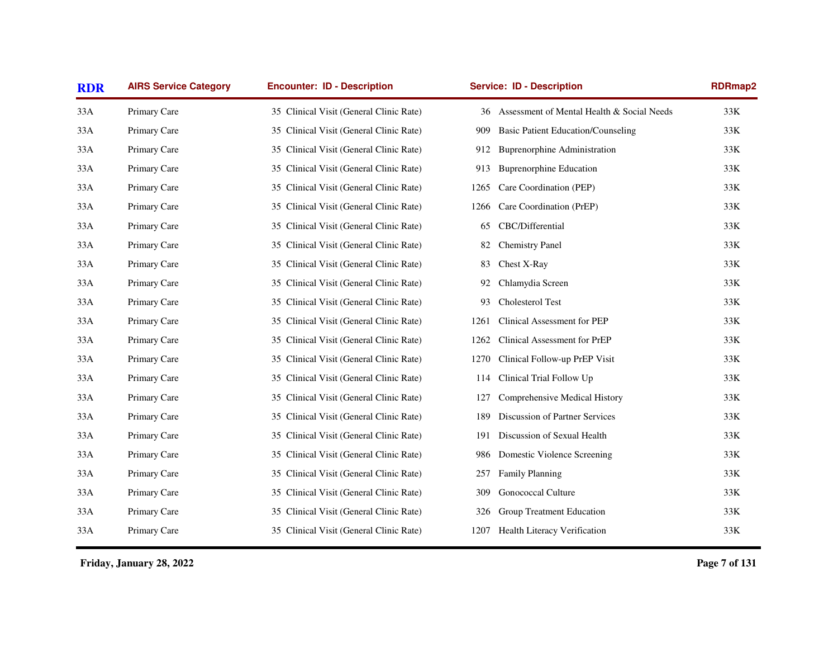| <b>RDR</b> | <b>AIRS Service Category</b> | <b>Encounter: ID - Description</b>      | <b>Service: ID - Description</b>                 | <b>RDRmap2</b> |
|------------|------------------------------|-----------------------------------------|--------------------------------------------------|----------------|
| 33A        | Primary Care                 | 35 Clinical Visit (General Clinic Rate) | Assessment of Mental Health & Social Needs<br>36 | 33K            |
| 33A        | Primary Care                 | 35 Clinical Visit (General Clinic Rate) | <b>Basic Patient Education/Counseling</b><br>909 | 33K            |
| 33A        | Primary Care                 | 35 Clinical Visit (General Clinic Rate) | <b>Buprenorphine Administration</b><br>912       | 33K            |
| 33A        | Primary Care                 | 35 Clinical Visit (General Clinic Rate) | <b>Buprenorphine Education</b><br>913            | 33K            |
| 33A        | Primary Care                 | 35 Clinical Visit (General Clinic Rate) | Care Coordination (PEP)<br>1265                  | 33K            |
| 33A        | Primary Care                 | 35 Clinical Visit (General Clinic Rate) | Care Coordination (PrEP)<br>1266                 | $33K$          |
| 33A        | Primary Care                 | 35 Clinical Visit (General Clinic Rate) | CBC/Differential<br>65                           | 33K            |
| 33A        | Primary Care                 | 35 Clinical Visit (General Clinic Rate) | <b>Chemistry Panel</b><br>82                     | $33K$          |
| 33A        | Primary Care                 | 35 Clinical Visit (General Clinic Rate) | Chest X-Ray<br>83                                | 33K            |
| 33A        | Primary Care                 | 35 Clinical Visit (General Clinic Rate) | Chlamydia Screen<br>92                           | 33K            |
| 33A        | Primary Care                 | 35 Clinical Visit (General Clinic Rate) | Cholesterol Test<br>93                           | 33K            |
| 33A        | Primary Care                 | 35 Clinical Visit (General Clinic Rate) | Clinical Assessment for PEP<br>1261              | 33K            |
| 33A        | Primary Care                 | 35 Clinical Visit (General Clinic Rate) | Clinical Assessment for PrEP<br>1262             | 33K            |
| 33A        | Primary Care                 | 35 Clinical Visit (General Clinic Rate) | 1270<br>Clinical Follow-up PrEP Visit            | $33K$          |
| 33A        | Primary Care                 | 35 Clinical Visit (General Clinic Rate) | Clinical Trial Follow Up<br>114                  | $33K$          |
| 33A        | Primary Care                 | 35 Clinical Visit (General Clinic Rate) | Comprehensive Medical History<br>127             | $33K$          |
| 33A        | Primary Care                 | 35 Clinical Visit (General Clinic Rate) | Discussion of Partner Services<br>189            | $33K$          |
| 33A        | Primary Care                 | 35 Clinical Visit (General Clinic Rate) | Discussion of Sexual Health<br>191               | $33K$          |
| 33A        | Primary Care                 | 35 Clinical Visit (General Clinic Rate) | Domestic Violence Screening<br>986               | 33K            |
| 33A        | Primary Care                 | 35 Clinical Visit (General Clinic Rate) | <b>Family Planning</b><br>257                    | 33K            |
| 33A        | Primary Care                 | 35 Clinical Visit (General Clinic Rate) | <b>Gonococcal Culture</b><br>309                 | 33K            |
| 33A        | Primary Care                 | 35 Clinical Visit (General Clinic Rate) | Group Treatment Education<br>326                 | 33K            |
| 33A        | Primary Care                 | 35 Clinical Visit (General Clinic Rate) | 1207 Health Literacy Verification                | $33K$          |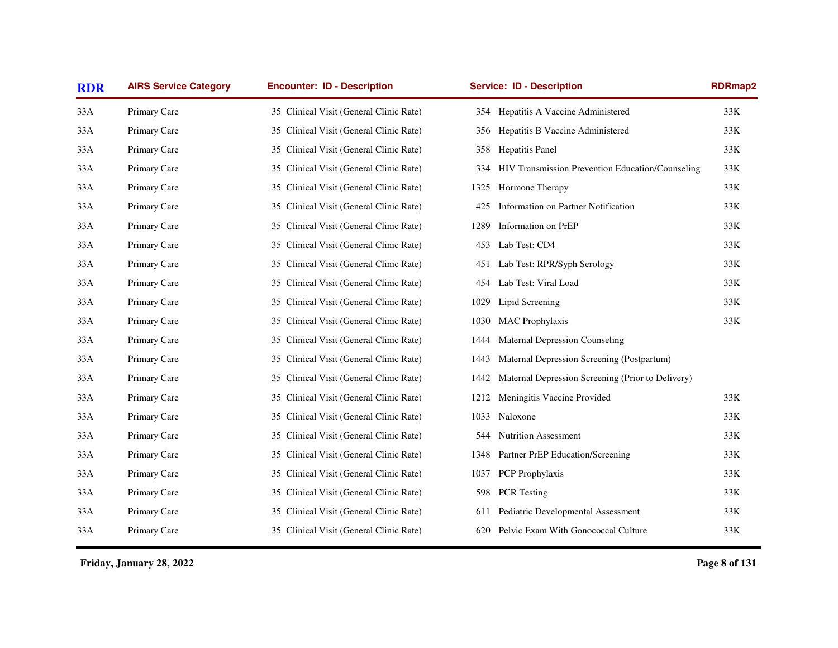| <b>RDR</b> | <b>AIRS Service Category</b> | <b>Encounter: ID - Description</b>      | <b>Service: ID - Description</b>                          | <b>RDRmap2</b> |
|------------|------------------------------|-----------------------------------------|-----------------------------------------------------------|----------------|
| 33A        | Primary Care                 | 35 Clinical Visit (General Clinic Rate) | 354 Hepatitis A Vaccine Administered                      | 33K            |
| 33A        | Primary Care                 | 35 Clinical Visit (General Clinic Rate) | Hepatitis B Vaccine Administered<br>356                   | 33K            |
| 33A        | Primary Care                 | 35 Clinical Visit (General Clinic Rate) | <b>Hepatitis Panel</b><br>358                             | 33K            |
| 33A        | Primary Care                 | 35 Clinical Visit (General Clinic Rate) | HIV Transmission Prevention Education/Counseling<br>334   | 33K            |
| 33A        | Primary Care                 | 35 Clinical Visit (General Clinic Rate) | Hormone Therapy<br>1325                                   | 33K            |
| 33A        | Primary Care                 | 35 Clinical Visit (General Clinic Rate) | Information on Partner Notification<br>425                | 33K            |
| 33A        | Primary Care                 | 35 Clinical Visit (General Clinic Rate) | Information on PrEP<br>1289                               | 33K            |
| 33A        | Primary Care                 | 35 Clinical Visit (General Clinic Rate) | Lab Test: CD4<br>453                                      | 33K            |
| 33A        | Primary Care                 | 35 Clinical Visit (General Clinic Rate) | Lab Test: RPR/Syph Serology<br>451                        | 33K            |
| 33A        | Primary Care                 | 35 Clinical Visit (General Clinic Rate) | Lab Test: Viral Load<br>454                               | 33K            |
| 33A        | Primary Care                 | 35 Clinical Visit (General Clinic Rate) | Lipid Screening<br>1029                                   | 33K            |
| 33A        | Primary Care                 | 35 Clinical Visit (General Clinic Rate) | <b>MAC</b> Prophylaxis<br>1030                            | 33K            |
| 33A        | Primary Care                 | 35 Clinical Visit (General Clinic Rate) | <b>Maternal Depression Counseling</b><br>1444             |                |
| 33A        | Primary Care                 | 35 Clinical Visit (General Clinic Rate) | Maternal Depression Screening (Postpartum)<br>1443        |                |
| 33A        | Primary Care                 | 35 Clinical Visit (General Clinic Rate) | Maternal Depression Screening (Prior to Delivery)<br>1442 |                |
| 33A        | Primary Care                 | 35 Clinical Visit (General Clinic Rate) | 1212<br>Meningitis Vaccine Provided                       | 33K            |
| 33A        | Primary Care                 | 35 Clinical Visit (General Clinic Rate) | Naloxone<br>1033                                          | 33K            |
| 33A        | Primary Care                 | 35 Clinical Visit (General Clinic Rate) | 544 Nutrition Assessment                                  | 33K            |
| 33A        | Primary Care                 | 35 Clinical Visit (General Clinic Rate) | 1348<br>Partner PrEP Education/Screening                  | 33K            |
| 33A        | Primary Care                 | 35 Clinical Visit (General Clinic Rate) | PCP Prophylaxis<br>1037                                   | 33K            |
| 33A        | Primary Care                 | 35 Clinical Visit (General Clinic Rate) | <b>PCR</b> Testing<br>598                                 | 33K            |
| 33A        | Primary Care                 | 35 Clinical Visit (General Clinic Rate) | Pediatric Developmental Assessment<br>611                 | 33K            |
| 33A        | Primary Care                 | 35 Clinical Visit (General Clinic Rate) | Pelvic Exam With Gonococcal Culture<br>620                | 33K            |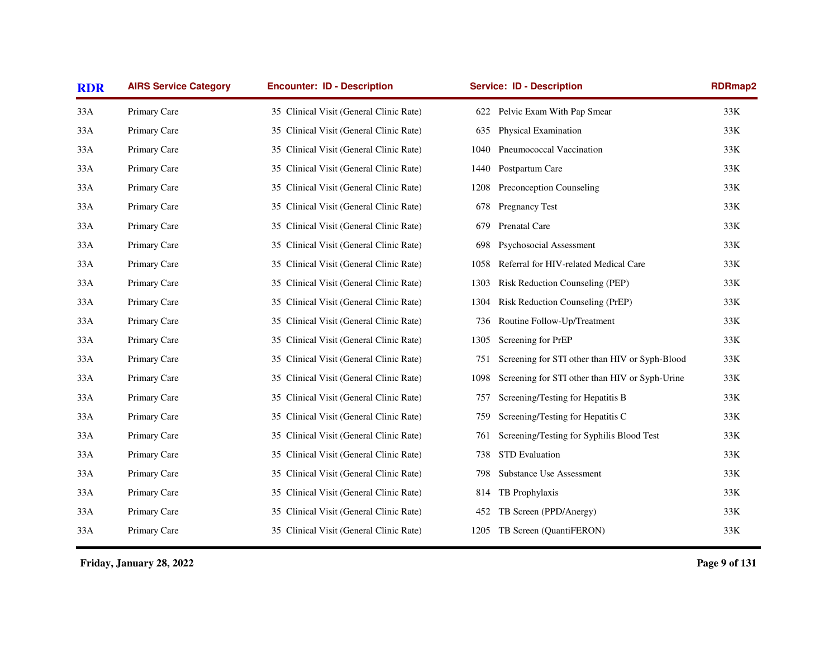| <b>RDR</b> | <b>AIRS Service Category</b> | <b>Encounter: ID - Description</b>      | <b>Service: ID - Description</b>                       | <b>RDRmap2</b> |
|------------|------------------------------|-----------------------------------------|--------------------------------------------------------|----------------|
| 33A        | Primary Care                 | 35 Clinical Visit (General Clinic Rate) | 622 Pelvic Exam With Pap Smear                         | 33K            |
| 33A        | Primary Care                 | 35 Clinical Visit (General Clinic Rate) | Physical Examination<br>635                            | 33K            |
| 33A        | Primary Care                 | 35 Clinical Visit (General Clinic Rate) | Pneumococcal Vaccination<br>1040                       | 33K            |
| 33A        | Primary Care                 | 35 Clinical Visit (General Clinic Rate) | Postpartum Care<br>1440                                | 33K            |
| 33A        | Primary Care                 | 35 Clinical Visit (General Clinic Rate) | Preconception Counseling<br>1208                       | 33K            |
| 33A        | Primary Care                 | 35 Clinical Visit (General Clinic Rate) | Pregnancy Test<br>678                                  | 33K            |
| 33A        | Primary Care                 | 35 Clinical Visit (General Clinic Rate) | Prenatal Care<br>679                                   | 33K            |
| 33A        | Primary Care                 | 35 Clinical Visit (General Clinic Rate) | Psychosocial Assessment<br>698                         | 33K            |
| 33A        | Primary Care                 | 35 Clinical Visit (General Clinic Rate) | Referral for HIV-related Medical Care<br>1058          | 33K            |
| 33A        | Primary Care                 | 35 Clinical Visit (General Clinic Rate) | Risk Reduction Counseling (PEP)<br>1303                | 33K            |
| 33A        | Primary Care                 | 35 Clinical Visit (General Clinic Rate) | Risk Reduction Counseling (PrEP)<br>1304               | 33K            |
| 33A        | Primary Care                 | 35 Clinical Visit (General Clinic Rate) | Routine Follow-Up/Treatment<br>736                     | 33K            |
| 33A        | Primary Care                 | 35 Clinical Visit (General Clinic Rate) | Screening for PrEP<br>1305                             | 33K            |
| 33A        | Primary Care                 | 35 Clinical Visit (General Clinic Rate) | Screening for STI other than HIV or Syph-Blood<br>751  | 33K            |
| 33A        | Primary Care                 | 35 Clinical Visit (General Clinic Rate) | 1098<br>Screening for STI other than HIV or Syph-Urine | 33K            |
| 33A        | Primary Care                 | 35 Clinical Visit (General Clinic Rate) | Screening/Testing for Hepatitis B<br>757               | 33K            |
| 33A        | Primary Care                 | 35 Clinical Visit (General Clinic Rate) | Screening/Testing for Hepatitis C<br>759               | 33K            |
| 33A        | Primary Care                 | 35 Clinical Visit (General Clinic Rate) | Screening/Testing for Syphilis Blood Test<br>761       | 33K            |
| 33A        | Primary Care                 | 35 Clinical Visit (General Clinic Rate) | <b>STD</b> Evaluation<br>738                           | 33K            |
| 33A        | Primary Care                 | 35 Clinical Visit (General Clinic Rate) | <b>Substance Use Assessment</b><br>798                 | 33K            |
| 33A        | Primary Care                 | 35 Clinical Visit (General Clinic Rate) | TB Prophylaxis<br>814                                  | 33K            |
| 33A        | Primary Care                 | 35 Clinical Visit (General Clinic Rate) | TB Screen (PPD/Anergy)<br>452                          | 33K            |
| 33A        | Primary Care                 | 35 Clinical Visit (General Clinic Rate) | TB Screen (QuantiFERON)<br>1205                        | 33K            |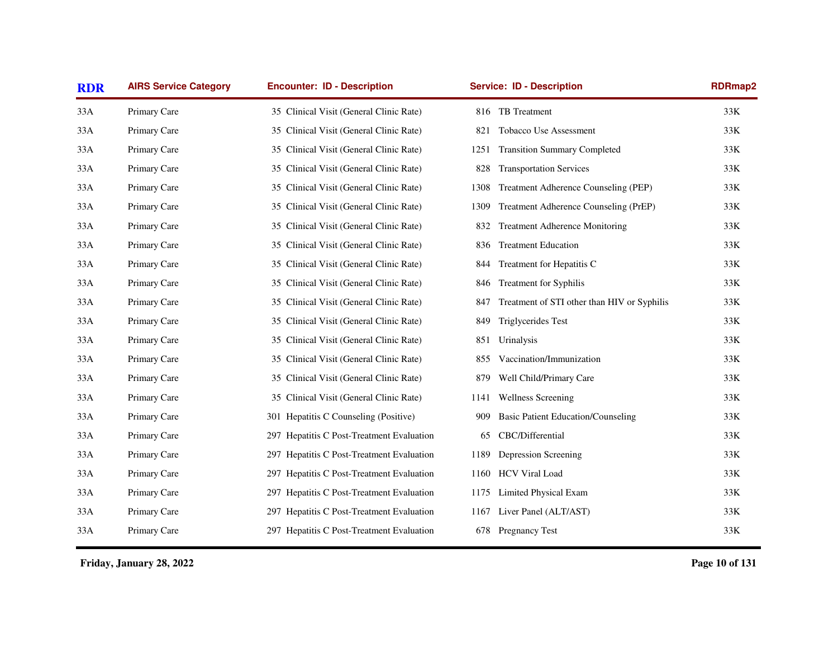| <b>RDR</b> | <b>AIRS Service Category</b> | <b>Encounter: ID - Description</b>        | <b>Service: ID - Description</b>                   | <b>RDRmap2</b> |
|------------|------------------------------|-------------------------------------------|----------------------------------------------------|----------------|
| 33A        | Primary Care                 | 35 Clinical Visit (General Clinic Rate)   | 816 TB Treatment                                   | 33K            |
| 33A        | Primary Care                 | 35 Clinical Visit (General Clinic Rate)   | Tobacco Use Assessment<br>821                      | 33K            |
| 33A        | Primary Care                 | 35 Clinical Visit (General Clinic Rate)   | <b>Transition Summary Completed</b><br>1251        | 33K            |
| 33A        | Primary Care                 | 35 Clinical Visit (General Clinic Rate)   | <b>Transportation Services</b><br>828              | $33K$          |
| 33A        | Primary Care                 | 35 Clinical Visit (General Clinic Rate)   | Treatment Adherence Counseling (PEP)<br>1308       | 33K            |
| 33A        | Primary Care                 | 35 Clinical Visit (General Clinic Rate)   | Treatment Adherence Counseling (PrEP)<br>1309      | 33K            |
| 33A        | Primary Care                 | 35 Clinical Visit (General Clinic Rate)   | <b>Treatment Adherence Monitoring</b><br>832       | 33K            |
| 33A        | Primary Care                 | 35 Clinical Visit (General Clinic Rate)   | <b>Treatment Education</b><br>836                  | 33K            |
| 33A        | Primary Care                 | 35 Clinical Visit (General Clinic Rate)   | Treatment for Hepatitis C<br>844                   | 33K            |
| 33A        | Primary Care                 | 35 Clinical Visit (General Clinic Rate)   | <b>Treatment for Syphilis</b><br>846               | 33K            |
| 33A        | Primary Care                 | 35 Clinical Visit (General Clinic Rate)   | Treatment of STI other than HIV or Syphilis<br>847 | 33K            |
| 33A        | Primary Care                 | 35 Clinical Visit (General Clinic Rate)   | Triglycerides Test<br>849                          | 33K            |
| 33A        | Primary Care                 | 35 Clinical Visit (General Clinic Rate)   | Urinalysis<br>851                                  | 33K            |
| 33A        | Primary Care                 | 35 Clinical Visit (General Clinic Rate)   | Vaccination/Immunization<br>855                    | 33K            |
| 33A        | Primary Care                 | 35 Clinical Visit (General Clinic Rate)   | Well Child/Primary Care<br>879                     | $33K$          |
| 33A        | Primary Care                 | 35 Clinical Visit (General Clinic Rate)   | <b>Wellness Screening</b><br>1141                  | 33K            |
| 33A        | Primary Care                 | 301 Hepatitis C Counseling (Positive)     | <b>Basic Patient Education/Counseling</b><br>909   | $33K$          |
| 33A        | Primary Care                 | 297 Hepatitis C Post-Treatment Evaluation | CBC/Differential<br>65                             | 33K            |
| 33A        | Primary Care                 | 297 Hepatitis C Post-Treatment Evaluation | Depression Screening<br>1189                       | 33K            |
| 33A        | Primary Care                 | 297 Hepatitis C Post-Treatment Evaluation | <b>HCV Viral Load</b><br>1160                      | 33K            |
| 33A        | Primary Care                 | 297 Hepatitis C Post-Treatment Evaluation | Limited Physical Exam<br>1175                      | 33K            |
| 33A        | Primary Care                 | 297 Hepatitis C Post-Treatment Evaluation | Liver Panel (ALT/AST)<br>1167                      | $33K$          |
| 33A        | Primary Care                 | 297 Hepatitis C Post-Treatment Evaluation | 678 Pregnancy Test                                 | 33K            |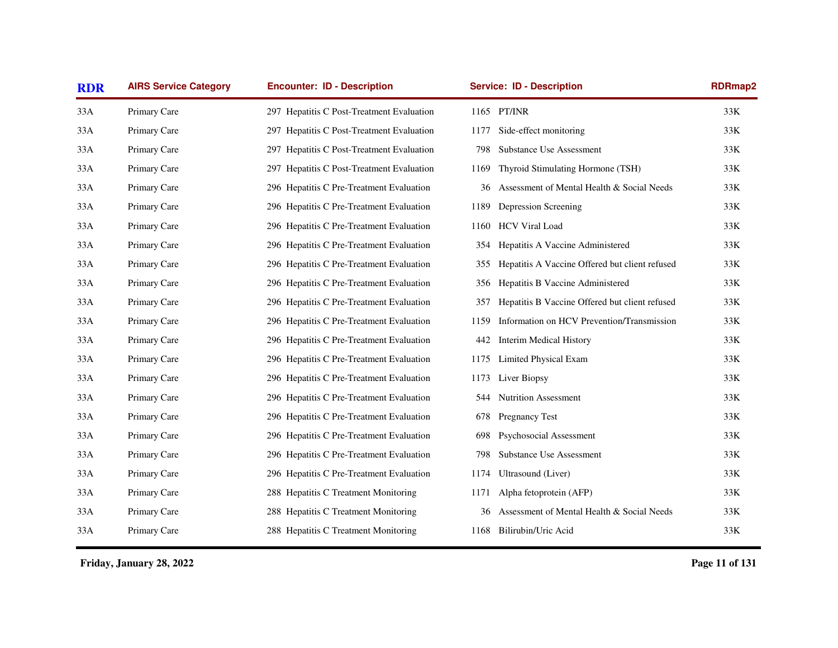| <b>RDR</b> | <b>AIRS Service Category</b> | <b>Encounter: ID - Description</b>        |      | <b>Service: ID - Description</b>               | RDRmap2 |
|------------|------------------------------|-------------------------------------------|------|------------------------------------------------|---------|
| 33A        | Primary Care                 | 297 Hepatitis C Post-Treatment Evaluation |      | 1165 PT/INR                                    | 33K     |
| 33A        | Primary Care                 | 297 Hepatitis C Post-Treatment Evaluation | 1177 | Side-effect monitoring                         | 33K     |
| 33A        | Primary Care                 | 297 Hepatitis C Post-Treatment Evaluation | 798  | <b>Substance Use Assessment</b>                | 33K     |
| 33A        | Primary Care                 | 297 Hepatitis C Post-Treatment Evaluation | 1169 | Thyroid Stimulating Hormone (TSH)              | 33K     |
| 33A        | Primary Care                 | 296 Hepatitis C Pre-Treatment Evaluation  | 36   | Assessment of Mental Health & Social Needs     | 33K     |
| 33A        | Primary Care                 | 296 Hepatitis C Pre-Treatment Evaluation  | 1189 | Depression Screening                           | 33K     |
| 33A        | Primary Care                 | 296 Hepatitis C Pre-Treatment Evaluation  | 1160 | <b>HCV Viral Load</b>                          | 33K     |
| 33A        | Primary Care                 | 296 Hepatitis C Pre-Treatment Evaluation  | 354  | Hepatitis A Vaccine Administered               | 33K     |
| 33A        | Primary Care                 | 296 Hepatitis C Pre-Treatment Evaluation  | 355  | Hepatitis A Vaccine Offered but client refused | 33K     |
| 33A        | Primary Care                 | 296 Hepatitis C Pre-Treatment Evaluation  | 356  | Hepatitis B Vaccine Administered               | 33K     |
| 33A        | Primary Care                 | 296 Hepatitis C Pre-Treatment Evaluation  | 357  | Hepatitis B Vaccine Offered but client refused | 33K     |
| 33A        | Primary Care                 | 296 Hepatitis C Pre-Treatment Evaluation  | 1159 | Information on HCV Prevention/Transmission     | 33K     |
| 33A        | Primary Care                 | 296 Hepatitis C Pre-Treatment Evaluation  | 442  | <b>Interim Medical History</b>                 | 33K     |
| 33A        | Primary Care                 | 296 Hepatitis C Pre-Treatment Evaluation  | 1175 | Limited Physical Exam                          | 33K     |
| 33A        | Primary Care                 | 296 Hepatitis C Pre-Treatment Evaluation  | 1173 | Liver Biopsy                                   | 33K     |
| 33A        | Primary Care                 | 296 Hepatitis C Pre-Treatment Evaluation  | 544  | <b>Nutrition Assessment</b>                    | 33K     |
| 33A        | Primary Care                 | 296 Hepatitis C Pre-Treatment Evaluation  | 678  | Pregnancy Test                                 | 33K     |
| 33A        | Primary Care                 | 296 Hepatitis C Pre-Treatment Evaluation  | 698  | Psychosocial Assessment                        | 33K     |
| 33A        | Primary Care                 | 296 Hepatitis C Pre-Treatment Evaluation  | 798  | <b>Substance Use Assessment</b>                | 33K     |
| 33A        | Primary Care                 | 296 Hepatitis C Pre-Treatment Evaluation  | 1174 | Ultrasound (Liver)                             | 33K     |
| 33A        | Primary Care                 | 288 Hepatitis C Treatment Monitoring      | 1171 | Alpha fetoprotein (AFP)                        | 33K     |
| 33A        | Primary Care                 | 288 Hepatitis C Treatment Monitoring      | 36   | Assessment of Mental Health & Social Needs     | 33K     |
| 33A        | Primary Care                 | 288 Hepatitis C Treatment Monitoring      |      | 1168 Bilirubin/Uric Acid                       | 33K     |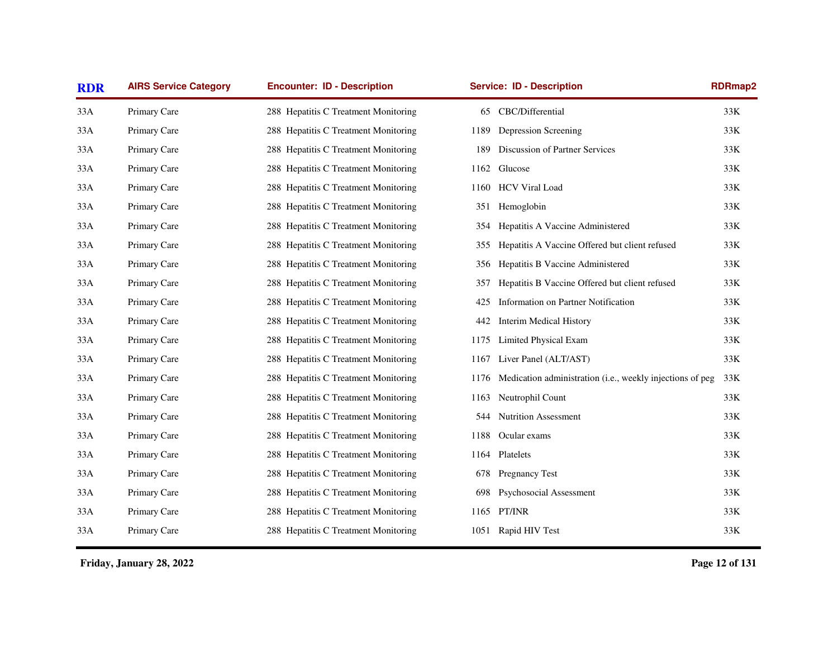| <b>RDR</b> | <b>AIRS Service Category</b> | <b>Encounter: ID - Description</b>   | <b>Service: ID - Description</b>                                           | <b>RDRmap2</b> |
|------------|------------------------------|--------------------------------------|----------------------------------------------------------------------------|----------------|
| 33A        | Primary Care                 | 288 Hepatitis C Treatment Monitoring | CBC/Differential<br>65                                                     | 33K            |
| 33A        | Primary Care                 | 288 Hepatitis C Treatment Monitoring | Depression Screening<br>1189                                               | 33K            |
| 33A        | Primary Care                 | 288 Hepatitis C Treatment Monitoring | Discussion of Partner Services<br>189                                      | 33K            |
| 33A        | Primary Care                 | 288 Hepatitis C Treatment Monitoring | Glucose<br>1162                                                            | 33K            |
| 33A        | Primary Care                 | 288 Hepatitis C Treatment Monitoring | <b>HCV Viral Load</b><br>1160                                              | 33K            |
| 33A        | Primary Care                 | 288 Hepatitis C Treatment Monitoring | Hemoglobin<br>351                                                          | 33K            |
| 33A        | Primary Care                 | 288 Hepatitis C Treatment Monitoring | Hepatitis A Vaccine Administered<br>354                                    | 33K            |
| 33A        | Primary Care                 | 288 Hepatitis C Treatment Monitoring | Hepatitis A Vaccine Offered but client refused<br>355                      | 33K            |
| 33A        | Primary Care                 | 288 Hepatitis C Treatment Monitoring | Hepatitis B Vaccine Administered<br>356                                    | 33K            |
| 33A        | Primary Care                 | 288 Hepatitis C Treatment Monitoring | Hepatitis B Vaccine Offered but client refused<br>357                      | 33K            |
| 33A        | Primary Care                 | 288 Hepatitis C Treatment Monitoring | Information on Partner Notification<br>425                                 | 33K            |
| 33A        | Primary Care                 | 288 Hepatitis C Treatment Monitoring | <b>Interim Medical History</b><br>442                                      | 33K            |
| 33A        | Primary Care                 | 288 Hepatitis C Treatment Monitoring | Limited Physical Exam<br>1175                                              | 33K            |
| 33A        | Primary Care                 | 288 Hepatitis C Treatment Monitoring | Liver Panel (ALT/AST)<br>1167                                              | 33K            |
| 33A        | Primary Care                 | 288 Hepatitis C Treatment Monitoring | Medication administration ( <i>i.e.</i> , weekly injections of peg<br>1176 | 33K            |
| 33A        | Primary Care                 | 288 Hepatitis C Treatment Monitoring | Neutrophil Count<br>1163                                                   | 33K            |
| 33A        | Primary Care                 | 288 Hepatitis C Treatment Monitoring | Nutrition Assessment<br>544                                                | 33K            |
| 33A        | Primary Care                 | 288 Hepatitis C Treatment Monitoring | 1188<br>Ocular exams                                                       | 33K            |
| 33A        | Primary Care                 | 288 Hepatitis C Treatment Monitoring | Platelets<br>1164                                                          | 33K            |
| 33A        | Primary Care                 | 288 Hepatitis C Treatment Monitoring | <b>Pregnancy Test</b><br>678                                               | 33K            |
| 33A        | Primary Care                 | 288 Hepatitis C Treatment Monitoring | Psychosocial Assessment<br>698                                             | 33K            |
| 33A        | Primary Care                 | 288 Hepatitis C Treatment Monitoring | 1165 PT/INR                                                                | 33K            |
| 33A        | Primary Care                 | 288 Hepatitis C Treatment Monitoring | 1051 Rapid HIV Test                                                        | $33K$          |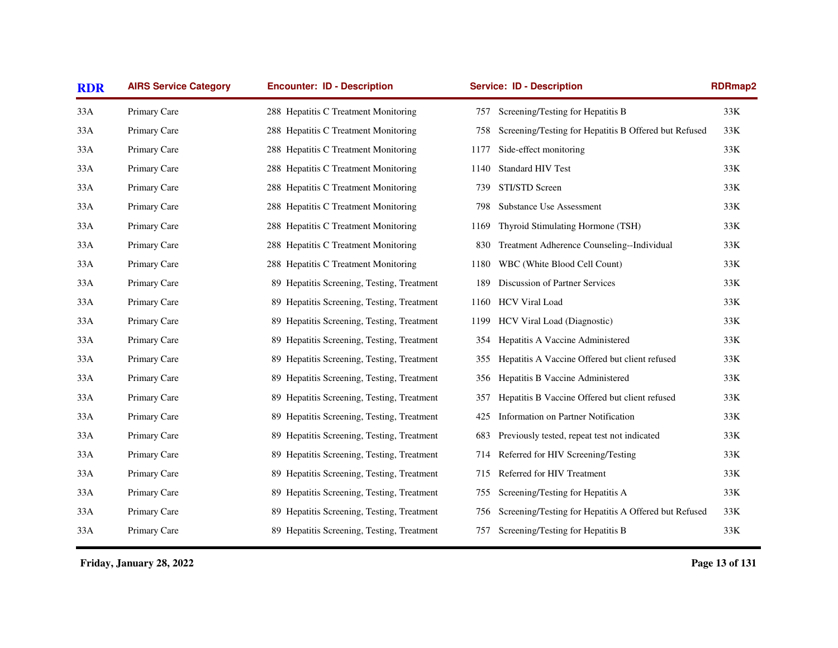| <b>RDR</b> | <b>AIRS Service Category</b> | <b>Encounter: ID - Description</b>         | <b>RDRmap2</b><br><b>Service: ID - Description</b>           |       |
|------------|------------------------------|--------------------------------------------|--------------------------------------------------------------|-------|
| 33A        | Primary Care                 | 288 Hepatitis C Treatment Monitoring       | Screening/Testing for Hepatitis B<br>757                     | 33K   |
| 33A        | Primary Care                 | 288 Hepatitis C Treatment Monitoring       | Screening/Testing for Hepatitis B Offered but Refused<br>758 | 33K   |
| 33A        | Primary Care                 | 288 Hepatitis C Treatment Monitoring       | Side-effect monitoring<br>1177                               | 33K   |
| 33A        | Primary Care                 | 288 Hepatitis C Treatment Monitoring       | Standard HIV Test<br>1140                                    | 33K   |
| 33A        | Primary Care                 | 288 Hepatitis C Treatment Monitoring       | STI/STD Screen<br>739                                        | 33K   |
| 33A        | Primary Care                 | 288 Hepatitis C Treatment Monitoring       | Substance Use Assessment<br>798                              | $33K$ |
| 33A        | Primary Care                 | 288 Hepatitis C Treatment Monitoring       | Thyroid Stimulating Hormone (TSH)<br>1169                    | 33K   |
| 33A        | Primary Care                 | 288 Hepatitis C Treatment Monitoring       | Treatment Adherence Counseling--Individual<br>830            | 33K   |
| 33A        | Primary Care                 | 288 Hepatitis C Treatment Monitoring       | WBC (White Blood Cell Count)<br>1180                         | 33K   |
| 33A        | Primary Care                 | 89 Hepatitis Screening, Testing, Treatment | Discussion of Partner Services<br>189                        | 33K   |
| 33A        | Primary Care                 | 89 Hepatitis Screening, Testing, Treatment | 1160 HCV Viral Load                                          | 33K   |
| 33A        | Primary Care                 | 89 Hepatitis Screening, Testing, Treatment | 1199 HCV Viral Load (Diagnostic)                             | 33K   |
| 33A        | Primary Care                 | 89 Hepatitis Screening, Testing, Treatment | Hepatitis A Vaccine Administered<br>354                      | 33K   |
| 33A        | Primary Care                 | 89 Hepatitis Screening, Testing, Treatment | Hepatitis A Vaccine Offered but client refused<br>355        | 33K   |
| 33A        | Primary Care                 | 89 Hepatitis Screening, Testing, Treatment | Hepatitis B Vaccine Administered<br>356                      | 33K   |
| 33A        | Primary Care                 | 89 Hepatitis Screening, Testing, Treatment | Hepatitis B Vaccine Offered but client refused<br>357        | 33K   |
| 33A        | Primary Care                 | 89 Hepatitis Screening, Testing, Treatment | Information on Partner Notification<br>425                   | 33K   |
| 33A        | Primary Care                 | 89 Hepatitis Screening, Testing, Treatment | Previously tested, repeat test not indicated<br>683          | 33K   |
| 33A        | Primary Care                 | 89 Hepatitis Screening, Testing, Treatment | Referred for HIV Screening/Testing<br>714                    | $33K$ |
| 33A        | Primary Care                 | 89 Hepatitis Screening, Testing, Treatment | Referred for HIV Treatment<br>715                            | 33K   |
| 33A        | Primary Care                 | 89 Hepatitis Screening, Testing, Treatment | Screening/Testing for Hepatitis A<br>755                     | 33K   |
| 33A        | Primary Care                 | 89 Hepatitis Screening, Testing, Treatment | Screening/Testing for Hepatitis A Offered but Refused<br>756 | 33K   |
| 33A        | Primary Care                 | 89 Hepatitis Screening, Testing, Treatment | Screening/Testing for Hepatitis B<br>757                     | $33K$ |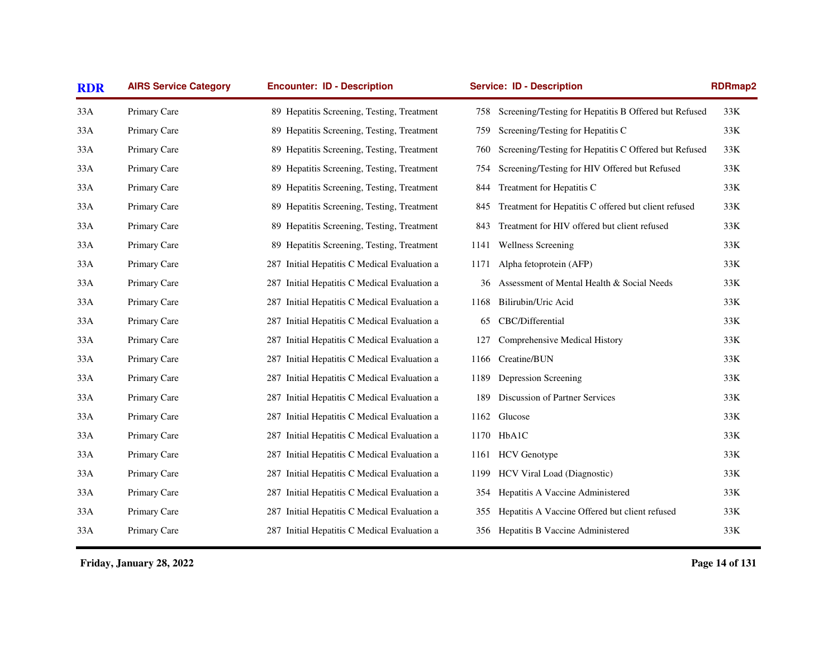| <b>RDR</b> | <b>AIRS Service Category</b> | <b>Encounter: ID - Description</b>              | <b>Service: ID - Description</b>                            | <b>RDRmap2</b>                                               |  |
|------------|------------------------------|-------------------------------------------------|-------------------------------------------------------------|--------------------------------------------------------------|--|
| 33A        | Primary Care                 | 89 Hepatitis Screening, Testing, Treatment      | 758                                                         | Screening/Testing for Hepatitis B Offered but Refused<br>33K |  |
| 33A        | Primary Care                 | 89 Hepatitis Screening, Testing, Treatment      | Screening/Testing for Hepatitis C<br>759                    | 33K                                                          |  |
| 33A        | Primary Care                 | 89 Hepatitis Screening, Testing, Treatment      | 760                                                         | 33K<br>Screening/Testing for Hepatitis C Offered but Refused |  |
| 33A        | Primary Care                 | 89 Hepatitis Screening, Testing, Treatment      | Screening/Testing for HIV Offered but Refused<br>754        | $33K$                                                        |  |
| 33A        | Primary Care                 | 89 Hepatitis Screening, Testing, Treatment      | Treatment for Hepatitis C<br>844                            | 33K                                                          |  |
| 33A        | Primary Care                 | 89 Hepatitis Screening, Testing, Treatment      | Treatment for Hepatitis C offered but client refused<br>845 | 33K                                                          |  |
| 33A        | Primary Care                 | 89 Hepatitis Screening, Testing, Treatment      | Treatment for HIV offered but client refused<br>843         | $33K$                                                        |  |
| 33A        | Primary Care                 | 89 Hepatitis Screening, Testing, Treatment      | <b>Wellness Screening</b><br>1141                           | $33K$                                                        |  |
| 33A        | Primary Care                 | 287 Initial Hepatitis C Medical Evaluation a    | Alpha fetoprotein (AFP)<br>1171                             | 33K                                                          |  |
| 33A        | Primary Care                 | 287 Initial Hepatitis C Medical Evaluation a    | Assessment of Mental Health & Social Needs<br>36            | 33K                                                          |  |
| 33A        | Primary Care                 | Initial Hepatitis C Medical Evaluation a<br>287 | Bilirubin/Uric Acid<br>1168                                 | 33K                                                          |  |
| 33A        | Primary Care                 | 287 Initial Hepatitis C Medical Evaluation a    | CBC/Differential<br>65                                      | 33K                                                          |  |
| 33A        | Primary Care                 | 287 Initial Hepatitis C Medical Evaluation a    | Comprehensive Medical History<br>127                        | 33K                                                          |  |
| 33A        | Primary Care                 | 287 Initial Hepatitis C Medical Evaluation a    | Creatine/BUN<br>1166                                        | 33K                                                          |  |
| 33A        | Primary Care                 | 287 Initial Hepatitis C Medical Evaluation a    | Depression Screening<br>1189                                | $33K$                                                        |  |
| 33A        | Primary Care                 | 287 Initial Hepatitis C Medical Evaluation a    | Discussion of Partner Services<br>189                       | 33K                                                          |  |
| 33A        | Primary Care                 | 287 Initial Hepatitis C Medical Evaluation a    | 1162 Glucose                                                | $33K$                                                        |  |
| 33A        | Primary Care                 | Initial Hepatitis C Medical Evaluation a<br>287 | 1170 HbA1C                                                  | $33K$                                                        |  |
| 33A        | Primary Care                 | 287 Initial Hepatitis C Medical Evaluation a    | <b>HCV</b> Genotype<br>1161                                 | 33K                                                          |  |
| 33A        | Primary Care                 | Initial Hepatitis C Medical Evaluation a<br>287 | HCV Viral Load (Diagnostic)<br>1199                         | 33K                                                          |  |
| 33A        | Primary Care                 | 287 Initial Hepatitis C Medical Evaluation a    | Hepatitis A Vaccine Administered<br>354                     | 33K                                                          |  |
| 33A        | Primary Care                 | 287 Initial Hepatitis C Medical Evaluation a    | Hepatitis A Vaccine Offered but client refused<br>355       | 33K                                                          |  |
| 33A        | Primary Care                 | 287 Initial Hepatitis C Medical Evaluation a    | 356 Hepatitis B Vaccine Administered                        | $33K$                                                        |  |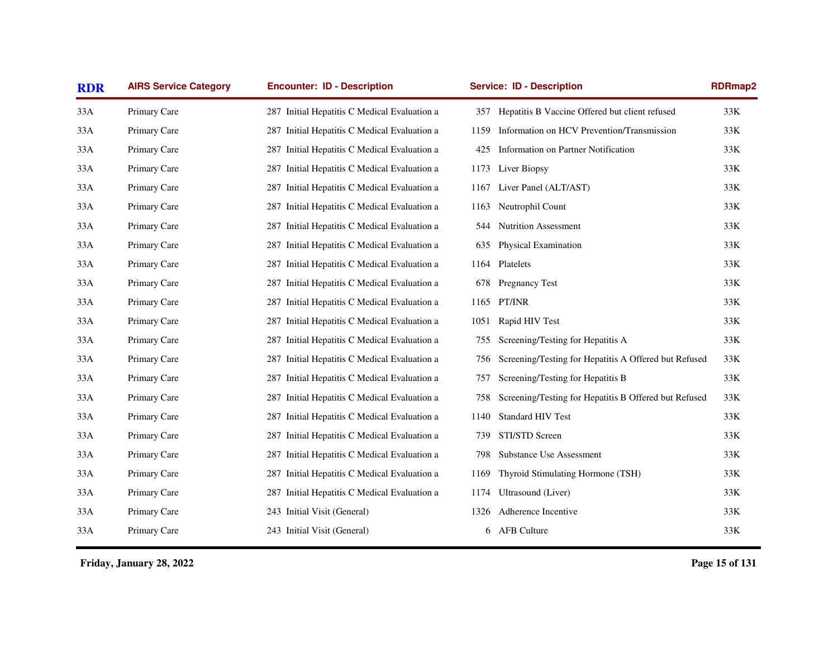| <b>RDR</b> | <b>AIRS Service Category</b> | <b>Encounter: ID - Description</b>           |      | <b>Service: ID - Description</b>                      | <b>RDRmap2</b> |
|------------|------------------------------|----------------------------------------------|------|-------------------------------------------------------|----------------|
| 33A        | Primary Care                 | 287 Initial Hepatitis C Medical Evaluation a | 357  | Hepatitis B Vaccine Offered but client refused        | 33K            |
| 33A        | Primary Care                 | 287 Initial Hepatitis C Medical Evaluation a | 1159 | Information on HCV Prevention/Transmission            | 33K            |
| 33A        | Primary Care                 | 287 Initial Hepatitis C Medical Evaluation a | 425  | Information on Partner Notification                   | 33K            |
| 33A        | Primary Care                 | 287 Initial Hepatitis C Medical Evaluation a | 1173 | Liver Biopsy                                          | 33K            |
| 33A        | Primary Care                 | 287 Initial Hepatitis C Medical Evaluation a | 1167 | Liver Panel (ALT/AST)                                 | 33K            |
| 33A        | Primary Care                 | 287 Initial Hepatitis C Medical Evaluation a | 1163 | Neutrophil Count                                      | 33K            |
| 33A        | Primary Care                 | 287 Initial Hepatitis C Medical Evaluation a | 544  | <b>Nutrition Assessment</b>                           | 33K            |
| 33A        | Primary Care                 | 287 Initial Hepatitis C Medical Evaluation a | 635  | Physical Examination                                  | 33K            |
| 33A        | Primary Care                 | 287 Initial Hepatitis C Medical Evaluation a | 1164 | Platelets                                             | 33K            |
| 33A        | Primary Care                 | 287 Initial Hepatitis C Medical Evaluation a | 678  | <b>Pregnancy Test</b>                                 | 33K            |
| 33A        | Primary Care                 | 287 Initial Hepatitis C Medical Evaluation a | 1165 | PT/INR                                                | 33K            |
| 33A        | Primary Care                 | 287 Initial Hepatitis C Medical Evaluation a | 1051 | Rapid HIV Test                                        | 33K            |
| 33A        | Primary Care                 | 287 Initial Hepatitis C Medical Evaluation a | 755  | Screening/Testing for Hepatitis A                     | 33K            |
| 33A        | Primary Care                 | 287 Initial Hepatitis C Medical Evaluation a | 756  | Screening/Testing for Hepatitis A Offered but Refused | $33K$          |
| 33A        | Primary Care                 | 287 Initial Hepatitis C Medical Evaluation a | 757  | Screening/Testing for Hepatitis B                     | 33K            |
| 33A        | Primary Care                 | 287 Initial Hepatitis C Medical Evaluation a | 758  | Screening/Testing for Hepatitis B Offered but Refused | 33K            |
| 33A        | Primary Care                 | 287 Initial Hepatitis C Medical Evaluation a | 1140 | Standard HIV Test                                     | 33K            |
| 33A        | Primary Care                 | 287 Initial Hepatitis C Medical Evaluation a | 739  | STI/STD Screen                                        | 33K            |
| 33A        | Primary Care                 | 287 Initial Hepatitis C Medical Evaluation a | 798  | Substance Use Assessment                              | 33K            |
| 33A        | Primary Care                 | 287 Initial Hepatitis C Medical Evaluation a | 1169 | Thyroid Stimulating Hormone (TSH)                     | $33K$          |
| 33A        | Primary Care                 | 287 Initial Hepatitis C Medical Evaluation a | 1174 | Ultrasound (Liver)                                    | 33K            |
| 33A        | Primary Care                 | 243 Initial Visit (General)                  | 1326 | Adherence Incentive                                   | 33K            |
| 33A        | Primary Care                 | 243 Initial Visit (General)                  | 6    | <b>AFB Culture</b>                                    | $33K$          |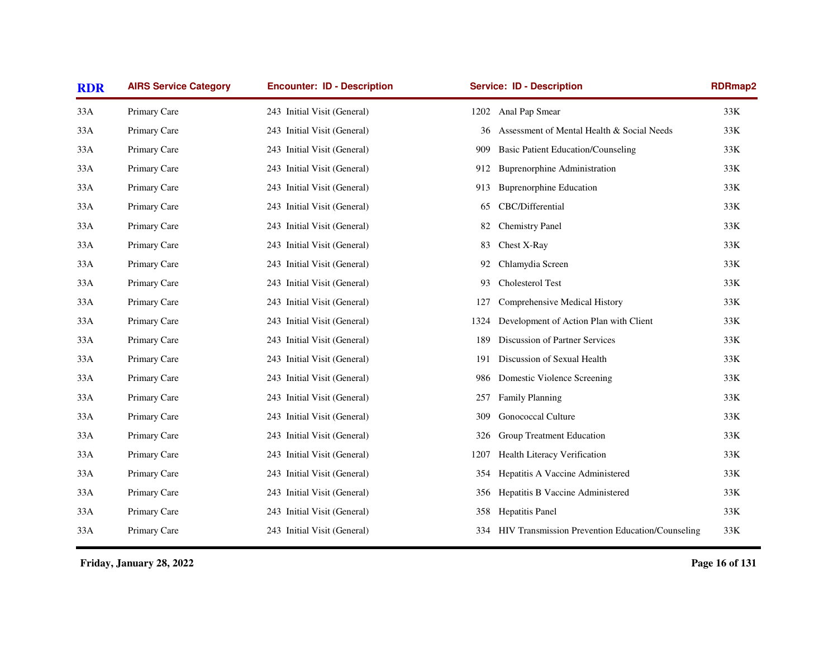| <b>RDR</b> | <b>AIRS Service Category</b> | <b>Encounter: ID - Description</b> | <b>Service: ID - Description</b>                 | <b>RDRmap2</b>                                              |
|------------|------------------------------|------------------------------------|--------------------------------------------------|-------------------------------------------------------------|
| 33A        | Primary Care                 | 243 Initial Visit (General)        | Anal Pap Smear<br>1202                           | 33K                                                         |
| 33A        | Primary Care                 | 243 Initial Visit (General)        | Assessment of Mental Health & Social Needs<br>36 | 33K                                                         |
| 33A        | Primary Care                 | 243 Initial Visit (General)        | <b>Basic Patient Education/Counseling</b><br>909 | 33K                                                         |
| 33A        | Primary Care                 | 243 Initial Visit (General)        | <b>Buprenorphine Administration</b><br>912       | 33K                                                         |
| 33A        | Primary Care                 | 243 Initial Visit (General)        | <b>Buprenorphine Education</b><br>913            | 33K                                                         |
| 33A        | Primary Care                 | 243 Initial Visit (General)        | CBC/Differential<br>65                           | 33K                                                         |
| 33A        | Primary Care                 | 243 Initial Visit (General)        | <b>Chemistry Panel</b><br>82                     | 33K                                                         |
| 33A        | Primary Care                 | 243 Initial Visit (General)        | Chest X-Ray<br>83                                | 33K                                                         |
| 33A        | Primary Care                 | 243 Initial Visit (General)        | Chlamydia Screen<br>92                           | 33K                                                         |
| 33A        | Primary Care                 | 243 Initial Visit (General)        | Cholesterol Test<br>93                           | 33K                                                         |
| 33A        | Primary Care                 | 243 Initial Visit (General)        | Comprehensive Medical History<br>127             | 33K                                                         |
| 33A        | Primary Care                 | 243 Initial Visit (General)        | Development of Action Plan with Client<br>1324   | 33K                                                         |
| 33A        | Primary Care                 | 243 Initial Visit (General)        | <b>Discussion of Partner Services</b><br>189     | 33K                                                         |
| 33A        | Primary Care                 | 243 Initial Visit (General)        | Discussion of Sexual Health<br>191               | 33K                                                         |
| 33A        | Primary Care                 | 243 Initial Visit (General)        | Domestic Violence Screening<br>986               | $33K$                                                       |
| 33A        | Primary Care                 | 243 Initial Visit (General)        | Family Planning<br>257                           | 33K                                                         |
| 33A        | Primary Care                 | 243 Initial Visit (General)        | <b>Gonococcal Culture</b><br>309                 | 33K                                                         |
| 33A        | Primary Care                 | 243 Initial Visit (General)        | Group Treatment Education<br>326                 | 33K                                                         |
| 33A        | Primary Care                 | 243 Initial Visit (General)        | Health Literacy Verification<br>1207             | 33K                                                         |
| 33A        | Primary Care                 | 243 Initial Visit (General)        | Hepatitis A Vaccine Administered<br>354          | 33K                                                         |
| 33A        | Primary Care                 | 243 Initial Visit (General)        | Hepatitis B Vaccine Administered<br>356          | 33K                                                         |
| 33A        | Primary Care                 | 243 Initial Visit (General)        | 358 Hepatitis Panel                              | 33K                                                         |
| 33A        | Primary Care                 | 243 Initial Visit (General)        |                                                  | 334 HIV Transmission Prevention Education/Counseling<br>33K |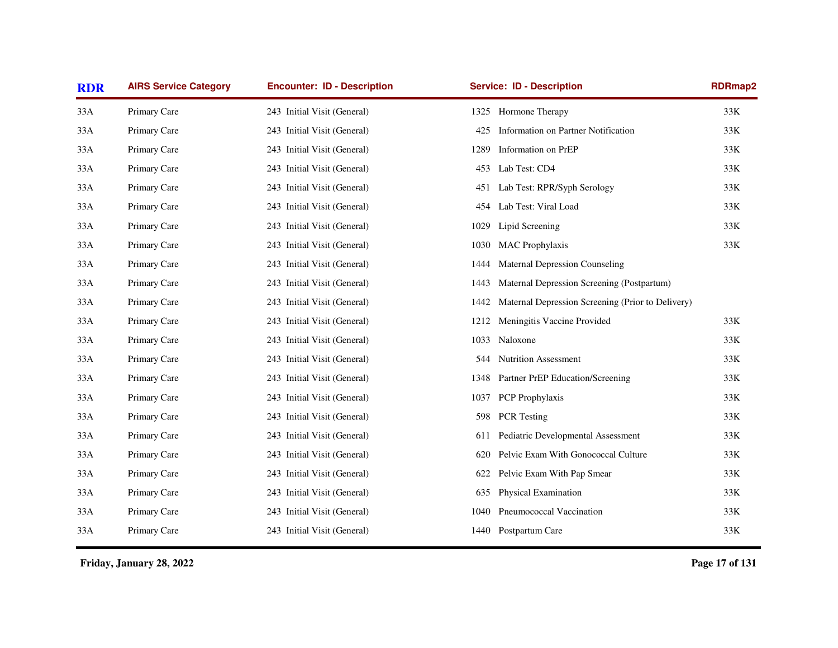| <b>RDR</b> | <b>AIRS Service Category</b> | <b>Encounter: ID - Description</b> | <b>Service: ID - Description</b>                          | <b>RDRmap2</b> |
|------------|------------------------------|------------------------------------|-----------------------------------------------------------|----------------|
| 33A        | Primary Care                 | 243 Initial Visit (General)        | Hormone Therapy<br>1325                                   | 33K            |
| 33A        | Primary Care                 | 243 Initial Visit (General)        | Information on Partner Notification<br>425                | $33K$          |
| 33A        | Primary Care                 | 243 Initial Visit (General)        | Information on PrEP<br>1289                               | 33K            |
| 33A        | Primary Care                 | 243 Initial Visit (General)        | Lab Test: CD4<br>453                                      | 33K            |
| 33A        | Primary Care                 | 243 Initial Visit (General)        | Lab Test: RPR/Syph Serology<br>451                        | $33K$          |
| 33A        | Primary Care                 | 243 Initial Visit (General)        | Lab Test: Viral Load<br>454                               | 33K            |
| 33A        | Primary Care                 | 243 Initial Visit (General)        | Lipid Screening<br>1029                                   | 33K            |
| 33A        | Primary Care                 | 243 Initial Visit (General)        | <b>MAC</b> Prophylaxis<br>1030                            | $33K$          |
| 33A        | Primary Care                 | 243 Initial Visit (General)        | <b>Maternal Depression Counseling</b><br>1444             |                |
| 33A        | Primary Care                 | 243 Initial Visit (General)        | Maternal Depression Screening (Postpartum)<br>1443        |                |
| 33A        | Primary Care                 | 243 Initial Visit (General)        | Maternal Depression Screening (Prior to Delivery)<br>1442 |                |
| 33A        | Primary Care                 | 243 Initial Visit (General)        | Meningitis Vaccine Provided<br>1212                       | 33K            |
| 33A        | Primary Care                 | 243 Initial Visit (General)        | Naloxone<br>1033                                          | 33K            |
| 33A        | Primary Care                 | 243 Initial Visit (General)        | <b>Nutrition Assessment</b><br>544                        | 33K            |
| 33A        | Primary Care                 | 243 Initial Visit (General)        | Partner PrEP Education/Screening<br>1348                  | 33K            |
| 33A        | Primary Care                 | 243 Initial Visit (General)        | PCP Prophylaxis<br>1037                                   | 33K            |
| 33A        | Primary Care                 | 243 Initial Visit (General)        | <b>PCR</b> Testing<br>598                                 | 33K            |
| 33A        | Primary Care                 | 243 Initial Visit (General)        | Pediatric Developmental Assessment<br>611                 | 33K            |
| 33A        | Primary Care                 | 243 Initial Visit (General)        | Pelvic Exam With Gonococcal Culture<br>620                | 33K            |
| 33A        | Primary Care                 | 243 Initial Visit (General)        | Pelvic Exam With Pap Smear<br>622                         | 33K            |
| 33A        | Primary Care                 | 243 Initial Visit (General)        | Physical Examination<br>635                               | 33K            |
| 33A        | Primary Care                 | 243 Initial Visit (General)        | Pneumococcal Vaccination<br>1040                          | 33K            |
| 33A        | Primary Care                 | 243 Initial Visit (General)        | 1440 Postpartum Care                                      | 33K            |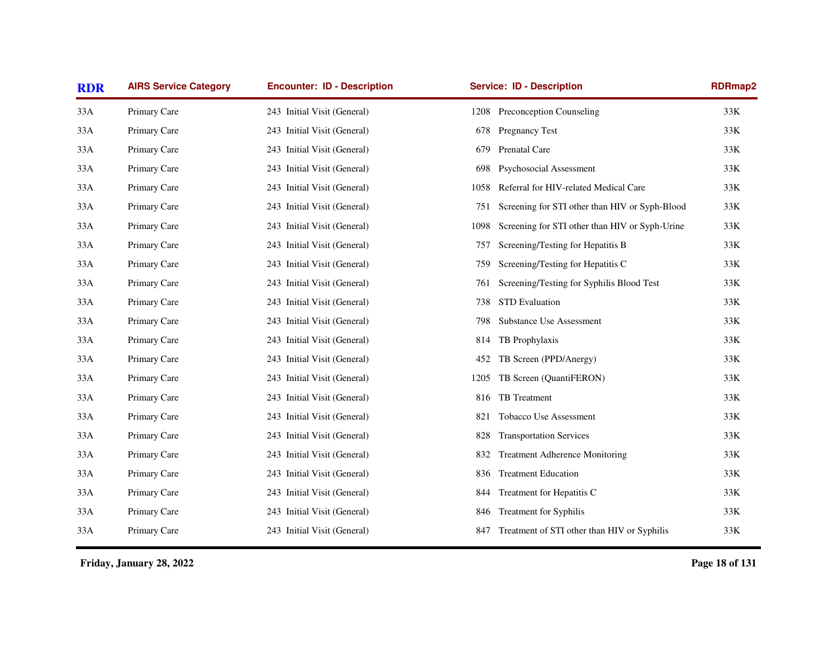| <b>RDR</b> | <b>AIRS Service Category</b> | <b>Encounter: ID - Description</b> | <b>Service: ID - Description</b>                       | <b>RDRmap2</b> |
|------------|------------------------------|------------------------------------|--------------------------------------------------------|----------------|
| 33A        | Primary Care                 | 243 Initial Visit (General)        | Preconception Counseling<br>1208                       | 33K            |
| 33A        | Primary Care                 | 243 Initial Visit (General)        | <b>Pregnancy Test</b><br>678                           | 33K            |
| 33A        | Primary Care                 | 243 Initial Visit (General)        | Prenatal Care<br>679                                   | 33K            |
| 33A        | Primary Care                 | 243 Initial Visit (General)        | Psychosocial Assessment<br>698                         | $33K$          |
| 33A        | Primary Care                 | 243 Initial Visit (General)        | Referral for HIV-related Medical Care<br>1058          | 33K            |
| 33A        | Primary Care                 | 243 Initial Visit (General)        | Screening for STI other than HIV or Syph-Blood<br>751  | 33K            |
| 33A        | Primary Care                 | 243 Initial Visit (General)        | Screening for STI other than HIV or Syph-Urine<br>1098 | 33K            |
| 33A        | Primary Care                 | 243 Initial Visit (General)        | Screening/Testing for Hepatitis B<br>757               | 33K            |
| 33A        | Primary Care                 | 243 Initial Visit (General)        | Screening/Testing for Hepatitis C<br>759               | 33K            |
| 33A        | Primary Care                 | 243 Initial Visit (General)        | Screening/Testing for Syphilis Blood Test<br>761       | 33K            |
| 33A        | Primary Care                 | 243 Initial Visit (General)        | <b>STD</b> Evaluation<br>738                           | 33K            |
| 33A        | Primary Care                 | 243 Initial Visit (General)        | <b>Substance Use Assessment</b><br>798                 | 33K            |
| 33A        | Primary Care                 | 243 Initial Visit (General)        | TB Prophylaxis<br>814                                  | 33K            |
| 33A        | Primary Care                 | 243 Initial Visit (General)        | TB Screen (PPD/Anergy)<br>452                          | 33K            |
| 33A        | Primary Care                 | 243 Initial Visit (General)        | TB Screen (QuantiFERON)<br>1205                        | 33K            |
| 33A        | Primary Care                 | 243 Initial Visit (General)        | TB Treatment<br>816                                    | 33K            |
| 33A        | Primary Care                 | 243 Initial Visit (General)        | <b>Tobacco Use Assessment</b><br>821                   | 33K            |
| 33A        | Primary Care                 | 243 Initial Visit (General)        | <b>Transportation Services</b><br>828                  | 33K            |
| 33A        | Primary Care                 | 243 Initial Visit (General)        | <b>Treatment Adherence Monitoring</b><br>832           | 33K            |
| 33A        | Primary Care                 | 243 Initial Visit (General)        | <b>Treatment Education</b><br>836                      | 33K            |
| 33A        | Primary Care                 | 243 Initial Visit (General)        | Treatment for Hepatitis C<br>844                       | 33K            |
| 33A        | Primary Care                 | 243 Initial Visit (General)        | Treatment for Syphilis<br>846                          | 33K            |
| 33A        | Primary Care                 | 243 Initial Visit (General)        | Treatment of STI other than HIV or Syphilis<br>847     | 33K            |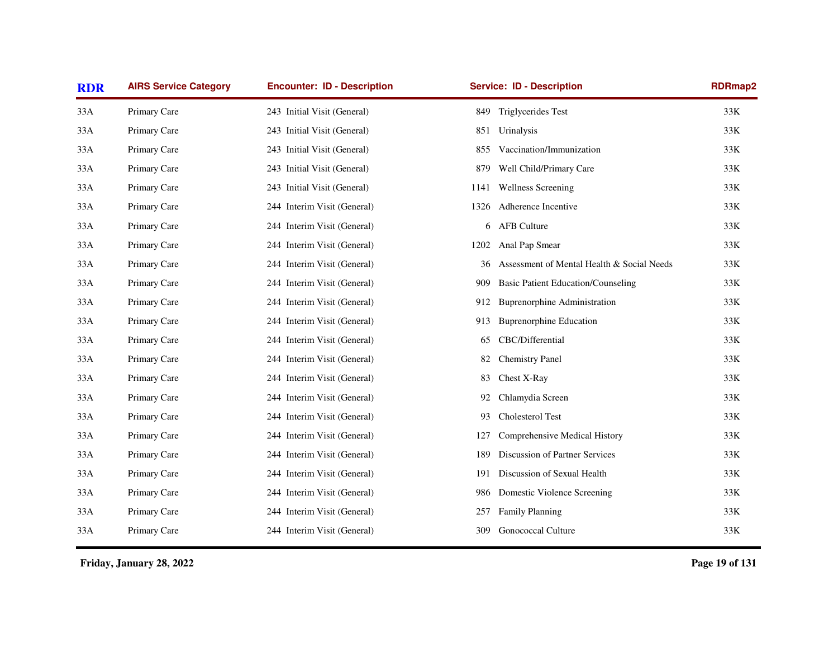| <b>RDR</b> | <b>AIRS Service Category</b> | <b>Encounter: ID - Description</b> | <b>Service: ID - Description</b>  |                                            | <b>RDRmap2</b> |
|------------|------------------------------|------------------------------------|-----------------------------------|--------------------------------------------|----------------|
| 33A        | Primary Care                 | 243 Initial Visit (General)        | Triglycerides Test<br>849         |                                            | 33K            |
| 33A        | Primary Care                 | 243 Initial Visit (General)        | 851<br>Urinalysis                 |                                            | 33K            |
| 33A        | Primary Care                 | 243 Initial Visit (General)        | 855                               | Vaccination/Immunization                   | 33K            |
| 33A        | Primary Care                 | 243 Initial Visit (General)        | 879                               | Well Child/Primary Care                    | 33K            |
| 33A        | Primary Care                 | 243 Initial Visit (General)        | <b>Wellness Screening</b><br>1141 |                                            | 33K            |
| 33A        | Primary Care                 | 244 Interim Visit (General)        | Adherence Incentive<br>1326       |                                            | 33K            |
| 33A        | Primary Care                 | 244 Interim Visit (General)        | AFB Culture<br>6                  |                                            | 33K            |
| 33A        | Primary Care                 | 244 Interim Visit (General)        | Anal Pap Smear<br>1202            |                                            | 33K            |
| 33A        | Primary Care                 | 244 Interim Visit (General)        | 36                                | Assessment of Mental Health & Social Needs | 33K            |
| 33A        | Primary Care                 | 244 Interim Visit (General)        | 909                               | <b>Basic Patient Education/Counseling</b>  | 33K            |
| 33A        | Primary Care                 | 244 Interim Visit (General)        | 912                               | <b>Buprenorphine Administration</b>        | 33K            |
| 33A        | Primary Care                 | 244 Interim Visit (General)        | 913                               | <b>Buprenorphine Education</b>             | 33K            |
| 33A        | Primary Care                 | 244 Interim Visit (General)        | CBC/Differential<br>65            |                                            | 33K            |
| 33A        | Primary Care                 | 244 Interim Visit (General)        | <b>Chemistry Panel</b><br>82      |                                            | 33K            |
| 33A        | Primary Care                 | 244 Interim Visit (General)        | Chest X-Ray<br>83                 |                                            | 33K            |
| 33A        | Primary Care                 | 244 Interim Visit (General)        | Chlamydia Screen<br>92            |                                            | 33K            |
| 33A        | Primary Care                 | 244 Interim Visit (General)        | Cholesterol Test<br>93            |                                            | 33K            |
| 33A        | Primary Care                 | 244 Interim Visit (General)        | 127                               | Comprehensive Medical History              | $33K$          |
| 33A        | Primary Care                 | 244 Interim Visit (General)        | 189                               | Discussion of Partner Services             | 33K            |
| 33A        | Primary Care                 | 244 Interim Visit (General)        | 191                               | Discussion of Sexual Health                | 33K            |
| 33A        | Primary Care                 | 244 Interim Visit (General)        | 986                               | Domestic Violence Screening                | 33K            |
| 33A        | Primary Care                 | 244 Interim Visit (General)        | <b>Family Planning</b><br>257     |                                            | 33K            |
| 33A        | Primary Care                 | 244 Interim Visit (General)        | <b>Gonococcal Culture</b><br>309  |                                            | 33K            |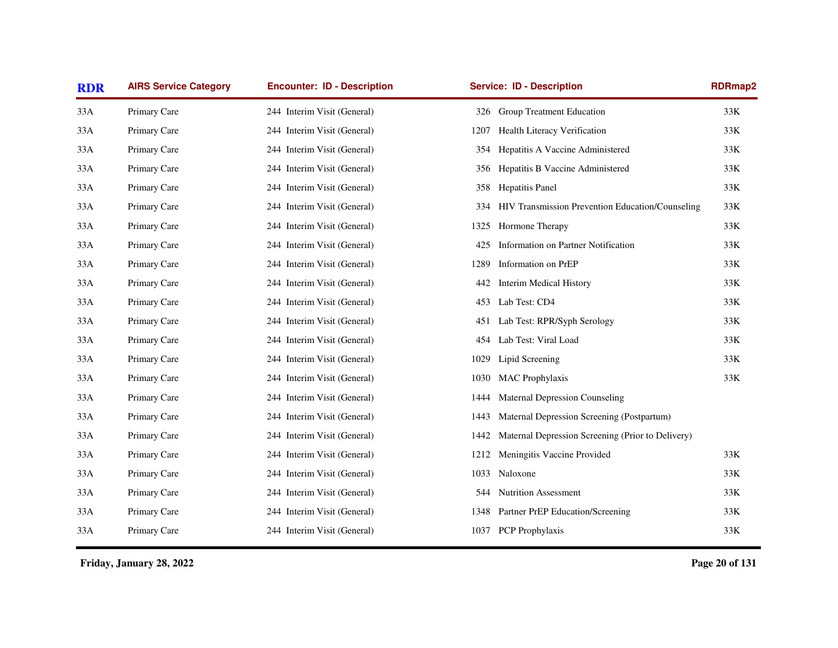| <b>RDR</b> | <b>AIRS Service Category</b> | <b>Encounter: ID - Description</b> | <b>Service: ID - Description</b>                          | <b>RDRmap2</b> |
|------------|------------------------------|------------------------------------|-----------------------------------------------------------|----------------|
| 33A        | Primary Care                 | 244 Interim Visit (General)        | Group Treatment Education<br>326                          | 33K            |
| 33A        | Primary Care                 | 244 Interim Visit (General)        | Health Literacy Verification<br>1207                      | 33K            |
| 33A        | Primary Care                 | 244 Interim Visit (General)        | Hepatitis A Vaccine Administered<br>354                   | 33K            |
| 33A        | Primary Care                 | 244 Interim Visit (General)        | Hepatitis B Vaccine Administered<br>356                   | $33K$          |
| 33A        | Primary Care                 | 244 Interim Visit (General)        | <b>Hepatitis Panel</b><br>358                             | 33K            |
| 33A        | Primary Care                 | 244 Interim Visit (General)        | HIV Transmission Prevention Education/Counseling<br>334   | 33K            |
| 33A        | Primary Care                 | 244 Interim Visit (General)        | Hormone Therapy<br>1325                                   | 33K            |
| 33A        | Primary Care                 | 244 Interim Visit (General)        | Information on Partner Notification<br>425                | 33K            |
| 33A        | Primary Care                 | 244 Interim Visit (General)        | Information on PrEP<br>1289                               | 33K            |
| 33A        | Primary Care                 | 244 Interim Visit (General)        | <b>Interim Medical History</b><br>442                     | 33K            |
| 33A        | Primary Care                 | 244 Interim Visit (General)        | Lab Test: CD4<br>453                                      | 33K            |
| 33A        | Primary Care                 | 244 Interim Visit (General)        | Lab Test: RPR/Syph Serology<br>451                        | 33K            |
| 33A        | Primary Care                 | 244 Interim Visit (General)        | Lab Test: Viral Load<br>454                               | $33K$          |
| 33A        | Primary Care                 | 244 Interim Visit (General)        | Lipid Screening<br>1029                                   | $33K$          |
| 33A        | Primary Care                 | 244 Interim Visit (General)        | <b>MAC</b> Prophylaxis<br>1030                            | 33K            |
| 33A        | Primary Care                 | 244 Interim Visit (General)        | <b>Maternal Depression Counseling</b><br>1444             |                |
| 33A        | Primary Care                 | 244 Interim Visit (General)        | Maternal Depression Screening (Postpartum)<br>1443        |                |
| 33A        | Primary Care                 | 244 Interim Visit (General)        | Maternal Depression Screening (Prior to Delivery)<br>1442 |                |
| 33A        | Primary Care                 | 244 Interim Visit (General)        | Meningitis Vaccine Provided<br>1212                       | 33K            |
| 33A        | Primary Care                 | 244 Interim Visit (General)        | Naloxone<br>1033                                          | 33K            |
| 33A        | Primary Care                 | 244 Interim Visit (General)        | 544 Nutrition Assessment                                  | 33K            |
| 33A        | Primary Care                 | 244 Interim Visit (General)        | 1348 Partner PrEP Education/Screening                     | 33K            |
| 33A        | Primary Care                 | 244 Interim Visit (General)        | 1037 PCP Prophylaxis                                      | 33K            |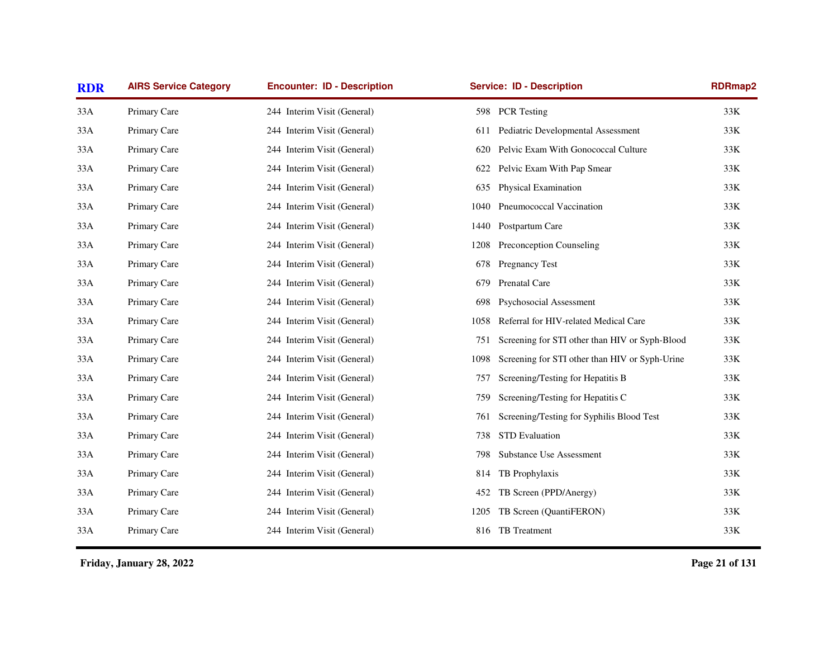| <b>RDR</b> | <b>AIRS Service Category</b> | <b>Encounter: ID - Description</b> | <b>Service: ID - Description</b>                       | RDRmap2 |
|------------|------------------------------|------------------------------------|--------------------------------------------------------|---------|
| 33A        | Primary Care                 | 244 Interim Visit (General)        | 598 PCR Testing                                        | 33K     |
| 33A        | Primary Care                 | 244 Interim Visit (General)        | Pediatric Developmental Assessment<br>611              | 33K     |
| 33A        | Primary Care                 | 244 Interim Visit (General)        | Pelvic Exam With Gonococcal Culture<br>620             | 33K     |
| 33A        | Primary Care                 | 244 Interim Visit (General)        | Pelvic Exam With Pap Smear<br>622                      | $33K$   |
| 33A        | Primary Care                 | 244 Interim Visit (General)        | <b>Physical Examination</b><br>635                     | 33K     |
| 33A        | Primary Care                 | 244 Interim Visit (General)        | Pneumococcal Vaccination<br>1040                       | 33K     |
| 33A        | Primary Care                 | 244 Interim Visit (General)        | Postpartum Care<br>1440                                | 33K     |
| 33A        | Primary Care                 | 244 Interim Visit (General)        | Preconception Counseling<br>1208                       | 33K     |
| 33A        | Primary Care                 | 244 Interim Visit (General)        | Pregnancy Test<br>678                                  | 33K     |
| 33A        | Primary Care                 | 244 Interim Visit (General)        | Prenatal Care<br>679                                   | 33K     |
| 33A        | Primary Care                 | 244 Interim Visit (General)        | Psychosocial Assessment<br>698                         | 33K     |
| 33A        | Primary Care                 | 244 Interim Visit (General)        | Referral for HIV-related Medical Care<br>1058          | 33K     |
| 33A        | Primary Care                 | 244 Interim Visit (General)        | Screening for STI other than HIV or Syph-Blood<br>751  | 33K     |
| 33A        | Primary Care                 | 244 Interim Visit (General)        | Screening for STI other than HIV or Syph-Urine<br>1098 | 33K     |
| 33A        | Primary Care                 | 244 Interim Visit (General)        | Screening/Testing for Hepatitis B<br>757               | 33K     |
| 33A        | Primary Care                 | 244 Interim Visit (General)        | Screening/Testing for Hepatitis C<br>759               | 33K     |
| 33A        | Primary Care                 | 244 Interim Visit (General)        | Screening/Testing for Syphilis Blood Test<br>761       | 33K     |
| 33A        | Primary Care                 | 244 Interim Visit (General)        | <b>STD</b> Evaluation<br>738                           | 33K     |
| 33A        | Primary Care                 | 244 Interim Visit (General)        | Substance Use Assessment<br>798                        | 33K     |
| 33A        | Primary Care                 | 244 Interim Visit (General)        | TB Prophylaxis<br>814                                  | 33K     |
| 33A        | Primary Care                 | 244 Interim Visit (General)        | TB Screen (PPD/Anergy)<br>452                          | 33K     |
| 33A        | Primary Care                 | 244 Interim Visit (General)        | TB Screen (QuantiFERON)<br>1205                        | 33K     |
| 33A        | Primary Care                 | 244 Interim Visit (General)        | 816 TB Treatment                                       | 33K     |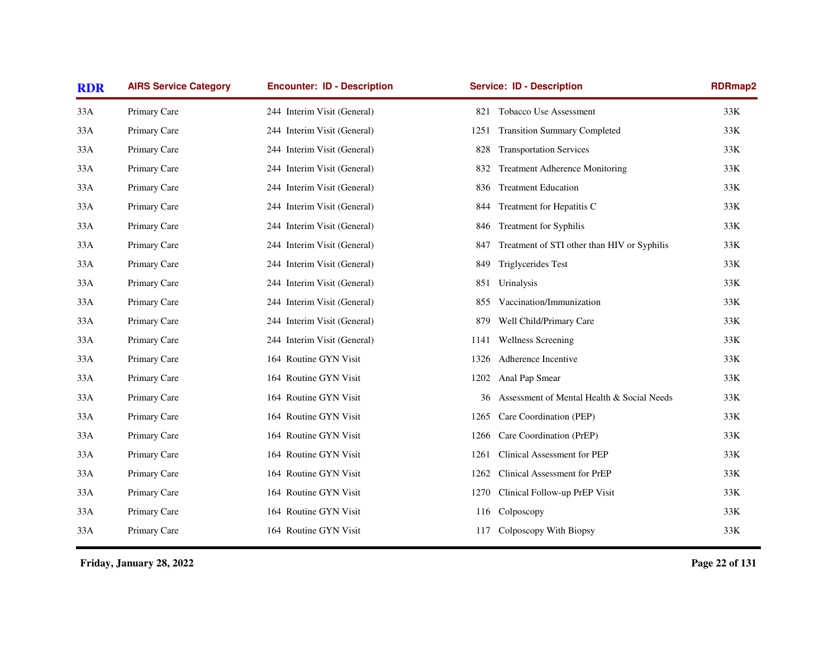| <b>RDR</b> | <b>AIRS Service Category</b> | <b>Encounter: ID - Description</b> | <b>Service: ID - Description</b>                   | <b>RDRmap2</b> |
|------------|------------------------------|------------------------------------|----------------------------------------------------|----------------|
| 33A        | Primary Care                 | 244 Interim Visit (General)        | Tobacco Use Assessment<br>821                      | 33K            |
| 33A        | Primary Care                 | 244 Interim Visit (General)        | <b>Transition Summary Completed</b><br>1251        | 33K            |
| 33A        | Primary Care                 | 244 Interim Visit (General)        | <b>Transportation Services</b><br>828              | 33K            |
| 33A        | Primary Care                 | 244 Interim Visit (General)        | Treatment Adherence Monitoring<br>832              | 33K            |
| 33A        | Primary Care                 | 244 Interim Visit (General)        | <b>Treatment Education</b><br>836                  | 33K            |
| 33A        | Primary Care                 | 244 Interim Visit (General)        | Treatment for Hepatitis C<br>844                   | 33K            |
| 33A        | Primary Care                 | 244 Interim Visit (General)        | <b>Treatment for Syphilis</b><br>846               | 33K            |
| 33A        | Primary Care                 | 244 Interim Visit (General)        | Treatment of STI other than HIV or Syphilis<br>847 | 33K            |
| 33A        | Primary Care                 | 244 Interim Visit (General)        | <b>Triglycerides Test</b><br>849                   | 33K            |
| 33A        | Primary Care                 | 244 Interim Visit (General)        | Urinalysis<br>851                                  | 33K            |
| 33A        | Primary Care                 | 244 Interim Visit (General)        | Vaccination/Immunization<br>855                    | 33K            |
| 33A        | Primary Care                 | 244 Interim Visit (General)        | Well Child/Primary Care<br>879                     | 33K            |
| 33A        | Primary Care                 | 244 Interim Visit (General)        | <b>Wellness Screening</b><br>1141                  | 33K            |
| 33A        | Primary Care                 | 164 Routine GYN Visit              | Adherence Incentive<br>1326                        | 33K            |
| 33A        | Primary Care                 | 164 Routine GYN Visit              | Anal Pap Smear<br>1202                             | 33K            |
| 33A        | Primary Care                 | 164 Routine GYN Visit              | Assessment of Mental Health & Social Needs<br>36   | 33K            |
| 33A        | Primary Care                 | 164 Routine GYN Visit              | Care Coordination (PEP)<br>1265                    | 33K            |
| 33A        | Primary Care                 | 164 Routine GYN Visit              | Care Coordination (PrEP)<br>1266                   | 33K            |
| 33A        | Primary Care                 | 164 Routine GYN Visit              | Clinical Assessment for PEP<br>1261                | 33K            |
| 33A        | Primary Care                 | 164 Routine GYN Visit              | Clinical Assessment for PrEP<br>1262               | 33K            |
| 33A        | Primary Care                 | 164 Routine GYN Visit              | 1270<br>Clinical Follow-up PrEP Visit              | 33K            |
| 33A        | Primary Care                 | 164 Routine GYN Visit              | Colposcopy<br>116                                  | 33K            |
| 33A        | Primary Care                 | 164 Routine GYN Visit              | Colposcopy With Biopsy<br>117                      | 33K            |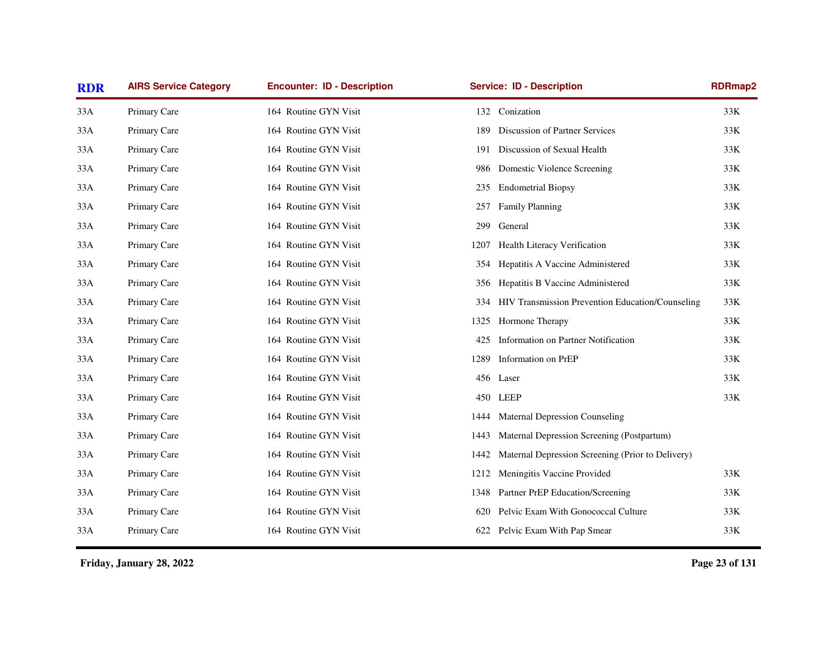| <b>RDR</b> | <b>AIRS Service Category</b> | <b>Encounter: ID - Description</b> | <b>Service: ID - Description</b>                          | <b>RDRmap2</b> |
|------------|------------------------------|------------------------------------|-----------------------------------------------------------|----------------|
| 33A        | Primary Care                 | 164 Routine GYN Visit              | Conization<br>132                                         | 33K            |
| 33A        | Primary Care                 | 164 Routine GYN Visit              | Discussion of Partner Services<br>189                     | 33K            |
| 33A        | Primary Care                 | 164 Routine GYN Visit              | Discussion of Sexual Health<br>191                        | 33K            |
| 33A        | Primary Care                 | 164 Routine GYN Visit              | Domestic Violence Screening<br>986                        | 33K            |
| 33A        | Primary Care                 | 164 Routine GYN Visit              | <b>Endometrial Biopsy</b><br>235                          | 33K            |
| 33A        | Primary Care                 | 164 Routine GYN Visit              | <b>Family Planning</b><br>257                             | 33K            |
| 33A        | Primary Care                 | 164 Routine GYN Visit              | General<br>299                                            | 33K            |
| 33A        | Primary Care                 | 164 Routine GYN Visit              | Health Literacy Verification<br>1207                      | 33K            |
| 33A        | Primary Care                 | 164 Routine GYN Visit              | Hepatitis A Vaccine Administered<br>354                   | 33K            |
| 33A        | Primary Care                 | 164 Routine GYN Visit              | Hepatitis B Vaccine Administered<br>356                   | 33K            |
| 33A        | Primary Care                 | 164 Routine GYN Visit              | HIV Transmission Prevention Education/Counseling<br>334   | 33K            |
| 33A        | Primary Care                 | 164 Routine GYN Visit              | Hormone Therapy<br>1325                                   | 33K            |
| 33A        | Primary Care                 | 164 Routine GYN Visit              | Information on Partner Notification<br>425                | 33K            |
| 33A        | Primary Care                 | 164 Routine GYN Visit              | Information on PrEP<br>1289                               | 33K            |
| 33A        | Primary Care                 | 164 Routine GYN Visit              | 456<br>Laser                                              | 33K            |
| 33A        | Primary Care                 | 164 Routine GYN Visit              | <b>LEEP</b><br>450                                        | 33K            |
| 33A        | Primary Care                 | 164 Routine GYN Visit              | <b>Maternal Depression Counseling</b><br>1444             |                |
| 33A        | Primary Care                 | 164 Routine GYN Visit              | Maternal Depression Screening (Postpartum)<br>1443        |                |
| 33A        | Primary Care                 | 164 Routine GYN Visit              | Maternal Depression Screening (Prior to Delivery)<br>1442 |                |
| 33A        | Primary Care                 | 164 Routine GYN Visit              | 1212 Meningitis Vaccine Provided                          | 33K            |
| 33A        | Primary Care                 | 164 Routine GYN Visit              | Partner PrEP Education/Screening<br>1348                  | 33K            |
| 33A        | Primary Care                 | 164 Routine GYN Visit              | Pelvic Exam With Gonococcal Culture<br>620                | 33K            |
| 33A        | Primary Care                 | 164 Routine GYN Visit              | Pelvic Exam With Pap Smear<br>622                         | 33K            |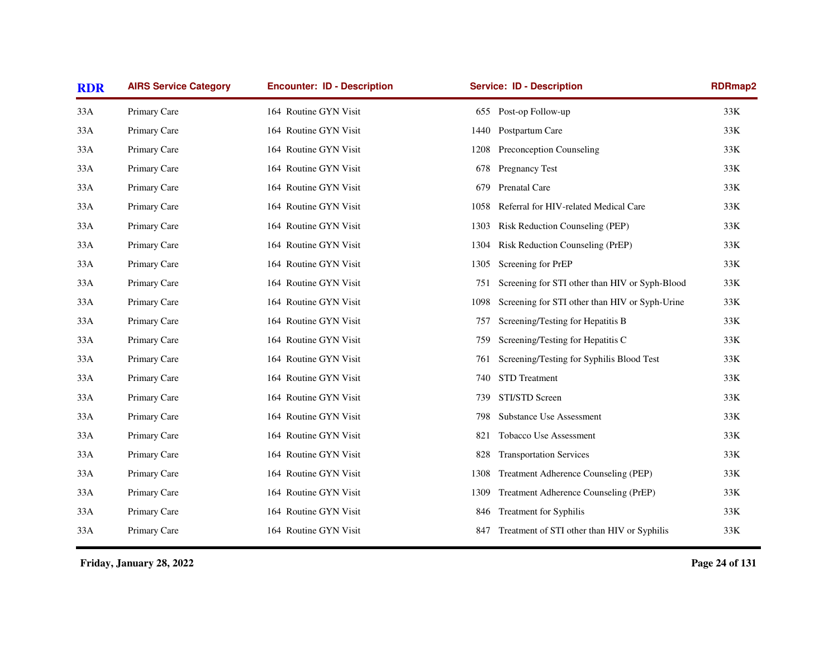| <b>RDR</b> | <b>AIRS Service Category</b> | <b>Encounter: ID - Description</b> | <b>Service: ID - Description</b>                       | <b>RDRmap2</b> |
|------------|------------------------------|------------------------------------|--------------------------------------------------------|----------------|
| 33A        | Primary Care                 | 164 Routine GYN Visit              | Post-op Follow-up<br>655                               | 33K            |
| 33A        | Primary Care                 | 164 Routine GYN Visit              | Postpartum Care<br>1440                                | 33K            |
| 33A        | Primary Care                 | 164 Routine GYN Visit              | Preconception Counseling<br>1208                       | 33K            |
| 33A        | Primary Care                 | 164 Routine GYN Visit              | <b>Pregnancy Test</b><br>678                           | 33K            |
| 33A        | Primary Care                 | 164 Routine GYN Visit              | Prenatal Care<br>679                                   | 33K            |
| 33A        | Primary Care                 | 164 Routine GYN Visit              | Referral for HIV-related Medical Care<br>1058          | 33K            |
| 33A        | Primary Care                 | 164 Routine GYN Visit              | Risk Reduction Counseling (PEP)<br>1303                | 33K            |
| 33A        | Primary Care                 | 164 Routine GYN Visit              | Risk Reduction Counseling (PrEP)<br>1304               | 33K            |
| 33A        | Primary Care                 | 164 Routine GYN Visit              | Screening for PrEP<br>1305                             | 33K            |
| 33A        | Primary Care                 | 164 Routine GYN Visit              | Screening for STI other than HIV or Syph-Blood<br>751  | 33K            |
| 33A        | Primary Care                 | 164 Routine GYN Visit              | Screening for STI other than HIV or Syph-Urine<br>1098 | 33K            |
| 33A        | Primary Care                 | 164 Routine GYN Visit              | Screening/Testing for Hepatitis B<br>757               | 33K            |
| 33A        | Primary Care                 | 164 Routine GYN Visit              | Screening/Testing for Hepatitis C<br>759               | 33K            |
| 33A        | Primary Care                 | 164 Routine GYN Visit              | Screening/Testing for Syphilis Blood Test<br>761       | 33K            |
| 33A        | Primary Care                 | 164 Routine GYN Visit              | STD Treatment<br>740                                   | 33K            |
| 33A        | Primary Care                 | 164 Routine GYN Visit              | STI/STD Screen<br>739                                  | 33K            |
| 33A        | Primary Care                 | 164 Routine GYN Visit              | <b>Substance Use Assessment</b><br>798                 | 33K            |
| 33A        | Primary Care                 | 164 Routine GYN Visit              | Tobacco Use Assessment<br>821                          | 33K            |
| 33A        | Primary Care                 | 164 Routine GYN Visit              | <b>Transportation Services</b><br>828                  | 33K            |
| 33A        | Primary Care                 | 164 Routine GYN Visit              | Treatment Adherence Counseling (PEP)<br>1308           | 33K            |
| 33A        | Primary Care                 | 164 Routine GYN Visit              | Treatment Adherence Counseling (PrEP)<br>1309          | 33K            |
| 33A        | Primary Care                 | 164 Routine GYN Visit              | 846 Treatment for Syphilis                             | 33K            |
| 33A        | Primary Care                 | 164 Routine GYN Visit              | Treatment of STI other than HIV or Syphilis<br>847     | 33K            |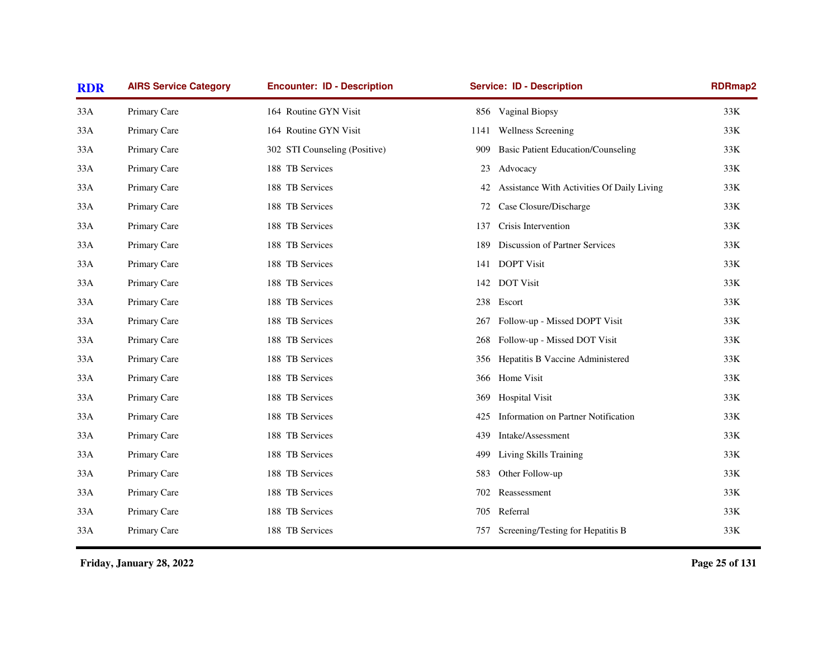| <b>RDR</b> | <b>AIRS Service Category</b> | <b>Encounter: ID - Description</b> | <b>Service: ID - Description</b>                 | <b>RDRmap2</b> |
|------------|------------------------------|------------------------------------|--------------------------------------------------|----------------|
| 33A        | Primary Care                 | 164 Routine GYN Visit              | 856 Vaginal Biopsy                               | 33K            |
| 33A        | Primary Care                 | 164 Routine GYN Visit              | Wellness Screening<br>1141                       | 33K            |
| 33A        | Primary Care                 | 302 STI Counseling (Positive)      | 909<br><b>Basic Patient Education/Counseling</b> | 33K            |
| 33A        | Primary Care                 | 188 TB Services                    | 23<br>Advocacy                                   | 33K            |
| 33A        | Primary Care                 | 188 TB Services                    | Assistance With Activities Of Daily Living<br>42 | 33K            |
| 33A        | Primary Care                 | 188 TB Services                    | Case Closure/Discharge<br>72                     | 33K            |
| 33A        | Primary Care                 | 188 TB Services                    | Crisis Intervention<br>137                       | 33K            |
| 33A        | Primary Care                 | 188 TB Services                    | Discussion of Partner Services<br>189            | 33K            |
| 33A        | Primary Care                 | 188 TB Services                    | <b>DOPT Visit</b><br>141                         | 33K            |
| 33A        | Primary Care                 | 188 TB Services                    | <b>DOT</b> Visit<br>142                          | 33K            |
| 33A        | Primary Care                 | 188 TB Services                    | Escort<br>238                                    | 33K            |
| 33A        | Primary Care                 | 188 TB Services                    | Follow-up - Missed DOPT Visit<br>267             | 33K            |
| 33A        | Primary Care                 | 188 TB Services                    | Follow-up - Missed DOT Visit<br>268              | 33K            |
| 33A        | Primary Care                 | 188 TB Services                    | Hepatitis B Vaccine Administered<br>356          | 33K            |
| 33A        | Primary Care                 | 188 TB Services                    | Home Visit<br>366                                | 33K            |
| 33A        | Primary Care                 | 188 TB Services                    | <b>Hospital Visit</b><br>369                     | 33K            |
| 33A        | Primary Care                 | 188 TB Services                    | Information on Partner Notification<br>425       | 33K            |
| 33A        | Primary Care                 | 188 TB Services                    | 439<br>Intake/Assessment                         | 33K            |
| 33A        | Primary Care                 | 188 TB Services                    | Living Skills Training<br>499                    | 33K            |
| 33A        | Primary Care                 | 188 TB Services                    | Other Follow-up<br>583                           | 33K            |
| 33A        | Primary Care                 | 188 TB Services                    | Reassessment<br>702                              | 33K            |
| 33A        | Primary Care                 | 188 TB Services                    | Referral<br>705                                  | 33K            |
| 33A        | Primary Care                 | 188 TB Services                    | Screening/Testing for Hepatitis B<br>757         | 33K            |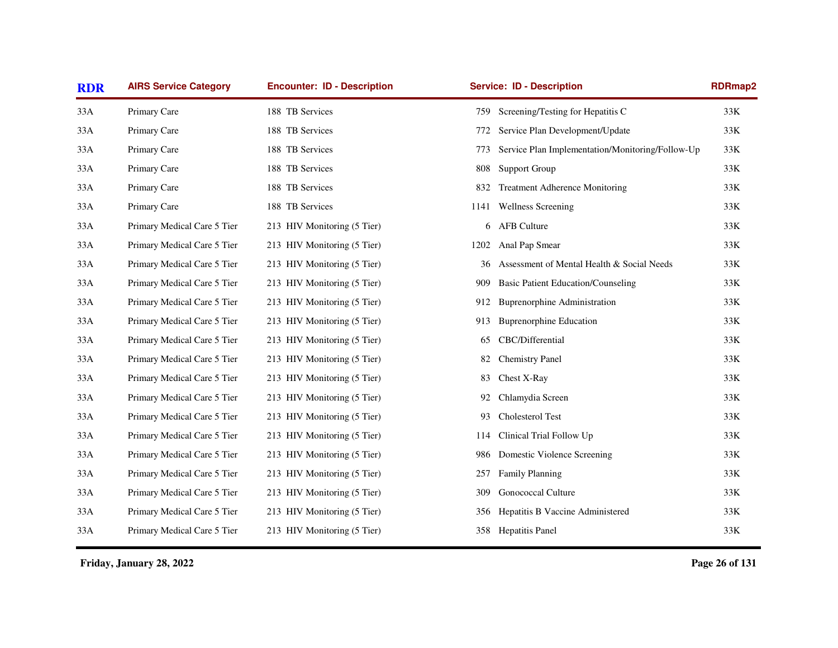| <b>RDR</b> | <b>AIRS Service Category</b> | <b>Encounter: ID - Description</b> |      | <b>Service: ID - Description</b>                 | <b>RDRmap2</b> |
|------------|------------------------------|------------------------------------|------|--------------------------------------------------|----------------|
| 33A        | Primary Care                 | 188 TB Services                    | 759  | Screening/Testing for Hepatitis C                | 33K            |
| 33A        | Primary Care                 | 188 TB Services                    | 772  | Service Plan Development/Update                  | 33K            |
| 33A        | Primary Care                 | 188 TB Services                    | 773  | Service Plan Implementation/Monitoring/Follow-Up | 33K            |
| 33A        | Primary Care                 | 188 TB Services                    | 808  | <b>Support Group</b>                             | 33K            |
| 33A        | Primary Care                 | 188 TB Services                    | 832  | <b>Treatment Adherence Monitoring</b>            | 33K            |
| 33A        | Primary Care                 | 188 TB Services                    | 1141 | <b>Wellness Screening</b>                        | 33K            |
| 33A        | Primary Medical Care 5 Tier  | 213 HIV Monitoring (5 Tier)        |      | 6 AFB Culture                                    | 33K            |
| 33A        | Primary Medical Care 5 Tier  | 213 HIV Monitoring (5 Tier)        | 1202 | Anal Pap Smear                                   | 33K            |
| 33A        | Primary Medical Care 5 Tier  | 213 HIV Monitoring (5 Tier)        | 36   | Assessment of Mental Health & Social Needs       | 33K            |
| 33A        | Primary Medical Care 5 Tier  | 213 HIV Monitoring (5 Tier)        | 909  | <b>Basic Patient Education/Counseling</b>        | 33K            |
| 33A        | Primary Medical Care 5 Tier  | 213 HIV Monitoring (5 Tier)        | 912  | <b>Buprenorphine Administration</b>              | 33K            |
| 33A        | Primary Medical Care 5 Tier  | 213 HIV Monitoring (5 Tier)        | 913  | <b>Buprenorphine Education</b>                   | 33K            |
| 33A        | Primary Medical Care 5 Tier  | 213 HIV Monitoring (5 Tier)        | 65   | CBC/Differential                                 | 33K            |
| 33A        | Primary Medical Care 5 Tier  | 213 HIV Monitoring (5 Tier)        | 82   | <b>Chemistry Panel</b>                           | 33K            |
| 33A        | Primary Medical Care 5 Tier  | 213 HIV Monitoring (5 Tier)        | 83   | Chest X-Ray                                      | 33K            |
| 33A        | Primary Medical Care 5 Tier  | 213 HIV Monitoring (5 Tier)        | 92   | Chlamydia Screen                                 | 33K            |
| 33A        | Primary Medical Care 5 Tier  | 213 HIV Monitoring (5 Tier)        | 93   | Cholesterol Test                                 | 33K            |
| 33A        | Primary Medical Care 5 Tier  | 213 HIV Monitoring (5 Tier)        | 114  | Clinical Trial Follow Up                         | 33K            |
| 33A        | Primary Medical Care 5 Tier  | 213 HIV Monitoring (5 Tier)        | 986  | Domestic Violence Screening                      | 33K            |
| 33A        | Primary Medical Care 5 Tier  | 213 HIV Monitoring (5 Tier)        | 257  | <b>Family Planning</b>                           | 33K            |
| 33A        | Primary Medical Care 5 Tier  | 213 HIV Monitoring (5 Tier)        | 309  | <b>Gonococcal Culture</b>                        | 33K            |
| 33A        | Primary Medical Care 5 Tier  | 213 HIV Monitoring (5 Tier)        | 356  | Hepatitis B Vaccine Administered                 | 33K            |
| 33A        | Primary Medical Care 5 Tier  | 213 HIV Monitoring (5 Tier)        |      | 358 Hepatitis Panel                              | 33K            |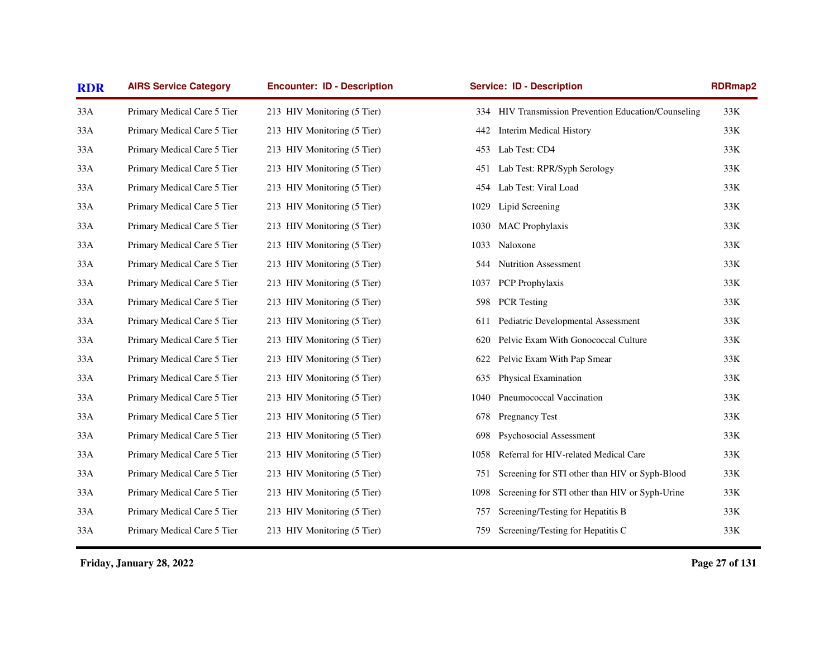| <b>RDR</b> | <b>Encounter: ID - Description</b><br><b>Service: ID - Description</b><br><b>AIRS Service Category</b> |                             |      | <b>RDRmap2</b>                                       |       |
|------------|--------------------------------------------------------------------------------------------------------|-----------------------------|------|------------------------------------------------------|-------|
| 33A        | Primary Medical Care 5 Tier                                                                            | 213 HIV Monitoring (5 Tier) |      | 334 HIV Transmission Prevention Education/Counseling | 33K   |
| 33A        | Primary Medical Care 5 Tier                                                                            | 213 HIV Monitoring (5 Tier) | 442  | Interim Medical History                              | 33K   |
| 33A        | Primary Medical Care 5 Tier                                                                            | 213 HIV Monitoring (5 Tier) |      | 453 Lab Test: CD4                                    | 33K   |
| 33A        | Primary Medical Care 5 Tier                                                                            | 213 HIV Monitoring (5 Tier) | 451  | Lab Test: RPR/Syph Serology                          | 33K   |
| 33A        | Primary Medical Care 5 Tier                                                                            | 213 HIV Monitoring (5 Tier) | 454  | Lab Test: Viral Load                                 | $33K$ |
| 33A        | Primary Medical Care 5 Tier                                                                            | 213 HIV Monitoring (5 Tier) | 1029 | Lipid Screening                                      | 33K   |
| 33A        | Primary Medical Care 5 Tier                                                                            | 213 HIV Monitoring (5 Tier) | 1030 | <b>MAC</b> Prophylaxis                               | 33K   |
| 33A        | Primary Medical Care 5 Tier                                                                            | 213 HIV Monitoring (5 Tier) | 1033 | Naloxone                                             | $33K$ |
| 33A        | Primary Medical Care 5 Tier                                                                            | 213 HIV Monitoring (5 Tier) | 544  | <b>Nutrition Assessment</b>                          | 33K   |
| 33A        | Primary Medical Care 5 Tier                                                                            | 213 HIV Monitoring (5 Tier) | 1037 | PCP Prophylaxis                                      | 33K   |
| 33A        | Primary Medical Care 5 Tier                                                                            | 213 HIV Monitoring (5 Tier) | 598  | <b>PCR</b> Testing                                   | 33K   |
| 33A        | Primary Medical Care 5 Tier                                                                            | 213 HIV Monitoring (5 Tier) | 611  | Pediatric Developmental Assessment                   | 33K   |
| 33A        | Primary Medical Care 5 Tier                                                                            | 213 HIV Monitoring (5 Tier) | 620  | Pelvic Exam With Gonococcal Culture                  | 33K   |
| 33A        | Primary Medical Care 5 Tier                                                                            | 213 HIV Monitoring (5 Tier) | 622  | Pelvic Exam With Pap Smear                           | 33K   |
| 33A        | Primary Medical Care 5 Tier                                                                            | 213 HIV Monitoring (5 Tier) | 635  | Physical Examination                                 | 33K   |
| 33A        | Primary Medical Care 5 Tier                                                                            | 213 HIV Monitoring (5 Tier) | 1040 | Pneumococcal Vaccination                             | 33K   |
| 33A        | Primary Medical Care 5 Tier                                                                            | 213 HIV Monitoring (5 Tier) | 678  | <b>Pregnancy Test</b>                                | 33K   |
| 33A        | Primary Medical Care 5 Tier                                                                            | 213 HIV Monitoring (5 Tier) | 698  | Psychosocial Assessment                              | $33K$ |
| 33A        | Primary Medical Care 5 Tier                                                                            | 213 HIV Monitoring (5 Tier) | 1058 | Referral for HIV-related Medical Care                | 33K   |
| 33A        | Primary Medical Care 5 Tier                                                                            | 213 HIV Monitoring (5 Tier) | 751  | Screening for STI other than HIV or Syph-Blood       | 33K   |
| 33A        | Primary Medical Care 5 Tier                                                                            | 213 HIV Monitoring (5 Tier) | 1098 | Screening for STI other than HIV or Syph-Urine       | 33K   |
| 33A        | Primary Medical Care 5 Tier                                                                            | 213 HIV Monitoring (5 Tier) | 757  | Screening/Testing for Hepatitis B                    | 33K   |
| 33A        | Primary Medical Care 5 Tier                                                                            | 213 HIV Monitoring (5 Tier) | 759  | Screening/Testing for Hepatitis C                    | $33K$ |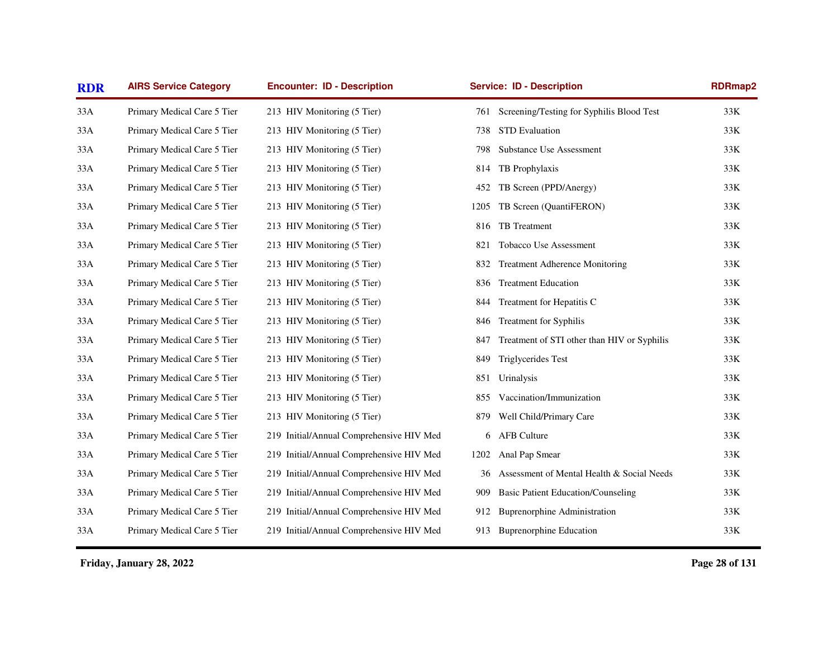| <b>RDR</b> | <b>Encounter: ID - Description</b><br><b>AIRS Service Category</b> |                                          | <b>Service: ID - Description</b> | <b>RDRmap2</b>                              |       |
|------------|--------------------------------------------------------------------|------------------------------------------|----------------------------------|---------------------------------------------|-------|
| 33A        | Primary Medical Care 5 Tier                                        | 213 HIV Monitoring (5 Tier)              | 761                              | Screening/Testing for Syphilis Blood Test   | 33K   |
| 33A        | Primary Medical Care 5 Tier                                        | 213 HIV Monitoring (5 Tier)              | 738                              | <b>STD</b> Evaluation                       | 33K   |
| 33A        | Primary Medical Care 5 Tier                                        | 213 HIV Monitoring (5 Tier)              | 798                              | <b>Substance Use Assessment</b>             | 33K   |
| 33A        | Primary Medical Care 5 Tier                                        | 213 HIV Monitoring (5 Tier)              | 814                              | TB Prophylaxis                              | 33K   |
| 33A        | Primary Medical Care 5 Tier                                        | 213 HIV Monitoring (5 Tier)              | 452                              | TB Screen (PPD/Anergy)                      | 33K   |
| 33A        | Primary Medical Care 5 Tier                                        | 213 HIV Monitoring (5 Tier)              | 1205                             | TB Screen (QuantiFERON)                     | 33K   |
| 33A        | Primary Medical Care 5 Tier                                        | 213 HIV Monitoring (5 Tier)              | 816                              | TB Treatment                                | 33K   |
| 33A        | Primary Medical Care 5 Tier                                        | 213 HIV Monitoring (5 Tier)              | 821                              | Tobacco Use Assessment                      | 33K   |
| 33A        | Primary Medical Care 5 Tier                                        | 213 HIV Monitoring (5 Tier)              | 832                              | <b>Treatment Adherence Monitoring</b>       | 33K   |
| 33A        | Primary Medical Care 5 Tier                                        | 213 HIV Monitoring (5 Tier)              | 836                              | <b>Treatment Education</b>                  | 33K   |
| 33A        | Primary Medical Care 5 Tier                                        | 213 HIV Monitoring (5 Tier)              | 844                              | Treatment for Hepatitis C                   | 33K   |
| 33A        | Primary Medical Care 5 Tier                                        | 213 HIV Monitoring (5 Tier)              | 846                              | <b>Treatment for Syphilis</b>               | 33K   |
| 33A        | Primary Medical Care 5 Tier                                        | 213 HIV Monitoring (5 Tier)              | 847                              | Treatment of STI other than HIV or Syphilis | 33K   |
| 33A        | Primary Medical Care 5 Tier                                        | 213 HIV Monitoring (5 Tier)              | 849                              | Triglycerides Test                          | 33K   |
| 33A        | Primary Medical Care 5 Tier                                        | 213 HIV Monitoring (5 Tier)              | 851                              | Urinalysis                                  | 33K   |
| 33A        | Primary Medical Care 5 Tier                                        | 213 HIV Monitoring (5 Tier)              | 855                              | Vaccination/Immunization                    | 33K   |
| 33A        | Primary Medical Care 5 Tier                                        | 213 HIV Monitoring (5 Tier)              | 879                              | Well Child/Primary Care                     | $33K$ |
| 33A        | Primary Medical Care 5 Tier                                        | 219 Initial/Annual Comprehensive HIV Med | 6                                | <b>AFB Culture</b>                          | 33K   |
| 33A        | Primary Medical Care 5 Tier                                        | 219 Initial/Annual Comprehensive HIV Med | 1202                             | Anal Pap Smear                              | 33K   |
| 33A        | Primary Medical Care 5 Tier                                        | 219 Initial/Annual Comprehensive HIV Med | 36                               | Assessment of Mental Health & Social Needs  | 33K   |
| 33A        | Primary Medical Care 5 Tier                                        | 219 Initial/Annual Comprehensive HIV Med | 909                              | <b>Basic Patient Education/Counseling</b>   | 33K   |
| 33A        | Primary Medical Care 5 Tier                                        | 219 Initial/Annual Comprehensive HIV Med | 912                              | <b>Buprenorphine Administration</b>         | 33K   |
| 33A        | Primary Medical Care 5 Tier                                        | 219 Initial/Annual Comprehensive HIV Med | 913                              | <b>Buprenorphine Education</b>              | 33K   |
|            |                                                                    |                                          |                                  |                                             |       |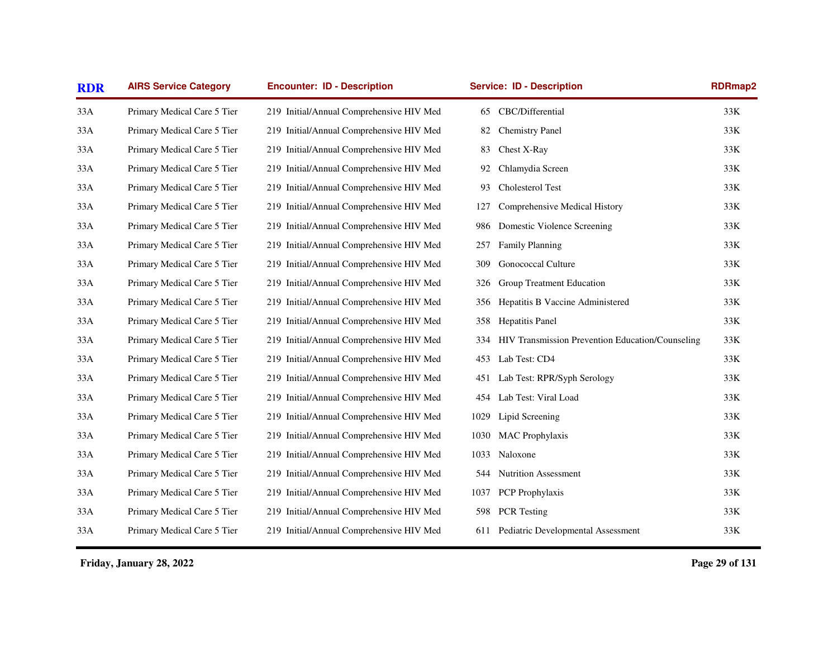| <b>RDR</b> | <b>AIRS Service Category</b> | <b>Encounter: ID - Description</b>       |      | <b>Service: ID - Description</b>                 | <b>RDRmap2</b> |
|------------|------------------------------|------------------------------------------|------|--------------------------------------------------|----------------|
| 33A        | Primary Medical Care 5 Tier  | 219 Initial/Annual Comprehensive HIV Med | 65   | CBC/Differential                                 | 33K            |
| 33A        | Primary Medical Care 5 Tier  | 219 Initial/Annual Comprehensive HIV Med | 82   | <b>Chemistry Panel</b>                           | 33K            |
| 33A        | Primary Medical Care 5 Tier  | 219 Initial/Annual Comprehensive HIV Med | 83   | Chest X-Ray                                      | 33K            |
| 33A        | Primary Medical Care 5 Tier  | 219 Initial/Annual Comprehensive HIV Med | 92   | Chlamydia Screen                                 | 33K            |
| 33A        | Primary Medical Care 5 Tier  | 219 Initial/Annual Comprehensive HIV Med | 93   | Cholesterol Test                                 | 33K            |
| 33A        | Primary Medical Care 5 Tier  | 219 Initial/Annual Comprehensive HIV Med | 127  | Comprehensive Medical History                    | 33K            |
| 33A        | Primary Medical Care 5 Tier  | 219 Initial/Annual Comprehensive HIV Med | 986  | Domestic Violence Screening                      | 33K            |
| 33A        | Primary Medical Care 5 Tier  | 219 Initial/Annual Comprehensive HIV Med | 257  | Family Planning                                  | 33K            |
| 33A        | Primary Medical Care 5 Tier  | 219 Initial/Annual Comprehensive HIV Med | 309  | <b>Gonococcal Culture</b>                        | 33K            |
| 33A        | Primary Medical Care 5 Tier  | 219 Initial/Annual Comprehensive HIV Med | 326  | Group Treatment Education                        | 33K            |
| 33A        | Primary Medical Care 5 Tier  | 219 Initial/Annual Comprehensive HIV Med | 356  | Hepatitis B Vaccine Administered                 | 33K            |
| 33A        | Primary Medical Care 5 Tier  | 219 Initial/Annual Comprehensive HIV Med | 358  | Hepatitis Panel                                  | $33K$          |
| 33A        | Primary Medical Care 5 Tier  | 219 Initial/Annual Comprehensive HIV Med | 334  | HIV Transmission Prevention Education/Counseling | 33K            |
| 33A        | Primary Medical Care 5 Tier  | 219 Initial/Annual Comprehensive HIV Med | 453  | Lab Test: CD4                                    | 33K            |
| 33A        | Primary Medical Care 5 Tier  | 219 Initial/Annual Comprehensive HIV Med | 451  | Lab Test: RPR/Syph Serology                      | 33K            |
| 33A        | Primary Medical Care 5 Tier  | 219 Initial/Annual Comprehensive HIV Med | 454  | Lab Test: Viral Load                             | 33K            |
| 33A        | Primary Medical Care 5 Tier  | 219 Initial/Annual Comprehensive HIV Med | 1029 | Lipid Screening                                  | 33K            |
| 33A        | Primary Medical Care 5 Tier  | 219 Initial/Annual Comprehensive HIV Med | 1030 | <b>MAC</b> Prophylaxis                           | 33K            |
| 33A        | Primary Medical Care 5 Tier  | 219 Initial/Annual Comprehensive HIV Med | 1033 | Naloxone                                         | 33K            |
| 33A        | Primary Medical Care 5 Tier  | 219 Initial/Annual Comprehensive HIV Med | 544  | <b>Nutrition Assessment</b>                      | 33K            |
| 33A        | Primary Medical Care 5 Tier  | 219 Initial/Annual Comprehensive HIV Med | 1037 | <b>PCP</b> Prophylaxis                           | 33K            |
| 33A        | Primary Medical Care 5 Tier  | 219 Initial/Annual Comprehensive HIV Med | 598  | <b>PCR</b> Testing                               | 33K            |
| 33A        | Primary Medical Care 5 Tier  | 219 Initial/Annual Comprehensive HIV Med | 611  | Pediatric Developmental Assessment               | $33K$          |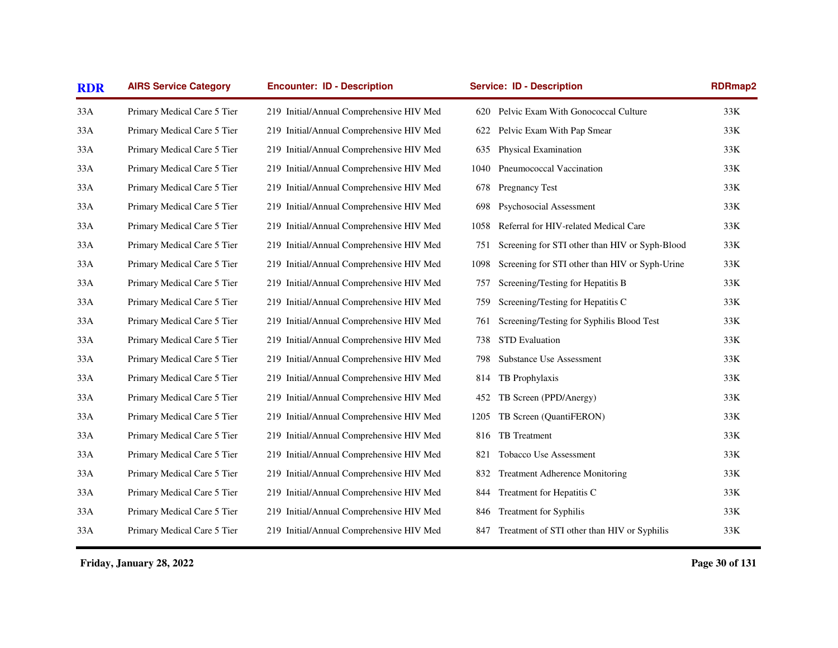| <b>AIRS Service Category</b> | <b>Encounter: ID - Description</b>       | <b>Service: ID - Description</b> |                                                | RDRmap2 |  |
|------------------------------|------------------------------------------|----------------------------------|------------------------------------------------|---------|--|
| Primary Medical Care 5 Tier  | 219 Initial/Annual Comprehensive HIV Med | 620                              | Pelvic Exam With Gonococcal Culture            | 33K     |  |
| Primary Medical Care 5 Tier  | 219 Initial/Annual Comprehensive HIV Med | 622                              | Pelvic Exam With Pap Smear                     | 33K     |  |
| Primary Medical Care 5 Tier  | 219 Initial/Annual Comprehensive HIV Med | 635                              | Physical Examination                           | 33K     |  |
| Primary Medical Care 5 Tier  | 219 Initial/Annual Comprehensive HIV Med | 1040                             | Pneumococcal Vaccination                       | 33K     |  |
| Primary Medical Care 5 Tier  | 219 Initial/Annual Comprehensive HIV Med | 678                              | Pregnancy Test                                 | 33K     |  |
| Primary Medical Care 5 Tier  | 219 Initial/Annual Comprehensive HIV Med | 698                              | Psychosocial Assessment                        | 33K     |  |
| Primary Medical Care 5 Tier  | 219 Initial/Annual Comprehensive HIV Med | 1058                             | Referral for HIV-related Medical Care          | 33K     |  |
| Primary Medical Care 5 Tier  | 219 Initial/Annual Comprehensive HIV Med | 751                              | Screening for STI other than HIV or Syph-Blood | 33K     |  |
| Primary Medical Care 5 Tier  | 219 Initial/Annual Comprehensive HIV Med | 1098                             | Screening for STI other than HIV or Syph-Urine | 33K     |  |
| Primary Medical Care 5 Tier  | 219 Initial/Annual Comprehensive HIV Med | 757                              | Screening/Testing for Hepatitis B              | 33K     |  |
| Primary Medical Care 5 Tier  | 219 Initial/Annual Comprehensive HIV Med | 759                              | Screening/Testing for Hepatitis C              | 33K     |  |
| Primary Medical Care 5 Tier  | 219 Initial/Annual Comprehensive HIV Med | 761                              | Screening/Testing for Syphilis Blood Test      | 33K     |  |
| Primary Medical Care 5 Tier  | 219 Initial/Annual Comprehensive HIV Med | 738                              | <b>STD</b> Evaluation                          | 33K     |  |
| Primary Medical Care 5 Tier  | 219 Initial/Annual Comprehensive HIV Med | 798                              | <b>Substance Use Assessment</b>                | 33K     |  |
| Primary Medical Care 5 Tier  | 219 Initial/Annual Comprehensive HIV Med | 814                              | TB Prophylaxis                                 | 33K     |  |
| Primary Medical Care 5 Tier  | 219 Initial/Annual Comprehensive HIV Med | 452                              | TB Screen (PPD/Anergy)                         | 33K     |  |
| Primary Medical Care 5 Tier  | 219 Initial/Annual Comprehensive HIV Med | 1205                             | TB Screen (QuantiFERON)                        | 33K     |  |
| Primary Medical Care 5 Tier  | 219 Initial/Annual Comprehensive HIV Med | 816                              | TB Treatment                                   | 33K     |  |
| Primary Medical Care 5 Tier  | 219 Initial/Annual Comprehensive HIV Med | 821                              | Tobacco Use Assessment                         | 33K     |  |
| Primary Medical Care 5 Tier  | 219 Initial/Annual Comprehensive HIV Med | 832                              | <b>Treatment Adherence Monitoring</b>          | 33K     |  |
| Primary Medical Care 5 Tier  | 219 Initial/Annual Comprehensive HIV Med | 844                              | Treatment for Hepatitis C                      | 33K     |  |
| Primary Medical Care 5 Tier  | 219 Initial/Annual Comprehensive HIV Med | 846                              | <b>Treatment for Syphilis</b>                  | 33K     |  |
| Primary Medical Care 5 Tier  | 219 Initial/Annual Comprehensive HIV Med | 847                              | Treatment of STI other than HIV or Syphilis    | 33K     |  |
|                              |                                          |                                  |                                                |         |  |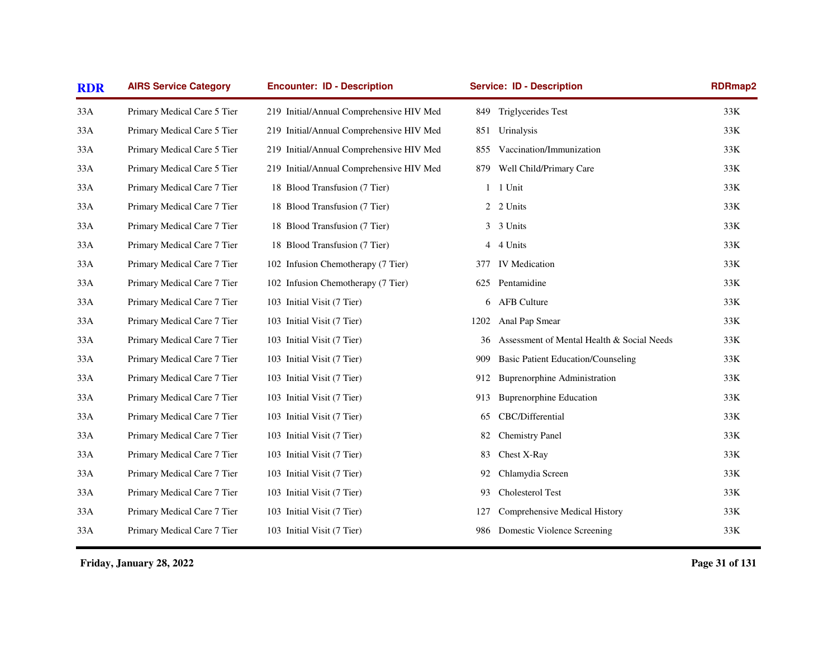| <b>RDR</b> | <b>AIRS Service Category</b> | <b>Encounter: ID - Description</b>       |                | <b>Service: ID - Description</b>           | RDRmap2 |
|------------|------------------------------|------------------------------------------|----------------|--------------------------------------------|---------|
| 33A        | Primary Medical Care 5 Tier  | 219 Initial/Annual Comprehensive HIV Med | 849            | Triglycerides Test                         | 33K     |
| 33A        | Primary Medical Care 5 Tier  | 219 Initial/Annual Comprehensive HIV Med | 851            | Urinalysis                                 | 33K     |
| 33A        | Primary Medical Care 5 Tier  | 219 Initial/Annual Comprehensive HIV Med | 855            | Vaccination/Immunization                   | 33K     |
| 33A        | Primary Medical Care 5 Tier  | 219 Initial/Annual Comprehensive HIV Med | 879            | Well Child/Primary Care                    | 33K     |
| 33A        | Primary Medical Care 7 Tier  | 18 Blood Transfusion (7 Tier)            | $\mathbf{1}$   | 1 Unit                                     | 33K     |
| 33A        | Primary Medical Care 7 Tier  | 18 Blood Transfusion (7 Tier)            | $\mathbf{2}$   | 2 Units                                    | 33K     |
| 33A        | Primary Medical Care 7 Tier  | 18 Blood Transfusion (7 Tier)            | 3              | 3 Units                                    | 33K     |
| 33A        | Primary Medical Care 7 Tier  | 18 Blood Transfusion (7 Tier)            | $\overline{4}$ | 4 Units                                    | 33K     |
| 33A        | Primary Medical Care 7 Tier  | 102 Infusion Chemotherapy (7 Tier)       | 377            | <b>IV</b> Medication                       | 33K     |
| 33A        | Primary Medical Care 7 Tier  | 102 Infusion Chemotherapy (7 Tier)       | 625            | Pentamidine                                | 33K     |
| 33A        | Primary Medical Care 7 Tier  | 103 Initial Visit (7 Tier)               | 6              | <b>AFB</b> Culture                         | 33K     |
| 33A        | Primary Medical Care 7 Tier  | 103 Initial Visit (7 Tier)               | 1202           | Anal Pap Smear                             | 33K     |
| 33A        | Primary Medical Care 7 Tier  | 103 Initial Visit (7 Tier)               | 36             | Assessment of Mental Health & Social Needs | 33K     |
| 33A        | Primary Medical Care 7 Tier  | 103 Initial Visit (7 Tier)               | 909            | <b>Basic Patient Education/Counseling</b>  | 33K     |
| 33A        | Primary Medical Care 7 Tier  | 103 Initial Visit (7 Tier)               | 912            | <b>Buprenorphine Administration</b>        | 33K     |
| 33A        | Primary Medical Care 7 Tier  | 103 Initial Visit (7 Tier)               | 913            | <b>Buprenorphine Education</b>             | 33K     |
| 33A        | Primary Medical Care 7 Tier  | 103 Initial Visit (7 Tier)               | 65             | CBC/Differential                           | 33K     |
| 33A        | Primary Medical Care 7 Tier  | 103 Initial Visit (7 Tier)               | 82             | <b>Chemistry Panel</b>                     | 33K     |
| 33A        | Primary Medical Care 7 Tier  | 103 Initial Visit (7 Tier)               | 83             | Chest X-Ray                                | 33K     |
| 33A        | Primary Medical Care 7 Tier  | 103 Initial Visit (7 Tier)               | 92             | Chlamydia Screen                           | 33K     |
| 33A        | Primary Medical Care 7 Tier  | 103 Initial Visit (7 Tier)               | 93             | Cholesterol Test                           | 33K     |
| 33A        | Primary Medical Care 7 Tier  | 103 Initial Visit (7 Tier)               | 127            | Comprehensive Medical History              | 33K     |
| 33A        | Primary Medical Care 7 Tier  | 103 Initial Visit (7 Tier)               | 986            | Domestic Violence Screening                | 33K     |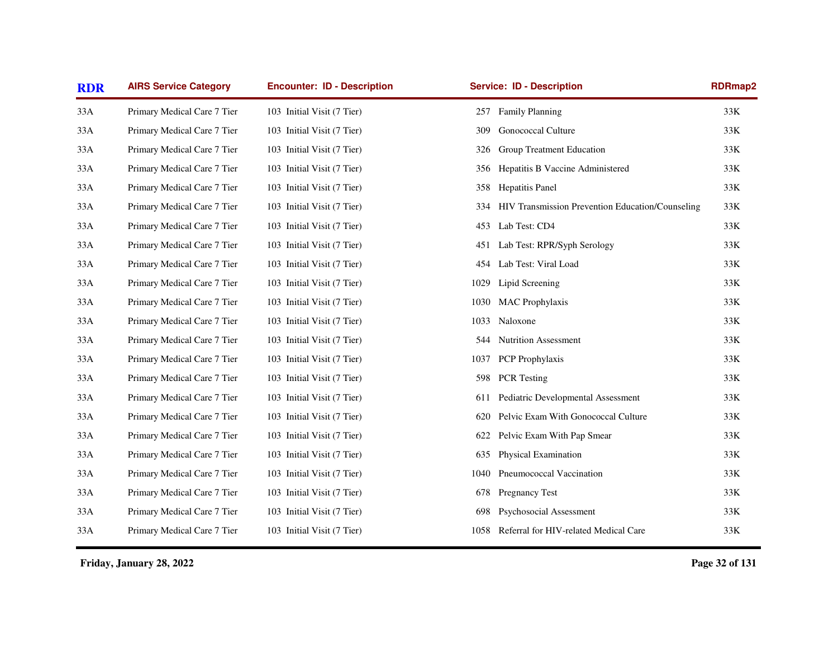| <b>RDR</b> | <b>AIRS Service Category</b> | <b>Encounter: ID - Description</b> | <b>Service: ID - Description</b>                        | <b>RDRmap2</b> |
|------------|------------------------------|------------------------------------|---------------------------------------------------------|----------------|
| 33A        | Primary Medical Care 7 Tier  | 103 Initial Visit (7 Tier)         | 257 Family Planning                                     | 33K            |
| 33A        | Primary Medical Care 7 Tier  | 103 Initial Visit (7 Tier)         | <b>Gonococcal Culture</b><br>309                        | 33K            |
| 33A        | Primary Medical Care 7 Tier  | 103 Initial Visit (7 Tier)         | Group Treatment Education<br>326                        | 33K            |
| 33A        | Primary Medical Care 7 Tier  | 103 Initial Visit (7 Tier)         | Hepatitis B Vaccine Administered<br>356                 | $33K$          |
| 33A        | Primary Medical Care 7 Tier  | 103 Initial Visit (7 Tier)         | Hepatitis Panel<br>358                                  | 33K            |
| 33A        | Primary Medical Care 7 Tier  | 103 Initial Visit (7 Tier)         | HIV Transmission Prevention Education/Counseling<br>334 | 33K            |
| 33A        | Primary Medical Care 7 Tier  | 103 Initial Visit (7 Tier)         | Lab Test: CD4<br>453                                    | 33K            |
| 33A        | Primary Medical Care 7 Tier  | 103 Initial Visit (7 Tier)         | Lab Test: RPR/Syph Serology<br>451                      | $33K$          |
| 33A        | Primary Medical Care 7 Tier  | 103 Initial Visit (7 Tier)         | Lab Test: Viral Load<br>454                             | 33K            |
| 33A        | Primary Medical Care 7 Tier  | 103 Initial Visit (7 Tier)         | 1029<br>Lipid Screening                                 | 33K            |
| 33A        | Primary Medical Care 7 Tier  | 103 Initial Visit (7 Tier)         | <b>MAC</b> Prophylaxis<br>1030                          | $33K$          |
| 33A        | Primary Medical Care 7 Tier  | 103 Initial Visit (7 Tier)         | 1033 Naloxone                                           | 33K            |
| 33A        | Primary Medical Care 7 Tier  | 103 Initial Visit (7 Tier)         | <b>Nutrition Assessment</b><br>544                      | 33K            |
| 33A        | Primary Medical Care 7 Tier  | 103 Initial Visit (7 Tier)         | PCP Prophylaxis<br>1037                                 | 33K            |
| 33A        | Primary Medical Care 7 Tier  | 103 Initial Visit (7 Tier)         | <b>PCR</b> Testing<br>598                               | 33K            |
| 33A        | Primary Medical Care 7 Tier  | 103 Initial Visit (7 Tier)         | Pediatric Developmental Assessment<br>611               | 33K            |
| 33A        | Primary Medical Care 7 Tier  | 103 Initial Visit (7 Tier)         | Pelvic Exam With Gonococcal Culture<br>620              | $33K$          |
| 33A        | Primary Medical Care 7 Tier  | 103 Initial Visit (7 Tier)         | Pelvic Exam With Pap Smear<br>622                       | 33K            |
| 33A        | Primary Medical Care 7 Tier  | 103 Initial Visit (7 Tier)         | Physical Examination<br>635                             | 33K            |
| 33A        | Primary Medical Care 7 Tier  | 103 Initial Visit (7 Tier)         | Pneumococcal Vaccination<br>1040                        | 33K            |
| 33A        | Primary Medical Care 7 Tier  | 103 Initial Visit (7 Tier)         | Pregnancy Test<br>678                                   | 33K            |
| 33A        | Primary Medical Care 7 Tier  | 103 Initial Visit (7 Tier)         | Psychosocial Assessment<br>698                          | 33K            |
| 33A        | Primary Medical Care 7 Tier  | 103 Initial Visit (7 Tier)         | 1058 Referral for HIV-related Medical Care              | $33K$          |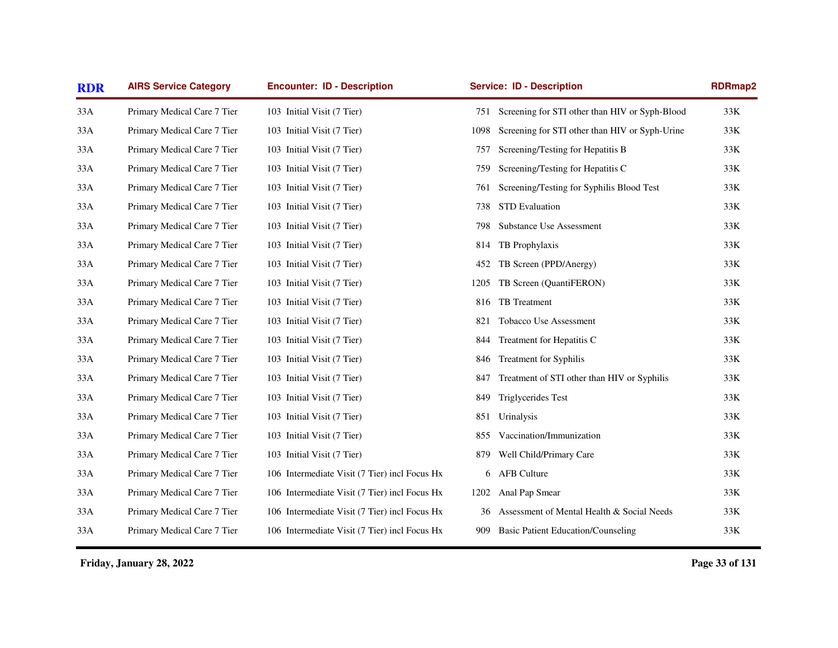| <b>RDR</b> | <b>AIRS Service Category</b> | <b>Encounter: ID - Description</b>            |      | <b>Service: ID - Description</b>                   | RDRmap2 |
|------------|------------------------------|-----------------------------------------------|------|----------------------------------------------------|---------|
| 33A        | Primary Medical Care 7 Tier  | 103 Initial Visit (7 Tier)                    |      | 751 Screening for STI other than HIV or Syph-Blood | 33K     |
| 33A        | Primary Medical Care 7 Tier  | 103 Initial Visit (7 Tier)                    | 1098 | Screening for STI other than HIV or Syph-Urine     | 33K     |
| 33A        | Primary Medical Care 7 Tier  | 103 Initial Visit (7 Tier)                    | 757  | Screening/Testing for Hepatitis B                  | 33K     |
| 33A        | Primary Medical Care 7 Tier  | 103 Initial Visit (7 Tier)                    | 759  | Screening/Testing for Hepatitis C                  | 33K     |
| 33A        | Primary Medical Care 7 Tier  | 103 Initial Visit (7 Tier)                    | 761  | Screening/Testing for Syphilis Blood Test          | 33K     |
| 33A        | Primary Medical Care 7 Tier  | 103 Initial Visit (7 Tier)                    | 738  | <b>STD</b> Evaluation                              | 33K     |
| 33A        | Primary Medical Care 7 Tier  | 103 Initial Visit (7 Tier)                    | 798  | <b>Substance Use Assessment</b>                    | 33K     |
| 33A        | Primary Medical Care 7 Tier  | 103 Initial Visit (7 Tier)                    | 814  | TB Prophylaxis                                     | 33K     |
| 33A        | Primary Medical Care 7 Tier  | 103 Initial Visit (7 Tier)                    | 452  | TB Screen (PPD/Anergy)                             | 33K     |
| 33A        | Primary Medical Care 7 Tier  | 103 Initial Visit (7 Tier)                    | 1205 | TB Screen (QuantiFERON)                            | 33K     |
| 33A        | Primary Medical Care 7 Tier  | 103 Initial Visit (7 Tier)                    | 816  | TB Treatment                                       | 33K     |
| 33A        | Primary Medical Care 7 Tier  | 103 Initial Visit (7 Tier)                    | 821  | Tobacco Use Assessment                             | 33K     |
| 33A        | Primary Medical Care 7 Tier  | 103 Initial Visit (7 Tier)                    | 844  | Treatment for Hepatitis C                          | 33K     |
| 33A        | Primary Medical Care 7 Tier  | 103 Initial Visit (7 Tier)                    | 846  | Treatment for Syphilis                             | 33K     |
| 33A        | Primary Medical Care 7 Tier  | 103 Initial Visit (7 Tier)                    | 847  | Treatment of STI other than HIV or Syphilis        | 33K     |
| 33A        | Primary Medical Care 7 Tier  | 103 Initial Visit (7 Tier)                    | 849  | Triglycerides Test                                 | 33K     |
| 33A        | Primary Medical Care 7 Tier  | 103 Initial Visit (7 Tier)                    | 851  | Urinalysis                                         | 33K     |
| 33A        | Primary Medical Care 7 Tier  | 103 Initial Visit (7 Tier)                    | 855  | Vaccination/Immunization                           | 33K     |
| 33A        | Primary Medical Care 7 Tier  | 103 Initial Visit (7 Tier)                    | 879  | Well Child/Primary Care                            | 33K     |
| 33A        | Primary Medical Care 7 Tier  | 106 Intermediate Visit (7 Tier) incl Focus Hx | 6    | <b>AFB Culture</b>                                 | 33K     |
| 33A        | Primary Medical Care 7 Tier  | 106 Intermediate Visit (7 Tier) incl Focus Hx | 1202 | Anal Pap Smear                                     | 33K     |
| 33A        | Primary Medical Care 7 Tier  | 106 Intermediate Visit (7 Tier) incl Focus Hx | 36   | Assessment of Mental Health & Social Needs         | 33K     |
| 33A        | Primary Medical Care 7 Tier  | 106 Intermediate Visit (7 Tier) incl Focus Hx | 909  | <b>Basic Patient Education/Counseling</b>          | 33K     |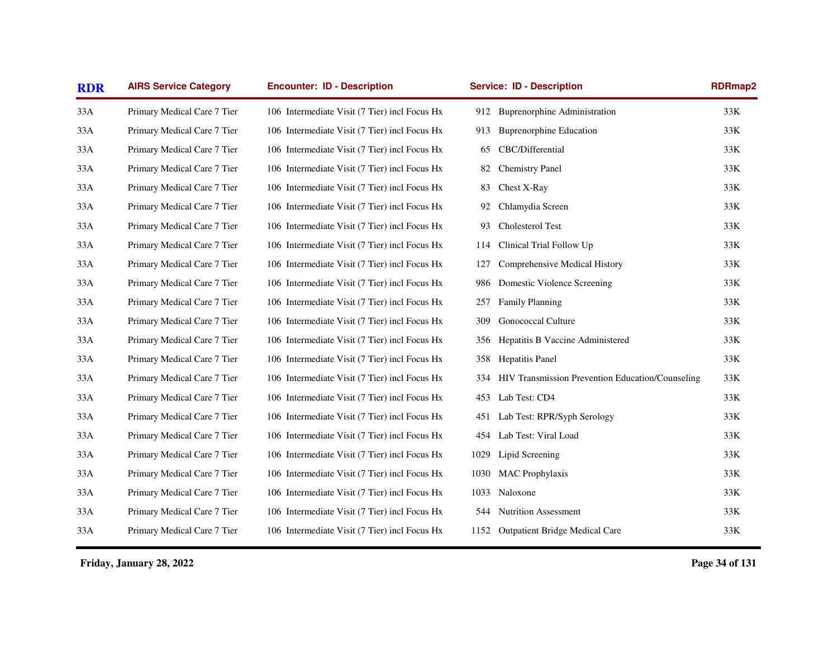| <b>RDR</b> | <b>AIRS Service Category</b> | <b>Encounter: ID - Description</b>            |      | <b>Service: ID - Description</b>                 | RDRmap2 |
|------------|------------------------------|-----------------------------------------------|------|--------------------------------------------------|---------|
| 33A        | Primary Medical Care 7 Tier  | 106 Intermediate Visit (7 Tier) incl Focus Hx | 912  | <b>Buprenorphine Administration</b>              | 33K     |
| 33A        | Primary Medical Care 7 Tier  | 106 Intermediate Visit (7 Tier) incl Focus Hx | 913  | <b>Buprenorphine Education</b>                   | 33K     |
| 33A        | Primary Medical Care 7 Tier  | 106 Intermediate Visit (7 Tier) incl Focus Hx | 65   | CBC/Differential                                 | 33K     |
| 33A        | Primary Medical Care 7 Tier  | 106 Intermediate Visit (7 Tier) incl Focus Hx | 82   | <b>Chemistry Panel</b>                           | 33K     |
| 33A        | Primary Medical Care 7 Tier  | 106 Intermediate Visit (7 Tier) incl Focus Hx | 83   | Chest X-Ray                                      | 33K     |
| 33A        | Primary Medical Care 7 Tier  | 106 Intermediate Visit (7 Tier) incl Focus Hx | 92   | Chlamydia Screen                                 | 33K     |
| 33A        | Primary Medical Care 7 Tier  | 106 Intermediate Visit (7 Tier) incl Focus Hx | 93   | Cholesterol Test                                 | 33K     |
| 33A        | Primary Medical Care 7 Tier  | 106 Intermediate Visit (7 Tier) incl Focus Hx | 114  | Clinical Trial Follow Up                         | 33K     |
| 33A        | Primary Medical Care 7 Tier  | 106 Intermediate Visit (7 Tier) incl Focus Hx | 127  | Comprehensive Medical History                    | 33K     |
| 33A        | Primary Medical Care 7 Tier  | 106 Intermediate Visit (7 Tier) incl Focus Hx | 986  | Domestic Violence Screening                      | 33K     |
| 33A        | Primary Medical Care 7 Tier  | 106 Intermediate Visit (7 Tier) incl Focus Hx | 257  | <b>Family Planning</b>                           | 33K     |
| 33A        | Primary Medical Care 7 Tier  | 106 Intermediate Visit (7 Tier) incl Focus Hx | 309  | <b>Gonococcal Culture</b>                        | 33K     |
| 33A        | Primary Medical Care 7 Tier  | 106 Intermediate Visit (7 Tier) incl Focus Hx | 356  | Hepatitis B Vaccine Administered                 | 33K     |
| 33A        | Primary Medical Care 7 Tier  | 106 Intermediate Visit (7 Tier) incl Focus Hx | 358  | Hepatitis Panel                                  | 33K     |
| 33A        | Primary Medical Care 7 Tier  | 106 Intermediate Visit (7 Tier) incl Focus Hx | 334  | HIV Transmission Prevention Education/Counseling | 33K     |
| 33A        | Primary Medical Care 7 Tier  | 106 Intermediate Visit (7 Tier) incl Focus Hx | 453  | Lab Test: CD4                                    | 33K     |
| 33A        | Primary Medical Care 7 Tier  | 106 Intermediate Visit (7 Tier) incl Focus Hx | 451  | Lab Test: RPR/Syph Serology                      | 33K     |
| 33A        | Primary Medical Care 7 Tier  | 106 Intermediate Visit (7 Tier) incl Focus Hx | 454  | Lab Test: Viral Load                             | 33K     |
| 33A        | Primary Medical Care 7 Tier  | 106 Intermediate Visit (7 Tier) incl Focus Hx | 1029 | Lipid Screening                                  | 33K     |
| 33A        | Primary Medical Care 7 Tier  | 106 Intermediate Visit (7 Tier) incl Focus Hx | 1030 | <b>MAC</b> Prophylaxis                           | 33K     |
| 33A        | Primary Medical Care 7 Tier  | 106 Intermediate Visit (7 Tier) incl Focus Hx | 1033 | Naloxone                                         | 33K     |
| 33A        | Primary Medical Care 7 Tier  | 106 Intermediate Visit (7 Tier) incl Focus Hx | 544  | <b>Nutrition Assessment</b>                      | 33K     |
| 33A        | Primary Medical Care 7 Tier  | 106 Intermediate Visit (7 Tier) incl Focus Hx | 1152 | <b>Outpatient Bridge Medical Care</b>            | $33K$   |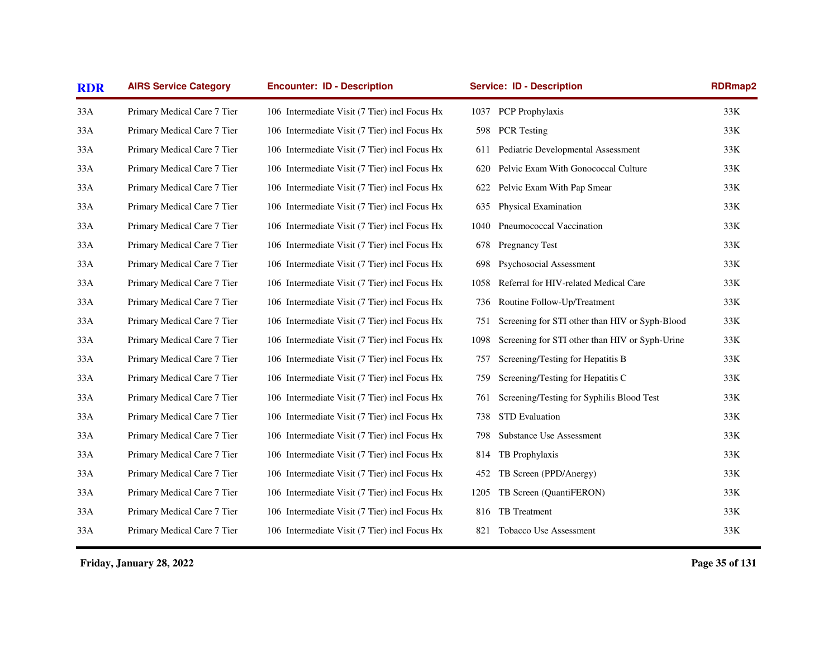| <b>RDR</b> | <b>AIRS Service Category</b><br><b>Encounter: ID - Description</b><br><b>Service: ID - Description</b> |                                               |      | <b>RDRmap2</b>                                 |       |
|------------|--------------------------------------------------------------------------------------------------------|-----------------------------------------------|------|------------------------------------------------|-------|
| 33A        | Primary Medical Care 7 Tier                                                                            | 106 Intermediate Visit (7 Tier) incl Focus Hx |      | 1037 PCP Prophylaxis                           | 33K   |
| 33A        | Primary Medical Care 7 Tier                                                                            | 106 Intermediate Visit (7 Tier) incl Focus Hx | 598  | <b>PCR</b> Testing                             | 33K   |
| 33A        | Primary Medical Care 7 Tier                                                                            | 106 Intermediate Visit (7 Tier) incl Focus Hx | 611  | Pediatric Developmental Assessment             | 33K   |
| 33A        | Primary Medical Care 7 Tier                                                                            | 106 Intermediate Visit (7 Tier) incl Focus Hx | 620  | Pelvic Exam With Gonococcal Culture            | 33K   |
| 33A        | Primary Medical Care 7 Tier                                                                            | 106 Intermediate Visit (7 Tier) incl Focus Hx | 622  | Pelvic Exam With Pap Smear                     | 33K   |
| 33A        | Primary Medical Care 7 Tier                                                                            | 106 Intermediate Visit (7 Tier) incl Focus Hx | 635  | Physical Examination                           | $33K$ |
| 33A        | Primary Medical Care 7 Tier                                                                            | 106 Intermediate Visit (7 Tier) incl Focus Hx | 1040 | Pneumococcal Vaccination                       | 33K   |
| 33A        | Primary Medical Care 7 Tier                                                                            | 106 Intermediate Visit (7 Tier) incl Focus Hx | 678  | <b>Pregnancy Test</b>                          | 33K   |
| 33A        | Primary Medical Care 7 Tier                                                                            | 106 Intermediate Visit (7 Tier) incl Focus Hx | 698  | Psychosocial Assessment                        | 33K   |
| 33A        | Primary Medical Care 7 Tier                                                                            | 106 Intermediate Visit (7 Tier) incl Focus Hx | 1058 | Referral for HIV-related Medical Care          | 33K   |
| 33A        | Primary Medical Care 7 Tier                                                                            | 106 Intermediate Visit (7 Tier) incl Focus Hx | 736  | Routine Follow-Up/Treatment                    | 33K   |
| 33A        | Primary Medical Care 7 Tier                                                                            | 106 Intermediate Visit (7 Tier) incl Focus Hx | 751  | Screening for STI other than HIV or Syph-Blood | 33K   |
| 33A        | Primary Medical Care 7 Tier                                                                            | 106 Intermediate Visit (7 Tier) incl Focus Hx | 1098 | Screening for STI other than HIV or Syph-Urine | 33K   |
| 33A        | Primary Medical Care 7 Tier                                                                            | 106 Intermediate Visit (7 Tier) incl Focus Hx | 757  | Screening/Testing for Hepatitis B              | 33K   |
| 33A        | Primary Medical Care 7 Tier                                                                            | 106 Intermediate Visit (7 Tier) incl Focus Hx | 759  | Screening/Testing for Hepatitis C              | 33K   |
| 33A        | Primary Medical Care 7 Tier                                                                            | 106 Intermediate Visit (7 Tier) incl Focus Hx | 761  | Screening/Testing for Syphilis Blood Test      | $33K$ |
| 33A        | Primary Medical Care 7 Tier                                                                            | 106 Intermediate Visit (7 Tier) incl Focus Hx | 738  | <b>STD</b> Evaluation                          | $33K$ |
| 33A        | Primary Medical Care 7 Tier                                                                            | 106 Intermediate Visit (7 Tier) incl Focus Hx | 798  | <b>Substance Use Assessment</b>                | 33K   |
| 33A        | Primary Medical Care 7 Tier                                                                            | 106 Intermediate Visit (7 Tier) incl Focus Hx | 814  | TB Prophylaxis                                 | 33K   |
| 33A        | Primary Medical Care 7 Tier                                                                            | 106 Intermediate Visit (7 Tier) incl Focus Hx | 452  | TB Screen (PPD/Anergy)                         | 33K   |
| 33A        | Primary Medical Care 7 Tier                                                                            | 106 Intermediate Visit (7 Tier) incl Focus Hx | 1205 | TB Screen (QuantiFERON)                        | $33K$ |
| 33A        | Primary Medical Care 7 Tier                                                                            | 106 Intermediate Visit (7 Tier) incl Focus Hx | 816  | TB Treatment                                   | 33K   |
| 33A        | Primary Medical Care 7 Tier                                                                            | 106 Intermediate Visit (7 Tier) incl Focus Hx | 821  | Tobacco Use Assessment                         | $33K$ |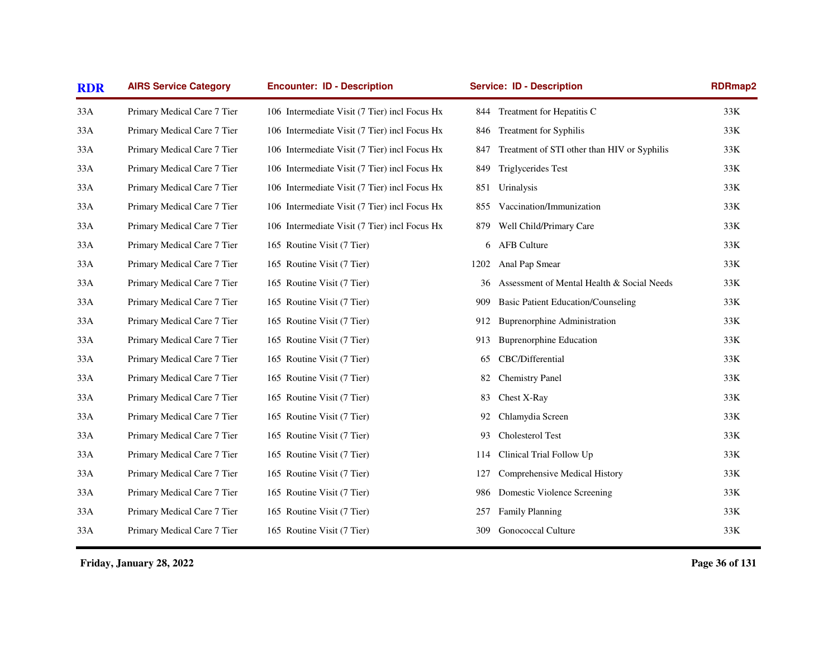| <b>RDR</b> | <b>AIRS Service Category</b> | <b>Encounter: ID - Description</b>            | <b>Service: ID - Description</b> |                                             | RDRmap2 |
|------------|------------------------------|-----------------------------------------------|----------------------------------|---------------------------------------------|---------|
| 33A        | Primary Medical Care 7 Tier  | 106 Intermediate Visit (7 Tier) incl Focus Hx | 844                              | Treatment for Hepatitis C                   | 33K     |
| 33A        | Primary Medical Care 7 Tier  | 106 Intermediate Visit (7 Tier) incl Focus Hx | 846                              | <b>Treatment for Syphilis</b>               | 33K     |
| 33A        | Primary Medical Care 7 Tier  | 106 Intermediate Visit (7 Tier) incl Focus Hx | 847                              | Treatment of STI other than HIV or Syphilis | 33K     |
| 33A        | Primary Medical Care 7 Tier  | 106 Intermediate Visit (7 Tier) incl Focus Hx | 849                              | <b>Triglycerides Test</b>                   | 33K     |
| 33A        | Primary Medical Care 7 Tier  | 106 Intermediate Visit (7 Tier) incl Focus Hx | 851                              | Urinalysis                                  | 33K     |
| 33A        | Primary Medical Care 7 Tier  | 106 Intermediate Visit (7 Tier) incl Focus Hx | 855                              | Vaccination/Immunization                    | 33K     |
| 33A        | Primary Medical Care 7 Tier  | 106 Intermediate Visit (7 Tier) incl Focus Hx | 879                              | Well Child/Primary Care                     | 33K     |
| 33A        | Primary Medical Care 7 Tier  | 165 Routine Visit (7 Tier)                    | 6                                | <b>AFB Culture</b>                          | 33K     |
| 33A        | Primary Medical Care 7 Tier  | 165 Routine Visit (7 Tier)                    | 1202                             | Anal Pap Smear                              | 33K     |
| 33A        | Primary Medical Care 7 Tier  | 165 Routine Visit (7 Tier)                    | 36                               | Assessment of Mental Health & Social Needs  | 33K     |
| 33A        | Primary Medical Care 7 Tier  | 165 Routine Visit (7 Tier)                    | 909                              | <b>Basic Patient Education/Counseling</b>   | 33K     |
| 33A        | Primary Medical Care 7 Tier  | 165 Routine Visit (7 Tier)                    | 912                              | <b>Buprenorphine Administration</b>         | 33K     |
| 33A        | Primary Medical Care 7 Tier  | 165 Routine Visit (7 Tier)                    | 913                              | <b>Buprenorphine Education</b>              | 33K     |
| 33A        | Primary Medical Care 7 Tier  | 165 Routine Visit (7 Tier)                    | 65                               | CBC/Differential                            | 33K     |
| 33A        | Primary Medical Care 7 Tier  | 165 Routine Visit (7 Tier)                    | 82                               | <b>Chemistry Panel</b>                      | 33K     |
| 33A        | Primary Medical Care 7 Tier  | 165 Routine Visit (7 Tier)                    | 83                               | Chest X-Ray                                 | 33K     |
| 33A        | Primary Medical Care 7 Tier  | 165 Routine Visit (7 Tier)                    | 92                               | Chlamydia Screen                            | 33K     |
| 33A        | Primary Medical Care 7 Tier  | 165 Routine Visit (7 Tier)                    | 93                               | Cholesterol Test                            | 33K     |
| 33A        | Primary Medical Care 7 Tier  | 165 Routine Visit (7 Tier)                    | 114                              | Clinical Trial Follow Up                    | 33K     |
| 33A        | Primary Medical Care 7 Tier  | 165 Routine Visit (7 Tier)                    | 127                              | Comprehensive Medical History               | 33K     |
| 33A        | Primary Medical Care 7 Tier  | 165 Routine Visit (7 Tier)                    | 986                              | Domestic Violence Screening                 | 33K     |
| 33A        | Primary Medical Care 7 Tier  | 165 Routine Visit (7 Tier)                    | 257                              | <b>Family Planning</b>                      | 33K     |
| 33A        | Primary Medical Care 7 Tier  | 165 Routine Visit (7 Tier)                    | 309                              | Gonococcal Culture                          | 33K     |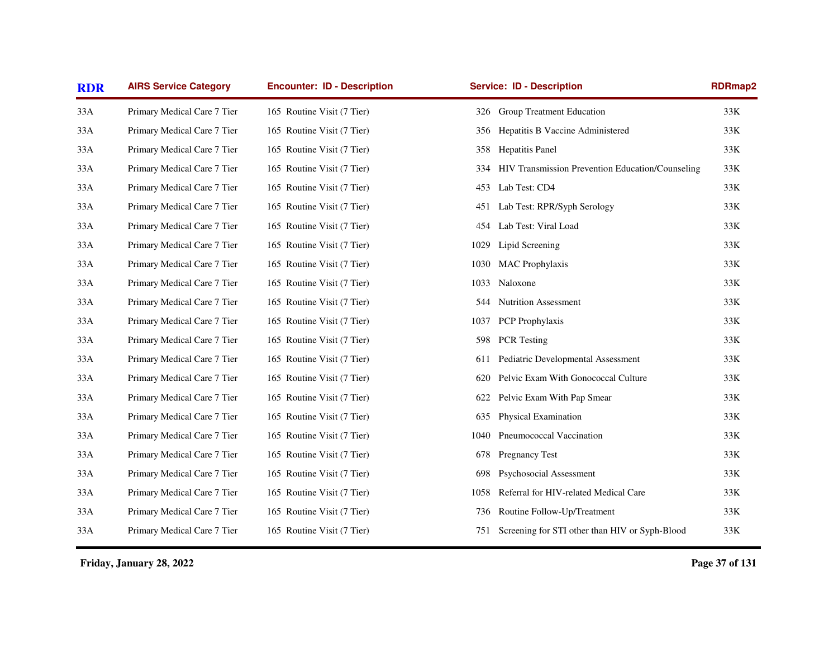| <b>RDR</b> | <b>AIRS Service Category</b> | <b>Encounter: ID - Description</b> | <b>Service: ID - Description</b>                        | RDRmap2 |
|------------|------------------------------|------------------------------------|---------------------------------------------------------|---------|
| 33A        | Primary Medical Care 7 Tier  | 165 Routine Visit (7 Tier)         | 326 Group Treatment Education                           | 33K     |
| 33A        | Primary Medical Care 7 Tier  | 165 Routine Visit (7 Tier)         | 356 Hepatitis B Vaccine Administered                    | 33K     |
| 33A        | Primary Medical Care 7 Tier  | 165 Routine Visit (7 Tier)         | Hepatitis Panel<br>358                                  | 33K     |
| 33A        | Primary Medical Care 7 Tier  | 165 Routine Visit (7 Tier)         | HIV Transmission Prevention Education/Counseling<br>334 | 33K     |
| 33A        | Primary Medical Care 7 Tier  | 165 Routine Visit (7 Tier)         | Lab Test: CD4<br>453                                    | 33K     |
| 33A        | Primary Medical Care 7 Tier  | 165 Routine Visit (7 Tier)         | Lab Test: RPR/Syph Serology<br>451                      | 33K     |
| 33A        | Primary Medical Care 7 Tier  | 165 Routine Visit (7 Tier)         | Lab Test: Viral Load<br>454                             | 33K     |
| 33A        | Primary Medical Care 7 Tier  | 165 Routine Visit (7 Tier)         | Lipid Screening<br>1029                                 | 33K     |
| 33A        | Primary Medical Care 7 Tier  | 165 Routine Visit (7 Tier)         | <b>MAC</b> Prophylaxis<br>1030                          | 33K     |
| 33A        | Primary Medical Care 7 Tier  | 165 Routine Visit (7 Tier)         | Naloxone<br>1033                                        | 33K     |
| 33A        | Primary Medical Care 7 Tier  | 165 Routine Visit (7 Tier)         | Nutrition Assessment<br>544                             | 33K     |
| 33A        | Primary Medical Care 7 Tier  | 165 Routine Visit (7 Tier)         | PCP Prophylaxis<br>1037                                 | 33K     |
| 33A        | Primary Medical Care 7 Tier  | 165 Routine Visit (7 Tier)         | <b>PCR</b> Testing<br>598                               | 33K     |
| 33A        | Primary Medical Care 7 Tier  | 165 Routine Visit (7 Tier)         | Pediatric Developmental Assessment<br>611               | 33K     |
| 33A        | Primary Medical Care 7 Tier  | 165 Routine Visit (7 Tier)         | Pelvic Exam With Gonococcal Culture<br>620              | 33K     |
| 33A        | Primary Medical Care 7 Tier  | 165 Routine Visit (7 Tier)         | Pelvic Exam With Pap Smear<br>622                       | 33K     |
| 33A        | Primary Medical Care 7 Tier  | 165 Routine Visit (7 Tier)         | Physical Examination<br>635                             | 33K     |
| 33A        | Primary Medical Care 7 Tier  | 165 Routine Visit (7 Tier)         | Pneumococcal Vaccination<br>1040                        | 33K     |
| 33A        | Primary Medical Care 7 Tier  | 165 Routine Visit (7 Tier)         | <b>Pregnancy Test</b><br>678                            | 33K     |
| 33A        | Primary Medical Care 7 Tier  | 165 Routine Visit (7 Tier)         | Psychosocial Assessment<br>698                          | 33K     |
| 33A        | Primary Medical Care 7 Tier  | 165 Routine Visit (7 Tier)         | Referral for HIV-related Medical Care<br>1058           | 33K     |
| 33A        | Primary Medical Care 7 Tier  | 165 Routine Visit (7 Tier)         | Routine Follow-Up/Treatment<br>736                      | 33K     |
| 33A        | Primary Medical Care 7 Tier  | 165 Routine Visit (7 Tier)         | 751 Screening for STI other than HIV or Syph-Blood      | 33K     |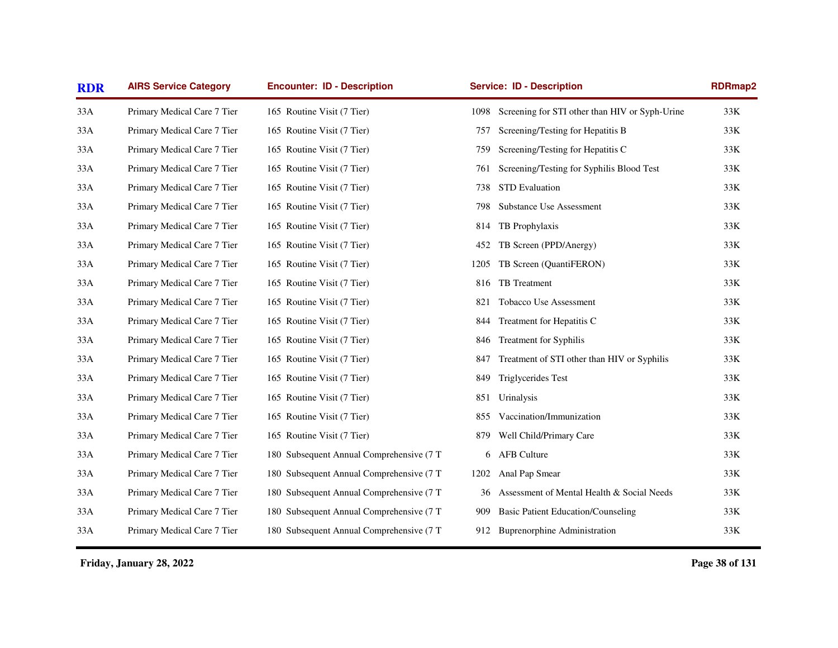| <b>RDR</b> | <b>AIRS Service Category</b> | <b>Encounter: ID - Description</b>       |      | <b>Service: ID - Description</b>               | <b>RDRmap2</b> |
|------------|------------------------------|------------------------------------------|------|------------------------------------------------|----------------|
| 33A        | Primary Medical Care 7 Tier  | 165 Routine Visit (7 Tier)               | 1098 | Screening for STI other than HIV or Syph-Urine | 33K            |
| 33A        | Primary Medical Care 7 Tier  | 165 Routine Visit (7 Tier)               | 757  | Screening/Testing for Hepatitis B              | 33K            |
| 33A        | Primary Medical Care 7 Tier  | 165 Routine Visit (7 Tier)               | 759  | Screening/Testing for Hepatitis C              | 33K            |
| 33A        | Primary Medical Care 7 Tier  | 165 Routine Visit (7 Tier)               | 761  | Screening/Testing for Syphilis Blood Test      | 33K            |
| 33A        | Primary Medical Care 7 Tier  | 165 Routine Visit (7 Tier)               | 738  | STD Evaluation                                 | 33K            |
| 33A        | Primary Medical Care 7 Tier  | 165 Routine Visit (7 Tier)               | 798  | Substance Use Assessment                       | $33K$          |
| 33A        | Primary Medical Care 7 Tier  | 165 Routine Visit (7 Tier)               | 814  | TB Prophylaxis                                 | 33K            |
| 33A        | Primary Medical Care 7 Tier  | 165 Routine Visit (7 Tier)               | 452  | TB Screen (PPD/Anergy)                         | 33K            |
| 33A        | Primary Medical Care 7 Tier  | 165 Routine Visit (7 Tier)               | 1205 | TB Screen (QuantiFERON)                        | 33K            |
| 33A        | Primary Medical Care 7 Tier  | 165 Routine Visit (7 Tier)               | 816  | TB Treatment                                   | $33K$          |
| 33A        | Primary Medical Care 7 Tier  | 165 Routine Visit (7 Tier)               | 821  | Tobacco Use Assessment                         | 33K            |
| 33A        | Primary Medical Care 7 Tier  | 165 Routine Visit (7 Tier)               | 844  | Treatment for Hepatitis C                      | 33K            |
| 33A        | Primary Medical Care 7 Tier  | 165 Routine Visit (7 Tier)               | 846  | Treatment for Syphilis                         | $33K$          |
| 33A        | Primary Medical Care 7 Tier  | 165 Routine Visit (7 Tier)               | 847  | Treatment of STI other than HIV or Syphilis    | 33K            |
| 33A        | Primary Medical Care 7 Tier  | 165 Routine Visit (7 Tier)               | 849  | Triglycerides Test                             | 33K            |
| 33A        | Primary Medical Care 7 Tier  | 165 Routine Visit (7 Tier)               | 851  | Urinalysis                                     | 33K            |
| 33A        | Primary Medical Care 7 Tier  | 165 Routine Visit (7 Tier)               | 855  | Vaccination/Immunization                       | $33K$          |
| 33A        | Primary Medical Care 7 Tier  | 165 Routine Visit (7 Tier)               | 879  | Well Child/Primary Care                        | 33K            |
| 33A        | Primary Medical Care 7 Tier  | 180 Subsequent Annual Comprehensive (7 T | 6    | <b>AFB</b> Culture                             | 33K            |
| 33A        | Primary Medical Care 7 Tier  | 180 Subsequent Annual Comprehensive (7 T | 1202 | Anal Pap Smear                                 | 33K            |
| 33A        | Primary Medical Care 7 Tier  | 180 Subsequent Annual Comprehensive (7 T | 36   | Assessment of Mental Health & Social Needs     | 33K            |
| 33A        | Primary Medical Care 7 Tier  | 180 Subsequent Annual Comprehensive (7 T | 909  | <b>Basic Patient Education/Counseling</b>      | 33K            |
| 33A        | Primary Medical Care 7 Tier  | 180 Subsequent Annual Comprehensive (7 T |      | 912 Buprenorphine Administration               | 33K            |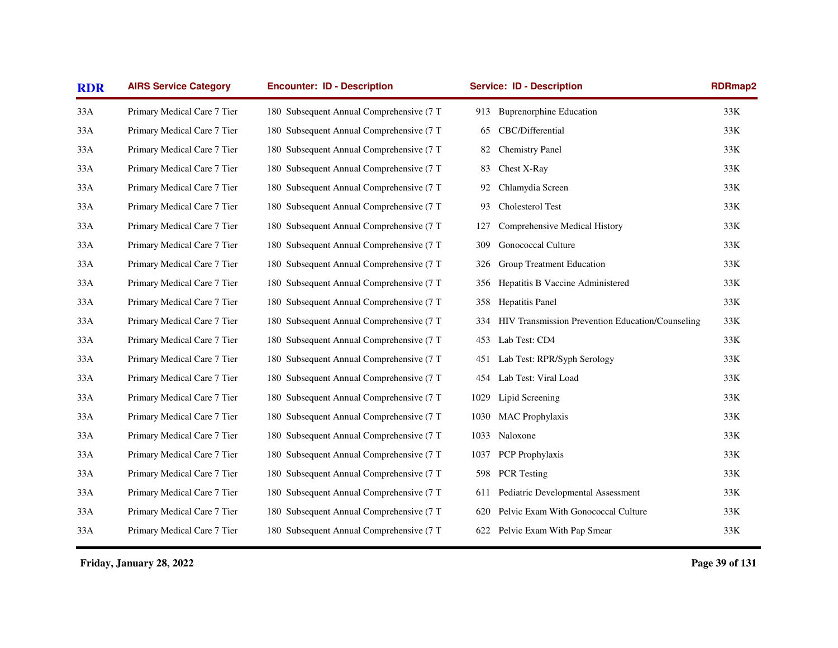| <b>RDR</b> | <b>AIRS Service Category</b> | <b>Encounter: ID - Description</b>        |      | <b>Service: ID - Description</b>                        | RDRmap2 |
|------------|------------------------------|-------------------------------------------|------|---------------------------------------------------------|---------|
| 33A        | Primary Medical Care 7 Tier  | 180 Subsequent Annual Comprehensive (7 T  | 913  | <b>Buprenorphine Education</b>                          | 33K     |
| 33A        | Primary Medical Care 7 Tier  | 180 Subsequent Annual Comprehensive (7 T  | 65   | CBC/Differential                                        | 33K     |
| 33A        | Primary Medical Care 7 Tier  | 180 Subsequent Annual Comprehensive (7 T  | 82   | <b>Chemistry Panel</b>                                  | 33K     |
| 33A        | Primary Medical Care 7 Tier  | 180 Subsequent Annual Comprehensive (7 T  | 83   | Chest X-Ray                                             | 33K     |
| 33A        | Primary Medical Care 7 Tier  | 180 Subsequent Annual Comprehensive (7 T) | 92   | Chlamydia Screen                                        | 33K     |
| 33A        | Primary Medical Care 7 Tier  | 180 Subsequent Annual Comprehensive (7 T  | 93   | Cholesterol Test                                        | 33K     |
| 33A        | Primary Medical Care 7 Tier  | 180 Subsequent Annual Comprehensive (7 T  | 127  | Comprehensive Medical History                           | 33K     |
| 33A        | Primary Medical Care 7 Tier  | 180 Subsequent Annual Comprehensive (7 T  | 309  | <b>Gonococcal Culture</b>                               | 33K     |
| 33A        | Primary Medical Care 7 Tier  | 180 Subsequent Annual Comprehensive (7 T  | 326  | Group Treatment Education                               | 33K     |
| 33A        | Primary Medical Care 7 Tier  | 180 Subsequent Annual Comprehensive (7 T  | 356  | Hepatitis B Vaccine Administered                        | 33K     |
| 33A        | Primary Medical Care 7 Tier  | 180 Subsequent Annual Comprehensive (7 T  | 358  | Hepatitis Panel                                         | 33K     |
| 33A        | Primary Medical Care 7 Tier  | 180 Subsequent Annual Comprehensive (7 T  | 334  | <b>HIV Transmission Prevention Education/Counseling</b> | 33K     |
| 33A        | Primary Medical Care 7 Tier  | 180 Subsequent Annual Comprehensive (7 T  | 453  | Lab Test: CD4                                           | 33K     |
| 33A        | Primary Medical Care 7 Tier  | 180 Subsequent Annual Comprehensive (7 T  | 451  | Lab Test: RPR/Syph Serology                             | 33K     |
| 33A        | Primary Medical Care 7 Tier  | 180 Subsequent Annual Comprehensive (7 T  | 454  | Lab Test: Viral Load                                    | 33K     |
| 33A        | Primary Medical Care 7 Tier  | 180 Subsequent Annual Comprehensive (7 T  | 1029 | Lipid Screening                                         | $33K$   |
| 33A        | Primary Medical Care 7 Tier  | 180 Subsequent Annual Comprehensive (7 T  | 1030 | <b>MAC</b> Prophylaxis                                  | 33K     |
| 33A        | Primary Medical Care 7 Tier  | 180 Subsequent Annual Comprehensive (7 T  | 1033 | Naloxone                                                | 33K     |
| 33A        | Primary Medical Care 7 Tier  | 180 Subsequent Annual Comprehensive (7 T  | 1037 | PCP Prophylaxis                                         | 33K     |
| 33A        | Primary Medical Care 7 Tier  | 180 Subsequent Annual Comprehensive (7 T  | 598  | <b>PCR</b> Testing                                      | $33K$   |
| 33A        | Primary Medical Care 7 Tier  | 180 Subsequent Annual Comprehensive (7 T  | 611  | Pediatric Developmental Assessment                      | 33K     |
| 33A        | Primary Medical Care 7 Tier  | 180 Subsequent Annual Comprehensive (7 T  | 620  | Pelvic Exam With Gonococcal Culture                     | 33K     |
| 33A        | Primary Medical Care 7 Tier  | 180 Subsequent Annual Comprehensive (7 T  |      | 622 Pelvic Exam With Pap Smear                          | $33K$   |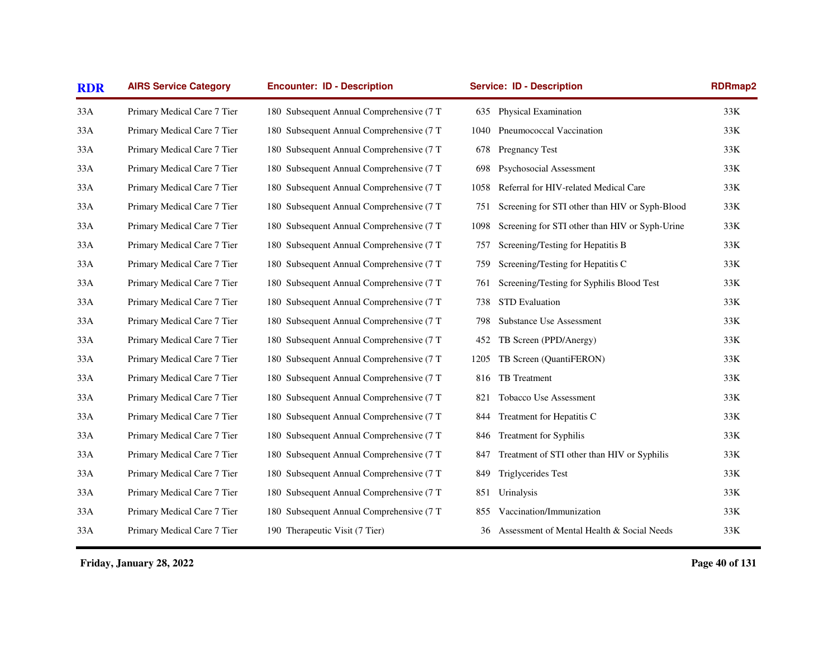| <b>RDR</b> | <b>AIRS Service Category</b> | <b>Encounter: ID - Description</b>       | <b>Service: ID - Description</b> |                                                | RDRmap2 |  |
|------------|------------------------------|------------------------------------------|----------------------------------|------------------------------------------------|---------|--|
| 33A        | Primary Medical Care 7 Tier  | 180 Subsequent Annual Comprehensive (7 T | 635                              | <b>Physical Examination</b>                    | 33K     |  |
| 33A        | Primary Medical Care 7 Tier  | 180 Subsequent Annual Comprehensive (7 T | 1040                             | Pneumococcal Vaccination                       | 33K     |  |
| 33A        | Primary Medical Care 7 Tier  | 180 Subsequent Annual Comprehensive (7 T | 678                              | Pregnancy Test                                 | 33K     |  |
| 33A        | Primary Medical Care 7 Tier  | 180 Subsequent Annual Comprehensive (7 T | 698                              | Psychosocial Assessment                        | 33K     |  |
| 33A        | Primary Medical Care 7 Tier  | 180 Subsequent Annual Comprehensive (7 T | 1058                             | Referral for HIV-related Medical Care          | 33K     |  |
| 33A        | Primary Medical Care 7 Tier  | 180 Subsequent Annual Comprehensive (7 T | 751                              | Screening for STI other than HIV or Syph-Blood | 33K     |  |
| 33A        | Primary Medical Care 7 Tier  | 180 Subsequent Annual Comprehensive (7 T | 1098                             | Screening for STI other than HIV or Syph-Urine | 33K     |  |
| 33A        | Primary Medical Care 7 Tier  | 180 Subsequent Annual Comprehensive (7 T | 757                              | Screening/Testing for Hepatitis B              | 33K     |  |
| 33A        | Primary Medical Care 7 Tier  | 180 Subsequent Annual Comprehensive (7 T | 759                              | Screening/Testing for Hepatitis C              | 33K     |  |
| 33A        | Primary Medical Care 7 Tier  | 180 Subsequent Annual Comprehensive (7 T | 761                              | Screening/Testing for Syphilis Blood Test      | 33K     |  |
| 33A        | Primary Medical Care 7 Tier  | 180 Subsequent Annual Comprehensive (7 T | 738                              | STD Evaluation                                 | 33K     |  |
| 33A        | Primary Medical Care 7 Tier  | 180 Subsequent Annual Comprehensive (7 T | 798                              | Substance Use Assessment                       | 33K     |  |
| 33A        | Primary Medical Care 7 Tier  | 180 Subsequent Annual Comprehensive (7 T | 452                              | TB Screen (PPD/Anergy)                         | 33K     |  |
| 33A        | Primary Medical Care 7 Tier  | 180 Subsequent Annual Comprehensive (7 T | 1205                             | TB Screen (QuantiFERON)                        | 33K     |  |
| 33A        | Primary Medical Care 7 Tier  | 180 Subsequent Annual Comprehensive (7 T | 816                              | TB Treatment                                   | 33K     |  |
| 33A        | Primary Medical Care 7 Tier  | 180 Subsequent Annual Comprehensive (7 T | 821                              | Tobacco Use Assessment                         | 33K     |  |
| 33A        | Primary Medical Care 7 Tier  | 180 Subsequent Annual Comprehensive (7 T | 844                              | Treatment for Hepatitis C                      | 33K     |  |
| 33A        | Primary Medical Care 7 Tier  | 180 Subsequent Annual Comprehensive (7 T | 846                              | <b>Treatment for Syphilis</b>                  | 33K     |  |
| 33A        | Primary Medical Care 7 Tier  | 180 Subsequent Annual Comprehensive (7 T | 847                              | Treatment of STI other than HIV or Syphilis    | 33K     |  |
| 33A        | Primary Medical Care 7 Tier  | 180 Subsequent Annual Comprehensive (7 T | 849                              | Triglycerides Test                             | 33K     |  |
| 33A        | Primary Medical Care 7 Tier  | 180 Subsequent Annual Comprehensive (7 T | 851                              | Urinalysis                                     | 33K     |  |
| 33A        | Primary Medical Care 7 Tier  | 180 Subsequent Annual Comprehensive (7 T | 855                              | Vaccination/Immunization                       | 33K     |  |
| 33A        | Primary Medical Care 7 Tier  | 190 Therapeutic Visit (7 Tier)           | 36                               | Assessment of Mental Health & Social Needs     | 33K     |  |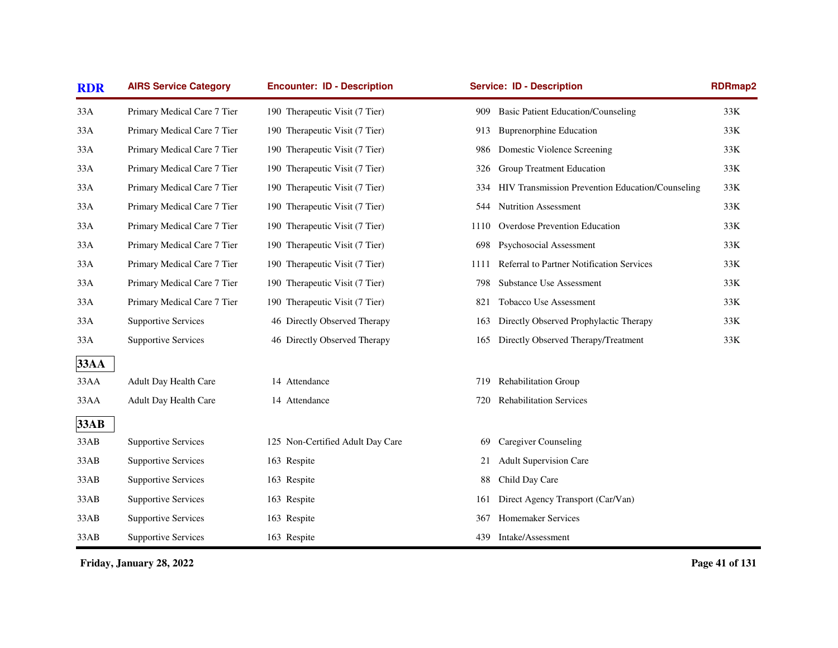| <b>RDR</b>  | <b>AIRS Service Category</b> | <b>Encounter: ID - Description</b> | <b>Service: ID - Description</b>                        | RDRmap2 |
|-------------|------------------------------|------------------------------------|---------------------------------------------------------|---------|
| 33A         | Primary Medical Care 7 Tier  | 190 Therapeutic Visit (7 Tier)     | <b>Basic Patient Education/Counseling</b><br>909        | 33K     |
| 33A         | Primary Medical Care 7 Tier  | 190 Therapeutic Visit (7 Tier)     | <b>Buprenorphine Education</b><br>913                   | 33K     |
| 33A         | Primary Medical Care 7 Tier  | 190 Therapeutic Visit (7 Tier)     | Domestic Violence Screening<br>986                      | 33K     |
| 33A         | Primary Medical Care 7 Tier  | 190 Therapeutic Visit (7 Tier)     | Group Treatment Education<br>326                        | 33K     |
| 33A         | Primary Medical Care 7 Tier  | 190 Therapeutic Visit (7 Tier)     | HIV Transmission Prevention Education/Counseling<br>334 | 33K     |
| 33A         | Primary Medical Care 7 Tier  | 190 Therapeutic Visit (7 Tier)     | <b>Nutrition Assessment</b><br>544                      | 33K     |
| 33A         | Primary Medical Care 7 Tier  | 190 Therapeutic Visit (7 Tier)     | Overdose Prevention Education<br>1110                   | 33K     |
| 33A         | Primary Medical Care 7 Tier  | 190 Therapeutic Visit (7 Tier)     | Psychosocial Assessment<br>698                          | 33K     |
| 33A         | Primary Medical Care 7 Tier  | 190 Therapeutic Visit (7 Tier)     | Referral to Partner Notification Services<br>1111       | 33K     |
| 33A         | Primary Medical Care 7 Tier  | 190 Therapeutic Visit (7 Tier)     | <b>Substance Use Assessment</b><br>798                  | 33K     |
| 33A         | Primary Medical Care 7 Tier  | 190 Therapeutic Visit (7 Tier)     | Tobacco Use Assessment<br>821                           | 33K     |
| 33A         | <b>Supportive Services</b>   | 46 Directly Observed Therapy       | Directly Observed Prophylactic Therapy<br>163           | 33K     |
| 33A         | <b>Supportive Services</b>   | 46 Directly Observed Therapy       | Directly Observed Therapy/Treatment<br>165              | 33K     |
| <b>33AA</b> |                              |                                    |                                                         |         |
| 33AA        | Adult Day Health Care        | 14 Attendance                      | <b>Rehabilitation Group</b><br>719                      |         |
| 33AA        | Adult Day Health Care        | 14 Attendance                      | <b>Rehabilitation Services</b><br>720                   |         |
| <b>33AB</b> |                              |                                    |                                                         |         |
| 33AB        | <b>Supportive Services</b>   | 125 Non-Certified Adult Day Care   | Caregiver Counseling<br>69                              |         |
| 33AB        | <b>Supportive Services</b>   | 163 Respite                        | <b>Adult Supervision Care</b><br>21                     |         |
| 33AB        | <b>Supportive Services</b>   | 163 Respite                        | Child Day Care<br>88                                    |         |
| 33AB        | <b>Supportive Services</b>   | 163 Respite                        | Direct Agency Transport (Car/Van)<br>161                |         |
| 33AB        | <b>Supportive Services</b>   | 163 Respite                        | Homemaker Services<br>367                               |         |
| 33AB        | <b>Supportive Services</b>   | 163 Respite                        | Intake/Assessment<br>439                                |         |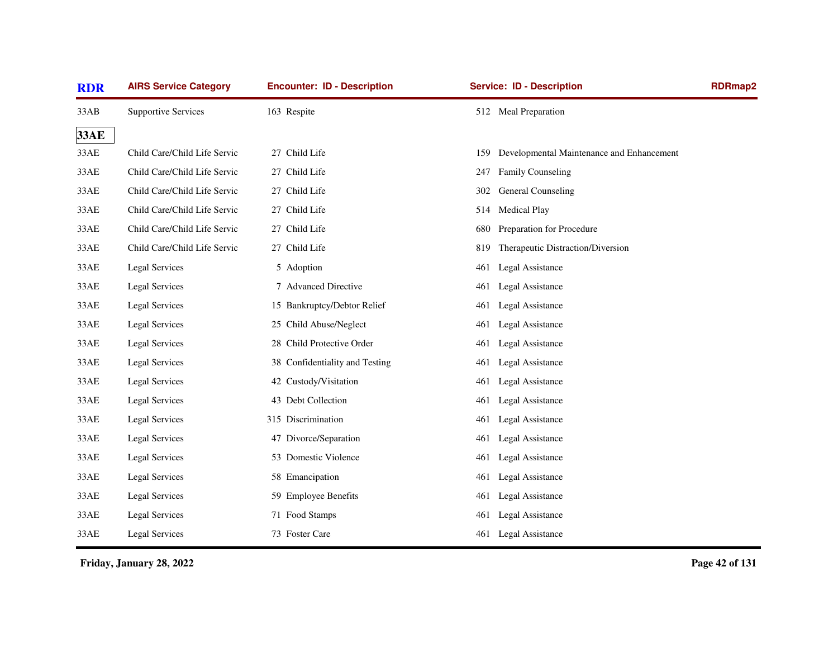| <b>RDR</b>  | <b>AIRS Service Category</b> | <b>Encounter: ID - Description</b> | <b>Service: ID - Description</b>                 | <b>RDRmap2</b> |
|-------------|------------------------------|------------------------------------|--------------------------------------------------|----------------|
| 33AB        | <b>Supportive Services</b>   | 163 Respite                        | 512 Meal Preparation                             |                |
| <b>33AE</b> |                              |                                    |                                                  |                |
| 33AE        | Child Care/Child Life Servic | 27 Child Life                      | Developmental Maintenance and Enhancement<br>159 |                |
| 33AE        | Child Care/Child Life Servic | 27 Child Life                      | <b>Family Counseling</b><br>247                  |                |
| 33AE        | Child Care/Child Life Servic | 27 Child Life                      | General Counseling<br>302                        |                |
| 33AE        | Child Care/Child Life Servic | 27 Child Life                      | <b>Medical Play</b><br>514                       |                |
| 33AE        | Child Care/Child Life Servic | 27 Child Life                      | Preparation for Procedure<br>680                 |                |
| 33AE        | Child Care/Child Life Servic | 27 Child Life                      | Therapeutic Distraction/Diversion<br>819         |                |
| 33AE        | Legal Services               | 5 Adoption                         | Legal Assistance<br>461                          |                |
| 33AE        | Legal Services               | 7 Advanced Directive               | Legal Assistance<br>461                          |                |
| 33AE        | Legal Services               | 15 Bankruptcy/Debtor Relief        | Legal Assistance<br>461                          |                |
| 33AE        | Legal Services               | 25 Child Abuse/Neglect             | Legal Assistance<br>461                          |                |
| 33AE        | Legal Services               | 28 Child Protective Order          | Legal Assistance<br>461                          |                |
| 33AE        | Legal Services               | 38 Confidentiality and Testing     | 461<br><b>Legal Assistance</b>                   |                |
| 33AE        | Legal Services               | 42 Custody/Visitation              | Legal Assistance<br>461                          |                |
| 33AE        | Legal Services               | 43 Debt Collection                 | Legal Assistance<br>461                          |                |
| 33AE        | Legal Services               | 315 Discrimination                 | <b>Legal Assistance</b><br>461                   |                |
| 33AE        | Legal Services               | 47 Divorce/Separation              | <b>Legal Assistance</b><br>461                   |                |
| 33AE        | <b>Legal Services</b>        | 53 Domestic Violence               | Legal Assistance<br>461                          |                |
| 33AE        | Legal Services               | 58 Emancipation                    | Legal Assistance<br>461                          |                |
| 33AE        | Legal Services               | 59 Employee Benefits               | Legal Assistance<br>461                          |                |
| 33AE        | Legal Services               | 71 Food Stamps                     | Legal Assistance<br>461                          |                |
| 33AE        | <b>Legal Services</b>        | 73 Foster Care                     | <b>Legal Assistance</b><br>461                   |                |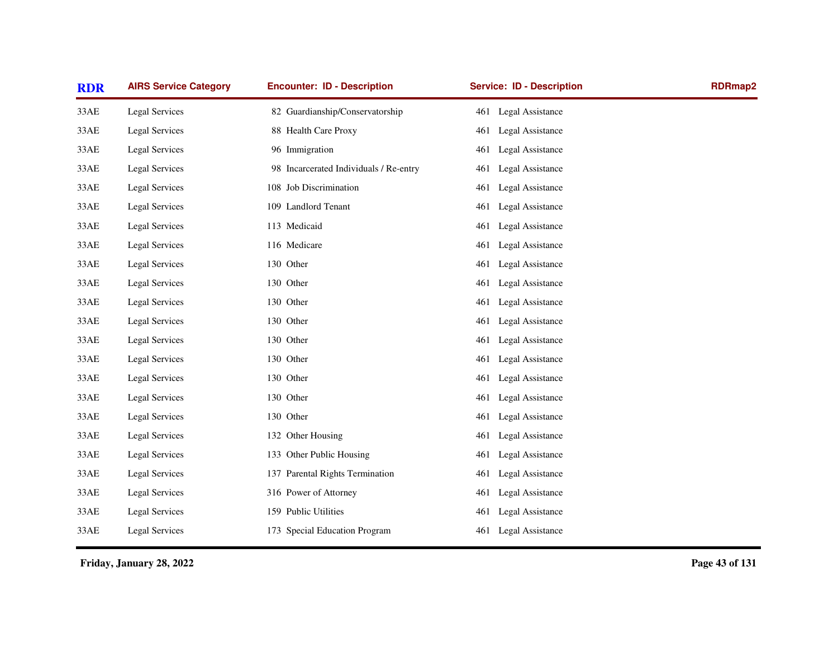| <b>RDR</b> | <b>AIRS Service Category</b> | <b>Encounter: ID - Description</b>     | <b>Service: ID - Description</b> | <b>RDRmap2</b> |
|------------|------------------------------|----------------------------------------|----------------------------------|----------------|
| 33AE       | <b>Legal Services</b>        | 82 Guardianship/Conservatorship        | 461 Legal Assistance             |                |
| 33AE       | Legal Services               | 88 Health Care Proxy                   | Legal Assistance<br>461          |                |
| 33AE       | Legal Services               | 96 Immigration                         | 461<br>Legal Assistance          |                |
| 33AE       | <b>Legal Services</b>        | 98 Incarcerated Individuals / Re-entry | Legal Assistance<br>461          |                |
| 33AE       | <b>Legal Services</b>        | 108 Job Discrimination                 | Legal Assistance<br>461          |                |
| 33AE       | <b>Legal Services</b>        | 109 Landlord Tenant                    | Legal Assistance<br>461          |                |
| 33AE       | <b>Legal Services</b>        | 113 Medicaid                           | Legal Assistance<br>461          |                |
| 33AE       | <b>Legal Services</b>        | 116 Medicare                           | Legal Assistance<br>461          |                |
| 33AE       | Legal Services               | 130 Other                              | Legal Assistance<br>461          |                |
| 33AE       | Legal Services               | 130 Other                              | Legal Assistance<br>461          |                |
| 33AE       | Legal Services               | 130 Other                              | Legal Assistance<br>461          |                |
| 33AE       | Legal Services               | 130 Other                              | Legal Assistance<br>461          |                |
| 33AE       | <b>Legal Services</b>        | 130 Other                              | Legal Assistance<br>461          |                |
| 33AE       | <b>Legal Services</b>        | 130 Other                              | 461<br>Legal Assistance          |                |
| 33AE       | <b>Legal Services</b>        | 130 Other                              | Legal Assistance<br>461          |                |
| 33AE       | <b>Legal Services</b>        | 130 Other                              | 461<br>Legal Assistance          |                |
| 33AE       | <b>Legal Services</b>        | 130 Other                              | Legal Assistance<br>461          |                |
| 33AE       | <b>Legal Services</b>        | 132 Other Housing                      | Legal Assistance<br>461          |                |
| 33AE       | Legal Services               | 133 Other Public Housing               | Legal Assistance<br>461          |                |
| 33AE       | <b>Legal Services</b>        | 137 Parental Rights Termination        | Legal Assistance<br>461          |                |
| 33AE       | Legal Services               | 316 Power of Attorney                  | Legal Assistance<br>461          |                |
| 33AE       | <b>Legal Services</b>        | 159 Public Utilities                   | <b>Legal Assistance</b><br>461   |                |
| 33AE       | <b>Legal Services</b>        | 173 Special Education Program          | Legal Assistance<br>461          |                |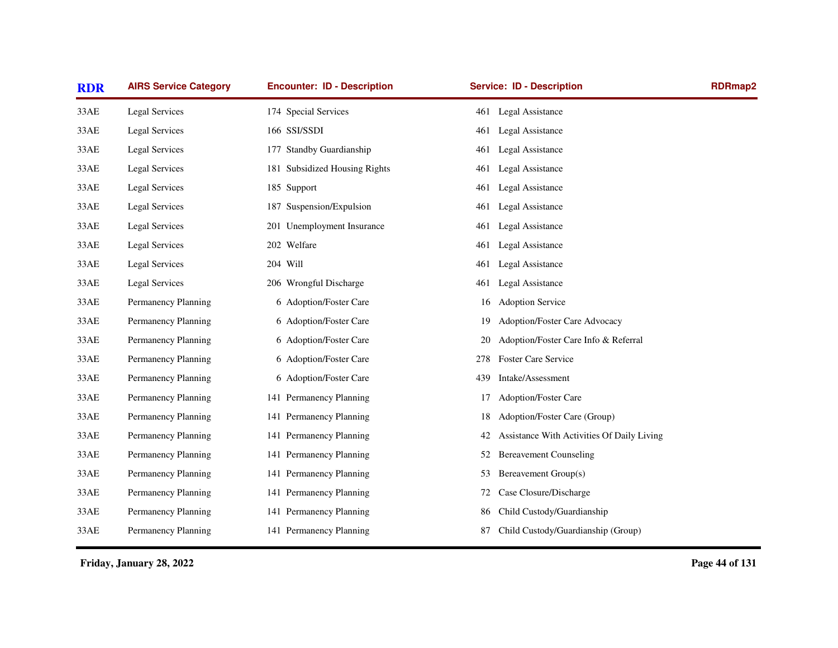| <b>RDR</b> | <b>AIRS Service Category</b> | <b>Encounter: ID - Description</b> | <b>Service: ID - Description</b>                 | <b>RDRmap2</b> |
|------------|------------------------------|------------------------------------|--------------------------------------------------|----------------|
| 33AE       | Legal Services               | 174 Special Services               | <b>Legal Assistance</b><br>461                   |                |
| 33AE       | Legal Services               | 166 SSI/SSDI                       | Legal Assistance<br>461                          |                |
| 33AE       | Legal Services               | 177 Standby Guardianship           | Legal Assistance<br>461                          |                |
| 33AE       | Legal Services               | 181 Subsidized Housing Rights      | Legal Assistance<br>461                          |                |
| 33AE       | Legal Services               | 185 Support                        | Legal Assistance<br>461                          |                |
| 33AE       | Legal Services               | 187 Suspension/Expulsion           | Legal Assistance<br>461                          |                |
| 33AE       | Legal Services               | 201 Unemployment Insurance         | Legal Assistance<br>461                          |                |
| 33AE       | Legal Services               | 202 Welfare                        | Legal Assistance<br>461                          |                |
| 33AE       | Legal Services               | 204 Will                           | Legal Assistance<br>461                          |                |
| 33AE       | Legal Services               | 206 Wrongful Discharge             | Legal Assistance<br>461                          |                |
| 33AE       | Permanency Planning          | 6 Adoption/Foster Care             | <b>Adoption Service</b><br>16                    |                |
| 33AE       | Permanency Planning          | 6 Adoption/Foster Care             | Adoption/Foster Care Advocacy<br>19              |                |
| 33AE       | Permanency Planning          | 6 Adoption/Foster Care             | Adoption/Foster Care Info & Referral<br>20       |                |
| 33AE       | Permanency Planning          | 6 Adoption/Foster Care             | <b>Foster Care Service</b><br>278                |                |
| 33AE       | Permanency Planning          | 6 Adoption/Foster Care             | Intake/Assessment<br>439                         |                |
| 33AE       | Permanency Planning          | 141 Permanency Planning            | Adoption/Foster Care<br>17                       |                |
| 33AE       | Permanency Planning          | 141 Permanency Planning            | Adoption/Foster Care (Group)<br>18               |                |
| 33AE       | Permanency Planning          | 141 Permanency Planning            | Assistance With Activities Of Daily Living<br>42 |                |
| 33AE       | Permanency Planning          | 141 Permanency Planning            | <b>Bereavement Counseling</b><br>52              |                |
| 33AE       | Permanency Planning          | 141 Permanency Planning            | Bereavement Group(s)<br>53                       |                |
| 33AE       | Permanency Planning          | 141 Permanency Planning            | Case Closure/Discharge<br>72                     |                |
| 33AE       | Permanency Planning          | 141 Permanency Planning            | Child Custody/Guardianship<br>86                 |                |
| 33AE       | Permanency Planning          | 141 Permanency Planning            | Child Custody/Guardianship (Group)<br>87         |                |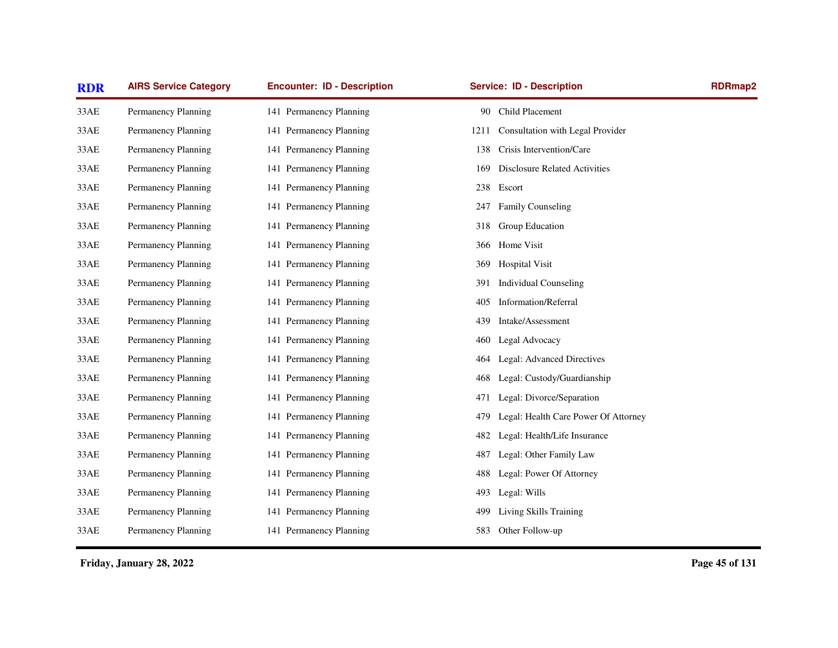| <b>RDR</b> | <b>AIRS Service Category</b> | <b>Encounter: ID - Description</b> | <b>Service: ID - Description</b>            | <b>RDRmap2</b> |
|------------|------------------------------|------------------------------------|---------------------------------------------|----------------|
| 33AE       | Permanency Planning          | 141 Permanency Planning            | Child Placement<br>90                       |                |
| 33AE       | Permanency Planning          | 141 Permanency Planning            | Consultation with Legal Provider<br>1211    |                |
| 33AE       | Permanency Planning          | 141 Permanency Planning            | Crisis Intervention/Care<br>138             |                |
| 33AE       | Permanency Planning          | 141 Permanency Planning            | <b>Disclosure Related Activities</b><br>169 |                |
| 33AE       | Permanency Planning          | 141 Permanency Planning            | Escort<br>238                               |                |
| 33AE       | Permanency Planning          | 141 Permanency Planning            | Family Counseling<br>247                    |                |
| 33AE       | Permanency Planning          | 141 Permanency Planning            | Group Education<br>318                      |                |
| 33AE       | Permanency Planning          | 141 Permanency Planning            | Home Visit<br>366                           |                |
| 33AE       | Permanency Planning          | 141 Permanency Planning            | <b>Hospital Visit</b><br>369                |                |
| 33AE       | Permanency Planning          | 141 Permanency Planning            | <b>Individual Counseling</b><br>391         |                |
| 33AE       | Permanency Planning          | 141 Permanency Planning            | <b>Information/Referral</b><br>405          |                |
| 33AE       | Permanency Planning          | 141 Permanency Planning            | Intake/Assessment<br>439                    |                |
| 33AE       | Permanency Planning          | 141 Permanency Planning            | Legal Advocacy<br>460                       |                |
| 33AE       | Permanency Planning          | 141 Permanency Planning            | Legal: Advanced Directives<br>464           |                |
| 33AE       | Permanency Planning          | 141 Permanency Planning            | Legal: Custody/Guardianship<br>468          |                |
| 33AE       | Permanency Planning          | 141 Permanency Planning            | Legal: Divorce/Separation<br>471            |                |
| 33AE       | Permanency Planning          | 141 Permanency Planning            | Legal: Health Care Power Of Attorney<br>479 |                |
| 33AE       | Permanency Planning          | 141 Permanency Planning            | Legal: Health/Life Insurance<br>482         |                |
| 33AE       | Permanency Planning          | 141 Permanency Planning            | Legal: Other Family Law<br>487              |                |
| 33AE       | Permanency Planning          | 141 Permanency Planning            | Legal: Power Of Attorney<br>488             |                |
| 33AE       | Permanency Planning          | 141 Permanency Planning            | Legal: Wills<br>493                         |                |
| 33AE       | Permanency Planning          | 141 Permanency Planning            | Living Skills Training<br>499               |                |
| 33AE       | Permanency Planning          | 141 Permanency Planning            | 583 Other Follow-up                         |                |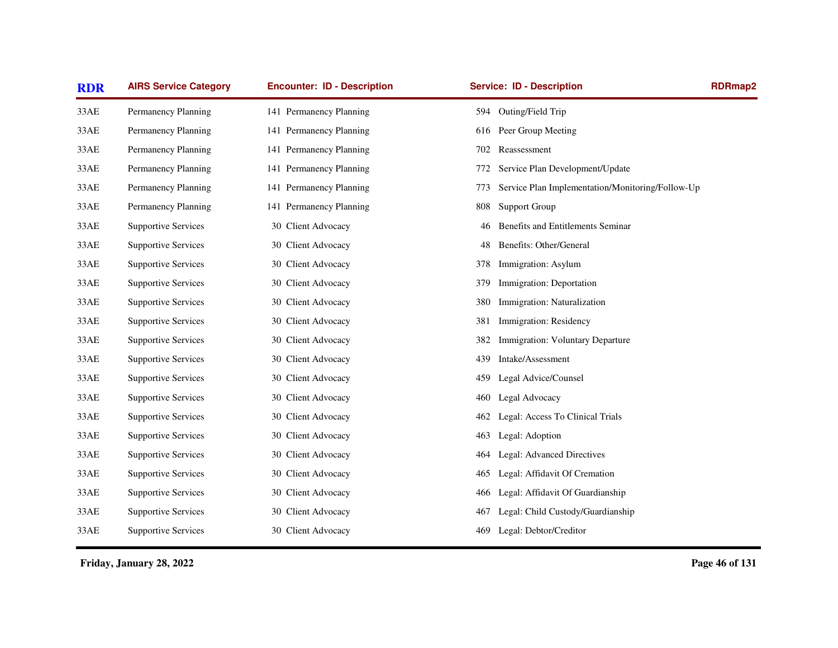| <b>RDR</b> | <b>AIRS Service Category</b> | <b>Encounter: ID - Description</b> | <b>Service: ID - Description</b>                        | <b>RDRmap2</b> |
|------------|------------------------------|------------------------------------|---------------------------------------------------------|----------------|
| 33AE       | Permanency Planning          | 141 Permanency Planning            | 594 Outing/Field Trip                                   |                |
| 33AE       | Permanency Planning          | 141 Permanency Planning            | Peer Group Meeting<br>616                               |                |
| 33AE       | Permanency Planning          | 141 Permanency Planning            | Reassessment<br>702                                     |                |
| 33AE       | Permanency Planning          | 141 Permanency Planning            | Service Plan Development/Update<br>772                  |                |
| 33AE       | Permanency Planning          | 141 Permanency Planning            | Service Plan Implementation/Monitoring/Follow-Up<br>773 |                |
| 33AE       | Permanency Planning          | 141 Permanency Planning            | <b>Support Group</b><br>808                             |                |
| 33AE       | <b>Supportive Services</b>   | 30 Client Advocacy                 | Benefits and Entitlements Seminar<br>46                 |                |
| 33AE       | <b>Supportive Services</b>   | 30 Client Advocacy                 | Benefits: Other/General<br>48                           |                |
| 33AE       | <b>Supportive Services</b>   | 30 Client Advocacy                 | Immigration: Asylum<br>378                              |                |
| 33AE       | <b>Supportive Services</b>   | 30 Client Advocacy                 | Immigration: Deportation<br>379                         |                |
| 33AE       | <b>Supportive Services</b>   | 30 Client Advocacy                 | Immigration: Naturalization<br>380                      |                |
| 33AE       | <b>Supportive Services</b>   | 30 Client Advocacy                 | Immigration: Residency<br>381                           |                |
| 33AE       | <b>Supportive Services</b>   | 30 Client Advocacy                 | Immigration: Voluntary Departure<br>382                 |                |
| 33AE       | <b>Supportive Services</b>   | 30 Client Advocacy                 | Intake/Assessment<br>439                                |                |
| 33AE       | <b>Supportive Services</b>   | 30 Client Advocacy                 | Legal Advice/Counsel<br>459                             |                |
| 33AE       | <b>Supportive Services</b>   | 30 Client Advocacy                 | Legal Advocacy<br>460                                   |                |
| 33AE       | <b>Supportive Services</b>   | 30 Client Advocacy                 | Legal: Access To Clinical Trials<br>462                 |                |
| 33AE       | <b>Supportive Services</b>   | 30 Client Advocacy                 | Legal: Adoption<br>463                                  |                |
| 33AE       | <b>Supportive Services</b>   | 30 Client Advocacy                 | Legal: Advanced Directives<br>464                       |                |
| 33AE       | <b>Supportive Services</b>   | 30 Client Advocacy                 | Legal: Affidavit Of Cremation<br>465                    |                |
| 33AE       | <b>Supportive Services</b>   | 30 Client Advocacy                 | Legal: Affidavit Of Guardianship<br>466                 |                |
| 33AE       | <b>Supportive Services</b>   | 30 Client Advocacy                 | Legal: Child Custody/Guardianship<br>467                |                |
| 33AE       | <b>Supportive Services</b>   | 30 Client Advocacy                 | Legal: Debtor/Creditor<br>469                           |                |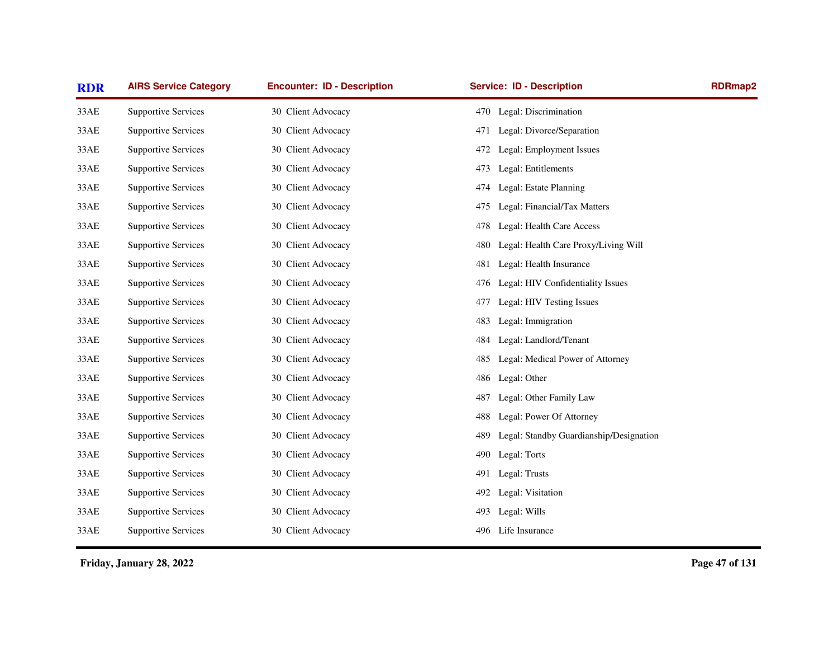| <b>RDR</b> | <b>AIRS Service Category</b> | <b>Encounter: ID - Description</b> | <b>Service: ID - Description</b>               | <b>RDRmap2</b> |
|------------|------------------------------|------------------------------------|------------------------------------------------|----------------|
| 33AE       | <b>Supportive Services</b>   | 30 Client Advocacy                 | 470 Legal: Discrimination                      |                |
| 33AE       | <b>Supportive Services</b>   | 30 Client Advocacy                 | Legal: Divorce/Separation<br>471               |                |
| 33AE       | <b>Supportive Services</b>   | 30 Client Advocacy                 | 472<br>Legal: Employment Issues                |                |
| 33AE       | <b>Supportive Services</b>   | 30 Client Advocacy                 | Legal: Entitlements<br>473                     |                |
| 33AE       | <b>Supportive Services</b>   | 30 Client Advocacy                 | Legal: Estate Planning<br>474                  |                |
| 33AE       | <b>Supportive Services</b>   | 30 Client Advocacy                 | Legal: Financial/Tax Matters<br>475            |                |
| 33AE       | <b>Supportive Services</b>   | 30 Client Advocacy                 | Legal: Health Care Access<br>478               |                |
| 33AE       | <b>Supportive Services</b>   | 30 Client Advocacy                 | Legal: Health Care Proxy/Living Will<br>480    |                |
| 33AE       | <b>Supportive Services</b>   | 30 Client Advocacy                 | Legal: Health Insurance<br>481                 |                |
| 33AE       | <b>Supportive Services</b>   | 30 Client Advocacy                 | Legal: HIV Confidentiality Issues<br>476       |                |
| 33AE       | <b>Supportive Services</b>   | 30 Client Advocacy                 | Legal: HIV Testing Issues<br>477               |                |
| 33AE       | <b>Supportive Services</b>   | 30 Client Advocacy                 | Legal: Immigration<br>483                      |                |
| 33AE       | <b>Supportive Services</b>   | 30 Client Advocacy                 | Legal: Landlord/Tenant<br>484                  |                |
| 33AE       | <b>Supportive Services</b>   | 30 Client Advocacy                 | Legal: Medical Power of Attorney<br>485        |                |
| 33AE       | <b>Supportive Services</b>   | 30 Client Advocacy                 | 486<br>Legal: Other                            |                |
| 33AE       | <b>Supportive Services</b>   | 30 Client Advocacy                 | Legal: Other Family Law<br>487                 |                |
| 33AE       | <b>Supportive Services</b>   | 30 Client Advocacy                 | Legal: Power Of Attorney<br>488                |                |
| 33AE       | <b>Supportive Services</b>   | 30 Client Advocacy                 | Legal: Standby Guardianship/Designation<br>489 |                |
| 33AE       | <b>Supportive Services</b>   | 30 Client Advocacy                 | Legal: Torts<br>490                            |                |
| 33AE       | <b>Supportive Services</b>   | 30 Client Advocacy                 | Legal: Trusts<br>491                           |                |
| 33AE       | <b>Supportive Services</b>   | 30 Client Advocacy                 | Legal: Visitation<br>492                       |                |
| 33AE       | <b>Supportive Services</b>   | 30 Client Advocacy                 | Legal: Wills<br>493                            |                |
| 33AE       | <b>Supportive Services</b>   | 30 Client Advocacy                 | 496 Life Insurance                             |                |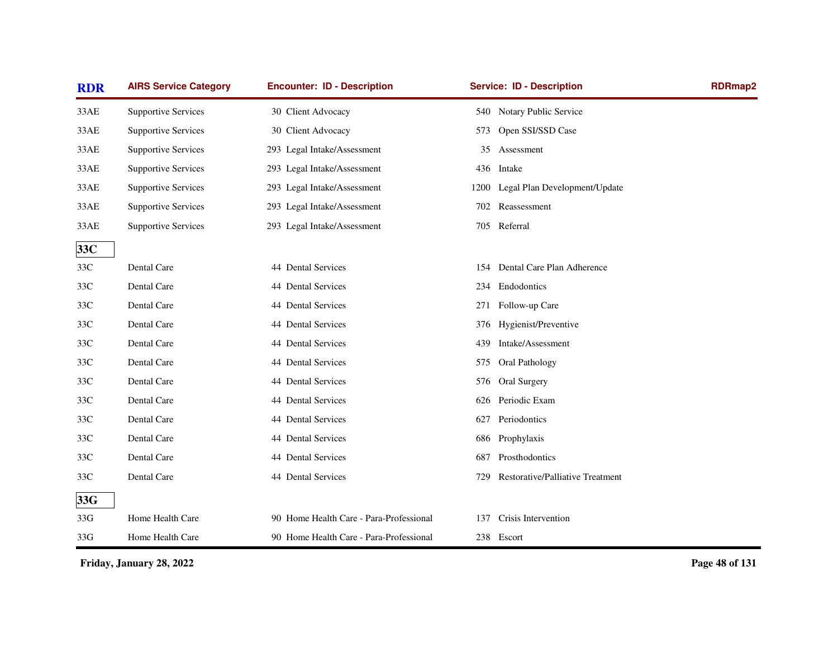| <b>RDR</b> | <b>AIRS Service Category</b> | <b>Encounter: ID - Description</b>      | <b>Service: ID - Description</b>        | <b>RDRmap2</b> |
|------------|------------------------------|-----------------------------------------|-----------------------------------------|----------------|
| 33AE       | <b>Supportive Services</b>   | 30 Client Advocacy                      | 540 Notary Public Service               |                |
| 33AE       | <b>Supportive Services</b>   | 30 Client Advocacy                      | Open SSI/SSD Case<br>573                |                |
| 33AE       | <b>Supportive Services</b>   | 293 Legal Intake/Assessment             | Assessment<br>35                        |                |
| 33AE       | <b>Supportive Services</b>   | 293 Legal Intake/Assessment             | 436 Intake                              |                |
| 33AE       | <b>Supportive Services</b>   | 293 Legal Intake/Assessment             | 1200 Legal Plan Development/Update      |                |
| 33AE       | <b>Supportive Services</b>   | 293 Legal Intake/Assessment             | Reassessment<br>702                     |                |
| 33AE       | <b>Supportive Services</b>   | 293 Legal Intake/Assessment             | 705 Referral                            |                |
| 33C        |                              |                                         |                                         |                |
| 33C        | Dental Care                  | 44 Dental Services                      | 154 Dental Care Plan Adherence          |                |
| 33C        | Dental Care                  | 44 Dental Services                      | 234 Endodontics                         |                |
| 33C        | Dental Care                  | 44 Dental Services                      | Follow-up Care<br>271                   |                |
| 33C        | Dental Care                  | 44 Dental Services                      | Hygienist/Preventive<br>376             |                |
| 33C        | Dental Care                  | 44 Dental Services                      | Intake/Assessment<br>439                |                |
| 33C        | Dental Care                  | 44 Dental Services                      | 575<br>Oral Pathology                   |                |
| 33C        | Dental Care                  | 44 Dental Services                      | <b>Oral Surgery</b><br>576              |                |
| 33C        | Dental Care                  | 44 Dental Services                      | Periodic Exam<br>626                    |                |
| 33C        | Dental Care                  | 44 Dental Services                      | Periodontics<br>627                     |                |
| 33C        | Dental Care                  | 44 Dental Services                      | 686 Prophylaxis                         |                |
| 33C        | Dental Care                  | 44 Dental Services                      | Prosthodontics<br>687                   |                |
| 33C        | Dental Care                  | 44 Dental Services                      | Restorative/Palliative Treatment<br>729 |                |
| 33G        |                              |                                         |                                         |                |
| 33G        | Home Health Care             | 90 Home Health Care - Para-Professional | Crisis Intervention<br>137              |                |
| 33G        | Home Health Care             | 90 Home Health Care - Para-Professional | 238 Escort                              |                |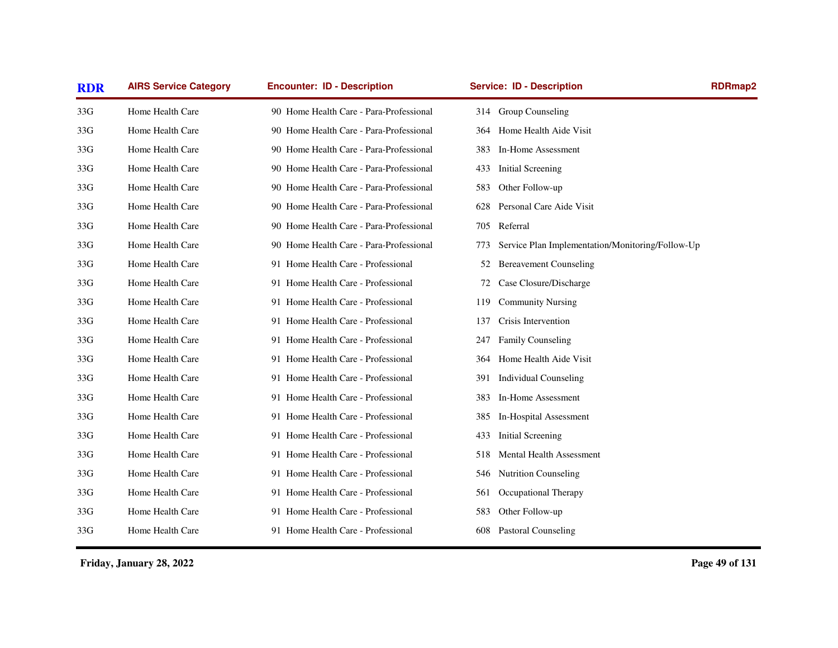| <b>RDR</b> | <b>AIRS Service Category</b> | <b>Encounter: ID - Description</b>      | <b>Service: ID - Description</b>                        | RDRmap2 |
|------------|------------------------------|-----------------------------------------|---------------------------------------------------------|---------|
| 33G        | Home Health Care             | 90 Home Health Care - Para-Professional | 314 Group Counseling                                    |         |
| 33G        | Home Health Care             | 90 Home Health Care - Para-Professional | Home Health Aide Visit<br>364                           |         |
| 33G        | Home Health Care             | 90 Home Health Care - Para-Professional | In-Home Assessment<br>383                               |         |
| 33G        | Home Health Care             | 90 Home Health Care - Para-Professional | <b>Initial Screening</b><br>433                         |         |
| 33G        | Home Health Care             | 90 Home Health Care - Para-Professional | Other Follow-up<br>583                                  |         |
| 33G        | Home Health Care             | 90 Home Health Care - Para-Professional | Personal Care Aide Visit<br>628                         |         |
| 33G        | Home Health Care             | 90 Home Health Care - Para-Professional | Referral<br>705                                         |         |
| 33G        | Home Health Care             | 90 Home Health Care - Para-Professional | Service Plan Implementation/Monitoring/Follow-Up<br>773 |         |
| 33G        | Home Health Care             | 91 Home Health Care - Professional      | <b>Bereavement Counseling</b><br>52                     |         |
| 33G        | Home Health Care             | 91 Home Health Care - Professional      | Case Closure/Discharge<br>72                            |         |
| 33G        | Home Health Care             | 91 Home Health Care - Professional      | <b>Community Nursing</b><br>119                         |         |
| 33G        | Home Health Care             | 91 Home Health Care - Professional      | Crisis Intervention<br>137                              |         |
| 33G        | Home Health Care             | 91 Home Health Care - Professional      | Family Counseling<br>247                                |         |
| 33G        | Home Health Care             | 91 Home Health Care - Professional      | Home Health Aide Visit<br>364                           |         |
| 33G        | Home Health Care             | 91 Home Health Care - Professional      | <b>Individual Counseling</b><br>391                     |         |
| 33G        | Home Health Care             | 91 Home Health Care - Professional      | In-Home Assessment<br>383                               |         |
| 33G        | Home Health Care             | 91 Home Health Care - Professional      | In-Hospital Assessment<br>385                           |         |
| 33G        | Home Health Care             | 91 Home Health Care - Professional      | <b>Initial Screening</b><br>433                         |         |
| 33G        | Home Health Care             | 91 Home Health Care - Professional      | <b>Mental Health Assessment</b><br>518                  |         |
| 33G        | Home Health Care             | 91 Home Health Care - Professional      | <b>Nutrition Counseling</b><br>546                      |         |
| 33G        | Home Health Care             | 91 Home Health Care - Professional      | Occupational Therapy<br>561                             |         |
| 33G        | Home Health Care             | 91 Home Health Care - Professional      | 583<br>Other Follow-up                                  |         |
| 33G        | Home Health Care             | 91 Home Health Care - Professional      | 608 Pastoral Counseling                                 |         |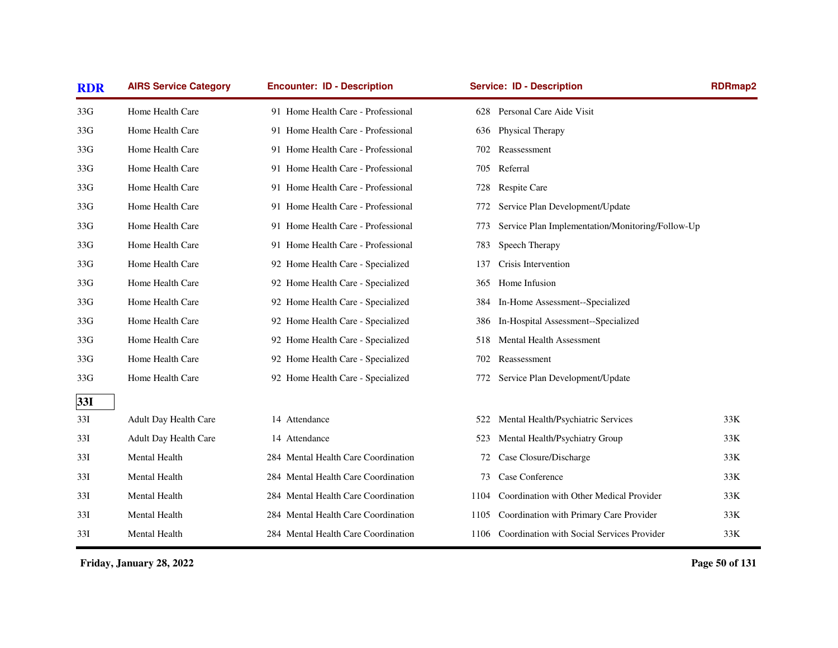| <b>RDR</b> | <b>AIRS Service Category</b> | <b>Encounter: ID - Description</b>  | <b>Service: ID - Description</b>                        | <b>RDRmap2</b> |
|------------|------------------------------|-------------------------------------|---------------------------------------------------------|----------------|
| 33G        | Home Health Care             | 91 Home Health Care - Professional  | 628 Personal Care Aide Visit                            |                |
| 33G        | Home Health Care             | 91 Home Health Care - Professional  | Physical Therapy<br>636                                 |                |
| 33G        | Home Health Care             | 91 Home Health Care - Professional  | 702<br>Reassessment                                     |                |
| 33G        | Home Health Care             | 91 Home Health Care - Professional  | Referral<br>705                                         |                |
| 33G        | Home Health Care             | 91 Home Health Care - Professional  | Respite Care<br>728                                     |                |
| 33G        | Home Health Care             | 91 Home Health Care - Professional  | Service Plan Development/Update<br>772                  |                |
| 33G        | Home Health Care             | 91 Home Health Care - Professional  | Service Plan Implementation/Monitoring/Follow-Up<br>773 |                |
| 33G        | Home Health Care             | 91 Home Health Care - Professional  | Speech Therapy<br>783                                   |                |
| 33G        | Home Health Care             | 92 Home Health Care - Specialized   | Crisis Intervention<br>137                              |                |
| 33G        | Home Health Care             | 92 Home Health Care - Specialized   | Home Infusion<br>365                                    |                |
| 33G        | Home Health Care             | 92 Home Health Care - Specialized   | In-Home Assessment--Specialized<br>384                  |                |
| 33G        | Home Health Care             | 92 Home Health Care - Specialized   | In-Hospital Assessment--Specialized<br>386              |                |
| 33G        | Home Health Care             | 92 Home Health Care - Specialized   | Mental Health Assessment<br>518                         |                |
| 33G        | Home Health Care             | 92 Home Health Care - Specialized   | Reassessment<br>702                                     |                |
| 33G        | Home Health Care             | 92 Home Health Care - Specialized   | Service Plan Development/Update<br>772                  |                |
| 33I        |                              |                                     |                                                         |                |
| 33I        | Adult Day Health Care        | 14 Attendance                       | Mental Health/Psychiatric Services<br>522               | 33K            |
| 33I        | Adult Day Health Care        | 14 Attendance                       | Mental Health/Psychiatry Group<br>523                   | 33K            |
| 33I        | Mental Health                | 284 Mental Health Care Coordination | Case Closure/Discharge<br>72                            | 33K            |
| 33I        | Mental Health                | 284 Mental Health Care Coordination | Case Conference<br>73                                   | 33K            |
| 33I        | Mental Health                | 284 Mental Health Care Coordination | Coordination with Other Medical Provider<br>1104        | 33K            |
| 33I        | Mental Health                | 284 Mental Health Care Coordination | Coordination with Primary Care Provider<br>1105         | 33K            |
| 33I        | Mental Health                | 284 Mental Health Care Coordination | 1106 Coordination with Social Services Provider         | 33K            |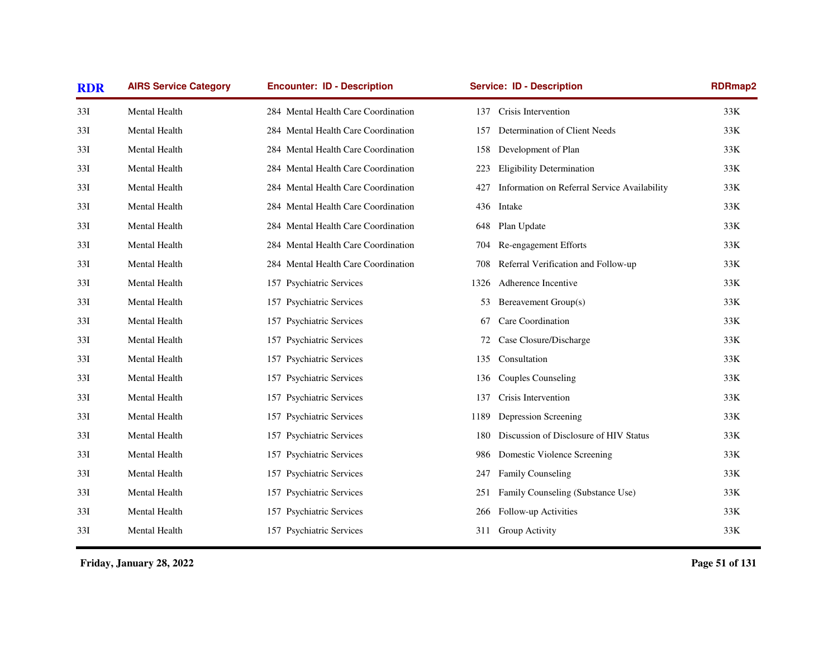| <b>RDR</b> | <b>AIRS Service Category</b> | <b>Encounter: ID - Description</b>  | <b>Service: ID - Description</b>                    | <b>RDRmap2</b> |
|------------|------------------------------|-------------------------------------|-----------------------------------------------------|----------------|
| 33I        | Mental Health                | 284 Mental Health Care Coordination | Crisis Intervention<br>137                          | 33K            |
| 33I        | Mental Health                | 284 Mental Health Care Coordination | Determination of Client Needs<br>157                | 33K            |
| 33I        | Mental Health                | 284 Mental Health Care Coordination | Development of Plan<br>158                          | 33K            |
| 33I        | Mental Health                | 284 Mental Health Care Coordination | <b>Eligibility Determination</b><br>223             | 33K            |
| 33I        | Mental Health                | 284 Mental Health Care Coordination | Information on Referral Service Availability<br>427 | 33K            |
| 33I        | Mental Health                | 284 Mental Health Care Coordination | 436<br>Intake                                       | 33K            |
| 33I        | Mental Health                | 284 Mental Health Care Coordination | Plan Update<br>648                                  | 33K            |
| 33I        | Mental Health                | 284 Mental Health Care Coordination | Re-engagement Efforts<br>704                        | $33K$          |
| 33I        | Mental Health                | 284 Mental Health Care Coordination | Referral Verification and Follow-up<br>708          | 33K            |
| 33I        | Mental Health                | 157 Psychiatric Services            | Adherence Incentive<br>1326                         | 33K            |
| 33I        | Mental Health                | 157 Psychiatric Services            | Bereavement Group(s)<br>53                          | 33K            |
| 33I        | Mental Health                | 157 Psychiatric Services            | Care Coordination<br>67                             | 33K            |
| 33I        | Mental Health                | 157 Psychiatric Services            | Case Closure/Discharge<br>72                        | 33K            |
| 33I        | Mental Health                | 157 Psychiatric Services            | Consultation<br>135                                 | 33K            |
| 33I        | Mental Health                | 157 Psychiatric Services            | <b>Couples Counseling</b><br>136                    | 33K            |
| 33I        | Mental Health                | 157 Psychiatric Services            | Crisis Intervention<br>137                          | 33K            |
| 33I        | Mental Health                | 157 Psychiatric Services            | Depression Screening<br>1189                        | 33K            |
| 33I        | Mental Health                | 157 Psychiatric Services            | Discussion of Disclosure of HIV Status<br>180       | 33K            |
| 33I        | Mental Health                | 157 Psychiatric Services            | Domestic Violence Screening<br>986                  | 33K            |
| 33I        | Mental Health                | 157 Psychiatric Services            | <b>Family Counseling</b><br>247                     | 33K            |
| 33I        | Mental Health                | 157 Psychiatric Services            | Family Counseling (Substance Use)<br>251            | 33K            |
| 33I        | Mental Health                | 157 Psychiatric Services            | Follow-up Activities<br>266                         | 33K            |
| 33I        | Mental Health                | 157 Psychiatric Services            | Group Activity<br>311                               | 33K            |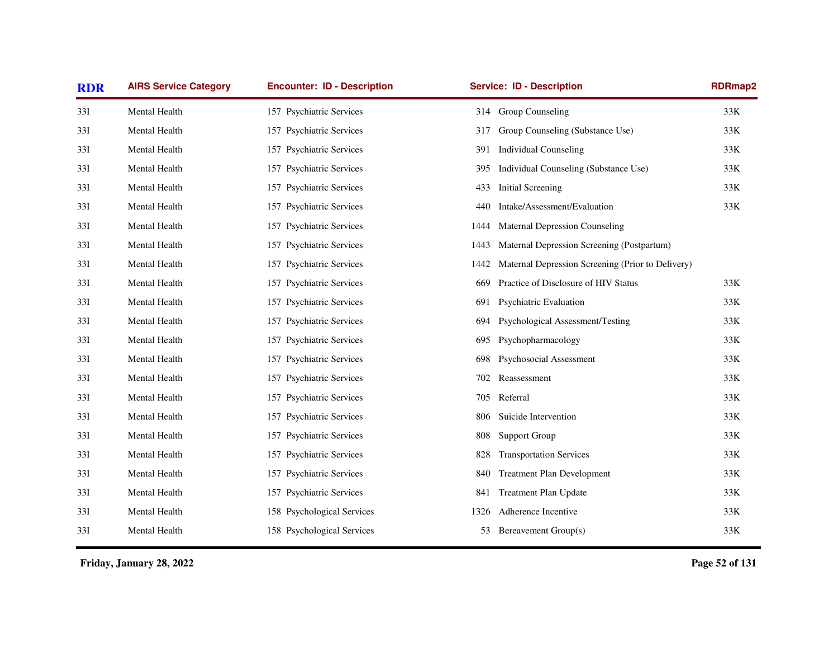| <b>RDR</b> | <b>AIRS Service Category</b> | <b>Encounter: ID - Description</b> | <b>Service: ID - Description</b>                          | RDRmap2 |
|------------|------------------------------|------------------------------------|-----------------------------------------------------------|---------|
| 33I        | Mental Health                | 157 Psychiatric Services           | 314 Group Counseling                                      | 33K     |
| 33I        | Mental Health                | 157 Psychiatric Services           | Group Counseling (Substance Use)<br>317                   | 33K     |
| 33I        | Mental Health                | 157 Psychiatric Services           | <b>Individual Counseling</b><br>391                       | 33K     |
| 33I        | Mental Health                | 157 Psychiatric Services           | Individual Counseling (Substance Use)<br>395              | 33K     |
| 33I        | Mental Health                | 157 Psychiatric Services           | <b>Initial Screening</b><br>433                           | 33K     |
| 33I        | Mental Health                | 157 Psychiatric Services           | Intake/Assessment/Evaluation<br>440                       | 33K     |
| 33I        | Mental Health                | 157 Psychiatric Services           | <b>Maternal Depression Counseling</b><br>1444             |         |
| 33I        | Mental Health                | 157 Psychiatric Services           | Maternal Depression Screening (Postpartum)<br>1443        |         |
| 33I        | Mental Health                | 157 Psychiatric Services           | Maternal Depression Screening (Prior to Delivery)<br>1442 |         |
| 33I        | Mental Health                | 157 Psychiatric Services           | Practice of Disclosure of HIV Status<br>669               | 33K     |
| 33I        | Mental Health                | 157 Psychiatric Services           | <b>Psychiatric Evaluation</b><br>691                      | 33K     |
| 33I        | Mental Health                | 157 Psychiatric Services           | Psychological Assessment/Testing<br>694                   | 33K     |
| 33I        | Mental Health                | 157 Psychiatric Services           | Psychopharmacology<br>695                                 | 33K     |
| 33I        | Mental Health                | 157 Psychiatric Services           | Psychosocial Assessment<br>698                            | 33K     |
| 33I        | Mental Health                | 157 Psychiatric Services           | Reassessment<br>702                                       | $33K$   |
| 33I        | Mental Health                | 157 Psychiatric Services           | 705 Referral                                              | 33K     |
| 33I        | Mental Health                | 157 Psychiatric Services           | Suicide Intervention<br>806                               | 33K     |
| 33I        | Mental Health                | 157 Psychiatric Services           | 808<br><b>Support Group</b>                               | $33K$   |
| 33I        | Mental Health                | 157 Psychiatric Services           | <b>Transportation Services</b><br>828                     | 33K     |
| 33I        | Mental Health                | 157 Psychiatric Services           | <b>Treatment Plan Development</b><br>840                  | 33K     |
| 33I        | Mental Health                | 157 Psychiatric Services           | <b>Treatment Plan Update</b><br>841                       | 33K     |
| 33I        | Mental Health                | 158 Psychological Services         | Adherence Incentive<br>1326                               | 33K     |
| 33I        | Mental Health                | 158 Psychological Services         | Bereavement Group(s)<br>53                                | 33K     |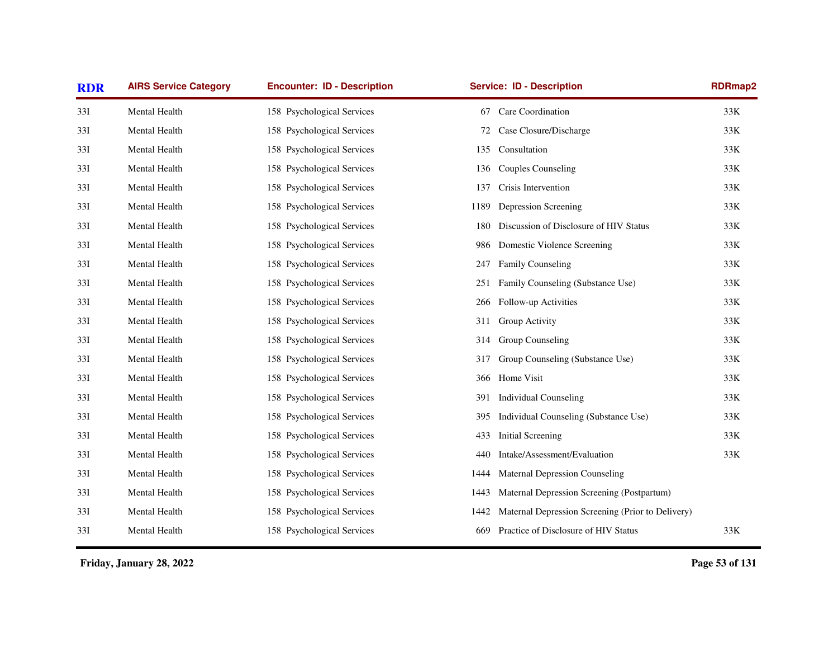| <b>RDR</b> | <b>AIRS Service Category</b> | <b>Encounter: ID - Description</b> | <b>Service: ID - Description</b>                          | <b>RDRmap2</b> |
|------------|------------------------------|------------------------------------|-----------------------------------------------------------|----------------|
| 33I        | Mental Health                | 158 Psychological Services         | Care Coordination<br>67                                   | 33K            |
| 33I        | Mental Health                | 158 Psychological Services         | Case Closure/Discharge<br>72                              | 33K            |
| 33I        | Mental Health                | 158 Psychological Services         | Consultation<br>135                                       | 33K            |
| 33I        | Mental Health                | 158 Psychological Services         | Couples Counseling<br>136                                 | 33K            |
| 33I        | Mental Health                | 158 Psychological Services         | Crisis Intervention<br>137                                | 33K            |
| 33I        | Mental Health                | 158 Psychological Services         | Depression Screening<br>1189                              | 33K            |
| 33I        | Mental Health                | 158 Psychological Services         | Discussion of Disclosure of HIV Status<br>180             | 33K            |
| 33I        | Mental Health                | 158 Psychological Services         | Domestic Violence Screening<br>986                        | 33K            |
| 33I        | Mental Health                | 158 Psychological Services         | Family Counseling<br>247                                  | 33K            |
| 33I        | Mental Health                | 158 Psychological Services         | Family Counseling (Substance Use)<br>251                  | 33K            |
| 33I        | Mental Health                | 158 Psychological Services         | Follow-up Activities<br>266                               | 33K            |
| 33I        | Mental Health                | 158 Psychological Services         | Group Activity<br>311                                     | 33K            |
| 33I        | Mental Health                | 158 Psychological Services         | Group Counseling<br>314                                   | 33K            |
| 33I        | Mental Health                | 158 Psychological Services         | Group Counseling (Substance Use)<br>317                   | 33K            |
| 33I        | Mental Health                | 158 Psychological Services         | Home Visit<br>366                                         | 33K            |
| 33I        | Mental Health                | 158 Psychological Services         | <b>Individual Counseling</b><br>391                       | 33K            |
| 33I        | Mental Health                | 158 Psychological Services         | Individual Counseling (Substance Use)<br>395              | 33K            |
| 33I        | Mental Health                | 158 Psychological Services         | Initial Screening<br>433                                  | 33K            |
| 33I        | Mental Health                | 158 Psychological Services         | Intake/Assessment/Evaluation<br>440                       | 33K            |
| 33I        | Mental Health                | 158 Psychological Services         | <b>Maternal Depression Counseling</b><br>1444             |                |
| 33I        | Mental Health                | 158 Psychological Services         | Maternal Depression Screening (Postpartum)<br>1443        |                |
| 33I        | Mental Health                | 158 Psychological Services         | Maternal Depression Screening (Prior to Delivery)<br>1442 |                |
| 33I        | Mental Health                | 158 Psychological Services         | Practice of Disclosure of HIV Status<br>669               | 33K            |
|            |                              |                                    |                                                           |                |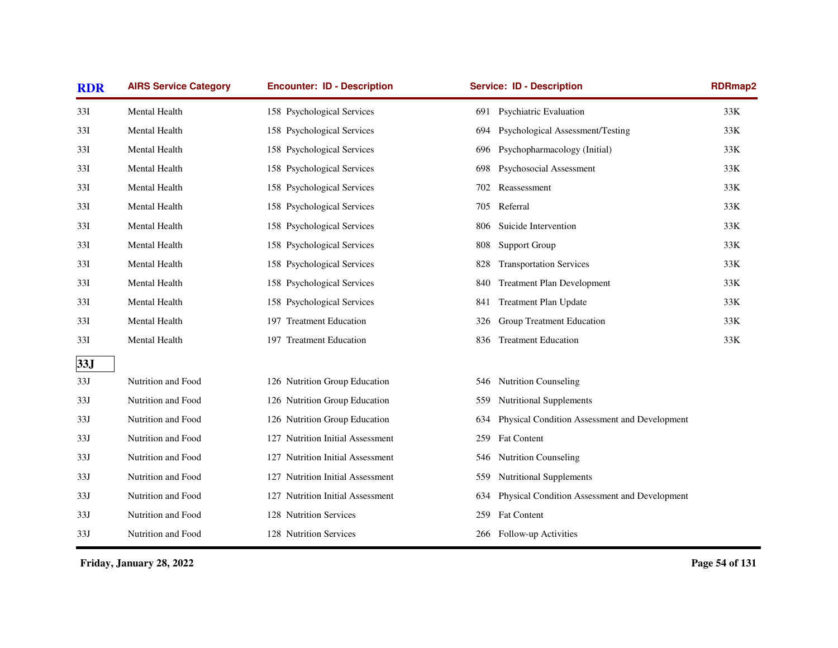| <b>RDR</b> | <b>AIRS Service Category</b> | <b>Encounter: ID - Description</b> | <b>Service: ID - Description</b>                     | <b>RDRmap2</b> |
|------------|------------------------------|------------------------------------|------------------------------------------------------|----------------|
| 33I        | Mental Health                | 158 Psychological Services         | 691 Psychiatric Evaluation                           | 33K            |
| 33I        | Mental Health                | 158 Psychological Services         | Psychological Assessment/Testing<br>694              | 33K            |
| 33I        | Mental Health                | 158 Psychological Services         | Psychopharmacology (Initial)<br>696                  | 33K            |
| 33I        | Mental Health                | 158 Psychological Services         | Psychosocial Assessment<br>698                       | 33K            |
| 33I        | Mental Health                | 158 Psychological Services         | Reassessment<br>702                                  | 33K            |
| 33I        | Mental Health                | 158 Psychological Services         | Referral<br>705                                      | 33K            |
| 33I        | Mental Health                | 158 Psychological Services         | Suicide Intervention<br>806                          | 33K            |
| 33I        | Mental Health                | 158 Psychological Services         | <b>Support Group</b><br>808                          | 33K            |
| 33I        | Mental Health                | 158 Psychological Services         | <b>Transportation Services</b><br>828                | 33K            |
| 33I        | Mental Health                | 158 Psychological Services         | <b>Treatment Plan Development</b><br>840             | 33K            |
| 33I        | Mental Health                | 158 Psychological Services         | Treatment Plan Update<br>841                         | 33K            |
| 33I        | Mental Health                | 197 Treatment Education            | Group Treatment Education<br>326                     | 33K            |
| 33I        | Mental Health                | 197 Treatment Education            | <b>Treatment Education</b><br>836                    | 33K            |
| 33J        |                              |                                    |                                                      |                |
| 33J        | Nutrition and Food           | 126 Nutrition Group Education      | <b>Nutrition Counseling</b><br>546                   |                |
| 33J        | Nutrition and Food           | 126 Nutrition Group Education      | <b>Nutritional Supplements</b><br>559                |                |
| 33J        | Nutrition and Food           | 126 Nutrition Group Education      | Physical Condition Assessment and Development<br>634 |                |
| 33J        | Nutrition and Food           | 127 Nutrition Initial Assessment   | <b>Fat Content</b><br>259                            |                |
| 33J        | Nutrition and Food           | 127 Nutrition Initial Assessment   | <b>Nutrition Counseling</b><br>546                   |                |
| 33J        | Nutrition and Food           | 127 Nutrition Initial Assessment   | <b>Nutritional Supplements</b><br>559                |                |
| 33J        | Nutrition and Food           | 127 Nutrition Initial Assessment   | Physical Condition Assessment and Development<br>634 |                |
| 33J        | Nutrition and Food           | 128 Nutrition Services             | <b>Fat Content</b><br>259                            |                |
| 33J        | Nutrition and Food           | 128 Nutrition Services             | 266 Follow-up Activities                             |                |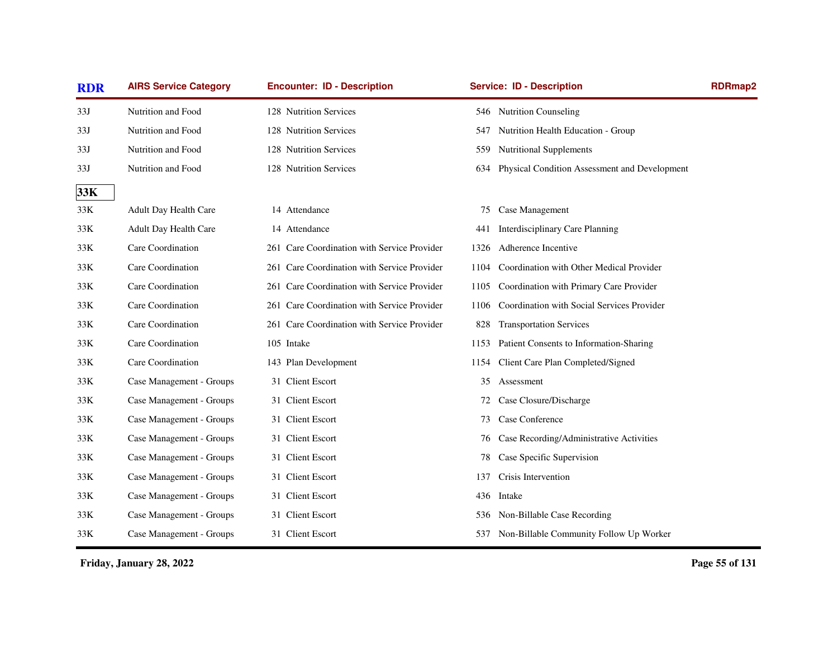| <b>RDR</b> | <b>AIRS Service Category</b> | <b>Encounter: ID - Description</b>          | <b>Service: ID - Description</b>                     | <b>RDRmap2</b> |
|------------|------------------------------|---------------------------------------------|------------------------------------------------------|----------------|
| 33J        | Nutrition and Food           | 128 Nutrition Services                      | 546 Nutrition Counseling                             |                |
| 33J        | Nutrition and Food           | 128 Nutrition Services                      | Nutrition Health Education - Group<br>547            |                |
| 33J        | Nutrition and Food           | 128 Nutrition Services                      | <b>Nutritional Supplements</b><br>559                |                |
| 33J        | Nutrition and Food           | 128 Nutrition Services                      | Physical Condition Assessment and Development<br>634 |                |
| 33K        |                              |                                             |                                                      |                |
| 33K        | Adult Day Health Care        | 14 Attendance                               | Case Management<br>75                                |                |
| 33K        | Adult Day Health Care        | 14 Attendance                               | Interdisciplinary Care Planning<br>441               |                |
| 33K        | Care Coordination            | 261 Care Coordination with Service Provider | Adherence Incentive<br>1326                          |                |
| 33K        | Care Coordination            | 261 Care Coordination with Service Provider | Coordination with Other Medical Provider<br>1104     |                |
| 33K        | Care Coordination            | 261 Care Coordination with Service Provider | Coordination with Primary Care Provider<br>1105      |                |
| 33K        | Care Coordination            | 261 Care Coordination with Service Provider | Coordination with Social Services Provider<br>1106   |                |
| 33K        | Care Coordination            | 261 Care Coordination with Service Provider | <b>Transportation Services</b><br>828                |                |
| 33K        | Care Coordination            | 105 Intake                                  | Patient Consents to Information-Sharing<br>1153      |                |
| 33K        | Care Coordination            | 143 Plan Development                        | Client Care Plan Completed/Signed<br>1154            |                |
| 33K        | Case Management - Groups     | 31 Client Escort                            | Assessment<br>35                                     |                |
| 33K        | Case Management - Groups     | 31 Client Escort                            | Case Closure/Discharge<br>72                         |                |
| 33K        | Case Management - Groups     | 31 Client Escort                            | Case Conference<br>73                                |                |
| 33K        | Case Management - Groups     | 31 Client Escort                            | Case Recording/Administrative Activities<br>76       |                |
| 33K        | Case Management - Groups     | 31 Client Escort                            | Case Specific Supervision<br>78                      |                |
| 33K        | Case Management - Groups     | 31 Client Escort                            | Crisis Intervention<br>137                           |                |
| 33K        | Case Management - Groups     | 31 Client Escort                            | Intake<br>436                                        |                |
| 33K        | Case Management - Groups     | 31 Client Escort                            | Non-Billable Case Recording<br>536                   |                |
| 33K        | Case Management - Groups     | 31 Client Escort                            | Non-Billable Community Follow Up Worker<br>537       |                |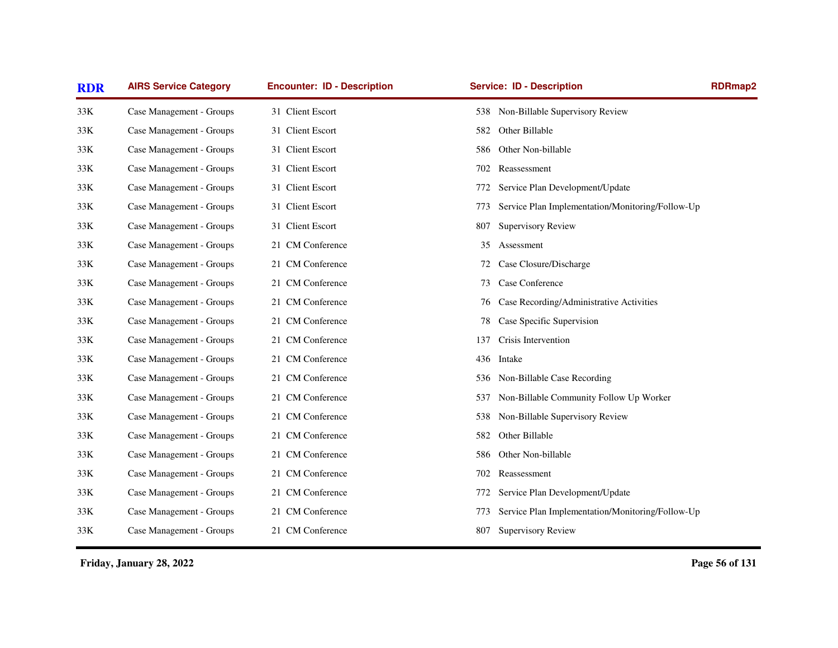| <b>RDR</b> | <b>AIRS Service Category</b> | <b>Encounter: ID - Description</b> | <b>Service: ID - Description</b>                        | <b>RDRmap2</b> |
|------------|------------------------------|------------------------------------|---------------------------------------------------------|----------------|
| 33K        | Case Management - Groups     | 31 Client Escort                   | Non-Billable Supervisory Review<br>538                  |                |
| 33K        | Case Management - Groups     | 31 Client Escort                   | Other Billable<br>582                                   |                |
| 33K        | Case Management - Groups     | 31 Client Escort                   | Other Non-billable<br>586                               |                |
| 33K        | Case Management - Groups     | 31 Client Escort                   | Reassessment<br>702                                     |                |
| 33K        | Case Management - Groups     | 31 Client Escort                   | Service Plan Development/Update<br>772                  |                |
| 33K        | Case Management - Groups     | 31 Client Escort                   | Service Plan Implementation/Monitoring/Follow-Up<br>773 |                |
| 33K        | Case Management - Groups     | 31 Client Escort                   | <b>Supervisory Review</b><br>807                        |                |
| 33K        | Case Management - Groups     | 21 CM Conference                   | Assessment<br>35                                        |                |
| 33K        | Case Management - Groups     | 21 CM Conference                   | Case Closure/Discharge<br>72                            |                |
| 33K        | Case Management - Groups     | 21 CM Conference                   | Case Conference<br>73                                   |                |
| 33K        | Case Management - Groups     | 21 CM Conference                   | Case Recording/Administrative Activities<br>76          |                |
| 33K        | Case Management - Groups     | 21 CM Conference                   | Case Specific Supervision<br>78                         |                |
| 33K        | Case Management - Groups     | 21 CM Conference                   | Crisis Intervention<br>137                              |                |
| 33K        | Case Management - Groups     | 21 CM Conference                   | 436<br>Intake                                           |                |
| 33K        | Case Management - Groups     | 21 CM Conference                   | 536 Non-Billable Case Recording                         |                |
| 33K        | Case Management - Groups     | 21 CM Conference                   | Non-Billable Community Follow Up Worker<br>537          |                |
| 33K        | Case Management - Groups     | 21 CM Conference                   | Non-Billable Supervisory Review<br>538                  |                |
| 33K        | Case Management - Groups     | 21 CM Conference                   | Other Billable<br>582                                   |                |
| 33K        | Case Management - Groups     | 21 CM Conference                   | Other Non-billable<br>586                               |                |
| 33K        | Case Management - Groups     | 21 CM Conference                   | Reassessment<br>702                                     |                |
| 33K        | Case Management - Groups     | 21 CM Conference                   | Service Plan Development/Update<br>772                  |                |
| 33K        | Case Management - Groups     | 21 CM Conference                   | Service Plan Implementation/Monitoring/Follow-Up<br>773 |                |
| 33K        | Case Management - Groups     | 21 CM Conference                   | <b>Supervisory Review</b><br>807                        |                |
|            |                              |                                    |                                                         |                |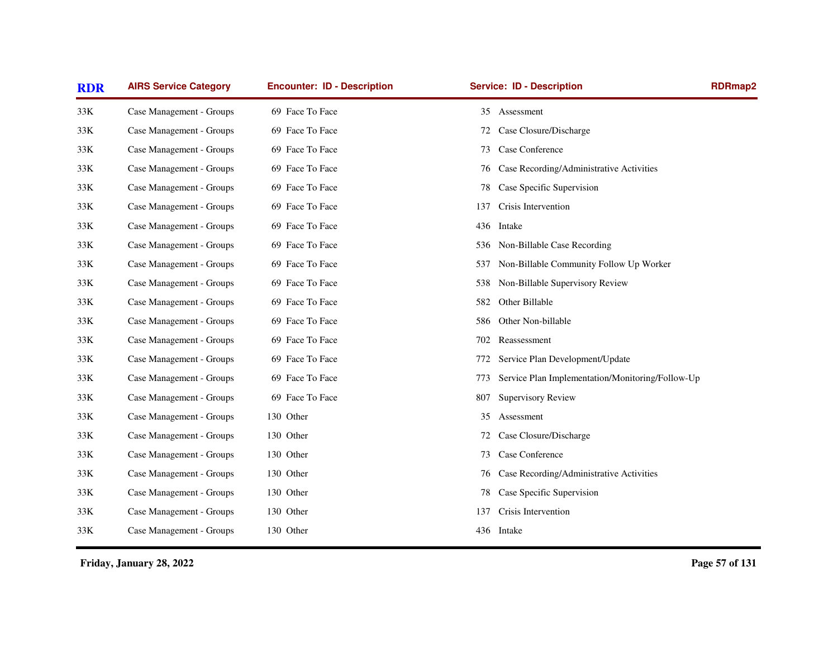| <b>RDR</b> | <b>AIRS Service Category</b> | <b>Encounter: ID - Description</b> | <b>Service: ID - Description</b>                        | <b>RDRmap2</b> |
|------------|------------------------------|------------------------------------|---------------------------------------------------------|----------------|
| 33K        | Case Management - Groups     | 69 Face To Face                    | Assessment<br>35                                        |                |
| 33K        | Case Management - Groups     | 69 Face To Face                    | Case Closure/Discharge<br>72                            |                |
| 33K        | Case Management - Groups     | 69 Face To Face                    | Case Conference<br>73                                   |                |
| 33K        | Case Management - Groups     | 69 Face To Face                    | Case Recording/Administrative Activities<br>76          |                |
| 33K        | Case Management - Groups     | 69 Face To Face                    | Case Specific Supervision<br>78                         |                |
| 33K        | Case Management - Groups     | 69 Face To Face                    | Crisis Intervention<br>137                              |                |
| 33K        | Case Management - Groups     | 69 Face To Face                    | 436<br>Intake                                           |                |
| 33K        | Case Management - Groups     | 69 Face To Face                    | Non-Billable Case Recording<br>536                      |                |
| 33K        | Case Management - Groups     | 69 Face To Face                    | Non-Billable Community Follow Up Worker<br>537          |                |
| 33K        | Case Management - Groups     | 69 Face To Face                    | Non-Billable Supervisory Review<br>538                  |                |
| 33K        | Case Management - Groups     | 69 Face To Face                    | Other Billable<br>582                                   |                |
| 33K        | Case Management - Groups     | 69 Face To Face                    | Other Non-billable<br>586                               |                |
| 33K        | Case Management - Groups     | 69 Face To Face                    | 702<br>Reassessment                                     |                |
| 33K        | Case Management - Groups     | 69 Face To Face                    | Service Plan Development/Update<br>772                  |                |
| 33K        | Case Management - Groups     | 69 Face To Face                    | Service Plan Implementation/Monitoring/Follow-Up<br>773 |                |
| 33K        | Case Management - Groups     | 69 Face To Face                    | <b>Supervisory Review</b><br>807                        |                |
| 33K        | Case Management - Groups     | 130 Other                          | Assessment<br>35                                        |                |
| 33K        | Case Management - Groups     | 130 Other                          | Case Closure/Discharge<br>72                            |                |
| 33K        | Case Management - Groups     | 130 Other                          | Case Conference<br>73                                   |                |
| 33K        | Case Management - Groups     | 130 Other                          | Case Recording/Administrative Activities<br>76          |                |
| 33K        | Case Management - Groups     | 130 Other                          | Case Specific Supervision<br>78                         |                |
| 33K        | Case Management - Groups     | 130 Other                          | Crisis Intervention<br>137                              |                |
| 33K        | Case Management - Groups     | 130 Other                          | 436 Intake                                              |                |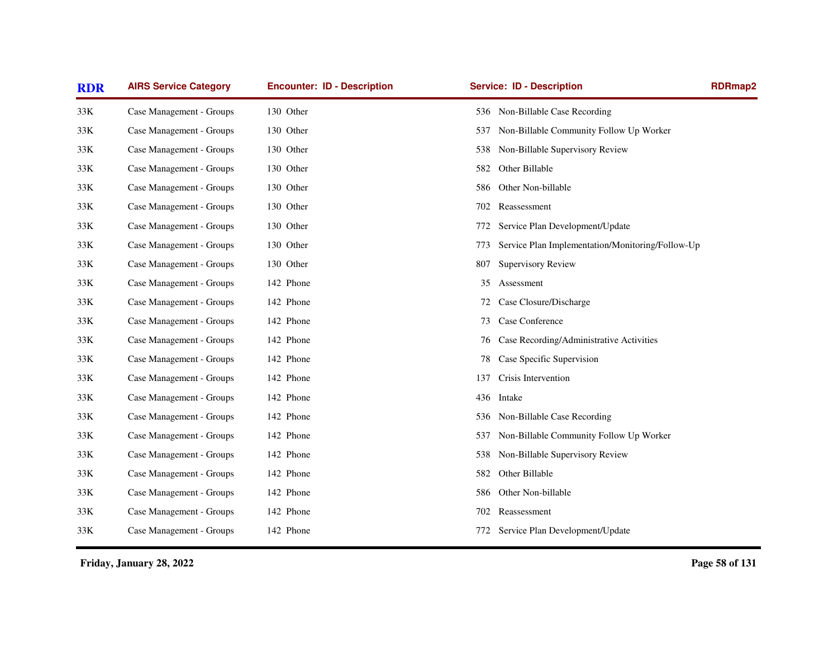| <b>RDR</b> | <b>AIRS Service Category</b> | <b>Encounter: ID - Description</b> | <b>Service: ID - Description</b>                        | <b>RDRmap2</b> |
|------------|------------------------------|------------------------------------|---------------------------------------------------------|----------------|
| 33K        | Case Management - Groups     | 130 Other                          | 536 Non-Billable Case Recording                         |                |
| 33K        | Case Management - Groups     | 130 Other                          | Non-Billable Community Follow Up Worker<br>537          |                |
| 33K        | Case Management - Groups     | 130 Other                          | Non-Billable Supervisory Review<br>538                  |                |
| 33K        | Case Management - Groups     | 130 Other                          | Other Billable<br>582                                   |                |
| 33K        | Case Management - Groups     | 130 Other                          | Other Non-billable<br>586.                              |                |
| 33K        | Case Management - Groups     | 130 Other                          | Reassessment<br>702                                     |                |
| 33K        | Case Management - Groups     | 130 Other                          | Service Plan Development/Update<br>772                  |                |
| 33K        | Case Management - Groups     | 130 Other                          | Service Plan Implementation/Monitoring/Follow-Up<br>773 |                |
| 33K        | Case Management - Groups     | 130 Other                          | <b>Supervisory Review</b><br>807                        |                |
| 33K        | Case Management - Groups     | 142 Phone                          | Assessment<br>35                                        |                |
| 33K        | Case Management - Groups     | 142 Phone                          | Case Closure/Discharge<br>72                            |                |
| 33K        | Case Management - Groups     | 142 Phone                          | Case Conference<br>73                                   |                |
| 33K        | Case Management - Groups     | 142 Phone                          | Case Recording/Administrative Activities<br>76          |                |
| 33K        | Case Management - Groups     | 142 Phone                          | Case Specific Supervision<br>78                         |                |
| 33K        | Case Management - Groups     | 142 Phone                          | Crisis Intervention<br>137                              |                |
| 33K        | Case Management - Groups     | 142 Phone                          | Intake<br>436                                           |                |
| 33K        | Case Management - Groups     | 142 Phone                          | Non-Billable Case Recording<br>536                      |                |
| 33K        | Case Management - Groups     | 142 Phone                          | Non-Billable Community Follow Up Worker<br>537          |                |
| 33K        | Case Management - Groups     | 142 Phone                          | Non-Billable Supervisory Review<br>538                  |                |
| 33K        | Case Management - Groups     | 142 Phone                          | Other Billable<br>582                                   |                |
| 33K        | Case Management - Groups     | 142 Phone                          | Other Non-billable<br>586                               |                |
| 33K        | Case Management - Groups     | 142 Phone                          | Reassessment<br>702                                     |                |
| 33K        | Case Management - Groups     | 142 Phone                          | Service Plan Development/Update<br>772                  |                |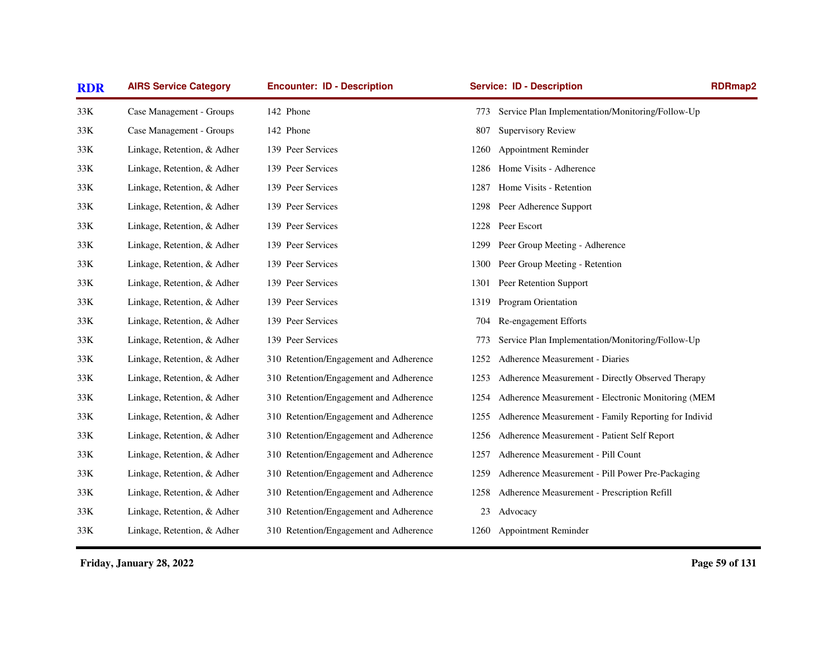| <b>RDR</b> | <b>AIRS Service Category</b> | <b>Encounter: ID - Description</b>     | <b>Service: ID - Description</b>                             | RDRmap2 |
|------------|------------------------------|----------------------------------------|--------------------------------------------------------------|---------|
| 33K        | Case Management - Groups     | 142 Phone                              | Service Plan Implementation/Monitoring/Follow-Up<br>773      |         |
| 33K        | Case Management - Groups     | 142 Phone                              | <b>Supervisory Review</b><br>807                             |         |
| 33K        | Linkage, Retention, & Adher  | 139 Peer Services                      | Appointment Reminder<br>1260                                 |         |
| 33K        | Linkage, Retention, & Adher  | 139 Peer Services                      | Home Visits - Adherence<br>1286                              |         |
| 33K        | Linkage, Retention, & Adher  | 139 Peer Services                      | Home Visits - Retention<br>1287                              |         |
| 33K        | Linkage, Retention, & Adher  | 139 Peer Services                      | Peer Adherence Support<br>1298                               |         |
| 33K        | Linkage, Retention, & Adher  | 139 Peer Services                      | Peer Escort<br>1228                                          |         |
| 33K        | Linkage, Retention, & Adher  | 139 Peer Services                      | Peer Group Meeting - Adherence<br>1299                       |         |
| 33K        | Linkage, Retention, & Adher  | 139 Peer Services                      | Peer Group Meeting - Retention<br>1300                       |         |
| 33K        | Linkage, Retention, & Adher  | 139 Peer Services                      | Peer Retention Support<br>1301                               |         |
| 33K        | Linkage, Retention, & Adher  | 139 Peer Services                      | Program Orientation<br>1319                                  |         |
| 33K        | Linkage, Retention, & Adher  | 139 Peer Services                      | Re-engagement Efforts<br>704                                 |         |
| 33K        | Linkage, Retention, & Adher  | 139 Peer Services                      | Service Plan Implementation/Monitoring/Follow-Up<br>773      |         |
| 33K        | Linkage, Retention, & Adher  | 310 Retention/Engagement and Adherence | Adherence Measurement - Diaries<br>1252                      |         |
| 33K        | Linkage, Retention, & Adher  | 310 Retention/Engagement and Adherence | Adherence Measurement - Directly Observed Therapy<br>1253    |         |
| 33K        | Linkage, Retention, & Adher  | 310 Retention/Engagement and Adherence | Adherence Measurement - Electronic Monitoring (MEM<br>1254   |         |
| 33K        | Linkage, Retention, & Adher  | 310 Retention/Engagement and Adherence | Adherence Measurement - Family Reporting for Individ<br>1255 |         |
| 33K        | Linkage, Retention, & Adher  | 310 Retention/Engagement and Adherence | Adherence Measurement - Patient Self Report<br>1256          |         |
| 33K        | Linkage, Retention, & Adher  | 310 Retention/Engagement and Adherence | Adherence Measurement - Pill Count<br>1257                   |         |
| 33K        | Linkage, Retention, & Adher  | 310 Retention/Engagement and Adherence | Adherence Measurement - Pill Power Pre-Packaging<br>1259     |         |
| 33K        | Linkage, Retention, & Adher  | 310 Retention/Engagement and Adherence | Adherence Measurement - Prescription Refill<br>1258          |         |
| 33K        | Linkage, Retention, & Adher  | 310 Retention/Engagement and Adherence | 23<br>Advocacy                                               |         |
| 33K        | Linkage, Retention, & Adher  | 310 Retention/Engagement and Adherence | 1260 Appointment Reminder                                    |         |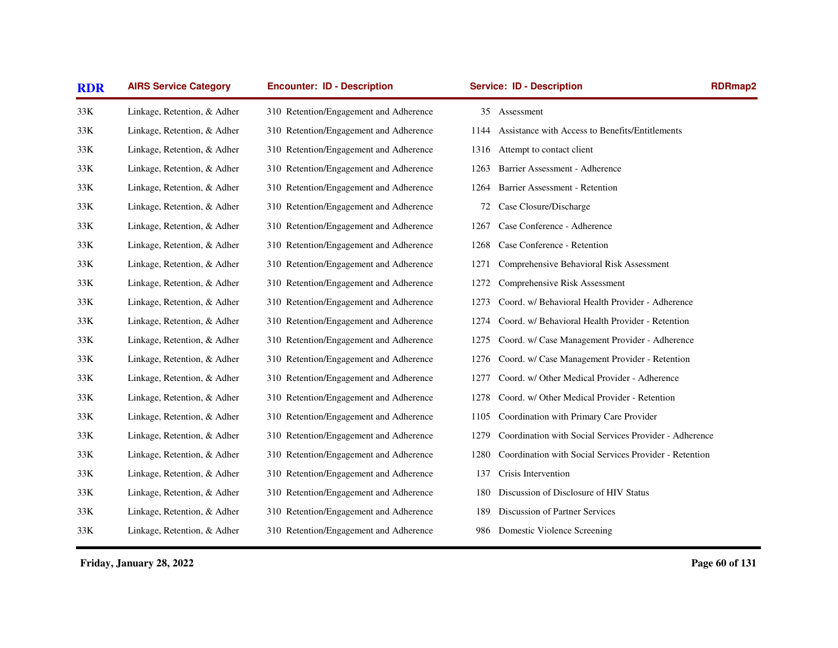| <b>RDR</b> | <b>AIRS Service Category</b> | <b>Encounter: ID - Description</b>     | <b>Service: ID - Description</b>                               | <b>RDRmap2</b> |
|------------|------------------------------|----------------------------------------|----------------------------------------------------------------|----------------|
| 33K        | Linkage, Retention, & Adher  | 310 Retention/Engagement and Adherence | 35 Assessment                                                  |                |
| 33K        | Linkage, Retention, & Adher  | 310 Retention/Engagement and Adherence | Assistance with Access to Benefits/Entitlements<br>1144        |                |
| 33K        | Linkage, Retention, & Adher  | 310 Retention/Engagement and Adherence | 1316 Attempt to contact client                                 |                |
| 33K        | Linkage, Retention, & Adher  | 310 Retention/Engagement and Adherence | Barrier Assessment - Adherence<br>1263                         |                |
| 33K        | Linkage, Retention, & Adher  | 310 Retention/Engagement and Adherence | Barrier Assessment - Retention<br>1264                         |                |
| 33K        | Linkage, Retention, & Adher  | 310 Retention/Engagement and Adherence | Case Closure/Discharge<br>72                                   |                |
| 33K        | Linkage, Retention, & Adher  | 310 Retention/Engagement and Adherence | Case Conference - Adherence<br>1267                            |                |
| 33K        | Linkage, Retention, & Adher  | 310 Retention/Engagement and Adherence | Case Conference - Retention<br>1268                            |                |
| 33K        | Linkage, Retention, & Adher  | 310 Retention/Engagement and Adherence | 1271<br>Comprehensive Behavioral Risk Assessment               |                |
| 33K        | Linkage, Retention, & Adher  | 310 Retention/Engagement and Adherence | Comprehensive Risk Assessment<br>1272                          |                |
| 33K        | Linkage, Retention, & Adher  | 310 Retention/Engagement and Adherence | Coord. w/ Behavioral Health Provider - Adherence<br>1273       |                |
| 33K        | Linkage, Retention, & Adher  | 310 Retention/Engagement and Adherence | 1274<br>Coord. w/ Behavioral Health Provider - Retention       |                |
| 33K        | Linkage, Retention, & Adher  | 310 Retention/Engagement and Adherence | Coord. w/ Case Management Provider - Adherence<br>1275         |                |
| 33K        | Linkage, Retention, & Adher  | 310 Retention/Engagement and Adherence | Coord. w/ Case Management Provider - Retention<br>1276         |                |
| 33K        | Linkage, Retention, & Adher  | 310 Retention/Engagement and Adherence | Coord. w/ Other Medical Provider - Adherence<br>1277           |                |
| 33K        | Linkage, Retention, & Adher  | 310 Retention/Engagement and Adherence | Coord. w/ Other Medical Provider - Retention<br>1278           |                |
| 33K        | Linkage, Retention, & Adher  | 310 Retention/Engagement and Adherence | Coordination with Primary Care Provider<br>1105                |                |
| 33K        | Linkage, Retention, & Adher  | 310 Retention/Engagement and Adherence | Coordination with Social Services Provider - Adherence<br>1279 |                |
| 33K        | Linkage, Retention, & Adher  | 310 Retention/Engagement and Adherence | Coordination with Social Services Provider - Retention<br>1280 |                |
| 33K        | Linkage, Retention, & Adher  | 310 Retention/Engagement and Adherence | Crisis Intervention<br>137                                     |                |
| 33K        | Linkage, Retention, & Adher  | 310 Retention/Engagement and Adherence | Discussion of Disclosure of HIV Status<br>180                  |                |
| 33K        | Linkage, Retention, & Adher  | 310 Retention/Engagement and Adherence | Discussion of Partner Services<br>189                          |                |
| 33K        | Linkage, Retention, & Adher  | 310 Retention/Engagement and Adherence | Domestic Violence Screening<br>986                             |                |
|            |                              |                                        |                                                                |                |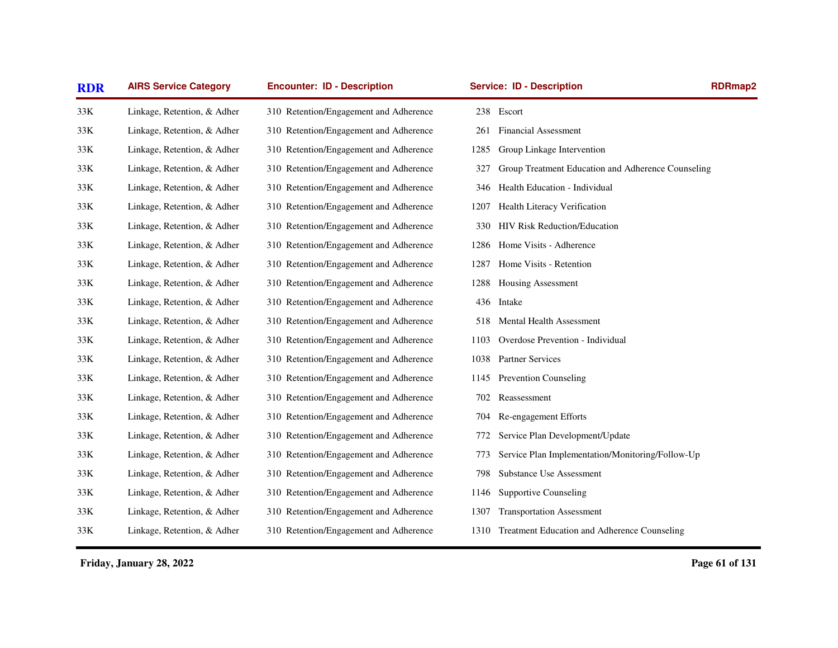| <b>RDR</b> | <b>AIRS Service Category</b> | <b>Encounter: ID - Description</b>     | <b>Service: ID - Description</b>                          | <b>RDRmap2</b> |
|------------|------------------------------|----------------------------------------|-----------------------------------------------------------|----------------|
| 33K        | Linkage, Retention, & Adher  | 310 Retention/Engagement and Adherence | Escort<br>238                                             |                |
| 33K        | Linkage, Retention, & Adher  | 310 Retention/Engagement and Adherence | <b>Financial Assessment</b><br>261                        |                |
| 33K        | Linkage, Retention, & Adher  | 310 Retention/Engagement and Adherence | Group Linkage Intervention<br>1285                        |                |
| 33K        | Linkage, Retention, & Adher  | 310 Retention/Engagement and Adherence | Group Treatment Education and Adherence Counseling<br>327 |                |
| 33K        | Linkage, Retention, & Adher  | 310 Retention/Engagement and Adherence | Health Education - Individual<br>346                      |                |
| 33K        | Linkage, Retention, & Adher  | 310 Retention/Engagement and Adherence | Health Literacy Verification<br>1207                      |                |
| 33K        | Linkage, Retention, & Adher  | 310 Retention/Engagement and Adherence | <b>HIV Risk Reduction/Education</b><br>330                |                |
| 33K        | Linkage, Retention, & Adher  | 310 Retention/Engagement and Adherence | Home Visits - Adherence<br>1286                           |                |
| 33K        | Linkage, Retention, & Adher  | 310 Retention/Engagement and Adherence | Home Visits - Retention<br>1287                           |                |
| $33K$      | Linkage, Retention, & Adher  | 310 Retention/Engagement and Adherence | 1288<br>Housing Assessment                                |                |
| 33K        | Linkage, Retention, & Adher  | 310 Retention/Engagement and Adherence | Intake<br>436                                             |                |
| 33K        | Linkage, Retention, & Adher  | 310 Retention/Engagement and Adherence | <b>Mental Health Assessment</b><br>518                    |                |
| 33K        | Linkage, Retention, & Adher  | 310 Retention/Engagement and Adherence | Overdose Prevention - Individual<br>1103                  |                |
| 33K        | Linkage, Retention, & Adher  | 310 Retention/Engagement and Adherence | <b>Partner Services</b><br>1038                           |                |
| 33K        | Linkage, Retention, & Adher  | 310 Retention/Engagement and Adherence | <b>Prevention Counseling</b><br>1145                      |                |
| 33K        | Linkage, Retention, & Adher  | 310 Retention/Engagement and Adherence | 702<br>Reassessment                                       |                |
| 33K        | Linkage, Retention, & Adher  | 310 Retention/Engagement and Adherence | Re-engagement Efforts<br>704                              |                |
| 33K        | Linkage, Retention, & Adher  | 310 Retention/Engagement and Adherence | Service Plan Development/Update<br>772                    |                |
| 33K        | Linkage, Retention, & Adher  | 310 Retention/Engagement and Adherence | Service Plan Implementation/Monitoring/Follow-Up<br>773   |                |
| 33K        | Linkage, Retention, & Adher  | 310 Retention/Engagement and Adherence | <b>Substance Use Assessment</b><br>798                    |                |
| 33K        | Linkage, Retention, & Adher  | 310 Retention/Engagement and Adherence | <b>Supportive Counseling</b><br>1146                      |                |
| 33K        | Linkage, Retention, & Adher  | 310 Retention/Engagement and Adherence | <b>Transportation Assessment</b><br>1307                  |                |
| 33K        | Linkage, Retention, & Adher  | 310 Retention/Engagement and Adherence | Treatment Education and Adherence Counseling<br>1310      |                |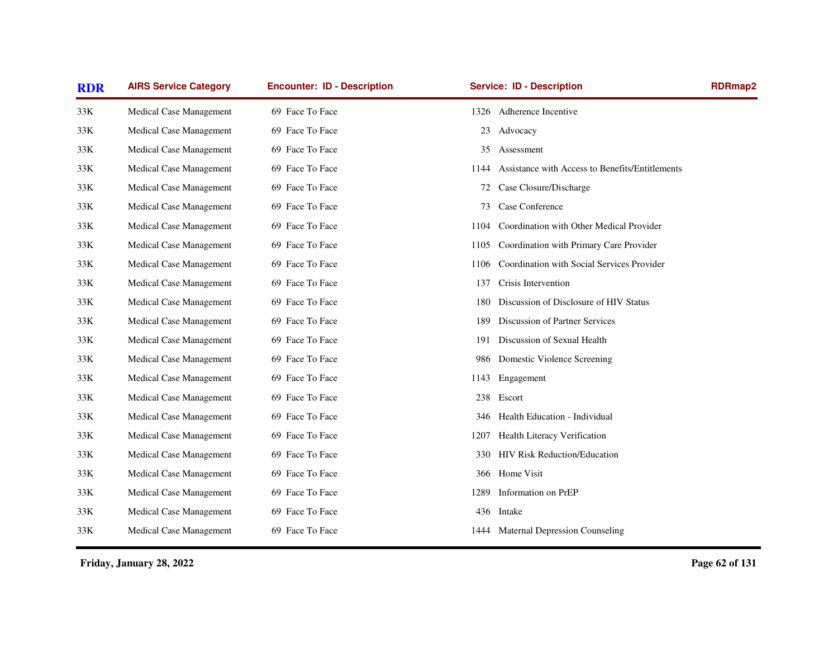| <b>RDR</b> | <b>AIRS Service Category</b> | <b>Encounter: ID - Description</b> | <b>Service: ID - Description</b>                        | <b>RDRmap2</b> |
|------------|------------------------------|------------------------------------|---------------------------------------------------------|----------------|
| 33K        | Medical Case Management      | 69 Face To Face                    | 1326 Adherence Incentive                                |                |
| 33K        | Medical Case Management      | 69 Face To Face                    | Advocacy<br>23                                          |                |
| 33K        | Medical Case Management      | 69 Face To Face                    | 35<br>Assessment                                        |                |
| 33K        | Medical Case Management      | 69 Face To Face                    | Assistance with Access to Benefits/Entitlements<br>1144 |                |
| 33K        | Medical Case Management      | 69 Face To Face                    | 72 Case Closure/Discharge                               |                |
| 33K        | Medical Case Management      | 69 Face To Face                    | Case Conference<br>73                                   |                |
| 33K        | Medical Case Management      | 69 Face To Face                    | Coordination with Other Medical Provider<br>1104        |                |
| 33K        | Medical Case Management      | 69 Face To Face                    | Coordination with Primary Care Provider<br>1105         |                |
| 33K        | Medical Case Management      | 69 Face To Face                    | Coordination with Social Services Provider<br>1106      |                |
| 33K        | Medical Case Management      | 69 Face To Face                    | Crisis Intervention<br>137                              |                |
| 33K        | Medical Case Management      | 69 Face To Face                    | Discussion of Disclosure of HIV Status<br>180           |                |
| 33K        | Medical Case Management      | 69 Face To Face                    | Discussion of Partner Services<br>189                   |                |
| 33K        | Medical Case Management      | 69 Face To Face                    | Discussion of Sexual Health<br>191                      |                |
| 33K        | Medical Case Management      | 69 Face To Face                    | Domestic Violence Screening<br>986                      |                |
| 33K        | Medical Case Management      | 69 Face To Face                    | Engagement<br>1143                                      |                |
| 33K        | Medical Case Management      | 69 Face To Face                    | Escort<br>238                                           |                |
| 33K        | Medical Case Management      | 69 Face To Face                    | Health Education - Individual<br>346                    |                |
| 33K        | Medical Case Management      | 69 Face To Face                    | Health Literacy Verification<br>1207                    |                |
| 33K        | Medical Case Management      | 69 Face To Face                    | HIV Risk Reduction/Education<br>330                     |                |
| 33K        | Medical Case Management      | 69 Face To Face                    | Home Visit<br>366                                       |                |
| 33K        | Medical Case Management      | 69 Face To Face                    | Information on PrEP<br>1289                             |                |
| 33K        | Medical Case Management      | 69 Face To Face                    | 436 Intake                                              |                |
| 33K        | Medical Case Management      | 69 Face To Face                    | 1444 Maternal Depression Counseling                     |                |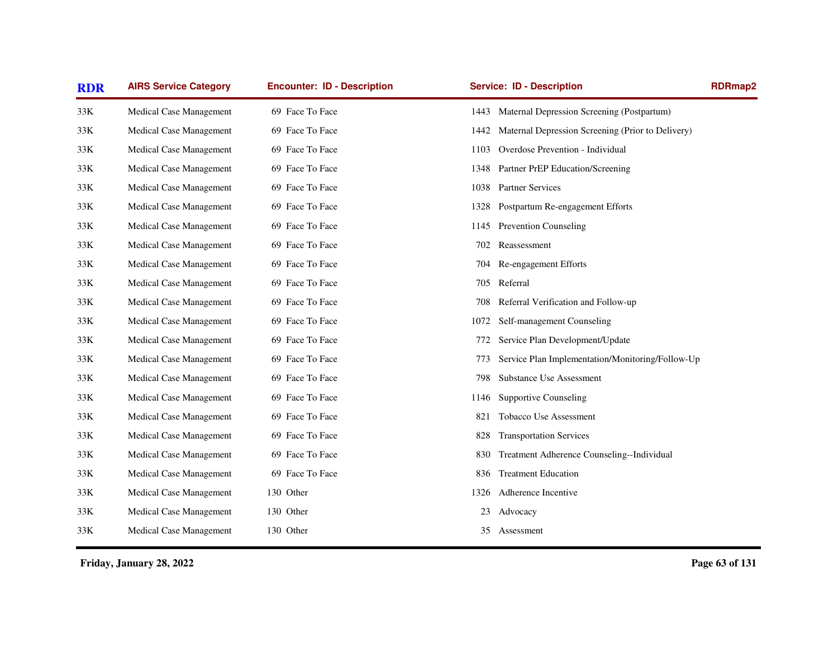| <b>RDR</b> | <b>AIRS Service Category</b> | <b>Encounter: ID - Description</b> | <b>Service: ID - Description</b>                          | <b>RDRmap2</b> |
|------------|------------------------------|------------------------------------|-----------------------------------------------------------|----------------|
| 33K        | Medical Case Management      | 69 Face To Face                    | 1443 Maternal Depression Screening (Postpartum)           |                |
| 33K        | Medical Case Management      | 69 Face To Face                    | Maternal Depression Screening (Prior to Delivery)<br>1442 |                |
| 33K        | Medical Case Management      | 69 Face To Face                    | Overdose Prevention - Individual<br>1103                  |                |
| 33K        | Medical Case Management      | 69 Face To Face                    | 1348 Partner PrEP Education/Screening                     |                |
| 33K        | Medical Case Management      | 69 Face To Face                    | 1038 Partner Services                                     |                |
| 33K        | Medical Case Management      | 69 Face To Face                    | Postpartum Re-engagement Efforts<br>1328                  |                |
| 33K        | Medical Case Management      | 69 Face To Face                    | <b>Prevention Counseling</b><br>1145                      |                |
| 33K        | Medical Case Management      | 69 Face To Face                    | Reassessment<br>702                                       |                |
| 33K        | Medical Case Management      | 69 Face To Face                    | Re-engagement Efforts<br>704                              |                |
| 33K        | Medical Case Management      | 69 Face To Face                    | 705 Referral                                              |                |
| 33K        | Medical Case Management      | 69 Face To Face                    | Referral Verification and Follow-up<br>708                |                |
| 33K        | Medical Case Management      | 69 Face To Face                    | Self-management Counseling<br>1072                        |                |
| 33K        | Medical Case Management      | 69 Face To Face                    | Service Plan Development/Update<br>772                    |                |
| 33K        | Medical Case Management      | 69 Face To Face                    | Service Plan Implementation/Monitoring/Follow-Up<br>773   |                |
| 33K        | Medical Case Management      | 69 Face To Face                    | Substance Use Assessment<br>798                           |                |
| 33K        | Medical Case Management      | 69 Face To Face                    | <b>Supportive Counseling</b><br>1146                      |                |
| 33K        | Medical Case Management      | 69 Face To Face                    | Tobacco Use Assessment<br>821                             |                |
| 33K        | Medical Case Management      | 69 Face To Face                    | <b>Transportation Services</b><br>828                     |                |
| 33K        | Medical Case Management      | 69 Face To Face                    | Treatment Adherence Counseling--Individual<br>830         |                |
| 33K        | Medical Case Management      | 69 Face To Face                    | <b>Treatment Education</b><br>836                         |                |
| 33K        | Medical Case Management      | 130 Other                          | Adherence Incentive<br>1326                               |                |
| 33K        | Medical Case Management      | 130 Other                          | 23<br>Advocacy                                            |                |
| 33K        | Medical Case Management      | 130 Other                          | 35 Assessment                                             |                |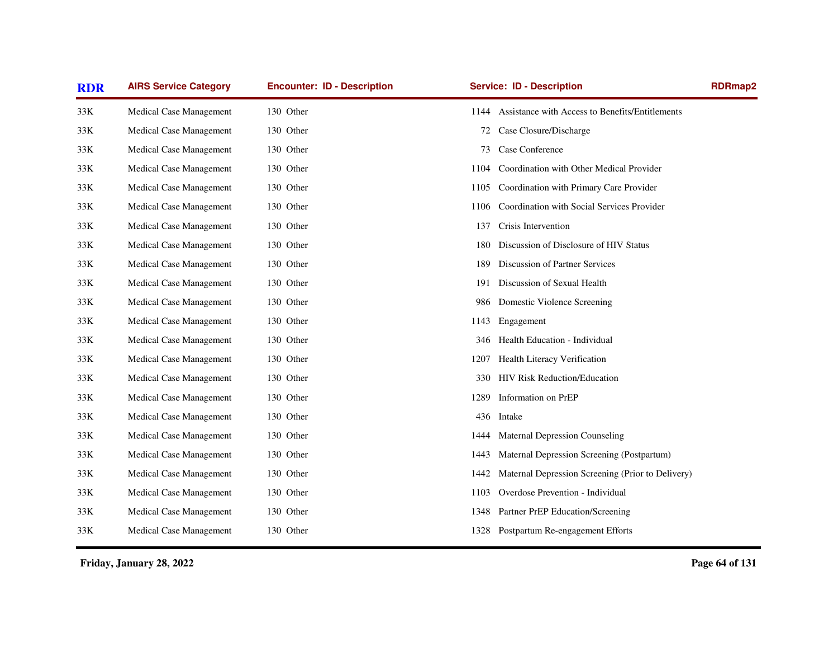| <b>RDR</b> | <b>AIRS Service Category</b>   | <b>Encounter: ID - Description</b> | <b>Service: ID - Description</b>                          | <b>RDRmap2</b> |
|------------|--------------------------------|------------------------------------|-----------------------------------------------------------|----------------|
| 33K        | Medical Case Management        | 130 Other                          | 1144 Assistance with Access to Benefits/Entitlements      |                |
| 33K        | Medical Case Management        | 130 Other                          | Case Closure/Discharge<br>72                              |                |
| 33K        | Medical Case Management        | 130 Other                          | Case Conference<br>73                                     |                |
| 33K        | <b>Medical Case Management</b> | 130 Other                          | Coordination with Other Medical Provider<br>1104          |                |
| 33K        | Medical Case Management        | 130 Other                          | 1105 Coordination with Primary Care Provider              |                |
| 33K        | Medical Case Management        | 130 Other                          | Coordination with Social Services Provider<br>1106        |                |
| 33K        | Medical Case Management        | 130 Other                          | Crisis Intervention<br>137                                |                |
| 33K        | Medical Case Management        | 130 Other                          | Discussion of Disclosure of HIV Status<br>180             |                |
| 33K        | Medical Case Management        | 130 Other                          | Discussion of Partner Services<br>189                     |                |
| 33K        | Medical Case Management        | 130 Other                          | Discussion of Sexual Health<br>191                        |                |
| 33K        | Medical Case Management        | 130 Other                          | Domestic Violence Screening<br>986                        |                |
| 33K        | Medical Case Management        | 130 Other                          | Engagement<br>1143                                        |                |
| 33K        | Medical Case Management        | 130 Other                          | Health Education - Individual<br>346                      |                |
| 33K        | Medical Case Management        | 130 Other                          | Health Literacy Verification<br>1207                      |                |
| 33K        | Medical Case Management        | 130 Other                          | <b>HIV Risk Reduction/Education</b><br>330                |                |
| 33K        | Medical Case Management        | 130 Other                          | Information on PrEP<br>1289                               |                |
| 33K        | Medical Case Management        | 130 Other                          | 436 Intake                                                |                |
| 33K        | Medical Case Management        | 130 Other                          | <b>Maternal Depression Counseling</b><br>1444             |                |
| 33K        | Medical Case Management        | 130 Other                          | Maternal Depression Screening (Postpartum)<br>1443        |                |
| 33K        | Medical Case Management        | 130 Other                          | Maternal Depression Screening (Prior to Delivery)<br>1442 |                |
| 33K        | Medical Case Management        | 130 Other                          | Overdose Prevention - Individual<br>1103                  |                |
| 33K        | Medical Case Management        | 130 Other                          | Partner PrEP Education/Screening<br>1348                  |                |
| 33K        | <b>Medical Case Management</b> | 130 Other                          | 1328 Postpartum Re-engagement Efforts                     |                |
|            |                                |                                    |                                                           |                |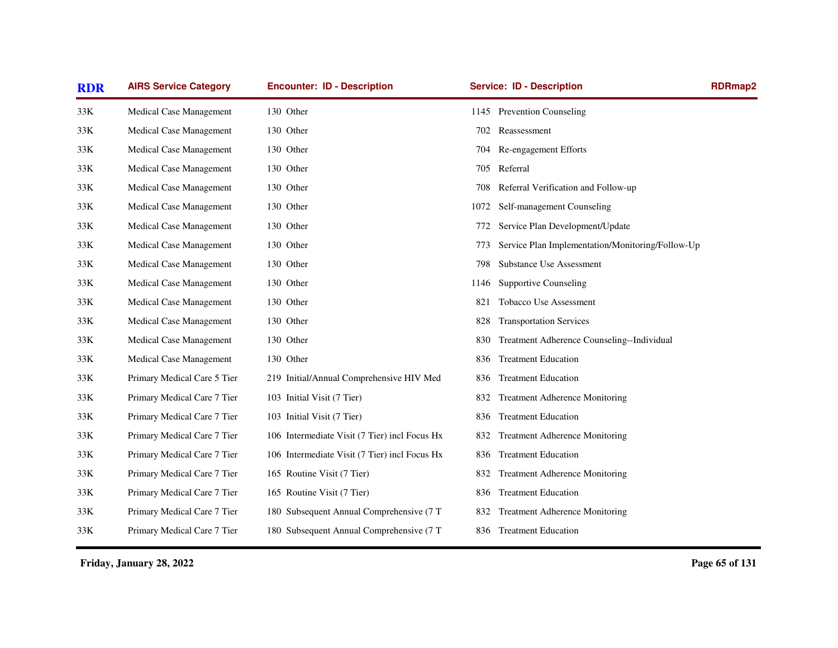| <b>RDR</b> | <b>AIRS Service Category</b> | <b>Encounter: ID - Description</b>            |      | <b>Service: ID - Description</b>                 | <b>RDRmap2</b> |
|------------|------------------------------|-----------------------------------------------|------|--------------------------------------------------|----------------|
| 33K        | Medical Case Management      | 130 Other                                     |      | 1145 Prevention Counseling                       |                |
| 33K        | Medical Case Management      | 130 Other                                     | 702  | Reassessment                                     |                |
| 33K        | Medical Case Management      | 130 Other                                     | 704  | Re-engagement Efforts                            |                |
| 33K        | Medical Case Management      | 130 Other                                     | 705  | Referral                                         |                |
| 33K        | Medical Case Management      | 130 Other                                     | 708  | Referral Verification and Follow-up              |                |
| 33K        | Medical Case Management      | 130 Other                                     | 1072 | Self-management Counseling                       |                |
| 33K        | Medical Case Management      | 130 Other                                     | 772  | Service Plan Development/Update                  |                |
| 33K        | Medical Case Management      | 130 Other                                     | 773  | Service Plan Implementation/Monitoring/Follow-Up |                |
| 33K        | Medical Case Management      | 130 Other                                     | 798  | Substance Use Assessment                         |                |
| 33K        | Medical Case Management      | 130 Other                                     | 1146 | <b>Supportive Counseling</b>                     |                |
| 33K        | Medical Case Management      | 130 Other                                     | 821  | Tobacco Use Assessment                           |                |
| 33K        | Medical Case Management      | 130 Other                                     | 828  | <b>Transportation Services</b>                   |                |
| 33K        | Medical Case Management      | 130 Other                                     | 830  | Treatment Adherence Counseling--Individual       |                |
| 33K        | Medical Case Management      | 130 Other                                     | 836  | <b>Treatment Education</b>                       |                |
| 33K        | Primary Medical Care 5 Tier  | 219 Initial/Annual Comprehensive HIV Med      | 836  | <b>Treatment Education</b>                       |                |
| 33K        | Primary Medical Care 7 Tier  | 103 Initial Visit (7 Tier)                    | 832  | <b>Treatment Adherence Monitoring</b>            |                |
| 33K        | Primary Medical Care 7 Tier  | 103 Initial Visit (7 Tier)                    | 836  | <b>Treatment Education</b>                       |                |
| 33K        | Primary Medical Care 7 Tier  | 106 Intermediate Visit (7 Tier) incl Focus Hx | 832  | <b>Treatment Adherence Monitoring</b>            |                |
| 33K        | Primary Medical Care 7 Tier  | 106 Intermediate Visit (7 Tier) incl Focus Hx | 836  | <b>Treatment Education</b>                       |                |
| 33K        | Primary Medical Care 7 Tier  | 165 Routine Visit (7 Tier)                    | 832  | Treatment Adherence Monitoring                   |                |
| 33K        | Primary Medical Care 7 Tier  | 165 Routine Visit (7 Tier)                    | 836  | <b>Treatment Education</b>                       |                |
| 33K        | Primary Medical Care 7 Tier  | 180 Subsequent Annual Comprehensive (7 T      | 832  | <b>Treatment Adherence Monitoring</b>            |                |
| 33K        | Primary Medical Care 7 Tier  | 180 Subsequent Annual Comprehensive (7 T      |      | 836 Treatment Education                          |                |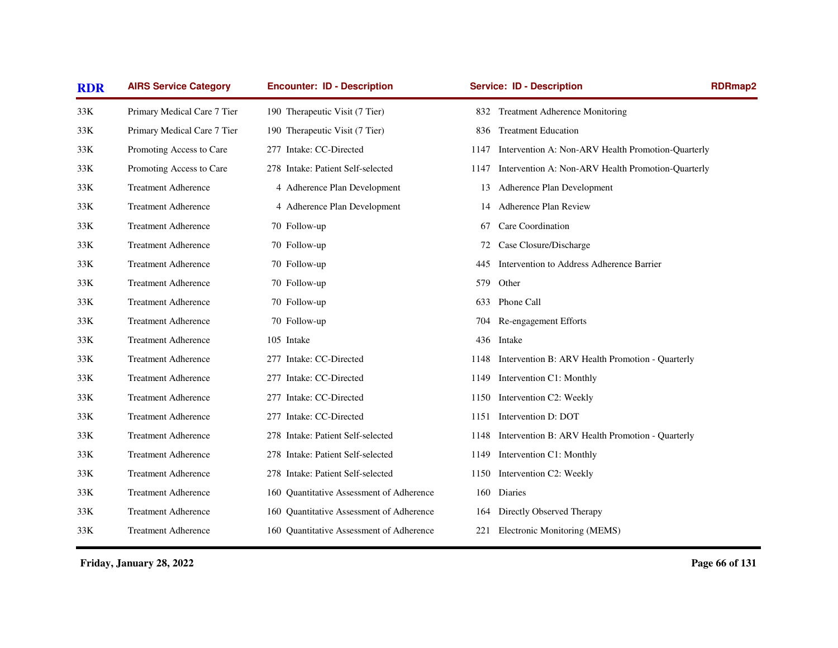| <b>RDR</b> | <b>AIRS Service Category</b> | <b>Encounter: ID - Description</b>       |      | <b>Service: ID - Description</b>                   | <b>RDRmap2</b> |
|------------|------------------------------|------------------------------------------|------|----------------------------------------------------|----------------|
| 33K        | Primary Medical Care 7 Tier  | 190 Therapeutic Visit (7 Tier)           | 832  | <b>Treatment Adherence Monitoring</b>              |                |
| 33K        | Primary Medical Care 7 Tier  | 190 Therapeutic Visit (7 Tier)           | 836  | <b>Treatment Education</b>                         |                |
| 33K        | Promoting Access to Care     | 277 Intake: CC-Directed                  | 1147 | Intervention A: Non-ARV Health Promotion-Quarterly |                |
| 33K        | Promoting Access to Care     | 278 Intake: Patient Self-selected        | 1147 | Intervention A: Non-ARV Health Promotion-Quarterly |                |
| 33K        | <b>Treatment Adherence</b>   | 4 Adherence Plan Development             |      | 13 Adherence Plan Development                      |                |
| 33K        | <b>Treatment Adherence</b>   | 4 Adherence Plan Development             |      | 14 Adherence Plan Review                           |                |
| 33K        | <b>Treatment Adherence</b>   | 70 Follow-up                             | 67   | Care Coordination                                  |                |
| 33K        | <b>Treatment Adherence</b>   | 70 Follow-up                             | 72   | Case Closure/Discharge                             |                |
| 33K        | <b>Treatment Adherence</b>   | 70 Follow-up                             | 445  | Intervention to Address Adherence Barrier          |                |
| 33K        | <b>Treatment Adherence</b>   | 70 Follow-up                             | 579  | Other                                              |                |
| 33K        | <b>Treatment Adherence</b>   | 70 Follow-up                             | 633  | Phone Call                                         |                |
| 33K        | <b>Treatment Adherence</b>   | 70 Follow-up                             | 704  | Re-engagement Efforts                              |                |
| 33K        | <b>Treatment Adherence</b>   | 105 Intake                               |      | 436 Intake                                         |                |
| 33K        | <b>Treatment Adherence</b>   | 277 Intake: CC-Directed                  | 1148 | Intervention B: ARV Health Promotion - Quarterly   |                |
| 33K        | <b>Treatment Adherence</b>   | 277 Intake: CC-Directed                  | 1149 | Intervention C1: Monthly                           |                |
| 33K        | <b>Treatment Adherence</b>   | 277 Intake: CC-Directed                  | 1150 | Intervention C2: Weekly                            |                |
| 33K        | <b>Treatment Adherence</b>   | 277 Intake: CC-Directed                  | 1151 | Intervention D: DOT                                |                |
| 33K        | <b>Treatment Adherence</b>   | 278 Intake: Patient Self-selected        | 1148 | Intervention B: ARV Health Promotion - Quarterly   |                |
| 33K        | <b>Treatment Adherence</b>   | 278 Intake: Patient Self-selected        | 1149 | Intervention C1: Monthly                           |                |
| 33K        | <b>Treatment Adherence</b>   | 278 Intake: Patient Self-selected        | 1150 | Intervention C2: Weekly                            |                |
| 33K        | <b>Treatment Adherence</b>   | 160 Quantitative Assessment of Adherence | 160  | Diaries                                            |                |
| 33K        | <b>Treatment Adherence</b>   | 160 Quantitative Assessment of Adherence | 164  | Directly Observed Therapy                          |                |
| 33K        | <b>Treatment Adherence</b>   | 160 Quantitative Assessment of Adherence | 221  | Electronic Monitoring (MEMS)                       |                |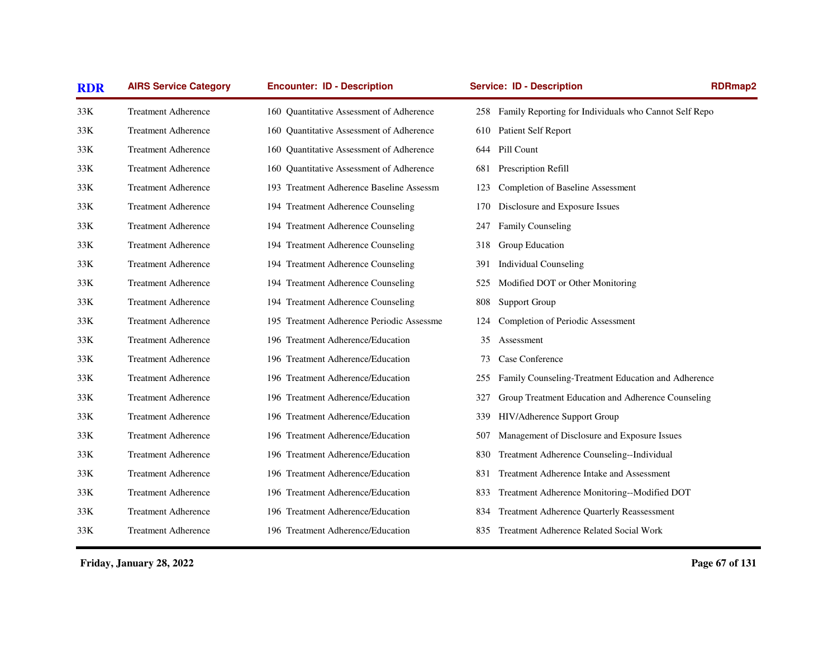| <b>RDR</b> | <b>AIRS Service Category</b> | <b>Encounter: ID - Description</b>        | <b>Service: ID - Description</b>                             | <b>RDRmap2</b> |
|------------|------------------------------|-------------------------------------------|--------------------------------------------------------------|----------------|
| 33K        | <b>Treatment Adherence</b>   | 160 Ouantitative Assessment of Adherence  | Family Reporting for Individuals who Cannot Self Repo<br>258 |                |
| 33K        | <b>Treatment Adherence</b>   | 160 Quantitative Assessment of Adherence  | Patient Self Report<br>610                                   |                |
| 33K        | <b>Treatment Adherence</b>   | 160 Quantitative Assessment of Adherence  | Pill Count<br>644                                            |                |
| 33K        | <b>Treatment Adherence</b>   | 160 Quantitative Assessment of Adherence  | Prescription Refill<br>681                                   |                |
| 33K        | <b>Treatment Adherence</b>   | 193 Treatment Adherence Baseline Assessm  | Completion of Baseline Assessment<br>123                     |                |
| 33K        | <b>Treatment Adherence</b>   | 194 Treatment Adherence Counseling        | Disclosure and Exposure Issues<br>170                        |                |
| 33K        | <b>Treatment Adherence</b>   | 194 Treatment Adherence Counseling        | Family Counseling<br>247                                     |                |
| 33K        | <b>Treatment Adherence</b>   | 194 Treatment Adherence Counseling        | Group Education<br>318                                       |                |
| 33K        | <b>Treatment Adherence</b>   | 194 Treatment Adherence Counseling        | <b>Individual Counseling</b><br>391                          |                |
| 33K        | <b>Treatment Adherence</b>   | 194 Treatment Adherence Counseling        | Modified DOT or Other Monitoring<br>525                      |                |
| 33K        | <b>Treatment Adherence</b>   | 194 Treatment Adherence Counseling        | <b>Support Group</b><br>808                                  |                |
| 33K        | <b>Treatment Adherence</b>   | 195 Treatment Adherence Periodic Assessme | Completion of Periodic Assessment<br>124                     |                |
| 33K        | <b>Treatment Adherence</b>   | 196 Treatment Adherence/Education         | Assessment<br>35                                             |                |
| 33K        | <b>Treatment Adherence</b>   | 196 Treatment Adherence/Education         | Case Conference<br>73                                        |                |
| 33K        | <b>Treatment Adherence</b>   | 196 Treatment Adherence/Education         | Family Counseling-Treatment Education and Adherence<br>255   |                |
| 33K        | <b>Treatment Adherence</b>   | 196 Treatment Adherence/Education         | Group Treatment Education and Adherence Counseling<br>327    |                |
| 33K        | <b>Treatment Adherence</b>   | 196 Treatment Adherence/Education         | HIV/Adherence Support Group<br>339                           |                |
| 33K        | <b>Treatment Adherence</b>   | 196 Treatment Adherence/Education         | Management of Disclosure and Exposure Issues<br>507          |                |
| 33K        | <b>Treatment Adherence</b>   | 196 Treatment Adherence/Education         | Treatment Adherence Counseling--Individual<br>830            |                |
| 33K        | <b>Treatment Adherence</b>   | 196 Treatment Adherence/Education         | Treatment Adherence Intake and Assessment<br>831             |                |
| 33K        | <b>Treatment Adherence</b>   | 196 Treatment Adherence/Education         | Treatment Adherence Monitoring--Modified DOT<br>833          |                |
| 33K        | <b>Treatment Adherence</b>   | 196 Treatment Adherence/Education         | <b>Treatment Adherence Quarterly Reassessment</b><br>834     |                |
| 33K        | <b>Treatment Adherence</b>   | 196 Treatment Adherence/Education         | Treatment Adherence Related Social Work<br>835               |                |
|            |                              |                                           |                                                              |                |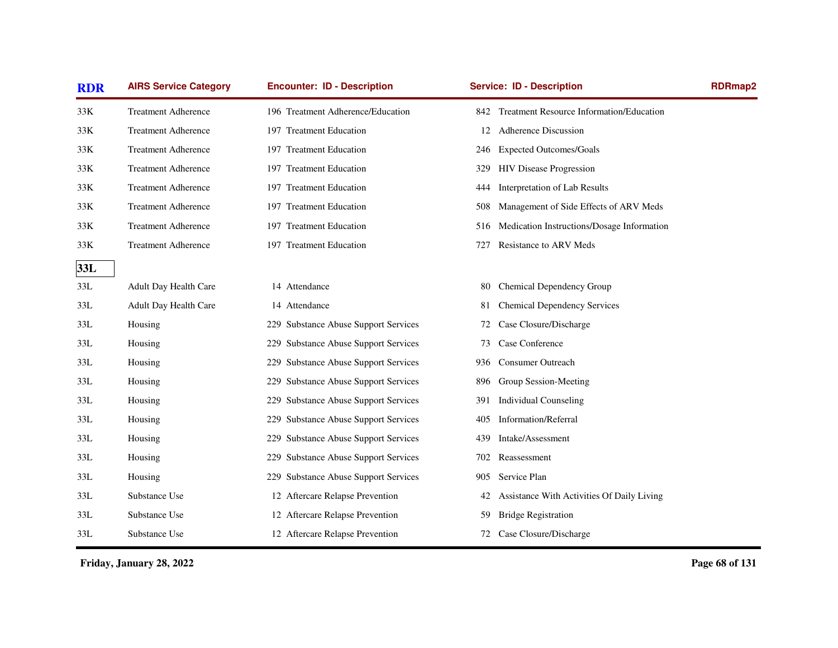| <b>RDR</b> | <b>AIRS Service Category</b> | <b>Encounter: ID - Description</b>             | <b>Service: ID - Description</b>                       | <b>RDRmap2</b> |
|------------|------------------------------|------------------------------------------------|--------------------------------------------------------|----------------|
| 33K        | <b>Treatment Adherence</b>   | 196 Treatment Adherence/Education              | <b>Treatment Resource Information/Education</b><br>842 |                |
| 33K        | <b>Treatment Adherence</b>   | 197 Treatment Education                        | <b>Adherence Discussion</b><br>12                      |                |
| 33K        | <b>Treatment Adherence</b>   | 197 Treatment Education                        | <b>Expected Outcomes/Goals</b><br>246                  |                |
| 33K        | <b>Treatment Adherence</b>   | 197 Treatment Education                        | <b>HIV Disease Progression</b><br>329                  |                |
| 33K        | <b>Treatment Adherence</b>   | 197 Treatment Education                        | Interpretation of Lab Results<br>444                   |                |
| 33K        | <b>Treatment Adherence</b>   | 197 Treatment Education                        | Management of Side Effects of ARV Meds<br>508          |                |
| 33K        | <b>Treatment Adherence</b>   | 197 Treatment Education                        | Medication Instructions/Dosage Information<br>516      |                |
| 33K        | <b>Treatment Adherence</b>   | 197 Treatment Education                        | Resistance to ARV Meds<br>727                          |                |
| 33L        |                              |                                                |                                                        |                |
| 33L        | Adult Day Health Care        | 14 Attendance                                  | Chemical Dependency Group<br>80                        |                |
| 33L        | Adult Day Health Care        | 14 Attendance                                  | <b>Chemical Dependency Services</b><br>81              |                |
| 33L        | Housing                      | 229 Substance Abuse Support Services           | Case Closure/Discharge<br>72                           |                |
| 33L        | Housing                      | 229 Substance Abuse Support Services           | Case Conference<br>73                                  |                |
| 33L        | Housing                      | 229 Substance Abuse Support Services           | <b>Consumer Outreach</b><br>936                        |                |
| 33L        | Housing                      | 229 Substance Abuse Support Services           | Group Session-Meeting<br>896                           |                |
| 33L        | Housing                      | 229 Substance Abuse Support Services           | <b>Individual Counseling</b><br>391                    |                |
| 33L        | Housing                      | 229 Substance Abuse Support Services           | Information/Referral<br>405                            |                |
| 33L        | Housing                      | <b>Substance Abuse Support Services</b><br>229 | Intake/Assessment<br>439                               |                |
| 33L        | Housing                      | 229 Substance Abuse Support Services           | Reassessment<br>702                                    |                |
| 33L        | Housing                      | 229 Substance Abuse Support Services           | Service Plan<br>905                                    |                |
| 33L        | Substance Use                | 12 Aftercare Relapse Prevention                | Assistance With Activities Of Daily Living<br>42       |                |
| 33L        | Substance Use                | 12 Aftercare Relapse Prevention                | <b>Bridge Registration</b><br>59                       |                |
| 33L        | Substance Use                | 12 Aftercare Relapse Prevention                | Case Closure/Discharge<br>72                           |                |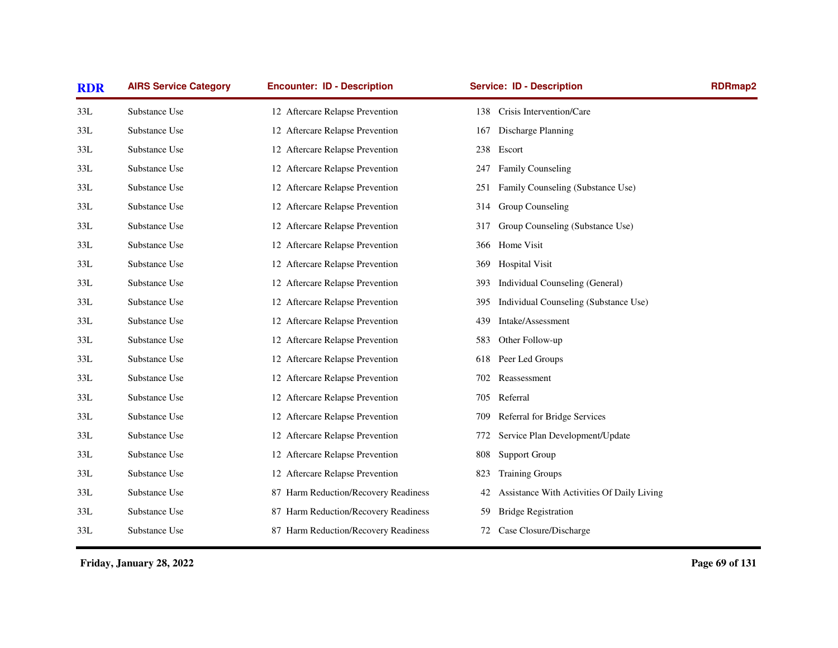| <b>RDR</b> | <b>AIRS Service Category</b> | <b>Encounter: ID - Description</b>   | <b>Service: ID - Description</b>                 | <b>RDRmap2</b> |
|------------|------------------------------|--------------------------------------|--------------------------------------------------|----------------|
| 33L        | Substance Use                | 12 Aftercare Relapse Prevention      | Crisis Intervention/Care<br>138                  |                |
| 33L        | Substance Use                | 12 Aftercare Relapse Prevention      | Discharge Planning<br>167                        |                |
| 33L        | Substance Use                | 12 Aftercare Relapse Prevention      | Escort<br>238                                    |                |
| 33L        | Substance Use                | 12 Aftercare Relapse Prevention      | <b>Family Counseling</b><br>247                  |                |
| 33L        | Substance Use                | 12 Aftercare Relapse Prevention      | Family Counseling (Substance Use)<br>251         |                |
| 33L        | Substance Use                | 12 Aftercare Relapse Prevention      | Group Counseling<br>314                          |                |
| 33L        | Substance Use                | 12 Aftercare Relapse Prevention      | Group Counseling (Substance Use)<br>317          |                |
| 33L        | Substance Use                | 12 Aftercare Relapse Prevention      | Home Visit<br>366                                |                |
| 33L        | Substance Use                | 12 Aftercare Relapse Prevention      | <b>Hospital Visit</b><br>369                     |                |
| 33L        | Substance Use                | 12 Aftercare Relapse Prevention      | Individual Counseling (General)<br>393           |                |
| 33L        | Substance Use                | 12 Aftercare Relapse Prevention      | Individual Counseling (Substance Use)<br>395     |                |
| 33L        | Substance Use                | 12 Aftercare Relapse Prevention      | Intake/Assessment<br>439                         |                |
| 33L        | Substance Use                | 12 Aftercare Relapse Prevention      | Other Follow-up<br>583.                          |                |
| 33L        | Substance Use                | 12 Aftercare Relapse Prevention      | Peer Led Groups<br>618                           |                |
| 33L        | Substance Use                | 12 Aftercare Relapse Prevention      | Reassessment<br>702                              |                |
| 33L        | Substance Use                | 12 Aftercare Relapse Prevention      | Referral<br>705                                  |                |
| 33L        | Substance Use                | 12 Aftercare Relapse Prevention      | Referral for Bridge Services<br>709              |                |
| 33L        | Substance Use                | 12 Aftercare Relapse Prevention      | Service Plan Development/Update<br>772           |                |
| 33L        | Substance Use                | 12 Aftercare Relapse Prevention      | <b>Support Group</b><br>808                      |                |
| 33L        | Substance Use                | 12 Aftercare Relapse Prevention      | <b>Training Groups</b><br>823                    |                |
| 33L        | Substance Use                | 87 Harm Reduction/Recovery Readiness | Assistance With Activities Of Daily Living<br>42 |                |
| 33L        | Substance Use                | 87 Harm Reduction/Recovery Readiness | <b>Bridge Registration</b><br>59                 |                |
| 33L        | Substance Use                | 87 Harm Reduction/Recovery Readiness | Case Closure/Discharge<br>72                     |                |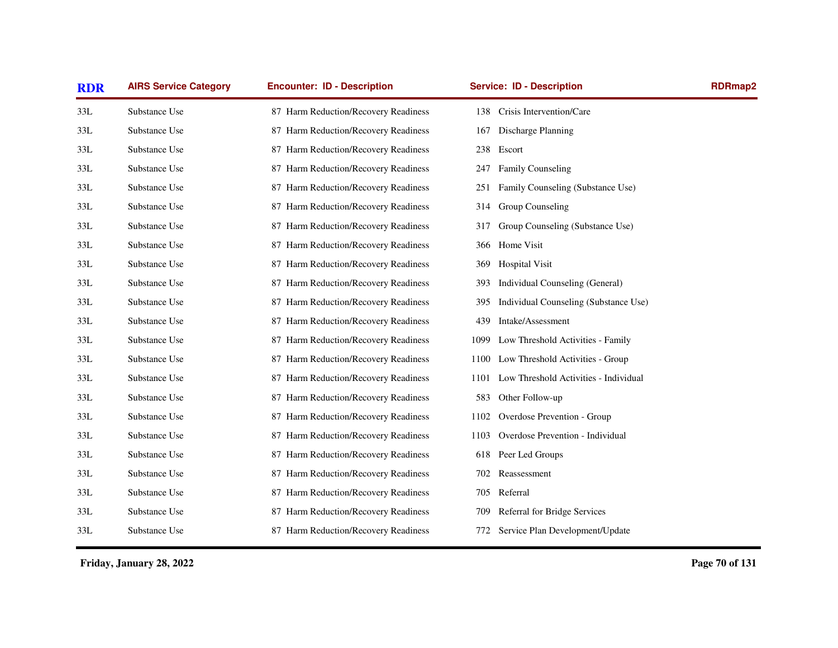| <b>RDR</b> | <b>AIRS Service Category</b> | <b>Encounter: ID - Description</b>   | <b>Service: ID - Description</b>             | <b>RDRmap2</b> |
|------------|------------------------------|--------------------------------------|----------------------------------------------|----------------|
| 33L        | Substance Use                | 87 Harm Reduction/Recovery Readiness | Crisis Intervention/Care<br>138              |                |
| 33L        | Substance Use                | 87 Harm Reduction/Recovery Readiness | Discharge Planning<br>167                    |                |
| 33L        | Substance Use                | 87 Harm Reduction/Recovery Readiness | 238 Escort                                   |                |
| 33L        | Substance Use                | 87 Harm Reduction/Recovery Readiness | <b>Family Counseling</b><br>247              |                |
| 33L        | Substance Use                | 87 Harm Reduction/Recovery Readiness | Family Counseling (Substance Use)<br>251     |                |
| 33L        | Substance Use                | 87 Harm Reduction/Recovery Readiness | Group Counseling<br>314                      |                |
| 33L        | Substance Use                | 87 Harm Reduction/Recovery Readiness | Group Counseling (Substance Use)<br>317      |                |
| 33L        | Substance Use                | 87 Harm Reduction/Recovery Readiness | Home Visit<br>366                            |                |
| 33L        | Substance Use                | 87 Harm Reduction/Recovery Readiness | <b>Hospital Visit</b><br>369                 |                |
| 33L        | Substance Use                | 87 Harm Reduction/Recovery Readiness | Individual Counseling (General)<br>393       |                |
| 33L        | Substance Use                | 87 Harm Reduction/Recovery Readiness | Individual Counseling (Substance Use)<br>395 |                |
| 33L        | Substance Use                | 87 Harm Reduction/Recovery Readiness | Intake/Assessment<br>439                     |                |
| 33L        | Substance Use                | 87 Harm Reduction/Recovery Readiness | Low Threshold Activities - Family<br>1099    |                |
| 33L        | Substance Use                | 87 Harm Reduction/Recovery Readiness | Low Threshold Activities - Group<br>1100     |                |
| 33L        | Substance Use                | 87 Harm Reduction/Recovery Readiness | 1101 Low Threshold Activities - Individual   |                |
| 33L        | Substance Use                | 87 Harm Reduction/Recovery Readiness | 583<br>Other Follow-up                       |                |
| 33L        | Substance Use                | 87 Harm Reduction/Recovery Readiness | Overdose Prevention - Group<br>1102          |                |
| 33L        | Substance Use                | 87 Harm Reduction/Recovery Readiness | Overdose Prevention - Individual<br>1103     |                |
| 33L        | Substance Use                | 87 Harm Reduction/Recovery Readiness | Peer Led Groups<br>618                       |                |
| 33L        | Substance Use                | 87 Harm Reduction/Recovery Readiness | Reassessment<br>702                          |                |
| 33L        | Substance Use                | 87 Harm Reduction/Recovery Readiness | Referral<br>705                              |                |
| 33L        | Substance Use                | 87 Harm Reduction/Recovery Readiness | Referral for Bridge Services<br>709          |                |
| 33L        | Substance Use                | 87 Harm Reduction/Recovery Readiness | 772 Service Plan Development/Update          |                |
|            |                              |                                      |                                              |                |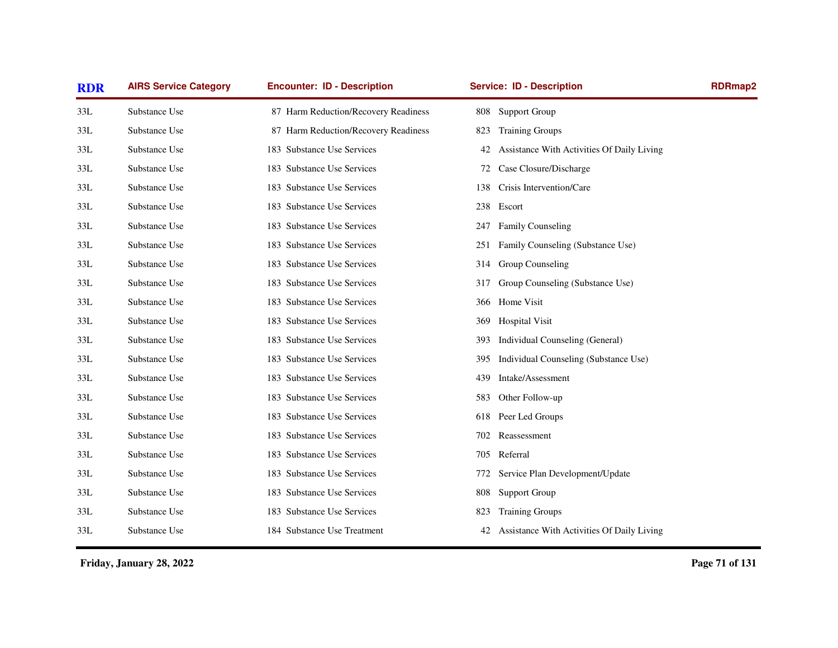| <b>RDR</b> | <b>AIRS Service Category</b> | <b>Encounter: ID - Description</b>   | <b>Service: ID - Description</b>                 | <b>RDRmap2</b> |
|------------|------------------------------|--------------------------------------|--------------------------------------------------|----------------|
| 33L        | Substance Use                | 87 Harm Reduction/Recovery Readiness | <b>Support Group</b><br>808                      |                |
| 33L        | Substance Use                | 87 Harm Reduction/Recovery Readiness | <b>Training Groups</b><br>823                    |                |
| 33L        | Substance Use                | 183 Substance Use Services           | Assistance With Activities Of Daily Living<br>42 |                |
| 33L        | Substance Use                | 183 Substance Use Services           | Case Closure/Discharge<br>72                     |                |
| 33L        | Substance Use                | 183 Substance Use Services           | Crisis Intervention/Care<br>138                  |                |
| 33L        | Substance Use                | 183 Substance Use Services           | Escort<br>238                                    |                |
| 33L        | Substance Use                | 183 Substance Use Services           | <b>Family Counseling</b><br>247                  |                |
| 33L        | Substance Use                | 183 Substance Use Services           | Family Counseling (Substance Use)<br>251         |                |
| 33L        | Substance Use                | 183 Substance Use Services           | Group Counseling<br>314                          |                |
| 33L        | Substance Use                | 183 Substance Use Services           | Group Counseling (Substance Use)<br>317          |                |
| 33L        | Substance Use                | 183 Substance Use Services           | 366 Home Visit                                   |                |
| 33L        | Substance Use                | 183 Substance Use Services           | <b>Hospital Visit</b><br>369                     |                |
| 33L        | Substance Use                | 183 Substance Use Services           | Individual Counseling (General)<br>393           |                |
| 33L        | Substance Use                | 183 Substance Use Services           | Individual Counseling (Substance Use)<br>395     |                |
| 33L        | Substance Use                | 183 Substance Use Services           | Intake/Assessment<br>439                         |                |
| 33L        | Substance Use                | 183 Substance Use Services           | Other Follow-up<br>583                           |                |
| 33L        | Substance Use                | 183 Substance Use Services           | Peer Led Groups<br>618                           |                |
| 33L        | Substance Use                | 183 Substance Use Services           | Reassessment<br>702                              |                |
| 33L        | Substance Use                | 183 Substance Use Services           | Referral<br>705                                  |                |
| 33L        | Substance Use                | 183 Substance Use Services           | Service Plan Development/Update<br>772           |                |
| 33L        | Substance Use                | 183 Substance Use Services           | <b>Support Group</b><br>808                      |                |
| 33L        | Substance Use                | 183 Substance Use Services           | <b>Training Groups</b><br>823                    |                |
| 33L        | Substance Use                | 184 Substance Use Treatment          | Assistance With Activities Of Daily Living<br>42 |                |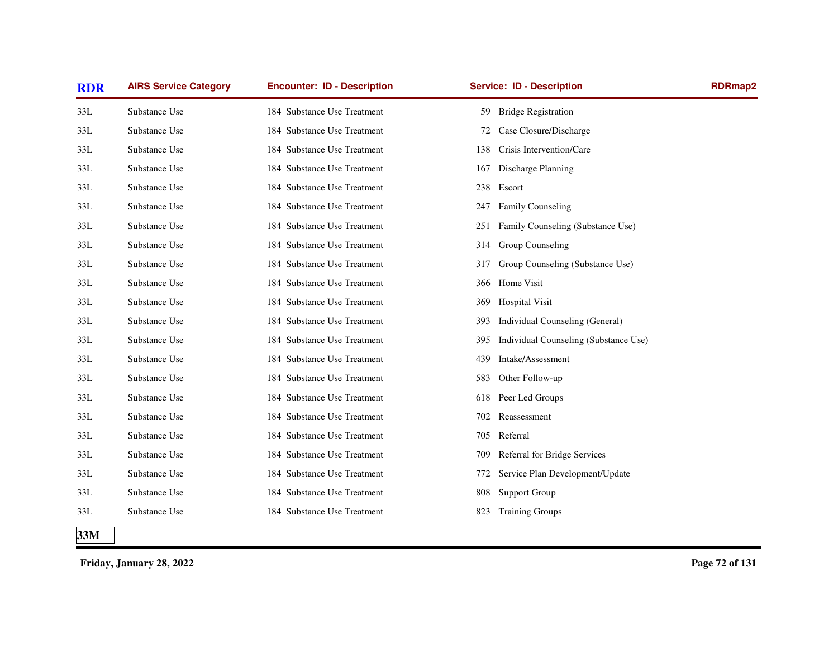| <b>RDR</b> | <b>AIRS Service Category</b> | <b>Encounter: ID - Description</b> | <b>Service: ID - Description</b>             | <b>RDRmap2</b> |
|------------|------------------------------|------------------------------------|----------------------------------------------|----------------|
| 33L        | Substance Use                | 184 Substance Use Treatment        | 59 Bridge Registration                       |                |
| 33L        | Substance Use                | 184 Substance Use Treatment        | Case Closure/Discharge<br>72                 |                |
| 33L        | Substance Use                | 184 Substance Use Treatment        | Crisis Intervention/Care<br>138              |                |
| 33L        | Substance Use                | 184 Substance Use Treatment        | Discharge Planning<br>167                    |                |
| 33L        | Substance Use                | 184 Substance Use Treatment        | Escort<br>238                                |                |
| 33L        | Substance Use                | 184 Substance Use Treatment        | Family Counseling<br>247                     |                |
| 33L        | Substance Use                | 184 Substance Use Treatment        | Family Counseling (Substance Use)<br>251     |                |
| 33L        | Substance Use                | 184 Substance Use Treatment        | Group Counseling<br>314                      |                |
| 33L        | Substance Use                | 184 Substance Use Treatment        | Group Counseling (Substance Use)<br>317      |                |
| 33L        | Substance Use                | 184 Substance Use Treatment        | Home Visit<br>366                            |                |
| 33L        | Substance Use                | 184 Substance Use Treatment        | <b>Hospital Visit</b><br>369                 |                |
| 33L        | Substance Use                | 184 Substance Use Treatment        | Individual Counseling (General)<br>393       |                |
| 33L        | Substance Use                | 184 Substance Use Treatment        | Individual Counseling (Substance Use)<br>395 |                |
| 33L        | Substance Use                | 184 Substance Use Treatment        | Intake/Assessment<br>439                     |                |
| 33L        | Substance Use                | 184 Substance Use Treatment        | 583<br>Other Follow-up                       |                |
| 33L        | Substance Use                | 184 Substance Use Treatment        | Peer Led Groups<br>618                       |                |
| 33L        | Substance Use                | 184 Substance Use Treatment        | Reassessment<br>702                          |                |
| 33L        | Substance Use                | 184 Substance Use Treatment        | Referral<br>705                              |                |
| 33L        | Substance Use                | 184 Substance Use Treatment        | Referral for Bridge Services<br>709          |                |
| 33L        | Substance Use                | 184 Substance Use Treatment        | Service Plan Development/Update<br>772       |                |
| 33L        | Substance Use                | 184 Substance Use Treatment        | Support Group<br>808                         |                |
| 33L        | Substance Use                | 184 Substance Use Treatment        | <b>Training Groups</b><br>823                |                |
| 33M        |                              |                                    |                                              |                |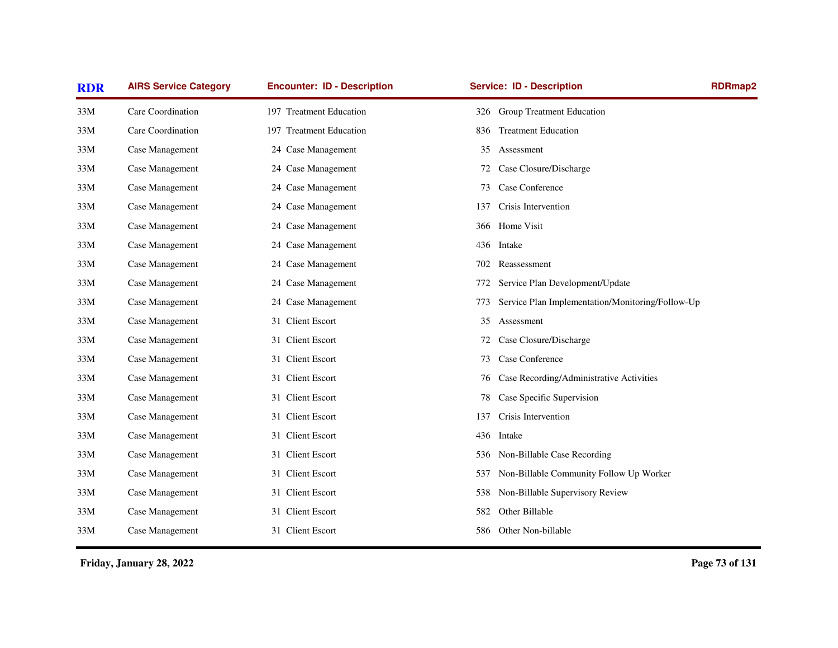| <b>RDR</b> | <b>AIRS Service Category</b> | <b>Encounter: ID - Description</b> | <b>Service: ID - Description</b>                        | <b>RDRmap2</b> |
|------------|------------------------------|------------------------------------|---------------------------------------------------------|----------------|
| 33M        | Care Coordination            | 197 Treatment Education            | <b>Group Treatment Education</b><br>326                 |                |
| 33M        | Care Coordination            | 197 Treatment Education            | <b>Treatment Education</b><br>836                       |                |
| 33M        | Case Management              | 24 Case Management                 | 35<br>Assessment                                        |                |
| 33M        | Case Management              | 24 Case Management                 | Case Closure/Discharge<br>72                            |                |
| 33M        | Case Management              | 24 Case Management                 | Case Conference<br>73                                   |                |
| 33M        | Case Management              | 24 Case Management                 | Crisis Intervention<br>137                              |                |
| 33M        | Case Management              | 24 Case Management                 | Home Visit<br>366                                       |                |
| 33M        | Case Management              | 24 Case Management                 | 436<br>Intake                                           |                |
| 33M        | Case Management              | 24 Case Management                 | Reassessment<br>702                                     |                |
| 33M        | Case Management              | 24 Case Management                 | Service Plan Development/Update<br>772                  |                |
| 33M        | Case Management              | 24 Case Management                 | Service Plan Implementation/Monitoring/Follow-Up<br>773 |                |
| 33M        | Case Management              | 31 Client Escort                   | Assessment<br>35                                        |                |
| 33M        | Case Management              | 31 Client Escort                   | Case Closure/Discharge<br>72                            |                |
| 33M        | Case Management              | 31 Client Escort                   | Case Conference<br>73                                   |                |
| 33M        | Case Management              | 31 Client Escort                   | Case Recording/Administrative Activities<br>76          |                |
| 33M        | Case Management              | 31 Client Escort                   | Case Specific Supervision<br>78                         |                |
| 33M        | Case Management              | 31 Client Escort                   | Crisis Intervention<br>137                              |                |
| 33M        | Case Management              | 31 Client Escort                   | 436<br>Intake                                           |                |
| 33M        | Case Management              | 31 Client Escort                   | Non-Billable Case Recording<br>536                      |                |
| 33M        | Case Management              | 31 Client Escort                   | Non-Billable Community Follow Up Worker<br>537          |                |
| 33M        | Case Management              | 31 Client Escort                   | Non-Billable Supervisory Review<br>538                  |                |
| 33M        | Case Management              | 31 Client Escort                   | Other Billable<br>582                                   |                |
| 33M        | Case Management              | 31 Client Escort                   | Other Non-billable<br>586                               |                |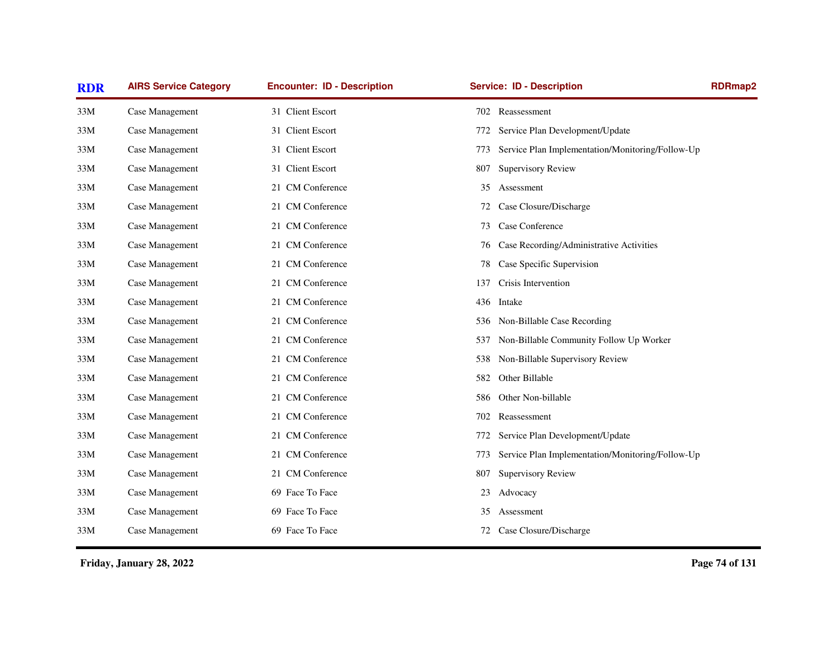| <b>RDR</b> | <b>AIRS Service Category</b> | <b>Encounter: ID - Description</b> | <b>Service: ID - Description</b>                        | <b>RDRmap2</b> |
|------------|------------------------------|------------------------------------|---------------------------------------------------------|----------------|
| 33M        | Case Management              | 31 Client Escort                   | 702 Reassessment                                        |                |
| 33M        | Case Management              | 31 Client Escort                   | Service Plan Development/Update<br>772                  |                |
| 33M        | Case Management              | 31 Client Escort                   | Service Plan Implementation/Monitoring/Follow-Up<br>773 |                |
| 33M        | Case Management              | 31 Client Escort                   | <b>Supervisory Review</b><br>807                        |                |
| 33M        | Case Management              | 21 CM Conference                   | Assessment<br>35                                        |                |
| 33M        | Case Management              | 21 CM Conference                   | Case Closure/Discharge<br>72                            |                |
| 33M        | Case Management              | 21 CM Conference                   | Case Conference<br>73                                   |                |
| 33M        | Case Management              | 21 CM Conference                   | Case Recording/Administrative Activities<br>76          |                |
| 33M        | Case Management              | 21 CM Conference                   | Case Specific Supervision<br>78                         |                |
| 33M        | Case Management              | 21 CM Conference                   | Crisis Intervention<br>137                              |                |
| 33M        | Case Management              | 21 CM Conference                   | 436<br>Intake                                           |                |
| 33M        | Case Management              | 21 CM Conference                   | Non-Billable Case Recording<br>536                      |                |
| 33M        | Case Management              | 21 CM Conference                   | Non-Billable Community Follow Up Worker<br>537          |                |
| 33M        | Case Management              | 21 CM Conference                   | Non-Billable Supervisory Review<br>538                  |                |
| 33M        | Case Management              | 21 CM Conference                   | Other Billable<br>582                                   |                |
| 33M        | Case Management              | 21 CM Conference                   | Other Non-billable<br>586                               |                |
| 33M        | Case Management              | 21 CM Conference                   | 702<br>Reassessment                                     |                |
| 33M        | Case Management              | 21 CM Conference                   | Service Plan Development/Update<br>772                  |                |
| 33M        | Case Management              | 21 CM Conference                   | Service Plan Implementation/Monitoring/Follow-Up<br>773 |                |
| 33M        | Case Management              | 21 CM Conference                   | <b>Supervisory Review</b><br>807                        |                |
| 33M        | Case Management              | 69 Face To Face                    | Advocacy<br>23                                          |                |
| 33M        | Case Management              | 69 Face To Face                    | Assessment<br>35                                        |                |
| 33M        | Case Management              | 69 Face To Face                    | Case Closure/Discharge<br>72                            |                |
|            |                              |                                    |                                                         |                |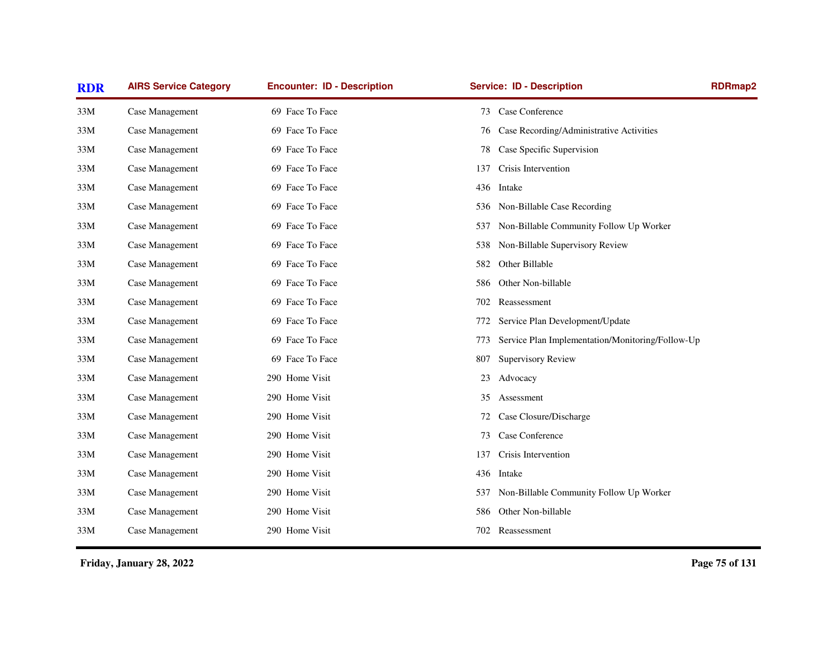| <b>AIRS Service Category</b> | <b>Encounter: ID - Description</b> | <b>Service: ID - Description</b>               | <b>RDRmap2</b>                                                                                                                         |
|------------------------------|------------------------------------|------------------------------------------------|----------------------------------------------------------------------------------------------------------------------------------------|
| Case Management              | 69 Face To Face                    | Case Conference<br>73                          |                                                                                                                                        |
| Case Management              | 69 Face To Face                    | Case Recording/Administrative Activities<br>76 |                                                                                                                                        |
| Case Management              | 69 Face To Face                    | Case Specific Supervision<br>78                |                                                                                                                                        |
| Case Management              | 69 Face To Face                    | Crisis Intervention<br>137                     |                                                                                                                                        |
| Case Management              | 69 Face To Face                    | 436<br>Intake                                  |                                                                                                                                        |
| Case Management              | 69 Face To Face                    | Non-Billable Case Recording<br>536             |                                                                                                                                        |
| Case Management              | 69 Face To Face                    | 537                                            |                                                                                                                                        |
| Case Management              | 69 Face To Face                    | Non-Billable Supervisory Review<br>538         |                                                                                                                                        |
| Case Management              | 69 Face To Face                    | Other Billable<br>582                          |                                                                                                                                        |
| Case Management              | 69 Face To Face                    | Other Non-billable<br>586                      |                                                                                                                                        |
| Case Management              | 69 Face To Face                    | Reassessment<br>702                            |                                                                                                                                        |
| Case Management              | 69 Face To Face                    | Service Plan Development/Update<br>772         |                                                                                                                                        |
| Case Management              | 69 Face To Face                    | 773                                            |                                                                                                                                        |
| Case Management              | 69 Face To Face                    | <b>Supervisory Review</b><br>807               |                                                                                                                                        |
| Case Management              | 290 Home Visit                     | Advocacy<br>23                                 |                                                                                                                                        |
| Case Management              | 290 Home Visit                     | Assessment<br>35                               |                                                                                                                                        |
| Case Management              | 290 Home Visit                     | Case Closure/Discharge<br>72                   |                                                                                                                                        |
| Case Management              | 290 Home Visit                     | Case Conference<br>73                          |                                                                                                                                        |
| Case Management              | 290 Home Visit                     | Crisis Intervention<br>137                     |                                                                                                                                        |
| Case Management              | 290 Home Visit                     | 436<br>Intake                                  |                                                                                                                                        |
| Case Management              | 290 Home Visit                     | 537                                            |                                                                                                                                        |
| Case Management              | 290 Home Visit                     | Other Non-billable<br>586                      |                                                                                                                                        |
| Case Management              | 290 Home Visit                     | 702 Reassessment                               |                                                                                                                                        |
|                              |                                    |                                                | Non-Billable Community Follow Up Worker<br>Service Plan Implementation/Monitoring/Follow-Up<br>Non-Billable Community Follow Up Worker |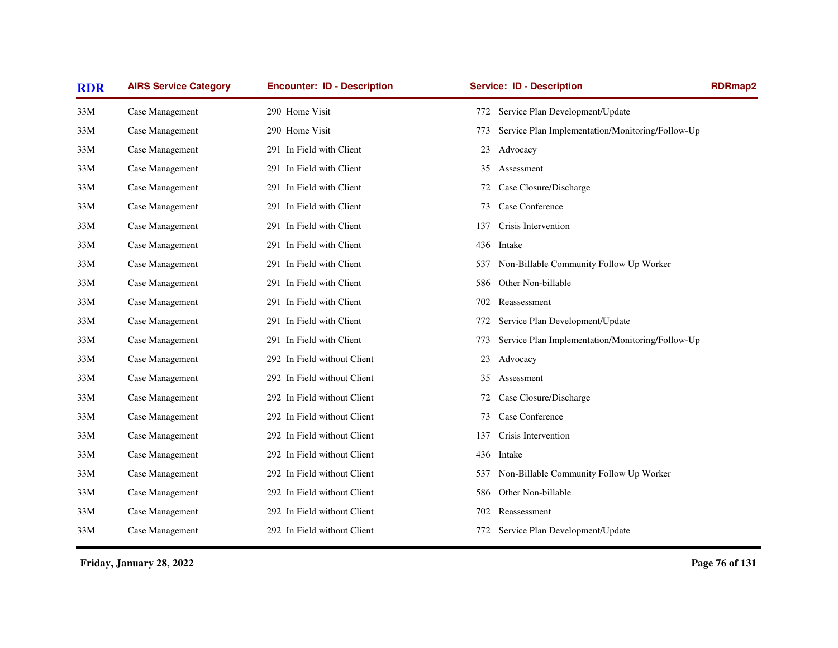| <b>RDR</b> | <b>AIRS Service Category</b> | <b>Encounter: ID - Description</b> | <b>Service: ID - Description</b>                         | <b>RDRmap2</b> |
|------------|------------------------------|------------------------------------|----------------------------------------------------------|----------------|
| 33M        | Case Management              | 290 Home Visit                     | Service Plan Development/Update<br>772                   |                |
| 33M        | Case Management              | 290 Home Visit                     | Service Plan Implementation/Monitoring/Follow-Up<br>773  |                |
| 33M        | Case Management              | 291 In Field with Client           | 23<br>Advocacy                                           |                |
| 33M        | Case Management              | 291 In Field with Client           | Assessment<br>35                                         |                |
| 33M        | Case Management              | 291 In Field with Client           | Case Closure/Discharge<br>72                             |                |
| 33M        | Case Management              | 291 In Field with Client           | Case Conference<br>73                                    |                |
| 33M        | Case Management              | 291 In Field with Client           | Crisis Intervention<br>137                               |                |
| 33M        | Case Management              | 291 In Field with Client           | Intake<br>436                                            |                |
| 33M        | Case Management              | 291 In Field with Client           | Non-Billable Community Follow Up Worker<br>537           |                |
| 33M        | Case Management              | 291 In Field with Client           | Other Non-billable<br>586                                |                |
| 33M        | Case Management              | 291 In Field with Client           | Reassessment<br>702                                      |                |
| 33M        | Case Management              | 291 In Field with Client           | Service Plan Development/Update<br>772                   |                |
| 33M        | Case Management              | 291 In Field with Client           | Service Plan Implementation/Monitoring/Follow-Up<br>773. |                |
| 33M        | Case Management              | 292 In Field without Client        | 23<br>Advocacy                                           |                |
| 33M        | Case Management              | 292 In Field without Client        | Assessment<br>35                                         |                |
| 33M        | Case Management              | 292 In Field without Client        | Case Closure/Discharge<br>72                             |                |
| 33M        | Case Management              | 292 In Field without Client        | Case Conference<br>73                                    |                |
| 33M        | Case Management              | 292 In Field without Client        | Crisis Intervention<br>137                               |                |
| 33M        | Case Management              | 292 In Field without Client        | 436 Intake                                               |                |
| 33M        | Case Management              | 292 In Field without Client        | Non-Billable Community Follow Up Worker<br>537           |                |
| 33M        | Case Management              | 292 In Field without Client        | Other Non-billable<br>586                                |                |
| 33M        | Case Management              | 292 In Field without Client        | Reassessment<br>702                                      |                |
| 33M        | Case Management              | 292 In Field without Client        | Service Plan Development/Update<br>772                   |                |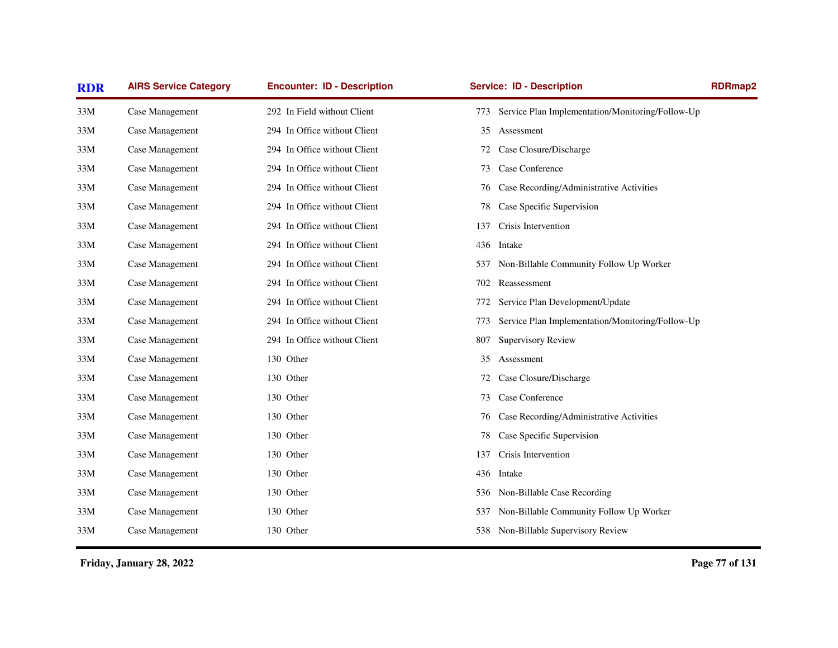| <b>RDR</b> | <b>AIRS Service Category</b> | <b>Encounter: ID - Description</b> | <b>Service: ID - Description</b>                        | <b>RDRmap2</b> |
|------------|------------------------------|------------------------------------|---------------------------------------------------------|----------------|
| 33M        | Case Management              | 292 In Field without Client        | Service Plan Implementation/Monitoring/Follow-Up<br>773 |                |
| 33M        | Case Management              | 294 In Office without Client       | 35<br>Assessment                                        |                |
| 33M        | Case Management              | 294 In Office without Client       | Case Closure/Discharge<br>72                            |                |
| 33M        | Case Management              | 294 In Office without Client       | Case Conference<br>73                                   |                |
| 33M        | Case Management              | 294 In Office without Client       | Case Recording/Administrative Activities<br>76          |                |
| 33M        | Case Management              | 294 In Office without Client       | Case Specific Supervision<br>78                         |                |
| 33M        | Case Management              | 294 In Office without Client       | Crisis Intervention<br>137                              |                |
| 33M        | Case Management              | 294 In Office without Client       | 436<br>Intake                                           |                |
| 33M        | Case Management              | 294 In Office without Client       | Non-Billable Community Follow Up Worker<br>537          |                |
| 33M        | Case Management              | 294 In Office without Client       | Reassessment<br>702                                     |                |
| 33M        | Case Management              | 294 In Office without Client       | Service Plan Development/Update<br>772                  |                |
| 33M        | Case Management              | 294 In Office without Client       | Service Plan Implementation/Monitoring/Follow-Up<br>773 |                |
| 33M        | Case Management              | 294 In Office without Client       | <b>Supervisory Review</b><br>807                        |                |
| 33M        | Case Management              | 130 Other                          | Assessment<br>35                                        |                |
| 33M        | Case Management              | 130 Other                          | Case Closure/Discharge<br>72                            |                |
| 33M        | Case Management              | 130 Other                          | Case Conference<br>73                                   |                |
| 33M        | Case Management              | 130 Other                          | Case Recording/Administrative Activities<br>76          |                |
| 33M        | Case Management              | 130 Other                          | Case Specific Supervision<br>78                         |                |
| 33M        | Case Management              | 130 Other                          | Crisis Intervention<br>137                              |                |
| 33M        | Case Management              | 130 Other                          | 436<br>Intake                                           |                |
| 33M        | Case Management              | 130 Other                          | Non-Billable Case Recording<br>536                      |                |
| 33M        | Case Management              | 130 Other                          | Non-Billable Community Follow Up Worker<br>537          |                |
| 33M        | Case Management              | 130 Other                          | 538 Non-Billable Supervisory Review                     |                |
|            |                              |                                    |                                                         |                |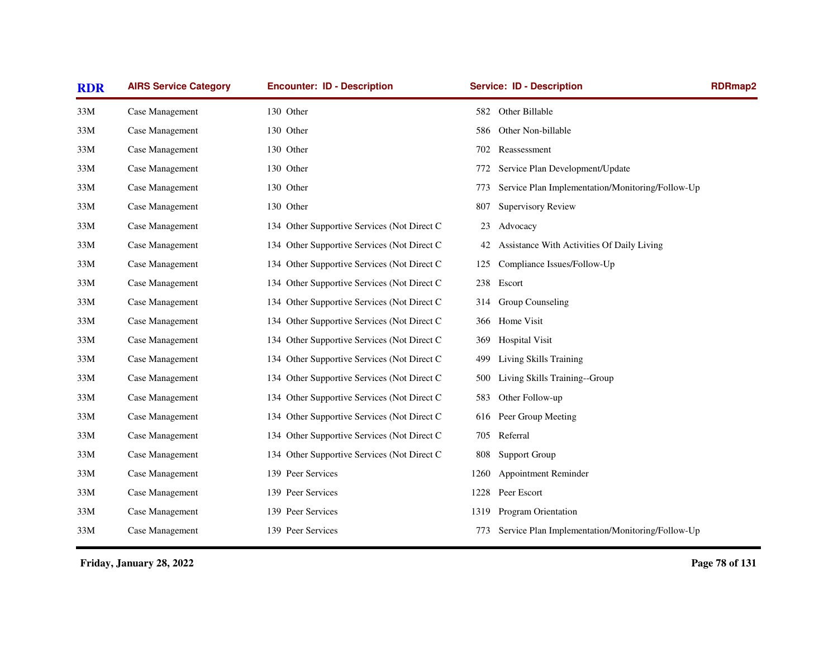| <b>AIRS Service Category</b> | <b>Encounter: ID - Description</b>          | <b>Service: ID - Description</b>     | <b>RDRmap2</b>                                   |
|------------------------------|---------------------------------------------|--------------------------------------|--------------------------------------------------|
| Case Management              | 130 Other                                   | Other Billable<br>582                |                                                  |
| Case Management              | 130 Other                                   | Other Non-billable<br>586            |                                                  |
| Case Management              | 130 Other                                   | 702<br>Reassessment                  |                                                  |
| Case Management              | 130 Other                                   | 772                                  | Service Plan Development/Update                  |
| Case Management              | 130 Other                                   | 773                                  | Service Plan Implementation/Monitoring/Follow-Up |
| Case Management              | 130 Other                                   | <b>Supervisory Review</b><br>807     |                                                  |
| Case Management              | 134 Other Supportive Services (Not Direct C | Advocacy<br>23                       |                                                  |
| Case Management              | 134 Other Supportive Services (Not Direct C | 42                                   | Assistance With Activities Of Daily Living       |
| Case Management              | 134 Other Supportive Services (Not Direct C | Compliance Issues/Follow-Up<br>125   |                                                  |
| Case Management              | 134 Other Supportive Services (Not Direct C | 238<br>Escort                        |                                                  |
| Case Management              | 134 Other Supportive Services (Not Direct C | Group Counseling<br>314              |                                                  |
| Case Management              | 134 Other Supportive Services (Not Direct C | Home Visit<br>366                    |                                                  |
| Case Management              | 134 Other Supportive Services (Not Direct C | <b>Hospital Visit</b><br>369         |                                                  |
| Case Management              | 134 Other Supportive Services (Not Direct C | Living Skills Training<br>499        |                                                  |
| Case Management              | 134 Other Supportive Services (Not Direct C | Living Skills Training--Group<br>500 |                                                  |
| Case Management              | 134 Other Supportive Services (Not Direct C | Other Follow-up<br>583               |                                                  |
| Case Management              | 134 Other Supportive Services (Not Direct C | Peer Group Meeting<br>616            |                                                  |
| Case Management              | 134 Other Supportive Services (Not Direct C | Referral<br>705                      |                                                  |
| Case Management              | 134 Other Supportive Services (Not Direct C | <b>Support Group</b><br>808          |                                                  |
| Case Management              | 139 Peer Services                           | <b>Appointment Reminder</b><br>1260  |                                                  |
| Case Management              | 139 Peer Services                           | Peer Escort<br>1228                  |                                                  |
| Case Management              | 139 Peer Services                           | Program Orientation<br>1319          |                                                  |
| Case Management              | 139 Peer Services                           | 773                                  | Service Plan Implementation/Monitoring/Follow-Up |
|                              |                                             |                                      |                                                  |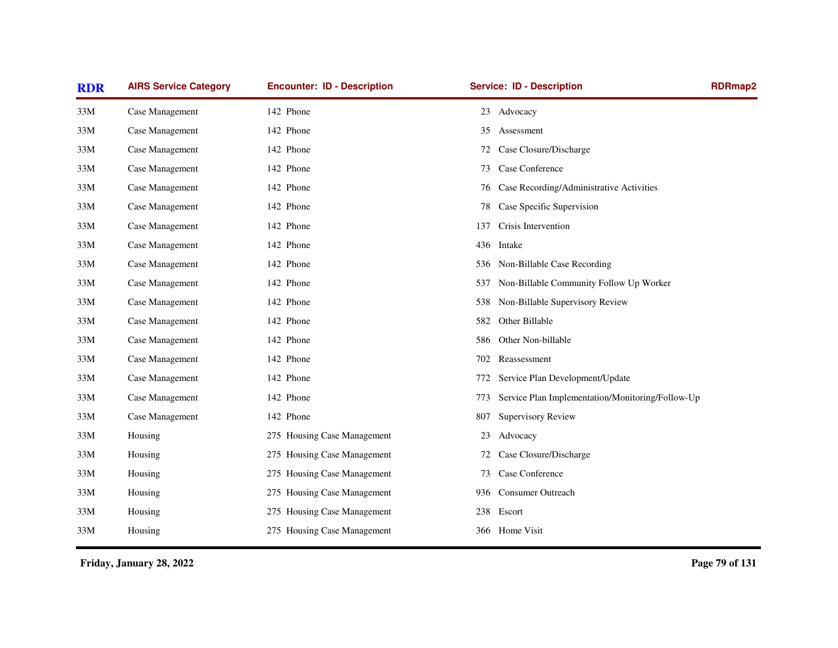| <b>RDR</b> | <b>AIRS Service Category</b> | <b>Encounter: ID - Description</b> | <b>Service: ID - Description</b>                        | <b>RDRmap2</b> |
|------------|------------------------------|------------------------------------|---------------------------------------------------------|----------------|
| 33M        | Case Management              | 142 Phone                          | 23<br>Advocacy                                          |                |
| 33M        | Case Management              | 142 Phone                          | Assessment<br>35                                        |                |
| 33M        | Case Management              | 142 Phone                          | Case Closure/Discharge<br>72                            |                |
| 33M        | Case Management              | 142 Phone                          | Case Conference<br>73                                   |                |
| 33M        | Case Management              | 142 Phone                          | Case Recording/Administrative Activities<br>76          |                |
| 33M        | Case Management              | 142 Phone                          | Case Specific Supervision<br>78                         |                |
| 33M        | Case Management              | 142 Phone                          | Crisis Intervention<br>137                              |                |
| 33M        | Case Management              | 142 Phone                          | Intake<br>436                                           |                |
| 33M        | Case Management              | 142 Phone                          | Non-Billable Case Recording<br>536                      |                |
| 33M        | Case Management              | 142 Phone                          | Non-Billable Community Follow Up Worker<br>537          |                |
| 33M        | Case Management              | 142 Phone                          | Non-Billable Supervisory Review<br>538                  |                |
| 33M        | Case Management              | 142 Phone                          | Other Billable<br>582                                   |                |
| 33M        | Case Management              | 142 Phone                          | Other Non-billable<br>586                               |                |
| 33M        | Case Management              | 142 Phone                          | Reassessment<br>702                                     |                |
| 33M        | Case Management              | 142 Phone                          | Service Plan Development/Update<br>772                  |                |
| 33M        | Case Management              | 142 Phone                          | Service Plan Implementation/Monitoring/Follow-Up<br>773 |                |
| 33M        | Case Management              | 142 Phone                          | <b>Supervisory Review</b><br>807                        |                |
| 33M        | Housing                      | 275 Housing Case Management        | Advocacy<br>23                                          |                |
| 33M        | Housing                      | 275 Housing Case Management        | Case Closure/Discharge<br>72                            |                |
| 33M        | Housing                      | 275 Housing Case Management        | Case Conference<br>73                                   |                |
| 33M        | Housing                      | 275 Housing Case Management        | Consumer Outreach<br>936                                |                |
| 33M        | Housing                      | 275 Housing Case Management        | Escort<br>238                                           |                |
| 33M        | Housing                      | 275 Housing Case Management        | 366 Home Visit                                          |                |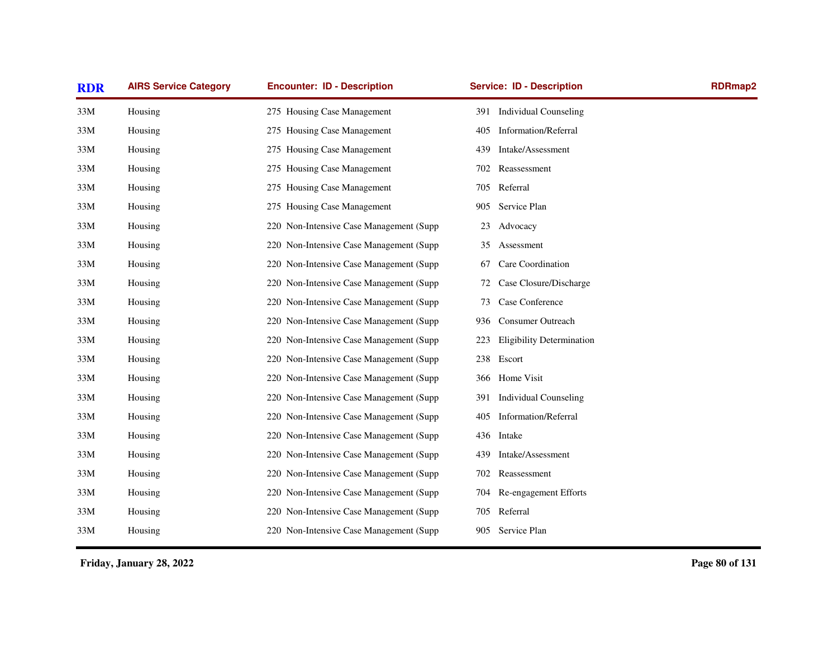| <b>RDR</b> | <b>AIRS Service Category</b> | <b>Encounter: ID - Description</b>       |     | <b>Service: ID - Description</b> | <b>RDRmap2</b> |
|------------|------------------------------|------------------------------------------|-----|----------------------------------|----------------|
| 33M        | Housing                      | 275 Housing Case Management              |     | 391 Individual Counseling        |                |
| 33M        | Housing                      | 275 Housing Case Management              | 405 | Information/Referral             |                |
| 33M        | Housing                      | 275 Housing Case Management              | 439 | Intake/Assessment                |                |
| 33M        | Housing                      | 275 Housing Case Management              | 702 | Reassessment                     |                |
| 33M        | Housing                      | 275 Housing Case Management              | 705 | Referral                         |                |
| 33M        | Housing                      | 275 Housing Case Management              | 905 | Service Plan                     |                |
| 33M        | Housing                      | 220 Non-Intensive Case Management (Supp  | 23  | Advocacy                         |                |
| 33M        | Housing                      | 220 Non-Intensive Case Management (Supp  | 35  | Assessment                       |                |
| 33M        | Housing                      | 220 Non-Intensive Case Management (Supp  | 67  | Care Coordination                |                |
| 33M        | Housing                      | 220 Non-Intensive Case Management (Supp  | 72  | Case Closure/Discharge           |                |
| 33M        | Housing                      | 220 Non-Intensive Case Management (Supp) | 73  | Case Conference                  |                |
| 33M        | Housing                      | 220 Non-Intensive Case Management (Supp) | 936 | <b>Consumer Outreach</b>         |                |
| 33M        | Housing                      | 220 Non-Intensive Case Management (Supp  | 223 | <b>Eligibility Determination</b> |                |
| 33M        | Housing                      | 220 Non-Intensive Case Management (Supp  | 238 | Escort                           |                |
| 33M        | Housing                      | 220 Non-Intensive Case Management (Supp  | 366 | Home Visit                       |                |
| 33M        | Housing                      | 220 Non-Intensive Case Management (Supp  | 391 | <b>Individual Counseling</b>     |                |
| 33M        | Housing                      | 220 Non-Intensive Case Management (Supp) | 405 | Information/Referral             |                |
| 33M        | Housing                      | 220 Non-Intensive Case Management (Supp  | 436 | Intake                           |                |
| 33M        | Housing                      | 220 Non-Intensive Case Management (Supp  | 439 | Intake/Assessment                |                |
| 33M        | Housing                      | 220 Non-Intensive Case Management (Supp  | 702 | Reassessment                     |                |
| 33M        | Housing                      | 220 Non-Intensive Case Management (Supp  | 704 | Re-engagement Efforts            |                |
| 33M        | Housing                      | 220 Non-Intensive Case Management (Supp  | 705 | Referral                         |                |
| 33M        | Housing                      | 220 Non-Intensive Case Management (Supp  | 905 | Service Plan                     |                |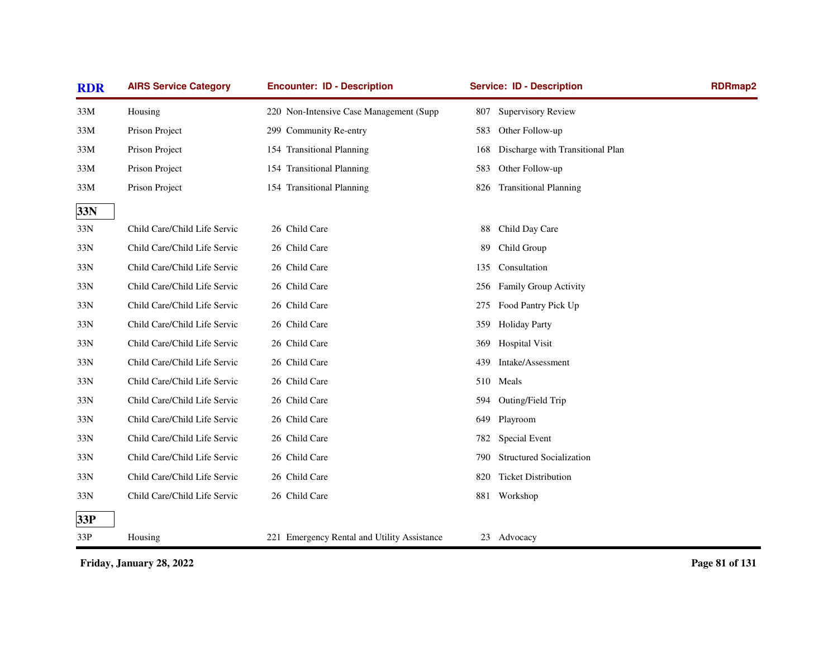| <b>RDR</b> | <b>AIRS Service Category</b> | <b>Encounter: ID - Description</b>          | <b>Service: ID - Description</b> |                                  | <b>RDRmap2</b> |
|------------|------------------------------|---------------------------------------------|----------------------------------|----------------------------------|----------------|
| 33M        | Housing                      | 220 Non-Intensive Case Management (Supp     | 807                              | Supervisory Review               |                |
| 33M        | Prison Project               | 299 Community Re-entry                      | 583                              | Other Follow-up                  |                |
| 33M        | Prison Project               | 154 Transitional Planning                   | 168                              | Discharge with Transitional Plan |                |
| 33M        | Prison Project               | 154 Transitional Planning                   | 583                              | Other Follow-up                  |                |
| 33M        | Prison Project               | 154 Transitional Planning                   | 826                              | <b>Transitional Planning</b>     |                |
| 33N        |                              |                                             |                                  |                                  |                |
| 33N        | Child Care/Child Life Servic | 26 Child Care                               | 88                               | Child Day Care                   |                |
| 33N        | Child Care/Child Life Servic | 26 Child Care                               | Child Group<br>89                |                                  |                |
| 33N        | Child Care/Child Life Servic | 26 Child Care                               | Consultation<br>135              |                                  |                |
| 33N        | Child Care/Child Life Servic | 26 Child Care                               | 256                              | Family Group Activity            |                |
| 33N        | Child Care/Child Life Servic | 26 Child Care                               | 275                              | Food Pantry Pick Up              |                |
| 33N        | Child Care/Child Life Servic | 26 Child Care                               | 359<br><b>Holiday Party</b>      |                                  |                |
| 33N        | Child Care/Child Life Servic | 26 Child Care                               | 369                              | <b>Hospital Visit</b>            |                |
| 33N        | Child Care/Child Life Servic | 26 Child Care                               | 439                              | Intake/Assessment                |                |
| 33N        | Child Care/Child Life Servic | 26 Child Care                               | Meals<br>510                     |                                  |                |
| 33N        | Child Care/Child Life Servic | 26 Child Care                               | 594                              | Outing/Field Trip                |                |
| 33N        | Child Care/Child Life Servic | 26 Child Care                               | Playroom<br>649                  |                                  |                |
| 33N        | Child Care/Child Life Servic | 26 Child Care                               | 782                              | Special Event                    |                |
| 33N        | Child Care/Child Life Servic | 26 Child Care                               | 790                              | <b>Structured Socialization</b>  |                |
| 33N        | Child Care/Child Life Servic | 26 Child Care                               | 820                              | <b>Ticket Distribution</b>       |                |
| 33N        | Child Care/Child Life Servic | 26 Child Care                               | 881<br>Workshop                  |                                  |                |
| 33P        |                              |                                             |                                  |                                  |                |
| 33P        | Housing                      | 221 Emergency Rental and Utility Assistance | 23 Advocacy                      |                                  |                |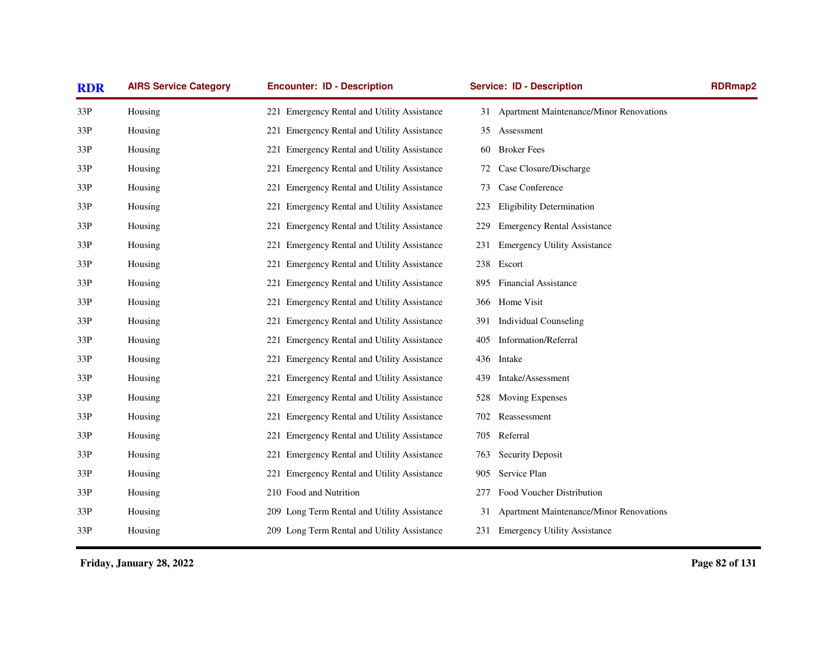| <b>RDR</b> | <b>AIRS Service Category</b> | <b>Encounter: ID - Description</b>          | <b>Service: ID - Description</b>                     | <b>RDRmap2</b> |
|------------|------------------------------|---------------------------------------------|------------------------------------------------------|----------------|
| 33P        | Housing                      | 221 Emergency Rental and Utility Assistance | 31 Apartment Maintenance/Minor Renovations           |                |
| 33P        | Housing                      | 221 Emergency Rental and Utility Assistance | Assessment<br>35                                     |                |
| 33P        | Housing                      | 221 Emergency Rental and Utility Assistance | <b>Broker Fees</b><br>60                             |                |
| 33P        | Housing                      | 221 Emergency Rental and Utility Assistance | Case Closure/Discharge<br>72                         |                |
| 33P        | Housing                      | 221 Emergency Rental and Utility Assistance | Case Conference<br>73                                |                |
| 33P        | Housing                      | 221 Emergency Rental and Utility Assistance | <b>Eligibility Determination</b><br>223              |                |
| 33P        | Housing                      | 221 Emergency Rental and Utility Assistance | <b>Emergency Rental Assistance</b><br>229            |                |
| 33P        | Housing                      | 221 Emergency Rental and Utility Assistance | <b>Emergency Utility Assistance</b><br>231           |                |
| 33P        | Housing                      | 221 Emergency Rental and Utility Assistance | Escort<br>238                                        |                |
| 33P        | Housing                      | 221 Emergency Rental and Utility Assistance | Financial Assistance<br>895                          |                |
| 33P        | Housing                      | 221 Emergency Rental and Utility Assistance | 366 Home Visit                                       |                |
| 33P        | Housing                      | 221 Emergency Rental and Utility Assistance | <b>Individual Counseling</b><br>391                  |                |
| 33P        | Housing                      | 221 Emergency Rental and Utility Assistance | Information/Referral<br>405                          |                |
| 33P        | Housing                      | 221 Emergency Rental and Utility Assistance | Intake<br>436                                        |                |
| 33P        | Housing                      | 221 Emergency Rental and Utility Assistance | Intake/Assessment<br>439                             |                |
| 33P        | Housing                      | 221 Emergency Rental and Utility Assistance | <b>Moving Expenses</b><br>528                        |                |
| 33P        | Housing                      | 221 Emergency Rental and Utility Assistance | Reassessment<br>702                                  |                |
| 33P        | Housing                      | 221 Emergency Rental and Utility Assistance | Referral<br>705                                      |                |
| 33P        | Housing                      | 221 Emergency Rental and Utility Assistance | <b>Security Deposit</b><br>763                       |                |
| 33P        | Housing                      | 221 Emergency Rental and Utility Assistance | Service Plan<br>905                                  |                |
| 33P        | Housing                      | 210 Food and Nutrition                      | Food Voucher Distribution<br>277                     |                |
| 33P        | Housing                      | 209 Long Term Rental and Utility Assistance | <b>Apartment Maintenance/Minor Renovations</b><br>31 |                |
| 33P        | Housing                      | 209 Long Term Rental and Utility Assistance | 231 Emergency Utility Assistance                     |                |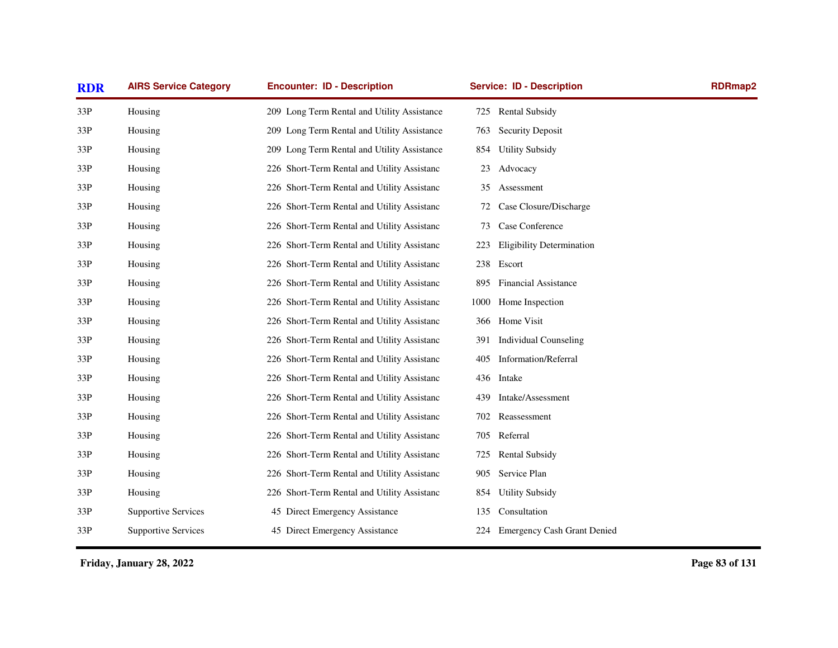| <b>RDR</b> | <b>AIRS Service Category</b> | <b>Encounter: ID - Description</b>          | <b>Service: ID - Description</b>        | RDRmap2 |
|------------|------------------------------|---------------------------------------------|-----------------------------------------|---------|
| 33P        | Housing                      | 209 Long Term Rental and Utility Assistance | <b>Rental Subsidy</b><br>725            |         |
| 33P        | Housing                      | 209 Long Term Rental and Utility Assistance | <b>Security Deposit</b><br>763          |         |
| 33P        | Housing                      | 209 Long Term Rental and Utility Assistance | <b>Utility Subsidy</b><br>854           |         |
| 33P        | Housing                      | 226 Short-Term Rental and Utility Assistanc | Advocacy<br>23                          |         |
| 33P        | Housing                      | 226 Short-Term Rental and Utility Assistanc | Assessment<br>35                        |         |
| 33P        | Housing                      | 226 Short-Term Rental and Utility Assistanc | Case Closure/Discharge<br>72            |         |
| 33P        | Housing                      | 226 Short-Term Rental and Utility Assistanc | Case Conference<br>73                   |         |
| 33P        | Housing                      | 226 Short-Term Rental and Utility Assistanc | <b>Eligibility Determination</b><br>223 |         |
| 33P        | Housing                      | 226 Short-Term Rental and Utility Assistanc | 238<br>Escort                           |         |
| 33P        | Housing                      | 226 Short-Term Rental and Utility Assistanc | <b>Financial Assistance</b><br>895      |         |
| 33P        | Housing                      | 226 Short-Term Rental and Utility Assistanc | Home Inspection<br>1000                 |         |
| 33P        | Housing                      | 226 Short-Term Rental and Utility Assistanc | 366 Home Visit                          |         |
| 33P        | Housing                      | 226 Short-Term Rental and Utility Assistanc | <b>Individual Counseling</b><br>391     |         |
| 33P        | Housing                      | 226 Short-Term Rental and Utility Assistanc | <b>Information/Referral</b><br>405      |         |
| 33P        | Housing                      | 226 Short-Term Rental and Utility Assistanc | 436 Intake                              |         |
| 33P        | Housing                      | 226 Short-Term Rental and Utility Assistanc | Intake/Assessment<br>439                |         |
| 33P        | Housing                      | 226 Short-Term Rental and Utility Assistanc | 702 Reassessment                        |         |
| 33P        | Housing                      | 226 Short-Term Rental and Utility Assistanc | Referral<br>705                         |         |
| 33P        | Housing                      | 226 Short-Term Rental and Utility Assistanc | <b>Rental Subsidy</b><br>725            |         |
| 33P        | Housing                      | 226 Short-Term Rental and Utility Assistanc | Service Plan<br>905                     |         |
| 33P        | Housing                      | 226 Short-Term Rental and Utility Assistanc | <b>Utility Subsidy</b><br>854           |         |
| 33P        | <b>Supportive Services</b>   | 45 Direct Emergency Assistance              | Consultation<br>135                     |         |
| 33P        | <b>Supportive Services</b>   | 45 Direct Emergency Assistance              | 224 Emergency Cash Grant Denied         |         |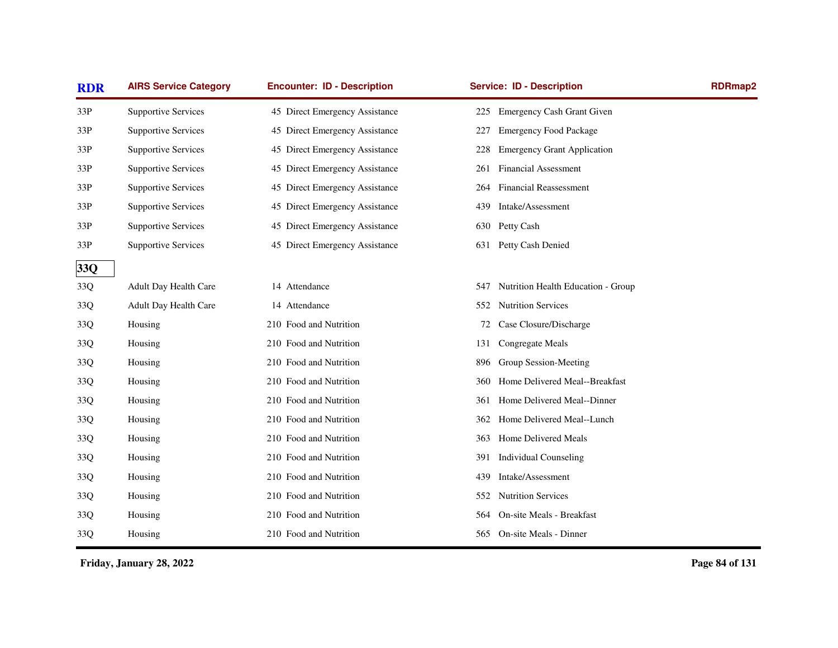| <b>RDR</b> | <b>AIRS Service Category</b> | <b>Encounter: ID - Description</b> | <b>Service: ID - Description</b>          | RDRmap2 |
|------------|------------------------------|------------------------------------|-------------------------------------------|---------|
| 33P        | <b>Supportive Services</b>   | 45 Direct Emergency Assistance     | Emergency Cash Grant Given<br>225         |         |
| 33P        | <b>Supportive Services</b>   | 45 Direct Emergency Assistance     | <b>Emergency Food Package</b><br>227      |         |
| 33P        | <b>Supportive Services</b>   | 45 Direct Emergency Assistance     | <b>Emergency Grant Application</b><br>228 |         |
| 33P        | <b>Supportive Services</b>   | 45 Direct Emergency Assistance     | <b>Financial Assessment</b><br>261        |         |
| 33P        | <b>Supportive Services</b>   | 45 Direct Emergency Assistance     | <b>Financial Reassessment</b><br>264      |         |
| 33P        | <b>Supportive Services</b>   | 45 Direct Emergency Assistance     | Intake/Assessment<br>439                  |         |
| 33P        | <b>Supportive Services</b>   | 45 Direct Emergency Assistance     | Petty Cash<br>630                         |         |
| 33P        | <b>Supportive Services</b>   | 45 Direct Emergency Assistance     | Petty Cash Denied<br>631                  |         |
| 33Q        |                              |                                    |                                           |         |
| 33Q        | Adult Day Health Care        | 14 Attendance                      | Nutrition Health Education - Group<br>547 |         |
| 33Q        | Adult Day Health Care        | 14 Attendance                      | 552 Nutrition Services                    |         |
| 33Q        | Housing                      | 210 Food and Nutrition             | Case Closure/Discharge<br>72              |         |
| 33Q        | Housing                      | 210 Food and Nutrition             | Congregate Meals<br>131                   |         |
| 33Q        | Housing                      | 210 Food and Nutrition             | Group Session-Meeting<br>896              |         |
| 33Q        | Housing                      | 210 Food and Nutrition             | Home Delivered Meal--Breakfast<br>360     |         |
| 33Q        | Housing                      | 210 Food and Nutrition             | Home Delivered Meal--Dinner<br>361        |         |
| 33Q        | Housing                      | 210 Food and Nutrition             | Home Delivered Meal--Lunch<br>362         |         |
| 33Q        | Housing                      | 210 Food and Nutrition             | Home Delivered Meals<br>363               |         |
| 33Q        | Housing                      | 210 Food and Nutrition             | <b>Individual Counseling</b><br>391       |         |
| 33Q        | Housing                      | 210 Food and Nutrition             | Intake/Assessment<br>439                  |         |
| 33Q        | Housing                      | 210 Food and Nutrition             | <b>Nutrition Services</b><br>552          |         |
| 33Q        | Housing                      | 210 Food and Nutrition             | On-site Meals - Breakfast<br>564          |         |
| 33Q        | Housing                      | 210 Food and Nutrition             | 565 On-site Meals - Dinner                |         |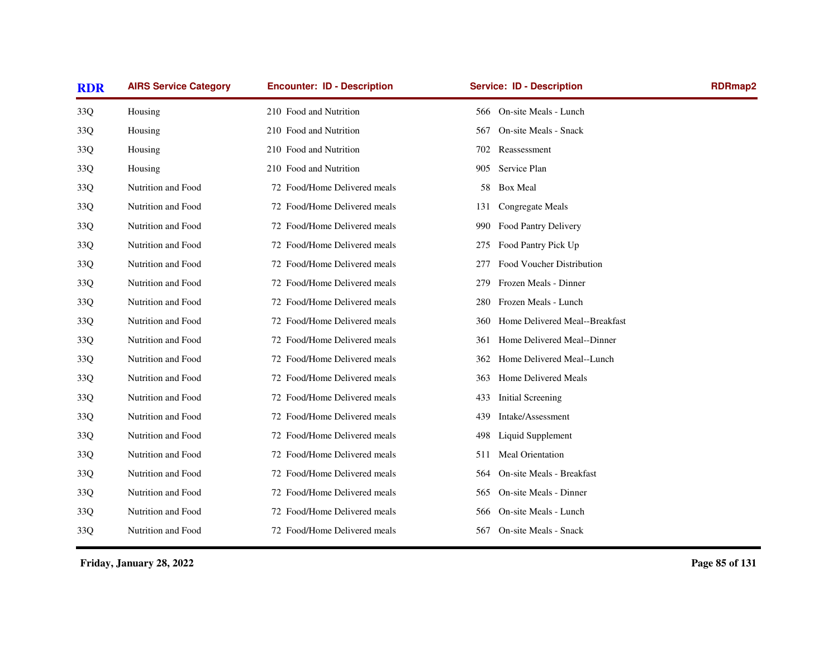| <b>AIRS Service Category</b> | <b>Encounter: ID - Description</b> | <b>Service: ID - Description</b>      | <b>RDRmap2</b> |
|------------------------------|------------------------------------|---------------------------------------|----------------|
| Housing                      | 210 Food and Nutrition             | On-site Meals - Lunch<br>566-         |                |
| Housing                      | 210 Food and Nutrition             | On-site Meals - Snack<br>567          |                |
| Housing                      | 210 Food and Nutrition             | Reassessment<br>702                   |                |
| Housing                      | 210 Food and Nutrition             | Service Plan<br>905                   |                |
| Nutrition and Food           | 72 Food/Home Delivered meals       | <b>Box Meal</b><br>58                 |                |
| Nutrition and Food           | 72 Food/Home Delivered meals       | Congregate Meals<br>131               |                |
| Nutrition and Food           | 72 Food/Home Delivered meals       | Food Pantry Delivery<br>990           |                |
| Nutrition and Food           | 72 Food/Home Delivered meals       | Food Pantry Pick Up<br>275            |                |
| Nutrition and Food           | 72 Food/Home Delivered meals       | Food Voucher Distribution<br>277      |                |
| Nutrition and Food           | 72 Food/Home Delivered meals       | Frozen Meals - Dinner<br>279          |                |
| Nutrition and Food           | 72 Food/Home Delivered meals       | Frozen Meals - Lunch<br>280           |                |
| Nutrition and Food           | 72 Food/Home Delivered meals       | Home Delivered Meal--Breakfast<br>360 |                |
| Nutrition and Food           | 72 Food/Home Delivered meals       | Home Delivered Meal--Dinner<br>361    |                |
| Nutrition and Food           | 72 Food/Home Delivered meals       | Home Delivered Meal--Lunch<br>362     |                |
| Nutrition and Food           | 72 Food/Home Delivered meals       | Home Delivered Meals<br>363           |                |
| Nutrition and Food           | 72 Food/Home Delivered meals       | Initial Screening<br>433              |                |
| Nutrition and Food           | 72 Food/Home Delivered meals       | Intake/Assessment<br>439              |                |
| Nutrition and Food           | 72 Food/Home Delivered meals       | Liquid Supplement<br>498              |                |
| Nutrition and Food           | 72 Food/Home Delivered meals       | Meal Orientation<br>511               |                |
| Nutrition and Food           | 72 Food/Home Delivered meals       | On-site Meals - Breakfast<br>564      |                |
| Nutrition and Food           | 72 Food/Home Delivered meals       | On-site Meals - Dinner<br>565         |                |
| Nutrition and Food           | 72 Food/Home Delivered meals       | On-site Meals - Lunch<br>566          |                |
| Nutrition and Food           | 72 Food/Home Delivered meals       | On-site Meals - Snack<br>567          |                |
|                              |                                    |                                       |                |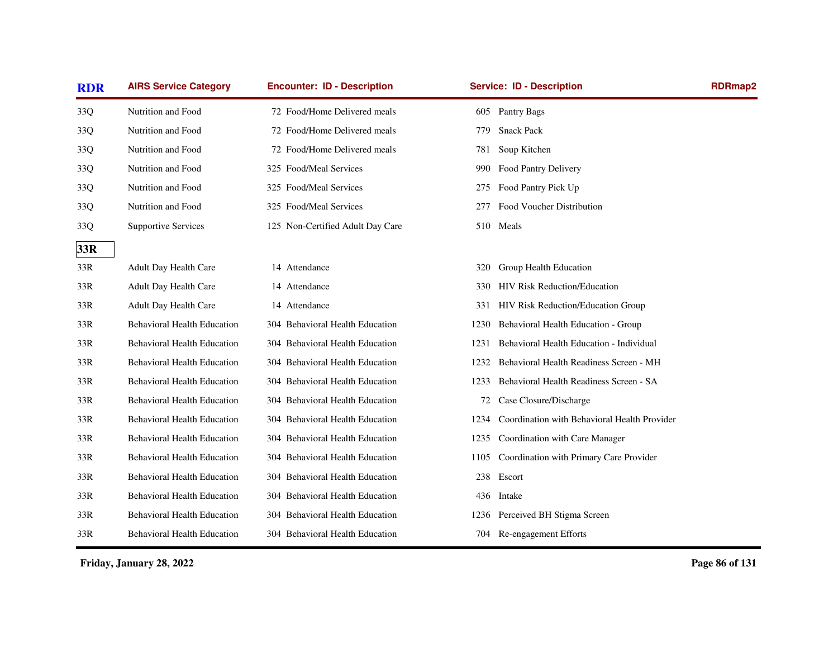| <b>RDR</b> | <b>AIRS Service Category</b>       | <b>Encounter: ID - Description</b> | <b>Service: ID - Description</b>                     | <b>RDRmap2</b> |
|------------|------------------------------------|------------------------------------|------------------------------------------------------|----------------|
| 33Q        | Nutrition and Food                 | 72 Food/Home Delivered meals       | 605 Pantry Bags                                      |                |
| 33Q        | Nutrition and Food                 | 72 Food/Home Delivered meals       | <b>Snack Pack</b><br>779                             |                |
| 33Q        | Nutrition and Food                 | 72 Food/Home Delivered meals       | Soup Kitchen<br>781                                  |                |
| 33Q        | Nutrition and Food                 | 325 Food/Meal Services             | Food Pantry Delivery<br>990                          |                |
| 33Q        | Nutrition and Food                 | 325 Food/Meal Services             | Food Pantry Pick Up<br>275                           |                |
| 33Q        | Nutrition and Food                 | 325 Food/Meal Services             | Food Voucher Distribution<br>277                     |                |
| 33Q        | <b>Supportive Services</b>         | 125 Non-Certified Adult Day Care   | 510 Meals                                            |                |
| 33R        |                                    |                                    |                                                      |                |
| 33R        | <b>Adult Day Health Care</b>       | 14 Attendance                      | Group Health Education<br>320                        |                |
| 33R        | Adult Day Health Care              | 14 Attendance                      | <b>HIV Risk Reduction/Education</b><br>330-          |                |
| 33R        | Adult Day Health Care              | 14 Attendance                      | HIV Risk Reduction/Education Group<br>331            |                |
| 33R        | <b>Behavioral Health Education</b> | 304 Behavioral Health Education    | Behavioral Health Education - Group<br>1230          |                |
| 33R        | <b>Behavioral Health Education</b> | 304 Behavioral Health Education    | Behavioral Health Education - Individual<br>1231     |                |
| 33R        | <b>Behavioral Health Education</b> | 304 Behavioral Health Education    | Behavioral Health Readiness Screen - MH<br>1232      |                |
| 33R        | <b>Behavioral Health Education</b> | 304 Behavioral Health Education    | Behavioral Health Readiness Screen - SA<br>1233      |                |
| 33R        | <b>Behavioral Health Education</b> | 304 Behavioral Health Education    | Case Closure/Discharge<br>72                         |                |
| 33R        | <b>Behavioral Health Education</b> | 304 Behavioral Health Education    | Coordination with Behavioral Health Provider<br>1234 |                |
| 33R        | <b>Behavioral Health Education</b> | 304 Behavioral Health Education    | Coordination with Care Manager<br>1235               |                |
| 33R        | <b>Behavioral Health Education</b> | 304 Behavioral Health Education    | Coordination with Primary Care Provider<br>1105      |                |
| 33R        | <b>Behavioral Health Education</b> | 304 Behavioral Health Education    | 238 Escort                                           |                |
| 33R        | <b>Behavioral Health Education</b> | 304 Behavioral Health Education    | 436 Intake                                           |                |
| 33R        | <b>Behavioral Health Education</b> | 304 Behavioral Health Education    | 1236 Perceived BH Stigma Screen                      |                |
| 33R        | <b>Behavioral Health Education</b> | 304 Behavioral Health Education    | 704 Re-engagement Efforts                            |                |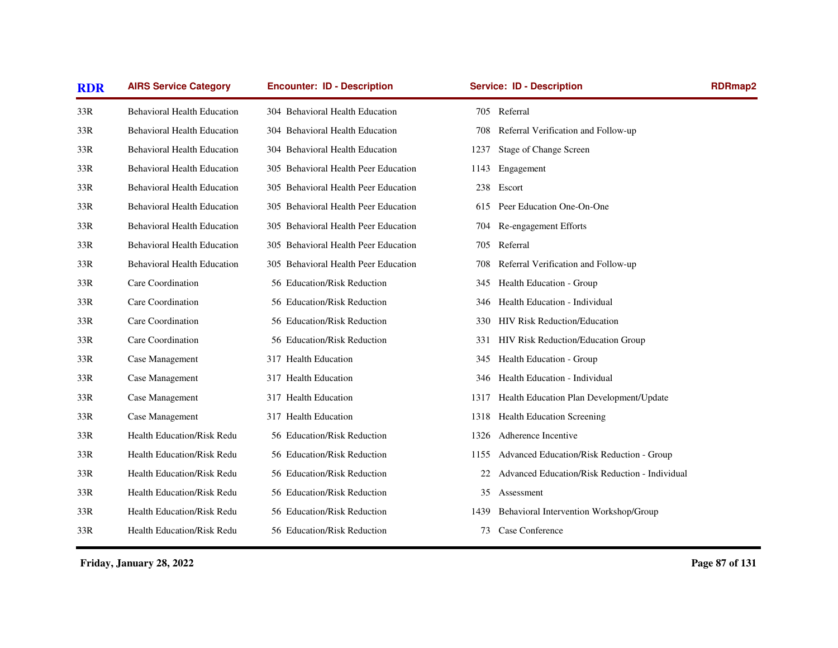| <b>RDR</b> | <b>AIRS Service Category</b>       | <b>Encounter: ID - Description</b>   | <b>Service: ID - Description</b>                     | <b>RDRmap2</b> |
|------------|------------------------------------|--------------------------------------|------------------------------------------------------|----------------|
| 33R        | <b>Behavioral Health Education</b> | 304 Behavioral Health Education      | 705 Referral                                         |                |
| 33R        | <b>Behavioral Health Education</b> | 304 Behavioral Health Education      | Referral Verification and Follow-up<br>708           |                |
| 33R        | <b>Behavioral Health Education</b> | 304 Behavioral Health Education      | Stage of Change Screen<br>1237                       |                |
| 33R        | <b>Behavioral Health Education</b> | 305 Behavioral Health Peer Education | Engagement<br>1143                                   |                |
| 33R        | <b>Behavioral Health Education</b> | 305 Behavioral Health Peer Education | 238 Escort                                           |                |
| 33R        | <b>Behavioral Health Education</b> | 305 Behavioral Health Peer Education | Peer Education One-On-One<br>615.                    |                |
| 33R        | <b>Behavioral Health Education</b> | 305 Behavioral Health Peer Education | Re-engagement Efforts<br>704                         |                |
| 33R        | <b>Behavioral Health Education</b> | 305 Behavioral Health Peer Education | Referral<br>705                                      |                |
| 33R        | <b>Behavioral Health Education</b> | 305 Behavioral Health Peer Education | Referral Verification and Follow-up<br>708           |                |
| 33R        | Care Coordination                  | 56 Education/Risk Reduction          | Health Education - Group<br>345                      |                |
| 33R        | Care Coordination                  | 56 Education/Risk Reduction          | Health Education - Individual<br>346                 |                |
| 33R        | Care Coordination                  | 56 Education/Risk Reduction          | <b>HIV Risk Reduction/Education</b><br>330           |                |
| 33R        | Care Coordination                  | 56 Education/Risk Reduction          | HIV Risk Reduction/Education Group<br>331            |                |
| 33R        | Case Management                    | 317 Health Education                 | Health Education - Group<br>345                      |                |
| 33R        | Case Management                    | 317 Health Education                 | Health Education - Individual<br>346                 |                |
| 33R        | Case Management                    | 317 Health Education                 | Health Education Plan Development/Update<br>1317     |                |
| 33R        | Case Management                    | 317 Health Education                 | 1318 Health Education Screening                      |                |
| 33R        | <b>Health Education/Risk Redu</b>  | 56 Education/Risk Reduction          | Adherence Incentive<br>1326                          |                |
| 33R        | <b>Health Education/Risk Redu</b>  | 56 Education/Risk Reduction          | Advanced Education/Risk Reduction - Group<br>1155    |                |
| 33R        | <b>Health Education/Risk Redu</b>  | 56 Education/Risk Reduction          | Advanced Education/Risk Reduction - Individual<br>22 |                |
| 33R        | Health Education/Risk Redu         | 56 Education/Risk Reduction          | 35<br>Assessment                                     |                |
| 33R        | <b>Health Education/Risk Redu</b>  | 56 Education/Risk Reduction          | Behavioral Intervention Workshop/Group<br>1439       |                |
| 33R        | Health Education/Risk Redu         | 56 Education/Risk Reduction          | Case Conference<br>73                                |                |
|            |                                    |                                      |                                                      |                |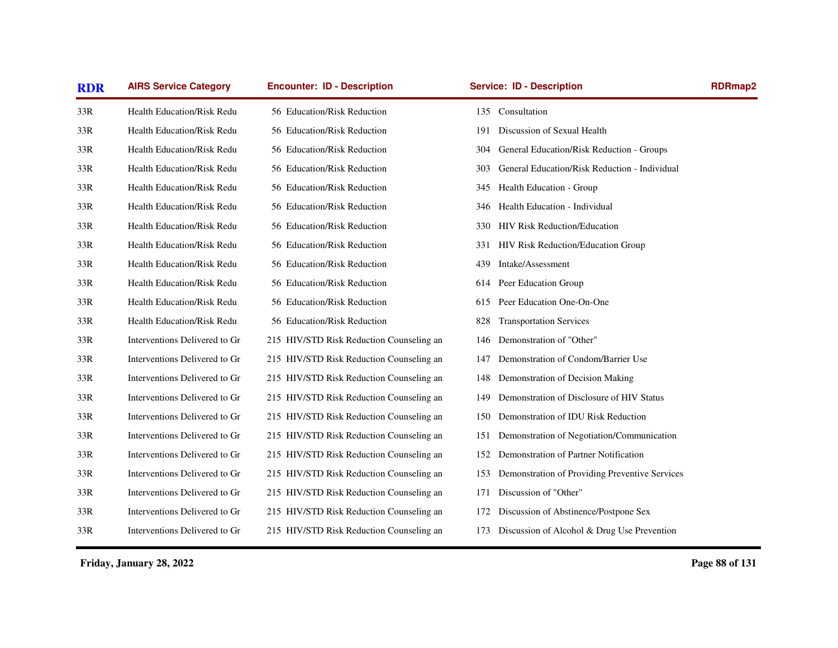| <b>AIRS Service Category</b>      | <b>Encounter: ID - Description</b>       | <b>Service: ID - Description</b>                     | RDRmap2                                        |
|-----------------------------------|------------------------------------------|------------------------------------------------------|------------------------------------------------|
| Health Education/Risk Redu        | 56 Education/Risk Reduction              | 135 Consultation                                     |                                                |
| Health Education/Risk Redu        | 56 Education/Risk Reduction              | Discussion of Sexual Health<br>191                   |                                                |
| <b>Health Education/Risk Redu</b> | 56 Education/Risk Reduction              | 304<br>General Education/Risk Reduction - Groups     |                                                |
| Health Education/Risk Redu        | 56 Education/Risk Reduction              | General Education/Risk Reduction - Individual<br>303 |                                                |
| <b>Health Education/Risk Redu</b> | 56 Education/Risk Reduction              | Health Education - Group<br>345                      |                                                |
| Health Education/Risk Redu        | 56 Education/Risk Reduction              | Health Education - Individual<br>346                 |                                                |
| <b>Health Education/Risk Redu</b> | 56 Education/Risk Reduction              | <b>HIV Risk Reduction/Education</b><br>330           |                                                |
| <b>Health Education/Risk Redu</b> | 56 Education/Risk Reduction              | HIV Risk Reduction/Education Group<br>331            |                                                |
| Health Education/Risk Redu        | 56 Education/Risk Reduction              | Intake/Assessment<br>439                             |                                                |
| Health Education/Risk Redu        | 56 Education/Risk Reduction              | Peer Education Group<br>614                          |                                                |
| Health Education/Risk Redu        | 56 Education/Risk Reduction              | Peer Education One-On-One<br>615                     |                                                |
| <b>Health Education/Risk Redu</b> | 56 Education/Risk Reduction              | <b>Transportation Services</b><br>828                |                                                |
| Interventions Delivered to Gr     | 215 HIV/STD Risk Reduction Counseling an | Demonstration of "Other"<br>146                      |                                                |
| Interventions Delivered to Gr     | 215 HIV/STD Risk Reduction Counseling an | Demonstration of Condom/Barrier Use<br>147           |                                                |
| Interventions Delivered to Gr     | 215 HIV/STD Risk Reduction Counseling an | Demonstration of Decision Making<br>148              |                                                |
| Interventions Delivered to Gr     | 215 HIV/STD Risk Reduction Counseling an | Demonstration of Disclosure of HIV Status<br>149     |                                                |
| Interventions Delivered to Gr     | 215 HIV/STD Risk Reduction Counseling an | Demonstration of IDU Risk Reduction<br>150           |                                                |
| Interventions Delivered to Gr     | 215 HIV/STD Risk Reduction Counseling an | Demonstration of Negotiation/Communication<br>151    |                                                |
| Interventions Delivered to Gr     | 215 HIV/STD Risk Reduction Counseling an | Demonstration of Partner Notification<br>152         |                                                |
| Interventions Delivered to Gr     | 215 HIV/STD Risk Reduction Counseling an | 153                                                  |                                                |
| Interventions Delivered to Gr     | 215 HIV/STD Risk Reduction Counseling an | Discussion of "Other"<br>171                         |                                                |
| Interventions Delivered to Gr     | 215 HIV/STD Risk Reduction Counseling an | Discussion of Abstinence/Postpone Sex<br>172         |                                                |
| Interventions Delivered to Gr     | 215 HIV/STD Risk Reduction Counseling an | 173 Discussion of Alcohol & Drug Use Prevention      |                                                |
|                                   |                                          |                                                      | Demonstration of Providing Preventive Services |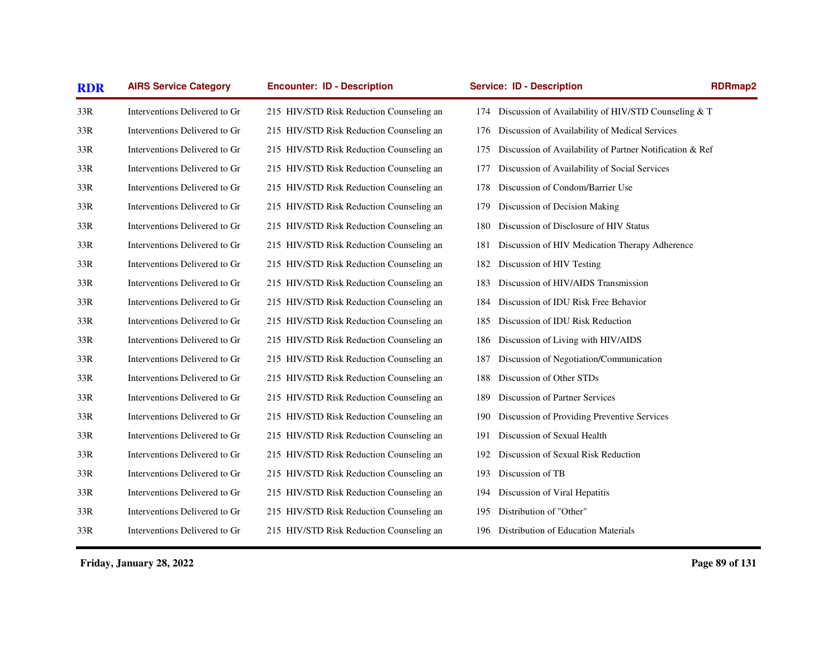| <b>AIRS Service Category</b>  | <b>Encounter: ID - Description</b>       | <b>Service: ID - Description</b>               | RDRmap2                                                                                                                                                                                                                                                                                                                  |
|-------------------------------|------------------------------------------|------------------------------------------------|--------------------------------------------------------------------------------------------------------------------------------------------------------------------------------------------------------------------------------------------------------------------------------------------------------------------------|
| Interventions Delivered to Gr | 215 HIV/STD Risk Reduction Counseling an |                                                |                                                                                                                                                                                                                                                                                                                          |
| Interventions Delivered to Gr | 215 HIV/STD Risk Reduction Counseling an | 176                                            |                                                                                                                                                                                                                                                                                                                          |
| Interventions Delivered to Gr | 215 HIV/STD Risk Reduction Counseling an | 175                                            |                                                                                                                                                                                                                                                                                                                          |
| Interventions Delivered to Gr | 215 HIV/STD Risk Reduction Counseling an | 177                                            |                                                                                                                                                                                                                                                                                                                          |
| Interventions Delivered to Gr | 215 HIV/STD Risk Reduction Counseling an | Discussion of Condom/Barrier Use<br>178        |                                                                                                                                                                                                                                                                                                                          |
| Interventions Delivered to Gr | 215 HIV/STD Risk Reduction Counseling an | Discussion of Decision Making<br>179           |                                                                                                                                                                                                                                                                                                                          |
| Interventions Delivered to Gr | 215 HIV/STD Risk Reduction Counseling an | Discussion of Disclosure of HIV Status<br>180  |                                                                                                                                                                                                                                                                                                                          |
| Interventions Delivered to Gr | 215 HIV/STD Risk Reduction Counseling an | 181                                            |                                                                                                                                                                                                                                                                                                                          |
| Interventions Delivered to Gr | 215 HIV/STD Risk Reduction Counseling an | Discussion of HIV Testing<br>182               |                                                                                                                                                                                                                                                                                                                          |
| Interventions Delivered to Gr | 215 HIV/STD Risk Reduction Counseling an | Discussion of HIV/AIDS Transmission<br>183     |                                                                                                                                                                                                                                                                                                                          |
| Interventions Delivered to Gr | 215 HIV/STD Risk Reduction Counseling an | Discussion of IDU Risk Free Behavior<br>184    |                                                                                                                                                                                                                                                                                                                          |
| Interventions Delivered to Gr | 215 HIV/STD Risk Reduction Counseling an | Discussion of IDU Risk Reduction<br>185        |                                                                                                                                                                                                                                                                                                                          |
| Interventions Delivered to Gr | 215 HIV/STD Risk Reduction Counseling an | Discussion of Living with HIV/AIDS<br>186      |                                                                                                                                                                                                                                                                                                                          |
| Interventions Delivered to Gr | 215 HIV/STD Risk Reduction Counseling an | Discussion of Negotiation/Communication<br>187 |                                                                                                                                                                                                                                                                                                                          |
| Interventions Delivered to Gr | 215 HIV/STD Risk Reduction Counseling an | Discussion of Other STDs<br>188                |                                                                                                                                                                                                                                                                                                                          |
| Interventions Delivered to Gr | 215 HIV/STD Risk Reduction Counseling an | Discussion of Partner Services<br>189          |                                                                                                                                                                                                                                                                                                                          |
| Interventions Delivered to Gr | 215 HIV/STD Risk Reduction Counseling an | 190                                            |                                                                                                                                                                                                                                                                                                                          |
| Interventions Delivered to Gr | 215 HIV/STD Risk Reduction Counseling an | Discussion of Sexual Health<br>191             |                                                                                                                                                                                                                                                                                                                          |
| Interventions Delivered to Gr | 215 HIV/STD Risk Reduction Counseling an | Discussion of Sexual Risk Reduction<br>192     |                                                                                                                                                                                                                                                                                                                          |
| Interventions Delivered to Gr | 215 HIV/STD Risk Reduction Counseling an | Discussion of TB<br>193                        |                                                                                                                                                                                                                                                                                                                          |
| Interventions Delivered to Gr | 215 HIV/STD Risk Reduction Counseling an | Discussion of Viral Hepatitis<br>194           |                                                                                                                                                                                                                                                                                                                          |
| Interventions Delivered to Gr | 215 HIV/STD Risk Reduction Counseling an | Distribution of "Other"<br>195                 |                                                                                                                                                                                                                                                                                                                          |
| Interventions Delivered to Gr | 215 HIV/STD Risk Reduction Counseling an | Distribution of Education Materials<br>196     |                                                                                                                                                                                                                                                                                                                          |
|                               |                                          |                                                | 174 Discussion of Availability of HIV/STD Counseling & T<br>Discussion of Availability of Medical Services<br>Discussion of Availability of Partner Notification & Ref<br>Discussion of Availability of Social Services<br>Discussion of HIV Medication Therapy Adherence<br>Discussion of Providing Preventive Services |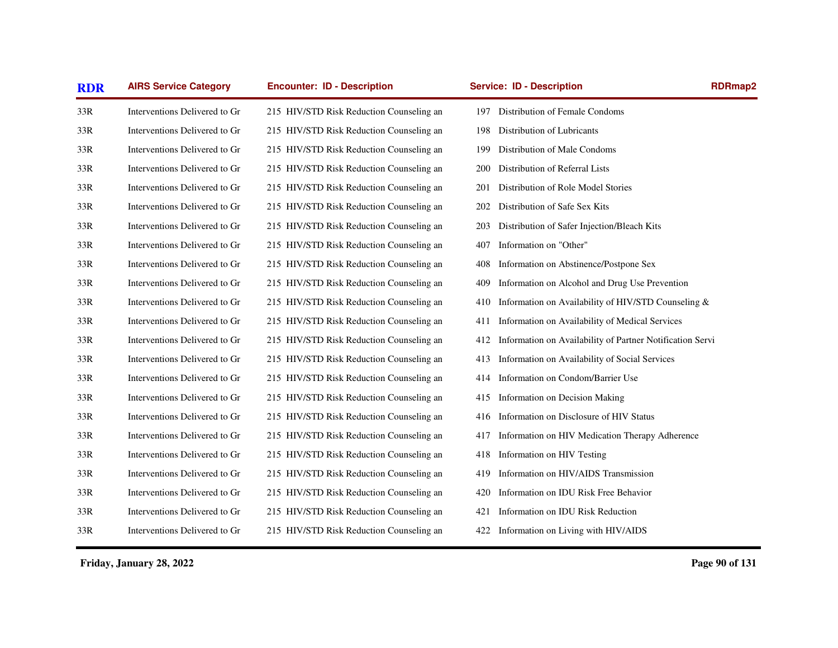| <b>RDR</b> | <b>AIRS Service Category</b>  | <b>Encounter: ID - Description</b>       | <b>Service: ID - Description</b>                                 | <b>RDRmap2</b> |
|------------|-------------------------------|------------------------------------------|------------------------------------------------------------------|----------------|
| 33R        | Interventions Delivered to Gr | 215 HIV/STD Risk Reduction Counseling an | Distribution of Female Condoms<br>197                            |                |
| 33R        | Interventions Delivered to Gr | 215 HIV/STD Risk Reduction Counseling an | Distribution of Lubricants<br>198                                |                |
| 33R        | Interventions Delivered to Gr | 215 HIV/STD Risk Reduction Counseling an | Distribution of Male Condoms<br>199                              |                |
| 33R        | Interventions Delivered to Gr | 215 HIV/STD Risk Reduction Counseling an | Distribution of Referral Lists<br>200                            |                |
| 33R        | Interventions Delivered to Gr | 215 HIV/STD Risk Reduction Counseling an | Distribution of Role Model Stories<br>201                        |                |
| 33R        | Interventions Delivered to Gr | 215 HIV/STD Risk Reduction Counseling an | Distribution of Safe Sex Kits<br>202                             |                |
| 33R        | Interventions Delivered to Gr | 215 HIV/STD Risk Reduction Counseling an | Distribution of Safer Injection/Bleach Kits<br>203               |                |
| 33R        | Interventions Delivered to Gr | 215 HIV/STD Risk Reduction Counseling an | Information on "Other"<br>407                                    |                |
| 33R        | Interventions Delivered to Gr | 215 HIV/STD Risk Reduction Counseling an | Information on Abstinence/Postpone Sex<br>408                    |                |
| 33R        | Interventions Delivered to Gr | 215 HIV/STD Risk Reduction Counseling an | Information on Alcohol and Drug Use Prevention<br>409            |                |
| 33R        | Interventions Delivered to Gr | 215 HIV/STD Risk Reduction Counseling an | Information on Availability of HIV/STD Counseling &<br>410       |                |
| 33R        | Interventions Delivered to Gr | 215 HIV/STD Risk Reduction Counseling an | Information on Availability of Medical Services<br>411           |                |
| 33R        | Interventions Delivered to Gr | 215 HIV/STD Risk Reduction Counseling an | Information on Availability of Partner Notification Servi<br>412 |                |
| 33R        | Interventions Delivered to Gr | 215 HIV/STD Risk Reduction Counseling an | Information on Availability of Social Services<br>413            |                |
| 33R        | Interventions Delivered to Gr | 215 HIV/STD Risk Reduction Counseling an | Information on Condom/Barrier Use<br>414                         |                |
| 33R        | Interventions Delivered to Gr | 215 HIV/STD Risk Reduction Counseling an | Information on Decision Making<br>415                            |                |
| 33R        | Interventions Delivered to Gr | 215 HIV/STD Risk Reduction Counseling an | Information on Disclosure of HIV Status<br>416                   |                |
| 33R        | Interventions Delivered to Gr | 215 HIV/STD Risk Reduction Counseling an | Information on HIV Medication Therapy Adherence<br>417           |                |
| 33R        | Interventions Delivered to Gr | 215 HIV/STD Risk Reduction Counseling an | Information on HIV Testing<br>418                                |                |
| 33R        | Interventions Delivered to Gr | 215 HIV/STD Risk Reduction Counseling an | Information on HIV/AIDS Transmission<br>419                      |                |
| 33R        | Interventions Delivered to Gr | 215 HIV/STD Risk Reduction Counseling an | Information on IDU Risk Free Behavior<br>420                     |                |
| 33R        | Interventions Delivered to Gr | 215 HIV/STD Risk Reduction Counseling an | Information on IDU Risk Reduction<br>421                         |                |
| 33R        | Interventions Delivered to Gr | 215 HIV/STD Risk Reduction Counseling an | 422 Information on Living with HIV/AIDS                          |                |
|            |                               |                                          |                                                                  |                |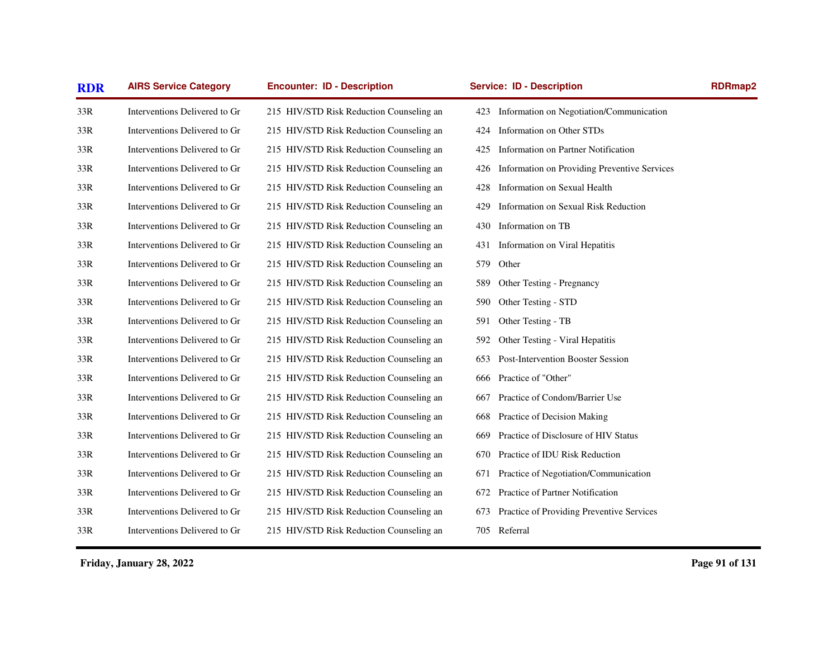| <b>RDR</b> | <b>AIRS Service Category</b>  | <b>Encounter: ID - Description</b>       | <b>Service: ID - Description</b>                    | <b>RDRmap2</b> |
|------------|-------------------------------|------------------------------------------|-----------------------------------------------------|----------------|
| 33R        | Interventions Delivered to Gr | 215 HIV/STD Risk Reduction Counseling an | Information on Negotiation/Communication<br>423     |                |
| 33R        | Interventions Delivered to Gr | 215 HIV/STD Risk Reduction Counseling an | Information on Other STDs<br>424                    |                |
| 33R        | Interventions Delivered to Gr | 215 HIV/STD Risk Reduction Counseling an | Information on Partner Notification<br>425          |                |
| 33R        | Interventions Delivered to Gr | 215 HIV/STD Risk Reduction Counseling an | Information on Providing Preventive Services<br>426 |                |
| 33R        | Interventions Delivered to Gr | 215 HIV/STD Risk Reduction Counseling an | Information on Sexual Health<br>428                 |                |
| 33R        | Interventions Delivered to Gr | 215 HIV/STD Risk Reduction Counseling an | Information on Sexual Risk Reduction<br>429         |                |
| 33R        | Interventions Delivered to Gr | 215 HIV/STD Risk Reduction Counseling an | Information on TB<br>430                            |                |
| 33R        | Interventions Delivered to Gr | 215 HIV/STD Risk Reduction Counseling an | Information on Viral Hepatitis<br>431               |                |
| 33R        | Interventions Delivered to Gr | 215 HIV/STD Risk Reduction Counseling an | 579<br>Other                                        |                |
| 33R        | Interventions Delivered to Gr | 215 HIV/STD Risk Reduction Counseling an | Other Testing - Pregnancy<br>589                    |                |
| 33R        | Interventions Delivered to Gr | 215 HIV/STD Risk Reduction Counseling an | Other Testing - STD<br>590                          |                |
| 33R        | Interventions Delivered to Gr | 215 HIV/STD Risk Reduction Counseling an | Other Testing - TB<br>591                           |                |
| 33R        | Interventions Delivered to Gr | 215 HIV/STD Risk Reduction Counseling an | Other Testing - Viral Hepatitis<br>592              |                |
| 33R        | Interventions Delivered to Gr | 215 HIV/STD Risk Reduction Counseling an | Post-Intervention Booster Session<br>653            |                |
| 33R        | Interventions Delivered to Gr | 215 HIV/STD Risk Reduction Counseling an | Practice of "Other"<br>666                          |                |
| 33R        | Interventions Delivered to Gr | 215 HIV/STD Risk Reduction Counseling an | Practice of Condom/Barrier Use<br>667               |                |
| 33R        | Interventions Delivered to Gr | 215 HIV/STD Risk Reduction Counseling an | Practice of Decision Making<br>668                  |                |
| 33R        | Interventions Delivered to Gr | 215 HIV/STD Risk Reduction Counseling an | Practice of Disclosure of HIV Status<br>669         |                |
| 33R        | Interventions Delivered to Gr | 215 HIV/STD Risk Reduction Counseling an | Practice of IDU Risk Reduction<br>670               |                |
| 33R        | Interventions Delivered to Gr | 215 HIV/STD Risk Reduction Counseling an | Practice of Negotiation/Communication<br>671        |                |
| 33R        | Interventions Delivered to Gr | 215 HIV/STD Risk Reduction Counseling an | Practice of Partner Notification<br>672             |                |
| 33R        | Interventions Delivered to Gr | 215 HIV/STD Risk Reduction Counseling an | Practice of Providing Preventive Services<br>673    |                |
| 33R        | Interventions Delivered to Gr | 215 HIV/STD Risk Reduction Counseling an | 705 Referral                                        |                |
|            |                               |                                          |                                                     |                |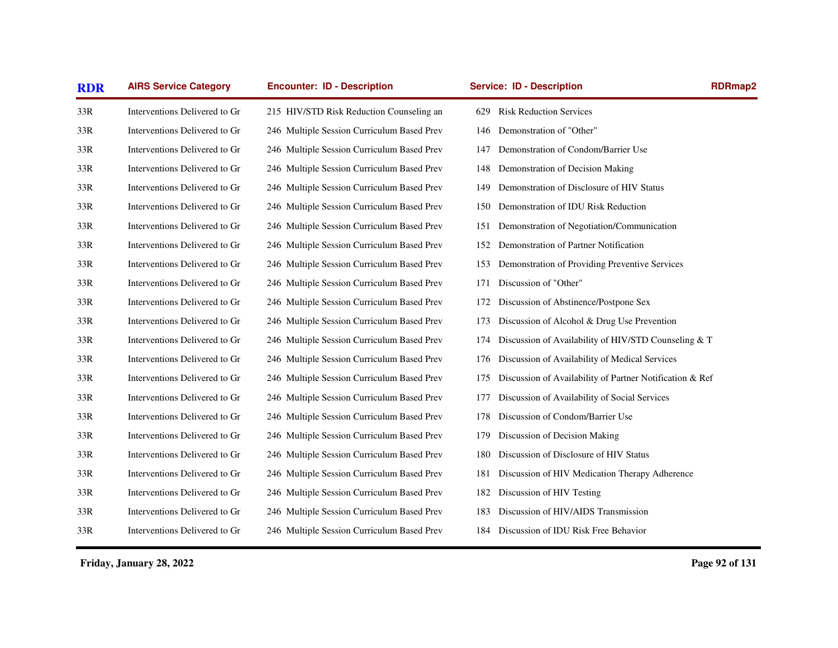| <b>RDR</b> | <b>AIRS Service Category</b>  | <b>Encounter: ID - Description</b>         | <b>Service: ID - Description</b>                                | <b>RDRmap2</b> |
|------------|-------------------------------|--------------------------------------------|-----------------------------------------------------------------|----------------|
| 33R        | Interventions Delivered to Gr | 215 HIV/STD Risk Reduction Counseling an   | <b>Risk Reduction Services</b><br>629                           |                |
| 33R        | Interventions Delivered to Gr | 246 Multiple Session Curriculum Based Prev | Demonstration of "Other"<br>146                                 |                |
| 33R        | Interventions Delivered to Gr | 246 Multiple Session Curriculum Based Prev | Demonstration of Condom/Barrier Use<br>147                      |                |
| 33R        | Interventions Delivered to Gr | 246 Multiple Session Curriculum Based Prev | Demonstration of Decision Making<br>148                         |                |
| 33R        | Interventions Delivered to Gr | 246 Multiple Session Curriculum Based Prev | Demonstration of Disclosure of HIV Status<br>149                |                |
| 33R        | Interventions Delivered to Gr | 246 Multiple Session Curriculum Based Prev | Demonstration of IDU Risk Reduction<br>150                      |                |
| 33R        | Interventions Delivered to Gr | 246 Multiple Session Curriculum Based Prev | Demonstration of Negotiation/Communication<br>151               |                |
| 33R        | Interventions Delivered to Gr | 246 Multiple Session Curriculum Based Prev | Demonstration of Partner Notification<br>152                    |                |
| 33R        | Interventions Delivered to Gr | 246 Multiple Session Curriculum Based Prev | Demonstration of Providing Preventive Services<br>153           |                |
| 33R        | Interventions Delivered to Gr | 246 Multiple Session Curriculum Based Prev | Discussion of "Other"<br>171                                    |                |
| 33R        | Interventions Delivered to Gr | 246 Multiple Session Curriculum Based Prev | Discussion of Abstinence/Postpone Sex<br>172                    |                |
| 33R        | Interventions Delivered to Gr | 246 Multiple Session Curriculum Based Prev | Discussion of Alcohol & Drug Use Prevention<br>173              |                |
| 33R        | Interventions Delivered to Gr | 246 Multiple Session Curriculum Based Prev | Discussion of Availability of HIV/STD Counseling & T<br>174     |                |
| 33R        | Interventions Delivered to Gr | 246 Multiple Session Curriculum Based Prev | Discussion of Availability of Medical Services<br>176           |                |
| 33R        | Interventions Delivered to Gr | 246 Multiple Session Curriculum Based Prev | Discussion of Availability of Partner Notification & Ref<br>175 |                |
| 33R        | Interventions Delivered to Gr | 246 Multiple Session Curriculum Based Prev | Discussion of Availability of Social Services<br>177            |                |
| 33R        | Interventions Delivered to Gr | 246 Multiple Session Curriculum Based Prev | Discussion of Condom/Barrier Use<br>178                         |                |
| 33R        | Interventions Delivered to Gr | 246 Multiple Session Curriculum Based Prev | Discussion of Decision Making<br>179                            |                |
| 33R        | Interventions Delivered to Gr | 246 Multiple Session Curriculum Based Prev | Discussion of Disclosure of HIV Status<br>180                   |                |
| 33R        | Interventions Delivered to Gr | 246 Multiple Session Curriculum Based Prev | Discussion of HIV Medication Therapy Adherence<br>181           |                |
| 33R        | Interventions Delivered to Gr | 246 Multiple Session Curriculum Based Prev | Discussion of HIV Testing<br>182                                |                |
| 33R        | Interventions Delivered to Gr | 246 Multiple Session Curriculum Based Prev | Discussion of HIV/AIDS Transmission<br>183                      |                |
| 33R        | Interventions Delivered to Gr | 246 Multiple Session Curriculum Based Prev | 184 Discussion of IDU Risk Free Behavior                        |                |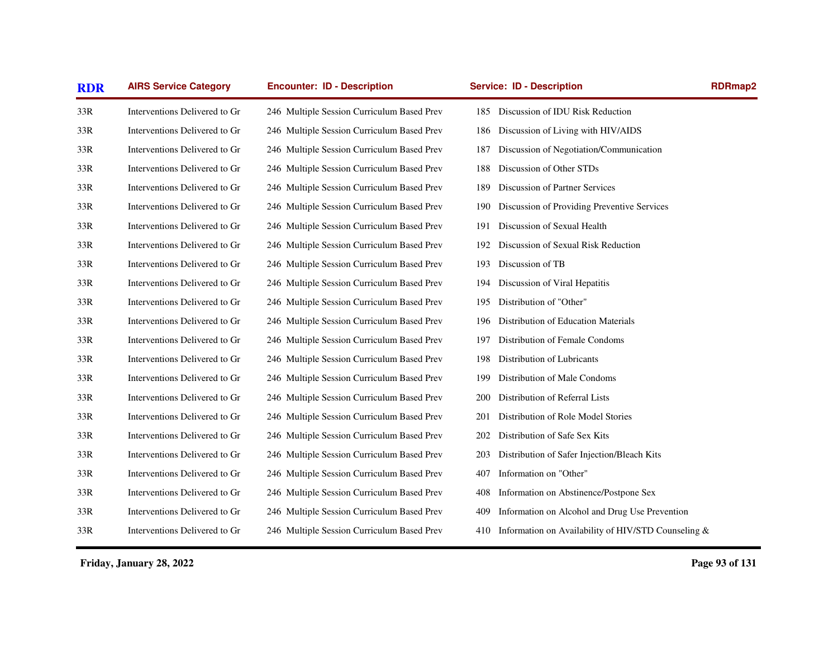| <b>RDR</b> | <b>AIRS Service Category</b>  | <b>Encounter: ID - Description</b>         | <b>Service: ID - Description</b>                           | <b>RDRmap2</b> |
|------------|-------------------------------|--------------------------------------------|------------------------------------------------------------|----------------|
| 33R        | Interventions Delivered to Gr | 246 Multiple Session Curriculum Based Prev | 185 Discussion of IDU Risk Reduction                       |                |
| 33R        | Interventions Delivered to Gr | 246 Multiple Session Curriculum Based Prev | Discussion of Living with HIV/AIDS<br>186                  |                |
| 33R        | Interventions Delivered to Gr | 246 Multiple Session Curriculum Based Prev | Discussion of Negotiation/Communication<br>187             |                |
| 33R        | Interventions Delivered to Gr | 246 Multiple Session Curriculum Based Prev | Discussion of Other STDs<br>188                            |                |
| 33R        | Interventions Delivered to Gr | 246 Multiple Session Curriculum Based Prev | Discussion of Partner Services<br>189                      |                |
| 33R        | Interventions Delivered to Gr | 246 Multiple Session Curriculum Based Prev | Discussion of Providing Preventive Services<br>190         |                |
| 33R        | Interventions Delivered to Gr | 246 Multiple Session Curriculum Based Prev | Discussion of Sexual Health<br>191                         |                |
| 33R        | Interventions Delivered to Gr | 246 Multiple Session Curriculum Based Prev | Discussion of Sexual Risk Reduction<br>192                 |                |
| 33R        | Interventions Delivered to Gr | 246 Multiple Session Curriculum Based Prev | Discussion of TB<br>193                                    |                |
| 33R        | Interventions Delivered to Gr | 246 Multiple Session Curriculum Based Prev | Discussion of Viral Hepatitis<br>194                       |                |
| 33R        | Interventions Delivered to Gr | 246 Multiple Session Curriculum Based Prev | Distribution of "Other"<br>195                             |                |
| 33R        | Interventions Delivered to Gr | 246 Multiple Session Curriculum Based Prev | Distribution of Education Materials<br>196                 |                |
| 33R        | Interventions Delivered to Gr | 246 Multiple Session Curriculum Based Prev | Distribution of Female Condoms<br>197                      |                |
| 33R        | Interventions Delivered to Gr | 246 Multiple Session Curriculum Based Prev | Distribution of Lubricants<br>198                          |                |
| 33R        | Interventions Delivered to Gr | 246 Multiple Session Curriculum Based Prev | Distribution of Male Condoms<br>199                        |                |
| 33R        | Interventions Delivered to Gr | 246 Multiple Session Curriculum Based Prev | Distribution of Referral Lists<br>200                      |                |
| 33R        | Interventions Delivered to Gr | 246 Multiple Session Curriculum Based Prev | Distribution of Role Model Stories<br>201                  |                |
| 33R        | Interventions Delivered to Gr | 246 Multiple Session Curriculum Based Prev | Distribution of Safe Sex Kits<br>202                       |                |
| 33R        | Interventions Delivered to Gr | 246 Multiple Session Curriculum Based Prev | Distribution of Safer Injection/Bleach Kits<br>203         |                |
| 33R        | Interventions Delivered to Gr | 246 Multiple Session Curriculum Based Prev | Information on "Other"<br>407                              |                |
| 33R        | Interventions Delivered to Gr | 246 Multiple Session Curriculum Based Prev | Information on Abstinence/Postpone Sex<br>408              |                |
| 33R        | Interventions Delivered to Gr | 246 Multiple Session Curriculum Based Prev | Information on Alcohol and Drug Use Prevention<br>409      |                |
| 33R        | Interventions Delivered to Gr | 246 Multiple Session Curriculum Based Prev | Information on Availability of HIV/STD Counseling &<br>410 |                |
|            |                               |                                            |                                                            |                |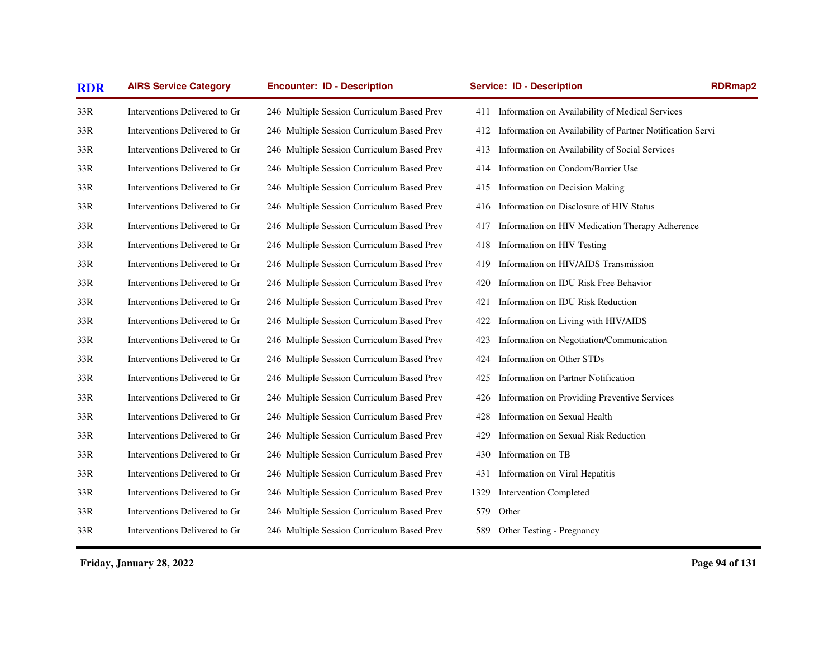| <b>RDR</b> | <b>AIRS Service Category</b>  | <b>Encounter: ID - Description</b>         | <b>Service: ID - Description</b>                                 | <b>RDRmap2</b> |
|------------|-------------------------------|--------------------------------------------|------------------------------------------------------------------|----------------|
| 33R        | Interventions Delivered to Gr | 246 Multiple Session Curriculum Based Prev | 411 Information on Availability of Medical Services              |                |
| 33R        | Interventions Delivered to Gr | 246 Multiple Session Curriculum Based Prev | Information on Availability of Partner Notification Servi<br>412 |                |
| 33R        | Interventions Delivered to Gr | 246 Multiple Session Curriculum Based Prev | Information on Availability of Social Services<br>413            |                |
| 33R        | Interventions Delivered to Gr | 246 Multiple Session Curriculum Based Prev | Information on Condom/Barrier Use<br>414                         |                |
| 33R        | Interventions Delivered to Gr | 246 Multiple Session Curriculum Based Prev | Information on Decision Making<br>415                            |                |
| 33R        | Interventions Delivered to Gr | 246 Multiple Session Curriculum Based Prev | Information on Disclosure of HIV Status<br>416                   |                |
| 33R        | Interventions Delivered to Gr | 246 Multiple Session Curriculum Based Prev | Information on HIV Medication Therapy Adherence<br>417           |                |
| 33R        | Interventions Delivered to Gr | 246 Multiple Session Curriculum Based Prev | Information on HIV Testing<br>418                                |                |
| 33R        | Interventions Delivered to Gr | 246 Multiple Session Curriculum Based Prev | Information on HIV/AIDS Transmission<br>419                      |                |
| 33R        | Interventions Delivered to Gr | 246 Multiple Session Curriculum Based Prev | Information on IDU Risk Free Behavior<br>420                     |                |
| 33R        | Interventions Delivered to Gr | 246 Multiple Session Curriculum Based Prev | Information on IDU Risk Reduction<br>421                         |                |
| 33R        | Interventions Delivered to Gr | 246 Multiple Session Curriculum Based Prev | Information on Living with HIV/AIDS<br>422                       |                |
| 33R        | Interventions Delivered to Gr | 246 Multiple Session Curriculum Based Prev | Information on Negotiation/Communication<br>423                  |                |
| 33R        | Interventions Delivered to Gr | 246 Multiple Session Curriculum Based Prev | Information on Other STDs<br>424                                 |                |
| 33R        | Interventions Delivered to Gr | 246 Multiple Session Curriculum Based Prev | Information on Partner Notification<br>425                       |                |
| 33R        | Interventions Delivered to Gr | 246 Multiple Session Curriculum Based Prev | Information on Providing Preventive Services<br>426              |                |
| 33R        | Interventions Delivered to Gr | 246 Multiple Session Curriculum Based Prev | Information on Sexual Health<br>428                              |                |
| 33R        | Interventions Delivered to Gr | 246 Multiple Session Curriculum Based Prev | Information on Sexual Risk Reduction<br>429                      |                |
| 33R        | Interventions Delivered to Gr | 246 Multiple Session Curriculum Based Prev | Information on TB<br>430                                         |                |
| 33R        | Interventions Delivered to Gr | 246 Multiple Session Curriculum Based Prev | Information on Viral Hepatitis<br>431                            |                |
| 33R        | Interventions Delivered to Gr | 246 Multiple Session Curriculum Based Prev | <b>Intervention Completed</b><br>1329                            |                |
| 33R        | Interventions Delivered to Gr | 246 Multiple Session Curriculum Based Prev | 579<br>Other                                                     |                |
| 33R        | Interventions Delivered to Gr | 246 Multiple Session Curriculum Based Prev | 589 Other Testing - Pregnancy                                    |                |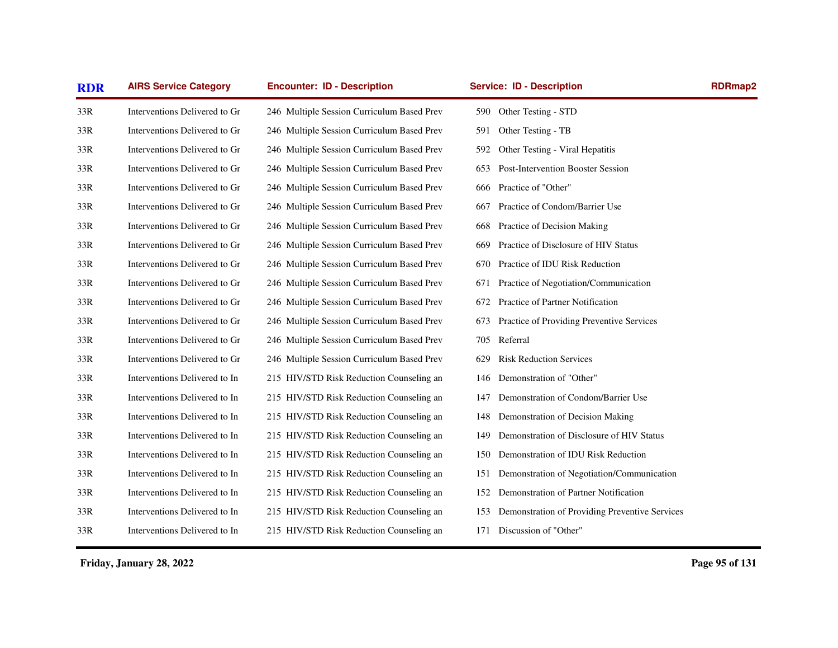| <b>RDR</b> | <b>AIRS Service Category</b>  | <b>Encounter: ID - Description</b>         | <b>Service: ID - Description</b>                      | <b>RDRmap2</b> |
|------------|-------------------------------|--------------------------------------------|-------------------------------------------------------|----------------|
| 33R        | Interventions Delivered to Gr | 246 Multiple Session Curriculum Based Prev | Other Testing - STD<br>590                            |                |
| 33R        | Interventions Delivered to Gr | 246 Multiple Session Curriculum Based Prev | Other Testing - TB<br>591                             |                |
| 33R        | Interventions Delivered to Gr | 246 Multiple Session Curriculum Based Prev | 592<br>Other Testing - Viral Hepatitis                |                |
| 33R        | Interventions Delivered to Gr | 246 Multiple Session Curriculum Based Prev | Post-Intervention Booster Session<br>653              |                |
| 33R        | Interventions Delivered to Gr | 246 Multiple Session Curriculum Based Prev | Practice of "Other"<br>666                            |                |
| 33R        | Interventions Delivered to Gr | 246 Multiple Session Curriculum Based Prev | Practice of Condom/Barrier Use<br>667                 |                |
| 33R        | Interventions Delivered to Gr | 246 Multiple Session Curriculum Based Prev | Practice of Decision Making<br>668                    |                |
| 33R        | Interventions Delivered to Gr | 246 Multiple Session Curriculum Based Prev | Practice of Disclosure of HIV Status<br>669           |                |
| 33R        | Interventions Delivered to Gr | 246 Multiple Session Curriculum Based Prev | Practice of IDU Risk Reduction<br>670                 |                |
| 33R        | Interventions Delivered to Gr | 246 Multiple Session Curriculum Based Prev | Practice of Negotiation/Communication<br>671          |                |
| 33R        | Interventions Delivered to Gr | 246 Multiple Session Curriculum Based Prev | Practice of Partner Notification<br>672               |                |
| 33R        | Interventions Delivered to Gr | 246 Multiple Session Curriculum Based Prev | Practice of Providing Preventive Services<br>673      |                |
| 33R        | Interventions Delivered to Gr | 246 Multiple Session Curriculum Based Prev | Referral<br>705                                       |                |
| 33R        | Interventions Delivered to Gr | 246 Multiple Session Curriculum Based Prev | <b>Risk Reduction Services</b><br>629                 |                |
| 33R        | Interventions Delivered to In | 215 HIV/STD Risk Reduction Counseling an   | Demonstration of "Other"<br>146                       |                |
| 33R        | Interventions Delivered to In | 215 HIV/STD Risk Reduction Counseling an   | Demonstration of Condom/Barrier Use<br>147            |                |
| 33R        | Interventions Delivered to In | 215 HIV/STD Risk Reduction Counseling an   | Demonstration of Decision Making<br>148               |                |
| 33R        | Interventions Delivered to In | 215 HIV/STD Risk Reduction Counseling an   | Demonstration of Disclosure of HIV Status<br>149      |                |
| 33R        | Interventions Delivered to In | 215 HIV/STD Risk Reduction Counseling an   | Demonstration of IDU Risk Reduction<br>150            |                |
| 33R        | Interventions Delivered to In | 215 HIV/STD Risk Reduction Counseling an   | Demonstration of Negotiation/Communication<br>151     |                |
| 33R        | Interventions Delivered to In | 215 HIV/STD Risk Reduction Counseling an   | Demonstration of Partner Notification<br>152          |                |
| 33R        | Interventions Delivered to In | 215 HIV/STD Risk Reduction Counseling an   | Demonstration of Providing Preventive Services<br>153 |                |
| 33R        | Interventions Delivered to In | 215 HIV/STD Risk Reduction Counseling an   | Discussion of "Other"<br>171                          |                |
|            |                               |                                            |                                                       |                |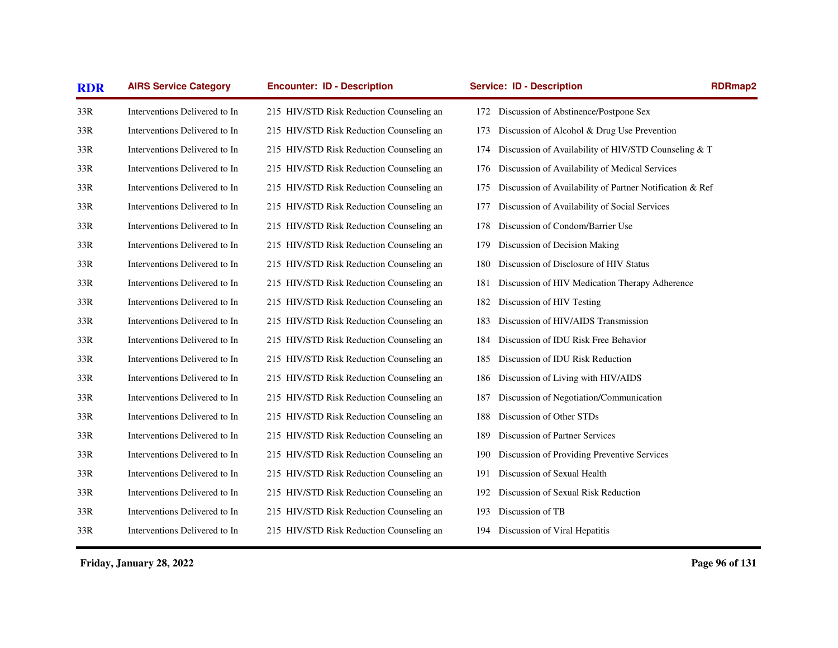| Interventions Delivered to In | 215 HIV/STD Risk Reduction Counseling an | 172 Discussion of Abstinence/Postpone Sex      |                                                                                                                                                                                                                                                                                                                                                                     |
|-------------------------------|------------------------------------------|------------------------------------------------|---------------------------------------------------------------------------------------------------------------------------------------------------------------------------------------------------------------------------------------------------------------------------------------------------------------------------------------------------------------------|
| Interventions Delivered to In | 215 HIV/STD Risk Reduction Counseling an | 173                                            |                                                                                                                                                                                                                                                                                                                                                                     |
| Interventions Delivered to In | 215 HIV/STD Risk Reduction Counseling an | 174                                            |                                                                                                                                                                                                                                                                                                                                                                     |
| Interventions Delivered to In | 215 HIV/STD Risk Reduction Counseling an | 176                                            |                                                                                                                                                                                                                                                                                                                                                                     |
| Interventions Delivered to In | 215 HIV/STD Risk Reduction Counseling an | 175                                            |                                                                                                                                                                                                                                                                                                                                                                     |
| Interventions Delivered to In | 215 HIV/STD Risk Reduction Counseling an | 177                                            |                                                                                                                                                                                                                                                                                                                                                                     |
| Interventions Delivered to In | 215 HIV/STD Risk Reduction Counseling an | Discussion of Condom/Barrier Use<br>178        |                                                                                                                                                                                                                                                                                                                                                                     |
| Interventions Delivered to In | 215 HIV/STD Risk Reduction Counseling an | Discussion of Decision Making<br>179           |                                                                                                                                                                                                                                                                                                                                                                     |
| Interventions Delivered to In | 215 HIV/STD Risk Reduction Counseling an | Discussion of Disclosure of HIV Status<br>180  |                                                                                                                                                                                                                                                                                                                                                                     |
| Interventions Delivered to In | 215 HIV/STD Risk Reduction Counseling an | 181                                            |                                                                                                                                                                                                                                                                                                                                                                     |
| Interventions Delivered to In | 215 HIV/STD Risk Reduction Counseling an | Discussion of HIV Testing<br>182               |                                                                                                                                                                                                                                                                                                                                                                     |
| Interventions Delivered to In | 215 HIV/STD Risk Reduction Counseling an | Discussion of HIV/AIDS Transmission<br>183     |                                                                                                                                                                                                                                                                                                                                                                     |
| Interventions Delivered to In | 215 HIV/STD Risk Reduction Counseling an | Discussion of IDU Risk Free Behavior<br>184    |                                                                                                                                                                                                                                                                                                                                                                     |
| Interventions Delivered to In | 215 HIV/STD Risk Reduction Counseling an | Discussion of IDU Risk Reduction<br>185        |                                                                                                                                                                                                                                                                                                                                                                     |
| Interventions Delivered to In | 215 HIV/STD Risk Reduction Counseling an | Discussion of Living with HIV/AIDS<br>186      |                                                                                                                                                                                                                                                                                                                                                                     |
| Interventions Delivered to In | 215 HIV/STD Risk Reduction Counseling an | Discussion of Negotiation/Communication<br>187 |                                                                                                                                                                                                                                                                                                                                                                     |
| Interventions Delivered to In | 215 HIV/STD Risk Reduction Counseling an | Discussion of Other STDs<br>188                |                                                                                                                                                                                                                                                                                                                                                                     |
| Interventions Delivered to In | 215 HIV/STD Risk Reduction Counseling an | Discussion of Partner Services<br>189          |                                                                                                                                                                                                                                                                                                                                                                     |
| Interventions Delivered to In | 215 HIV/STD Risk Reduction Counseling an | 190                                            |                                                                                                                                                                                                                                                                                                                                                                     |
| Interventions Delivered to In | 215 HIV/STD Risk Reduction Counseling an | Discussion of Sexual Health<br>191             |                                                                                                                                                                                                                                                                                                                                                                     |
| Interventions Delivered to In | 215 HIV/STD Risk Reduction Counseling an | Discussion of Sexual Risk Reduction<br>192     |                                                                                                                                                                                                                                                                                                                                                                     |
| Interventions Delivered to In | 215 HIV/STD Risk Reduction Counseling an | Discussion of TB<br>193                        |                                                                                                                                                                                                                                                                                                                                                                     |
| Interventions Delivered to In | 215 HIV/STD Risk Reduction Counseling an | 194 Discussion of Viral Hepatitis              |                                                                                                                                                                                                                                                                                                                                                                     |
|                               |                                          |                                                | Discussion of Alcohol & Drug Use Prevention<br>Discussion of Availability of HIV/STD Counseling & T<br>Discussion of Availability of Medical Services<br>Discussion of Availability of Partner Notification & Ref<br>Discussion of Availability of Social Services<br>Discussion of HIV Medication Therapy Adherence<br>Discussion of Providing Preventive Services |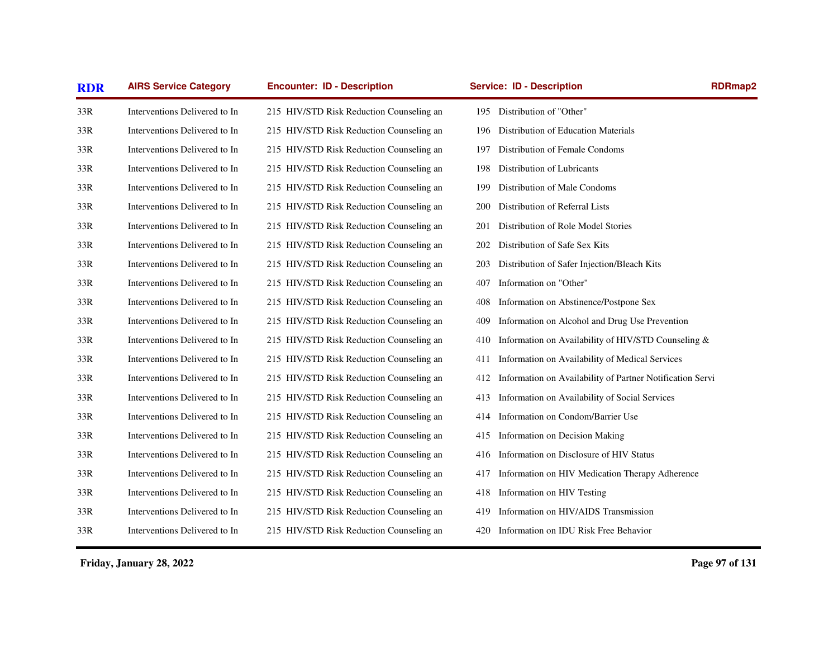| <b>RDR</b> | <b>AIRS Service Category</b>  | <b>Encounter: ID - Description</b>       | <b>Service: ID - Description</b>                                 | <b>RDRmap2</b> |
|------------|-------------------------------|------------------------------------------|------------------------------------------------------------------|----------------|
| 33R        | Interventions Delivered to In | 215 HIV/STD Risk Reduction Counseling an | 195 Distribution of "Other"                                      |                |
| 33R        | Interventions Delivered to In | 215 HIV/STD Risk Reduction Counseling an | Distribution of Education Materials<br>196                       |                |
| 33R        | Interventions Delivered to In | 215 HIV/STD Risk Reduction Counseling an | Distribution of Female Condoms<br>197                            |                |
| 33R        | Interventions Delivered to In | 215 HIV/STD Risk Reduction Counseling an | Distribution of Lubricants<br>198                                |                |
| 33R        | Interventions Delivered to In | 215 HIV/STD Risk Reduction Counseling an | Distribution of Male Condoms<br>199                              |                |
| 33R        | Interventions Delivered to In | 215 HIV/STD Risk Reduction Counseling an | Distribution of Referral Lists<br>200                            |                |
| 33R        | Interventions Delivered to In | 215 HIV/STD Risk Reduction Counseling an | Distribution of Role Model Stories<br>201                        |                |
| 33R        | Interventions Delivered to In | 215 HIV/STD Risk Reduction Counseling an | Distribution of Safe Sex Kits<br>202                             |                |
| 33R        | Interventions Delivered to In | 215 HIV/STD Risk Reduction Counseling an | Distribution of Safer Injection/Bleach Kits<br>203               |                |
| 33R        | Interventions Delivered to In | 215 HIV/STD Risk Reduction Counseling an | Information on "Other"<br>407                                    |                |
| 33R        | Interventions Delivered to In | 215 HIV/STD Risk Reduction Counseling an | Information on Abstinence/Postpone Sex<br>408                    |                |
| 33R        | Interventions Delivered to In | 215 HIV/STD Risk Reduction Counseling an | Information on Alcohol and Drug Use Prevention<br>409            |                |
| 33R        | Interventions Delivered to In | 215 HIV/STD Risk Reduction Counseling an | Information on Availability of HIV/STD Counseling &<br>410       |                |
| 33R        | Interventions Delivered to In | 215 HIV/STD Risk Reduction Counseling an | Information on Availability of Medical Services<br>411           |                |
| 33R        | Interventions Delivered to In | 215 HIV/STD Risk Reduction Counseling an | Information on Availability of Partner Notification Servi<br>412 |                |
| 33R        | Interventions Delivered to In | 215 HIV/STD Risk Reduction Counseling an | Information on Availability of Social Services<br>413            |                |
| 33R        | Interventions Delivered to In | 215 HIV/STD Risk Reduction Counseling an | Information on Condom/Barrier Use<br>414                         |                |
| 33R        | Interventions Delivered to In | 215 HIV/STD Risk Reduction Counseling an | Information on Decision Making<br>415                            |                |
| 33R        | Interventions Delivered to In | 215 HIV/STD Risk Reduction Counseling an | Information on Disclosure of HIV Status<br>416                   |                |
| 33R        | Interventions Delivered to In | 215 HIV/STD Risk Reduction Counseling an | Information on HIV Medication Therapy Adherence<br>417           |                |
| 33R        | Interventions Delivered to In | 215 HIV/STD Risk Reduction Counseling an | Information on HIV Testing<br>418                                |                |
| 33R        | Interventions Delivered to In | 215 HIV/STD Risk Reduction Counseling an | Information on HIV/AIDS Transmission<br>419                      |                |
| 33R        | Interventions Delivered to In | 215 HIV/STD Risk Reduction Counseling an | Information on IDU Risk Free Behavior<br>420                     |                |
|            |                               |                                          |                                                                  |                |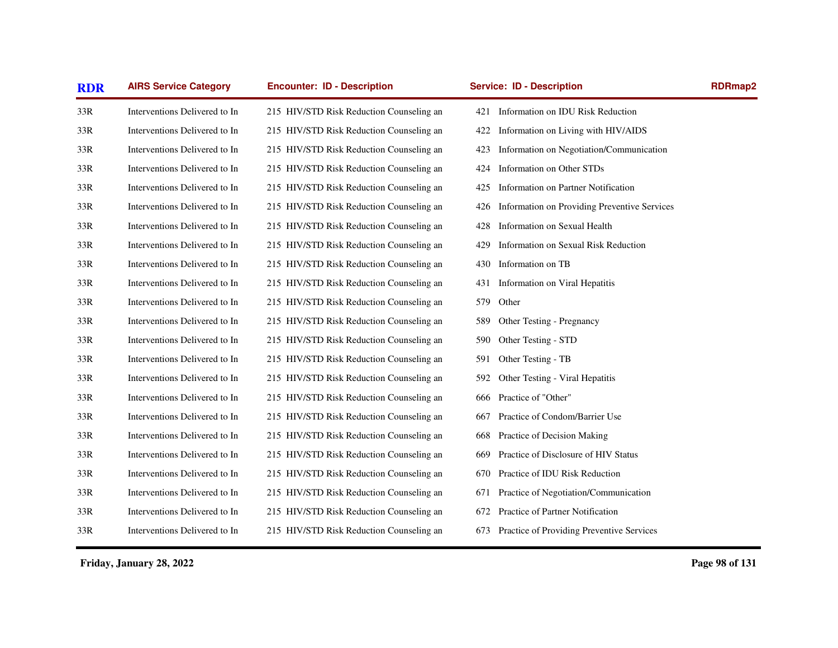| <b>AIRS Service Category</b><br><b>RDR</b> |                               | <b>Encounter: ID - Description</b>       | <b>Service: ID - Description</b>                    |  |  |
|--------------------------------------------|-------------------------------|------------------------------------------|-----------------------------------------------------|--|--|
| 33R                                        | Interventions Delivered to In | 215 HIV/STD Risk Reduction Counseling an | Information on IDU Risk Reduction<br>421            |  |  |
| 33R                                        | Interventions Delivered to In | 215 HIV/STD Risk Reduction Counseling an | Information on Living with HIV/AIDS<br>422          |  |  |
| 33R                                        | Interventions Delivered to In | 215 HIV/STD Risk Reduction Counseling an | Information on Negotiation/Communication<br>423     |  |  |
| 33R                                        | Interventions Delivered to In | 215 HIV/STD Risk Reduction Counseling an | Information on Other STDs<br>424                    |  |  |
| 33R                                        | Interventions Delivered to In | 215 HIV/STD Risk Reduction Counseling an | Information on Partner Notification<br>425          |  |  |
| 33R                                        | Interventions Delivered to In | 215 HIV/STD Risk Reduction Counseling an | Information on Providing Preventive Services<br>426 |  |  |
| 33R                                        | Interventions Delivered to In | 215 HIV/STD Risk Reduction Counseling an | Information on Sexual Health<br>428                 |  |  |
| 33R                                        | Interventions Delivered to In | 215 HIV/STD Risk Reduction Counseling an | Information on Sexual Risk Reduction<br>429         |  |  |
| 33R                                        | Interventions Delivered to In | 215 HIV/STD Risk Reduction Counseling an | Information on TB<br>430                            |  |  |
| 33R                                        | Interventions Delivered to In | 215 HIV/STD Risk Reduction Counseling an | Information on Viral Hepatitis<br>431               |  |  |
| 33R                                        | Interventions Delivered to In | 215 HIV/STD Risk Reduction Counseling an | 579<br>Other                                        |  |  |
| 33R                                        | Interventions Delivered to In | 215 HIV/STD Risk Reduction Counseling an | Other Testing - Pregnancy<br>589                    |  |  |
| 33R                                        | Interventions Delivered to In | 215 HIV/STD Risk Reduction Counseling an | Other Testing - STD<br>590                          |  |  |
| 33R                                        | Interventions Delivered to In | 215 HIV/STD Risk Reduction Counseling an | Other Testing - TB<br>591                           |  |  |
| 33R                                        | Interventions Delivered to In | 215 HIV/STD Risk Reduction Counseling an | Other Testing - Viral Hepatitis<br>592              |  |  |
| 33R                                        | Interventions Delivered to In | 215 HIV/STD Risk Reduction Counseling an | Practice of "Other"<br>666                          |  |  |
| 33R                                        | Interventions Delivered to In | 215 HIV/STD Risk Reduction Counseling an | Practice of Condom/Barrier Use<br>667               |  |  |
| 33R                                        | Interventions Delivered to In | 215 HIV/STD Risk Reduction Counseling an | Practice of Decision Making<br>668                  |  |  |
| 33R                                        | Interventions Delivered to In | 215 HIV/STD Risk Reduction Counseling an | Practice of Disclosure of HIV Status<br>669         |  |  |
| 33R                                        | Interventions Delivered to In | 215 HIV/STD Risk Reduction Counseling an | Practice of IDU Risk Reduction<br>670               |  |  |
| 33R                                        | Interventions Delivered to In | 215 HIV/STD Risk Reduction Counseling an | Practice of Negotiation/Communication<br>671        |  |  |
| 33R                                        | Interventions Delivered to In | 215 HIV/STD Risk Reduction Counseling an | Practice of Partner Notification<br>672             |  |  |
| 33R                                        | Interventions Delivered to In | 215 HIV/STD Risk Reduction Counseling an | Practice of Providing Preventive Services<br>673    |  |  |
|                                            |                               |                                          |                                                     |  |  |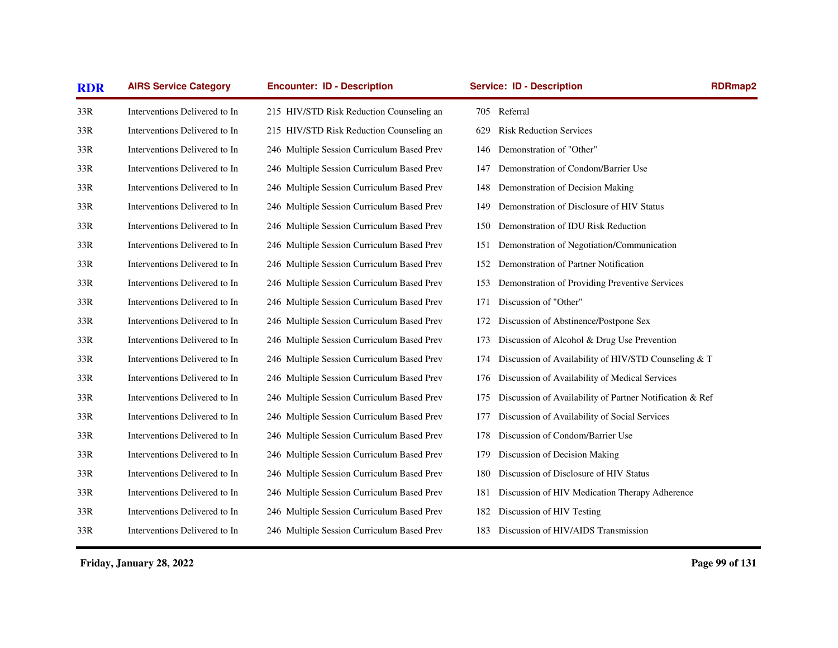| <b>RDR</b> | <b>AIRS Service Category</b>  | <b>Encounter: ID - Description</b>         | <b>Service: ID - Description</b>                                | <b>RDRmap2</b> |
|------------|-------------------------------|--------------------------------------------|-----------------------------------------------------------------|----------------|
| 33R        | Interventions Delivered to In | 215 HIV/STD Risk Reduction Counseling an   | 705 Referral                                                    |                |
| 33R        | Interventions Delivered to In | 215 HIV/STD Risk Reduction Counseling an   | <b>Risk Reduction Services</b><br>629                           |                |
| 33R        | Interventions Delivered to In | 246 Multiple Session Curriculum Based Prev | Demonstration of "Other"<br>146                                 |                |
| 33R        | Interventions Delivered to In | 246 Multiple Session Curriculum Based Prev | Demonstration of Condom/Barrier Use<br>147                      |                |
| 33R        | Interventions Delivered to In | 246 Multiple Session Curriculum Based Prev | Demonstration of Decision Making<br>148                         |                |
| 33R        | Interventions Delivered to In | 246 Multiple Session Curriculum Based Prev | Demonstration of Disclosure of HIV Status<br>149                |                |
| 33R        | Interventions Delivered to In | 246 Multiple Session Curriculum Based Prev | Demonstration of IDU Risk Reduction<br>150                      |                |
| 33R        | Interventions Delivered to In | 246 Multiple Session Curriculum Based Prev | Demonstration of Negotiation/Communication<br>151               |                |
| 33R        | Interventions Delivered to In | 246 Multiple Session Curriculum Based Prev | Demonstration of Partner Notification<br>152                    |                |
| 33R        | Interventions Delivered to In | 246 Multiple Session Curriculum Based Prev | Demonstration of Providing Preventive Services<br>153           |                |
| 33R        | Interventions Delivered to In | 246 Multiple Session Curriculum Based Prev | Discussion of "Other"<br>171                                    |                |
| 33R        | Interventions Delivered to In | 246 Multiple Session Curriculum Based Prev | Discussion of Abstinence/Postpone Sex<br>172                    |                |
| 33R        | Interventions Delivered to In | 246 Multiple Session Curriculum Based Prev | Discussion of Alcohol & Drug Use Prevention<br>173              |                |
| 33R        | Interventions Delivered to In | 246 Multiple Session Curriculum Based Prev | Discussion of Availability of HIV/STD Counseling & T<br>174     |                |
| 33R        | Interventions Delivered to In | 246 Multiple Session Curriculum Based Prev | Discussion of Availability of Medical Services<br>176           |                |
| 33R        | Interventions Delivered to In | 246 Multiple Session Curriculum Based Prev | Discussion of Availability of Partner Notification & Ref<br>175 |                |
| 33R        | Interventions Delivered to In | 246 Multiple Session Curriculum Based Prev | Discussion of Availability of Social Services<br>177            |                |
| 33R        | Interventions Delivered to In | 246 Multiple Session Curriculum Based Prev | Discussion of Condom/Barrier Use<br>178                         |                |
| 33R        | Interventions Delivered to In | 246 Multiple Session Curriculum Based Prev | Discussion of Decision Making<br>179                            |                |
| 33R        | Interventions Delivered to In | 246 Multiple Session Curriculum Based Prev | Discussion of Disclosure of HIV Status<br>180                   |                |
| 33R        | Interventions Delivered to In | 246 Multiple Session Curriculum Based Prev | Discussion of HIV Medication Therapy Adherence<br>181           |                |
| 33R        | Interventions Delivered to In | 246 Multiple Session Curriculum Based Prev | Discussion of HIV Testing<br>182                                |                |
| 33R        | Interventions Delivered to In | 246 Multiple Session Curriculum Based Prev | 183 Discussion of HIV/AIDS Transmission                         |                |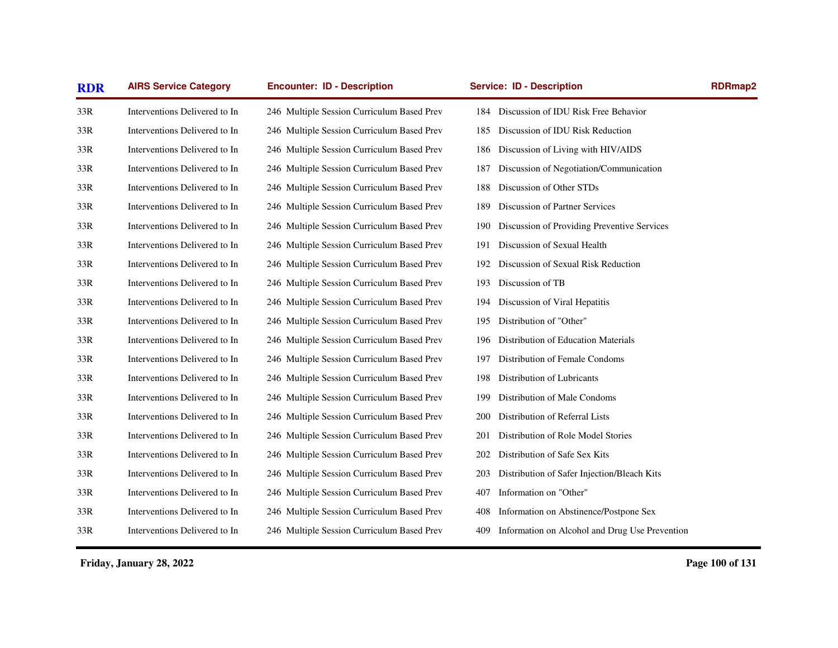| <b>RDR</b> | <b>AIRS Service Category</b>  | <b>Encounter: ID - Description</b>         | <b>Service: ID - Description</b>                      | <b>RDRmap2</b> |  |
|------------|-------------------------------|--------------------------------------------|-------------------------------------------------------|----------------|--|
| 33R        | Interventions Delivered to In | 246 Multiple Session Curriculum Based Prev | 184 Discussion of IDU Risk Free Behavior              |                |  |
| 33R        | Interventions Delivered to In | 246 Multiple Session Curriculum Based Prev | Discussion of IDU Risk Reduction<br>185               |                |  |
| 33R        | Interventions Delivered to In | 246 Multiple Session Curriculum Based Prev | Discussion of Living with HIV/AIDS<br>186             |                |  |
| 33R        | Interventions Delivered to In | 246 Multiple Session Curriculum Based Prev | 187<br>Discussion of Negotiation/Communication        |                |  |
| 33R        | Interventions Delivered to In | 246 Multiple Session Curriculum Based Prev | Discussion of Other STDs<br>188                       |                |  |
| 33R        | Interventions Delivered to In | 246 Multiple Session Curriculum Based Prev | Discussion of Partner Services<br>189                 |                |  |
| 33R        | Interventions Delivered to In | 246 Multiple Session Curriculum Based Prev | Discussion of Providing Preventive Services<br>190    |                |  |
| 33R        | Interventions Delivered to In | 246 Multiple Session Curriculum Based Prev | Discussion of Sexual Health<br>191                    |                |  |
| 33R        | Interventions Delivered to In | 246 Multiple Session Curriculum Based Prev | Discussion of Sexual Risk Reduction<br>192            |                |  |
| 33R        | Interventions Delivered to In | 246 Multiple Session Curriculum Based Prev | Discussion of TB<br>193                               |                |  |
| 33R        | Interventions Delivered to In | 246 Multiple Session Curriculum Based Prev | Discussion of Viral Hepatitis<br>194                  |                |  |
| 33R        | Interventions Delivered to In | 246 Multiple Session Curriculum Based Prev | Distribution of "Other"<br>195                        |                |  |
| 33R        | Interventions Delivered to In | 246 Multiple Session Curriculum Based Prev | Distribution of Education Materials<br>196            |                |  |
| 33R        | Interventions Delivered to In | 246 Multiple Session Curriculum Based Prev | Distribution of Female Condoms<br>197                 |                |  |
| 33R        | Interventions Delivered to In | 246 Multiple Session Curriculum Based Prev | Distribution of Lubricants<br>198                     |                |  |
| 33R        | Interventions Delivered to In | 246 Multiple Session Curriculum Based Prev | Distribution of Male Condoms<br>199                   |                |  |
| 33R        | Interventions Delivered to In | 246 Multiple Session Curriculum Based Prev | Distribution of Referral Lists<br>200                 |                |  |
| 33R        | Interventions Delivered to In | 246 Multiple Session Curriculum Based Prev | Distribution of Role Model Stories<br>201             |                |  |
| 33R        | Interventions Delivered to In | 246 Multiple Session Curriculum Based Prev | Distribution of Safe Sex Kits<br>202                  |                |  |
| 33R        | Interventions Delivered to In | 246 Multiple Session Curriculum Based Prev | Distribution of Safer Injection/Bleach Kits<br>203    |                |  |
| 33R        | Interventions Delivered to In | 246 Multiple Session Curriculum Based Prev | Information on "Other"<br>407                         |                |  |
| 33R        | Interventions Delivered to In | 246 Multiple Session Curriculum Based Prev | Information on Abstinence/Postpone Sex<br>408         |                |  |
| 33R        | Interventions Delivered to In | 246 Multiple Session Curriculum Based Prev | Information on Alcohol and Drug Use Prevention<br>409 |                |  |
|            |                               |                                            |                                                       |                |  |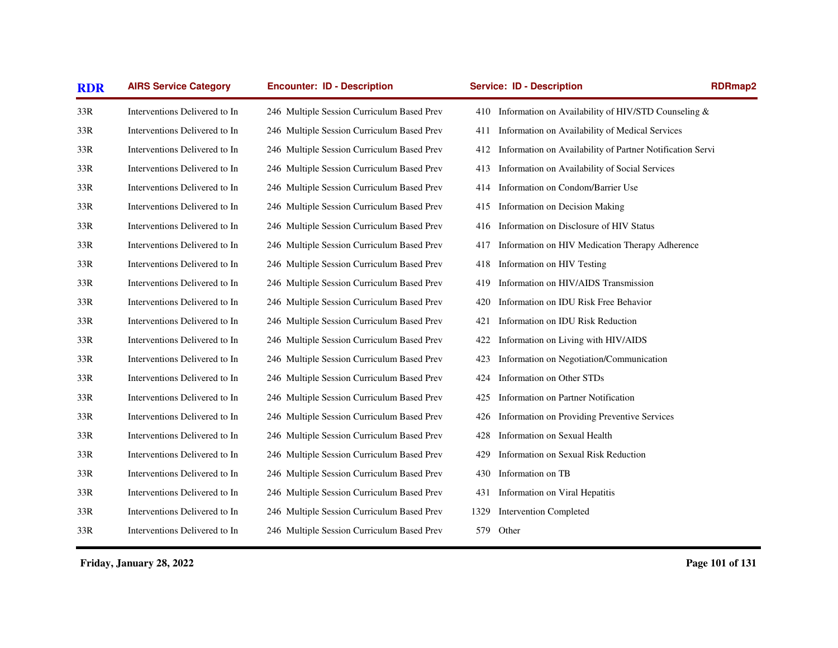| <b>RDR</b> | <b>AIRS Service Category</b>  | <b>Encounter: ID - Description</b>         | <b>Service: ID - Description</b>                                 | <b>RDRmap2</b> |
|------------|-------------------------------|--------------------------------------------|------------------------------------------------------------------|----------------|
| 33R        | Interventions Delivered to In | 246 Multiple Session Curriculum Based Prev | Information on Availability of HIV/STD Counseling &<br>410       |                |
| 33R        | Interventions Delivered to In | 246 Multiple Session Curriculum Based Prev | Information on Availability of Medical Services<br>411           |                |
| 33R        | Interventions Delivered to In | 246 Multiple Session Curriculum Based Prev | Information on Availability of Partner Notification Servi<br>412 |                |
| 33R        | Interventions Delivered to In | 246 Multiple Session Curriculum Based Prev | Information on Availability of Social Services<br>413            |                |
| 33R        | Interventions Delivered to In | 246 Multiple Session Curriculum Based Prev | Information on Condom/Barrier Use<br>414                         |                |
| 33R        | Interventions Delivered to In | 246 Multiple Session Curriculum Based Prev | Information on Decision Making<br>415                            |                |
| 33R        | Interventions Delivered to In | 246 Multiple Session Curriculum Based Prev | Information on Disclosure of HIV Status<br>416                   |                |
| 33R        | Interventions Delivered to In | 246 Multiple Session Curriculum Based Prev | Information on HIV Medication Therapy Adherence<br>417           |                |
| 33R        | Interventions Delivered to In | 246 Multiple Session Curriculum Based Prev | Information on HIV Testing<br>418                                |                |
| 33R        | Interventions Delivered to In | 246 Multiple Session Curriculum Based Prev | Information on HIV/AIDS Transmission<br>419                      |                |
| 33R        | Interventions Delivered to In | 246 Multiple Session Curriculum Based Prev | Information on IDU Risk Free Behavior<br>420                     |                |
| 33R        | Interventions Delivered to In | 246 Multiple Session Curriculum Based Prev | Information on IDU Risk Reduction<br>421                         |                |
| 33R        | Interventions Delivered to In | 246 Multiple Session Curriculum Based Prev | Information on Living with HIV/AIDS<br>422                       |                |
| 33R        | Interventions Delivered to In | 246 Multiple Session Curriculum Based Prev | Information on Negotiation/Communication<br>423                  |                |
| 33R        | Interventions Delivered to In | 246 Multiple Session Curriculum Based Prev | Information on Other STDs<br>424                                 |                |
| 33R        | Interventions Delivered to In | 246 Multiple Session Curriculum Based Prev | Information on Partner Notification<br>425                       |                |
| 33R        | Interventions Delivered to In | 246 Multiple Session Curriculum Based Prev | Information on Providing Preventive Services<br>426              |                |
| 33R        | Interventions Delivered to In | 246 Multiple Session Curriculum Based Prev | Information on Sexual Health<br>428                              |                |
| 33R        | Interventions Delivered to In | 246 Multiple Session Curriculum Based Prev | Information on Sexual Risk Reduction<br>429                      |                |
| 33R        | Interventions Delivered to In | 246 Multiple Session Curriculum Based Prev | 430<br>Information on TB                                         |                |
| 33R        | Interventions Delivered to In | 246 Multiple Session Curriculum Based Prev | Information on Viral Hepatitis<br>431                            |                |
| 33R        | Interventions Delivered to In | 246 Multiple Session Curriculum Based Prev | <b>Intervention Completed</b><br>1329                            |                |
| 33R        | Interventions Delivered to In | 246 Multiple Session Curriculum Based Prev | 579 Other                                                        |                |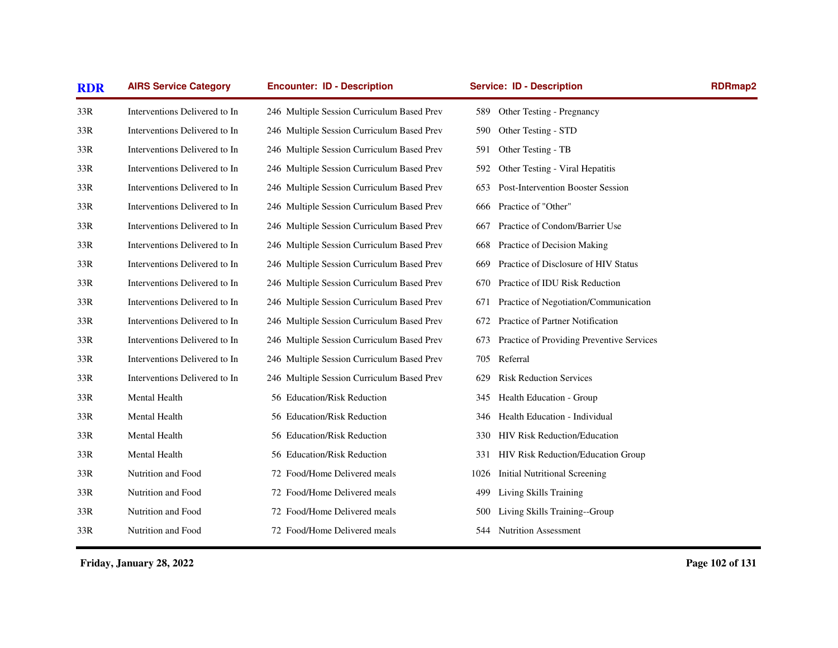| <b>AIRS Service Category</b><br><b>Encounter: ID - Description</b><br><b>RDR</b> |                               |                                            | <b>Service: ID - Description</b>                 | <b>RDRmap2</b> |
|----------------------------------------------------------------------------------|-------------------------------|--------------------------------------------|--------------------------------------------------|----------------|
| 33R                                                                              | Interventions Delivered to In | 246 Multiple Session Curriculum Based Prev | Other Testing - Pregnancy<br>589                 |                |
| 33R                                                                              | Interventions Delivered to In | 246 Multiple Session Curriculum Based Prev | Other Testing - STD<br>590                       |                |
| 33R                                                                              | Interventions Delivered to In | 246 Multiple Session Curriculum Based Prev | Other Testing - TB<br>591                        |                |
| 33R                                                                              | Interventions Delivered to In | 246 Multiple Session Curriculum Based Prev | Other Testing - Viral Hepatitis<br>592           |                |
| 33R                                                                              | Interventions Delivered to In | 246 Multiple Session Curriculum Based Prev | Post-Intervention Booster Session<br>653         |                |
| 33R                                                                              | Interventions Delivered to In | 246 Multiple Session Curriculum Based Prev | Practice of "Other"<br>666                       |                |
| 33R                                                                              | Interventions Delivered to In | 246 Multiple Session Curriculum Based Prev | Practice of Condom/Barrier Use<br>667            |                |
| 33R                                                                              | Interventions Delivered to In | 246 Multiple Session Curriculum Based Prev | Practice of Decision Making<br>668               |                |
| 33R                                                                              | Interventions Delivered to In | 246 Multiple Session Curriculum Based Prev | Practice of Disclosure of HIV Status<br>669      |                |
| 33R                                                                              | Interventions Delivered to In | 246 Multiple Session Curriculum Based Prev | Practice of IDU Risk Reduction<br>670            |                |
| 33R                                                                              | Interventions Delivered to In | 246 Multiple Session Curriculum Based Prev | Practice of Negotiation/Communication<br>671     |                |
| 33R                                                                              | Interventions Delivered to In | 246 Multiple Session Curriculum Based Prev | Practice of Partner Notification<br>672          |                |
| 33R                                                                              | Interventions Delivered to In | 246 Multiple Session Curriculum Based Prev | Practice of Providing Preventive Services<br>673 |                |
| 33R                                                                              | Interventions Delivered to In | 246 Multiple Session Curriculum Based Prev | Referral<br>705                                  |                |
| 33R                                                                              | Interventions Delivered to In | 246 Multiple Session Curriculum Based Prev | <b>Risk Reduction Services</b><br>629            |                |
| 33R                                                                              | Mental Health                 | 56 Education/Risk Reduction                | Health Education - Group<br>345                  |                |
| 33R                                                                              | Mental Health                 | 56 Education/Risk Reduction                | Health Education - Individual<br>346             |                |
| 33R                                                                              | Mental Health                 | 56 Education/Risk Reduction                | <b>HIV Risk Reduction/Education</b><br>330       |                |
| 33R                                                                              | Mental Health                 | 56 Education/Risk Reduction                | HIV Risk Reduction/Education Group<br>331        |                |
| 33R                                                                              | Nutrition and Food            | 72 Food/Home Delivered meals               | <b>Initial Nutritional Screening</b><br>1026     |                |
| 33R                                                                              | Nutrition and Food            | 72 Food/Home Delivered meals               | Living Skills Training<br>499                    |                |
| 33R                                                                              | Nutrition and Food            | 72 Food/Home Delivered meals               | Living Skills Training--Group<br>500             |                |
| 33R                                                                              | Nutrition and Food            | 72 Food/Home Delivered meals               | <b>Nutrition Assessment</b><br>544               |                |
|                                                                                  |                               |                                            |                                                  |                |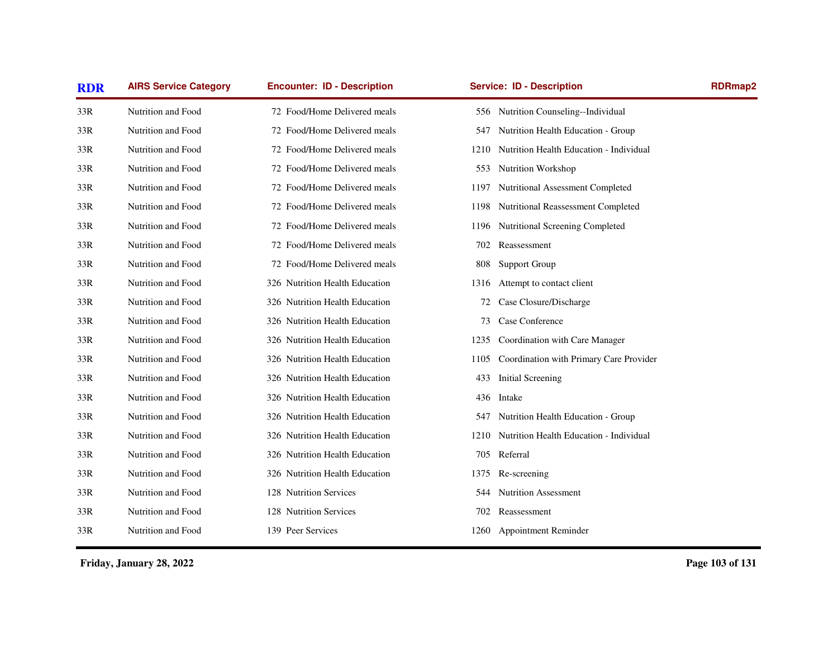| <b>RDR</b> | <b>AIRS Service Category</b> | <b>Encounter: ID - Description</b> | <b>Service: ID - Description</b>                | <b>RDRmap2</b> |
|------------|------------------------------|------------------------------------|-------------------------------------------------|----------------|
| 33R        | Nutrition and Food           | 72 Food/Home Delivered meals       | 556 Nutrition Counseling--Individual            |                |
| 33R        | Nutrition and Food           | 72 Food/Home Delivered meals       | Nutrition Health Education - Group<br>547       |                |
| 33R        | Nutrition and Food           | 72 Food/Home Delivered meals       | Nutrition Health Education - Individual<br>1210 |                |
| 33R        | Nutrition and Food           | 72 Food/Home Delivered meals       | 553<br><b>Nutrition Workshop</b>                |                |
| 33R        | Nutrition and Food           | 72 Food/Home Delivered meals       | Nutritional Assessment Completed<br>1197        |                |
| 33R        | Nutrition and Food           | 72 Food/Home Delivered meals       | Nutritional Reassessment Completed<br>1198      |                |
| 33R        | Nutrition and Food           | 72 Food/Home Delivered meals       | Nutritional Screening Completed<br>1196         |                |
| 33R        | Nutrition and Food           | 72 Food/Home Delivered meals       | Reassessment<br>702                             |                |
| 33R        | Nutrition and Food           | 72 Food/Home Delivered meals       | <b>Support Group</b><br>808                     |                |
| 33R        | Nutrition and Food           | 326 Nutrition Health Education     | Attempt to contact client<br>1316               |                |
| 33R        | Nutrition and Food           | 326 Nutrition Health Education     | Case Closure/Discharge<br>72                    |                |
| 33R        | Nutrition and Food           | 326 Nutrition Health Education     | Case Conference<br>73                           |                |
| 33R        | Nutrition and Food           | 326 Nutrition Health Education     | 1235 Coordination with Care Manager             |                |
| 33R        | Nutrition and Food           | 326 Nutrition Health Education     | Coordination with Primary Care Provider<br>1105 |                |
| 33R        | Nutrition and Food           | 326 Nutrition Health Education     | 433<br>Initial Screening                        |                |
| 33R        | Nutrition and Food           | 326 Nutrition Health Education     | Intake<br>436                                   |                |
| 33R        | Nutrition and Food           | 326 Nutrition Health Education     | Nutrition Health Education - Group<br>547       |                |
| 33R        | Nutrition and Food           | 326 Nutrition Health Education     | Nutrition Health Education - Individual<br>1210 |                |
| 33R        | Nutrition and Food           | 326 Nutrition Health Education     | Referral<br>705                                 |                |
| 33R        | Nutrition and Food           | 326 Nutrition Health Education     | 1375<br>Re-screening                            |                |
| 33R        | Nutrition and Food           | 128 Nutrition Services             | <b>Nutrition Assessment</b><br>544              |                |
| 33R        | Nutrition and Food           | 128 Nutrition Services             | 702<br>Reassessment                             |                |
| 33R        | Nutrition and Food           | 139 Peer Services                  | 1260 Appointment Reminder                       |                |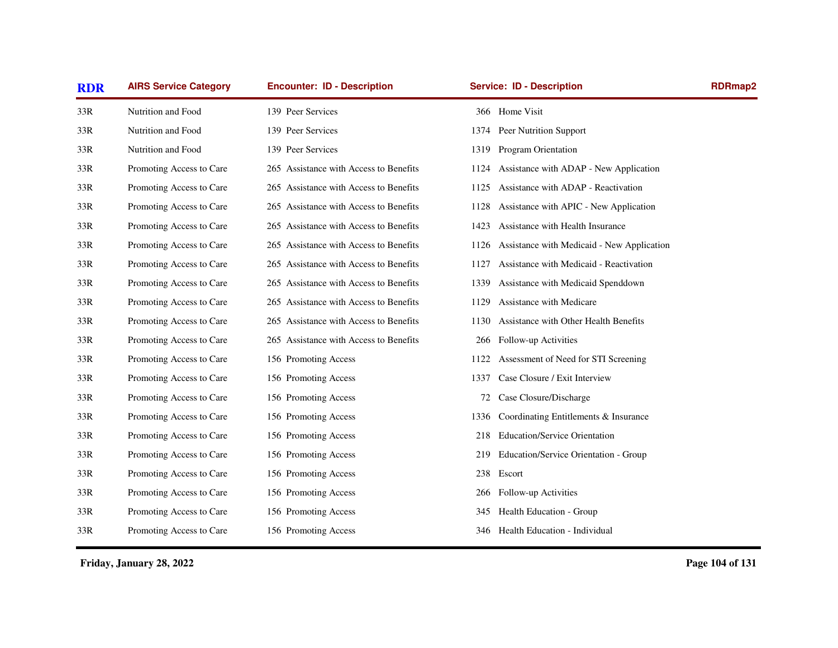| <b>RDR</b> | <b>AIRS Service Category</b> | <b>Encounter: ID - Description</b>     | <b>Service: ID - Description</b>                   | <b>RDRmap2</b> |
|------------|------------------------------|----------------------------------------|----------------------------------------------------|----------------|
| 33R        | Nutrition and Food           | 139 Peer Services                      | 366 Home Visit                                     |                |
| 33R        | Nutrition and Food           | 139 Peer Services                      | Peer Nutrition Support<br>1374                     |                |
| 33R        | Nutrition and Food           | 139 Peer Services                      | Program Orientation<br>1319                        |                |
| 33R        | Promoting Access to Care     | 265 Assistance with Access to Benefits | 1124 Assistance with ADAP - New Application        |                |
| 33R        | Promoting Access to Care     | 265 Assistance with Access to Benefits | Assistance with ADAP - Reactivation<br>1125        |                |
| 33R        | Promoting Access to Care     | 265 Assistance with Access to Benefits | Assistance with APIC - New Application<br>1128     |                |
| 33R        | Promoting Access to Care     | 265 Assistance with Access to Benefits | Assistance with Health Insurance<br>1423           |                |
| 33R        | Promoting Access to Care     | 265 Assistance with Access to Benefits | Assistance with Medicaid - New Application<br>1126 |                |
| 33R        | Promoting Access to Care     | 265 Assistance with Access to Benefits | Assistance with Medicaid - Reactivation<br>1127    |                |
| 33R        | Promoting Access to Care     | 265 Assistance with Access to Benefits | Assistance with Medicaid Spenddown<br>1339         |                |
| 33R        | Promoting Access to Care     | 265 Assistance with Access to Benefits | Assistance with Medicare<br>1129                   |                |
| 33R        | Promoting Access to Care     | 265 Assistance with Access to Benefits | Assistance with Other Health Benefits<br>1130      |                |
| 33R        | Promoting Access to Care     | 265 Assistance with Access to Benefits | Follow-up Activities<br>266                        |                |
| 33R        | Promoting Access to Care     | 156 Promoting Access                   | Assessment of Need for STI Screening<br>1122       |                |
| 33R        | Promoting Access to Care     | 156 Promoting Access                   | Case Closure / Exit Interview<br>1337              |                |
| 33R        | Promoting Access to Care     | 156 Promoting Access                   | Case Closure/Discharge<br>72                       |                |
| 33R        | Promoting Access to Care     | 156 Promoting Access                   | Coordinating Entitlements & Insurance<br>1336      |                |
| 33R        | Promoting Access to Care     | 156 Promoting Access                   | <b>Education/Service Orientation</b><br>218        |                |
| 33R        | Promoting Access to Care     | 156 Promoting Access                   | Education/Service Orientation - Group<br>219       |                |
| 33R        | Promoting Access to Care     | 156 Promoting Access                   | Escort<br>238                                      |                |
| 33R        | Promoting Access to Care     | 156 Promoting Access                   | Follow-up Activities<br>266                        |                |
| 33R        | Promoting Access to Care     | 156 Promoting Access                   | Health Education - Group<br>345                    |                |
| 33R        | Promoting Access to Care     | 156 Promoting Access                   | Health Education - Individual<br>346               |                |
|            |                              |                                        |                                                    |                |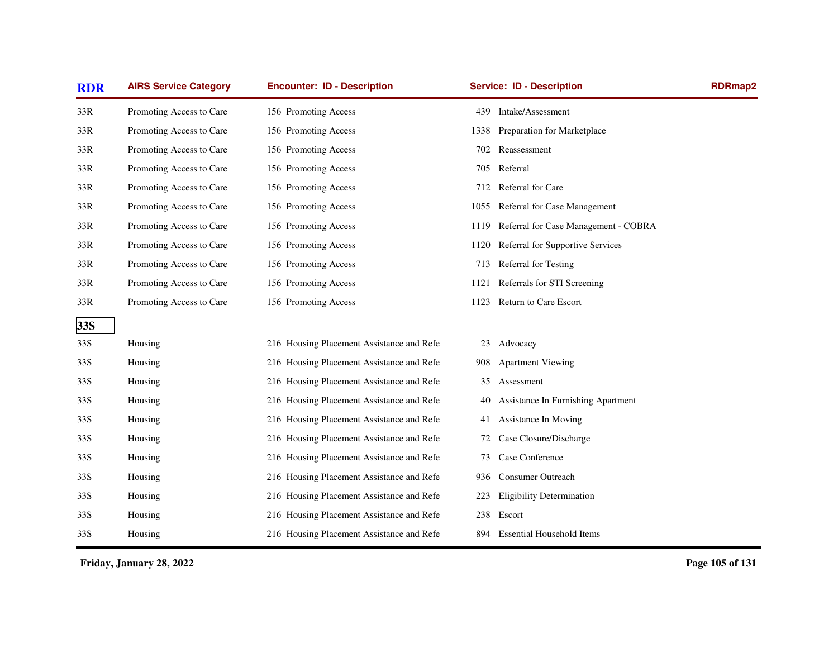| <b>RDR</b> | <b>AIRS Service Category</b> | <b>Encounter: ID - Description</b>        |      | <b>Service: ID - Description</b>     | <b>RDRmap2</b> |
|------------|------------------------------|-------------------------------------------|------|--------------------------------------|----------------|
| 33R        | Promoting Access to Care     | 156 Promoting Access                      | 439  | Intake/Assessment                    |                |
| 33R        | Promoting Access to Care     | 156 Promoting Access                      | 1338 | Preparation for Marketplace          |                |
| 33R        | Promoting Access to Care     | 156 Promoting Access                      | 702  | Reassessment                         |                |
| 33R        | Promoting Access to Care     | 156 Promoting Access                      | 705  | Referral                             |                |
| 33R        | Promoting Access to Care     | 156 Promoting Access                      | 712  | Referral for Care                    |                |
| 33R        | Promoting Access to Care     | 156 Promoting Access                      | 1055 | Referral for Case Management         |                |
| 33R        | Promoting Access to Care     | 156 Promoting Access                      | 1119 | Referral for Case Management - COBRA |                |
| 33R        | Promoting Access to Care     | 156 Promoting Access                      | 1120 | Referral for Supportive Services     |                |
| 33R        | Promoting Access to Care     | 156 Promoting Access                      | 713  | Referral for Testing                 |                |
| 33R        | Promoting Access to Care     | 156 Promoting Access                      | 1121 | Referrals for STI Screening          |                |
| 33R        | Promoting Access to Care     | 156 Promoting Access                      | 1123 | Return to Care Escort                |                |
| 33S        |                              |                                           |      |                                      |                |
| 33S        | Housing                      | 216 Housing Placement Assistance and Refe | 23   | Advocacy                             |                |
| 33S        | Housing                      | 216 Housing Placement Assistance and Refe | 908  | <b>Apartment Viewing</b>             |                |
| 33S        | Housing                      | 216 Housing Placement Assistance and Refe | 35   | Assessment                           |                |
| 33S        | Housing                      | 216 Housing Placement Assistance and Refe | 40   | Assistance In Furnishing Apartment   |                |
| 33S        | Housing                      | 216 Housing Placement Assistance and Refe | 41   | Assistance In Moving                 |                |
| 33S        | Housing                      | 216 Housing Placement Assistance and Refe | 72   | Case Closure/Discharge               |                |
| 33S        | Housing                      | 216 Housing Placement Assistance and Refe | 73   | Case Conference                      |                |
| 33S        | Housing                      | 216 Housing Placement Assistance and Refe | 936  | <b>Consumer Outreach</b>             |                |
| 33S        | Housing                      | 216 Housing Placement Assistance and Refe | 223  | <b>Eligibility Determination</b>     |                |
| 33S        | Housing                      | 216 Housing Placement Assistance and Refe |      | 238 Escort                           |                |
| 33S        | Housing                      | 216 Housing Placement Assistance and Refe | 894  | <b>Essential Household Items</b>     |                |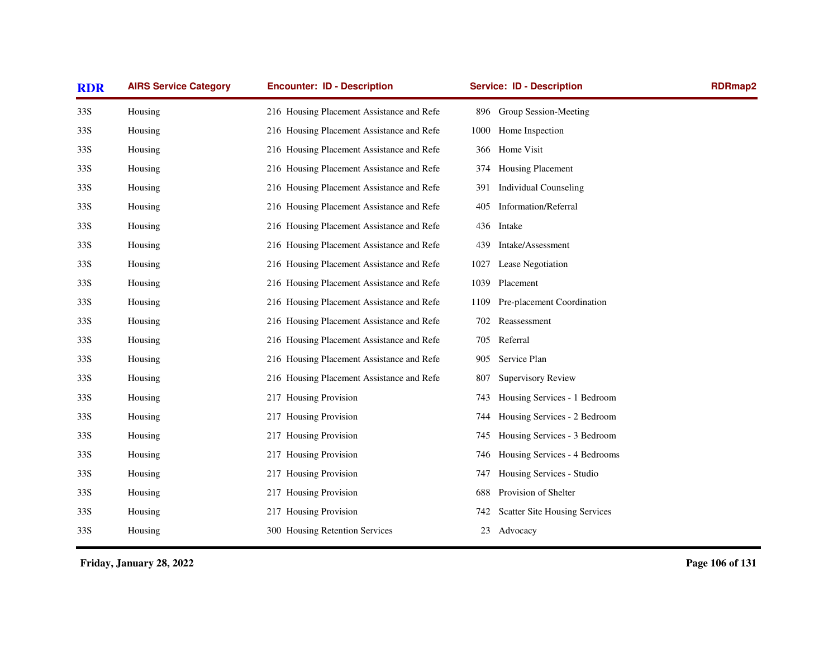| <b>RDR</b> | <b>AIRS Service Category</b> | <b>Encounter: ID - Description</b>        | <b>Service: ID - Description</b> |                                      | <b>RDRmap2</b> |
|------------|------------------------------|-------------------------------------------|----------------------------------|--------------------------------------|----------------|
| 33S        | Housing                      | 216 Housing Placement Assistance and Refe |                                  | 896 Group Session-Meeting            |                |
| 33S        | Housing                      | 216 Housing Placement Assistance and Refe | 1000 Home Inspection             |                                      |                |
| 33S        | Housing                      | 216 Housing Placement Assistance and Refe | 366 Home Visit                   |                                      |                |
| 33S        | Housing                      | 216 Housing Placement Assistance and Refe | 374                              | Housing Placement                    |                |
| 33S        | Housing                      | 216 Housing Placement Assistance and Refe | 391                              | <b>Individual Counseling</b>         |                |
| 33S        | Housing                      | 216 Housing Placement Assistance and Refe | 405                              | Information/Referral                 |                |
| 33S        | Housing                      | 216 Housing Placement Assistance and Refe | 436 Intake                       |                                      |                |
| 33S        | Housing                      | 216 Housing Placement Assistance and Refe | 439                              | Intake/Assessment                    |                |
| 33S        | Housing                      | 216 Housing Placement Assistance and Refe | 1027                             | Lease Negotiation                    |                |
| 33S        | Housing                      | 216 Housing Placement Assistance and Refe | 1039 Placement                   |                                      |                |
| 33S        | Housing                      | 216 Housing Placement Assistance and Refe | 1109                             | Pre-placement Coordination           |                |
| 33S        | Housing                      | 216 Housing Placement Assistance and Refe | 702 Reassessment                 |                                      |                |
| 33S        | Housing                      | 216 Housing Placement Assistance and Refe | 705 Referral                     |                                      |                |
| 33S        | Housing                      | 216 Housing Placement Assistance and Refe | Service Plan<br>905              |                                      |                |
| 33S        | Housing                      | 216 Housing Placement Assistance and Refe | 807                              | <b>Supervisory Review</b>            |                |
| 33S        | Housing                      | 217 Housing Provision                     | 743                              | Housing Services - 1 Bedroom         |                |
| 33S        | Housing                      | 217 Housing Provision                     | 744                              | Housing Services - 2 Bedroom         |                |
| 33S        | Housing                      | 217 Housing Provision                     | 745                              | Housing Services - 3 Bedroom         |                |
| 33S        | Housing                      | 217 Housing Provision                     | 746                              | Housing Services - 4 Bedrooms        |                |
| 33S        | Housing                      | 217 Housing Provision                     | 747                              | Housing Services - Studio            |                |
| 33S        | Housing                      | 217 Housing Provision                     | 688                              | Provision of Shelter                 |                |
| 33S        | Housing                      | 217 Housing Provision                     | 742                              | <b>Scatter Site Housing Services</b> |                |
| 33S        | Housing                      | 300 Housing Retention Services            | 23 Advocacy                      |                                      |                |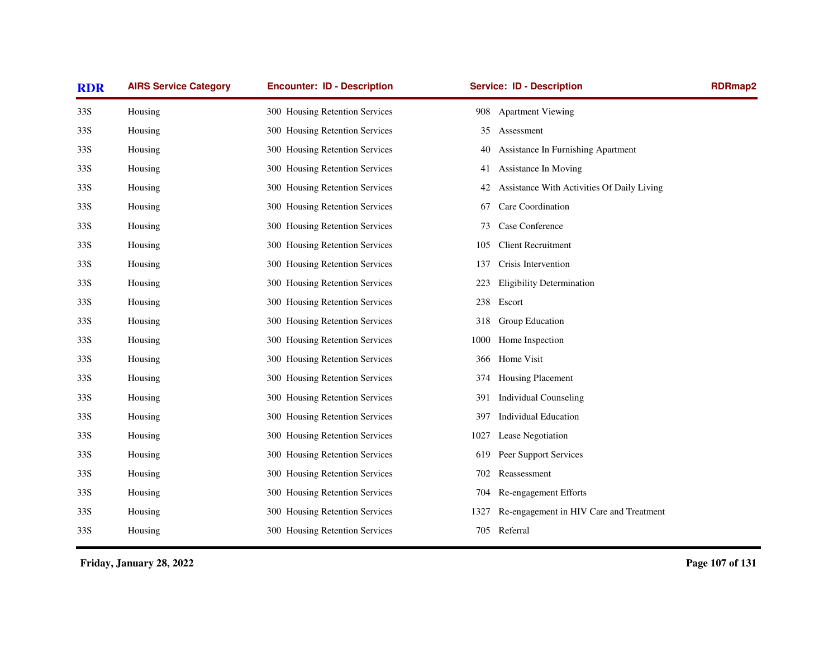| <b>RDR</b> | <b>AIRS Service Category</b> | <b>Encounter: ID - Description</b> | <b>Service: ID - Description</b>                 | RDRmap2 |
|------------|------------------------------|------------------------------------|--------------------------------------------------|---------|
| 33S        | Housing                      | 300 Housing Retention Services     | 908 Apartment Viewing                            |         |
| 33S        | Housing                      | 300 Housing Retention Services     | 35<br>Assessment                                 |         |
| 33S        | Housing                      | 300 Housing Retention Services     | Assistance In Furnishing Apartment<br>40         |         |
| 33S        | Housing                      | 300 Housing Retention Services     | Assistance In Moving<br>41                       |         |
| 33S        | Housing                      | 300 Housing Retention Services     | Assistance With Activities Of Daily Living<br>42 |         |
| 33S        | Housing                      | 300 Housing Retention Services     | Care Coordination<br>67                          |         |
| 33S        | Housing                      | 300 Housing Retention Services     | Case Conference<br>73                            |         |
| 33S        | Housing                      | 300 Housing Retention Services     | <b>Client Recruitment</b><br>105                 |         |
| 33S        | Housing                      | 300 Housing Retention Services     | Crisis Intervention<br>137                       |         |
| 33S        | Housing                      | 300 Housing Retention Services     | <b>Eligibility Determination</b><br>223          |         |
| 33S        | Housing                      | 300 Housing Retention Services     | 238 Escort                                       |         |
| 33S        | Housing                      | 300 Housing Retention Services     | Group Education<br>318                           |         |
| 33S        | Housing                      | 300 Housing Retention Services     | Home Inspection<br>1000                          |         |
| 33S        | Housing                      | 300 Housing Retention Services     | 366 Home Visit                                   |         |
| 33S        | Housing                      | 300 Housing Retention Services     | Housing Placement<br>374                         |         |
| 33S        | Housing                      | 300 Housing Retention Services     | <b>Individual Counseling</b><br>391              |         |
| 33S        | Housing                      | 300 Housing Retention Services     | <b>Individual Education</b><br>397               |         |
| 33S        | Housing                      | 300 Housing Retention Services     | Lease Negotiation<br>1027                        |         |
| 33S        | Housing                      | 300 Housing Retention Services     | Peer Support Services<br>619                     |         |
| 33S        | Housing                      | 300 Housing Retention Services     | Reassessment<br>702                              |         |
| 33S        | Housing                      | 300 Housing Retention Services     | Re-engagement Efforts<br>704                     |         |
| 33S        | Housing                      | 300 Housing Retention Services     | Re-engagement in HIV Care and Treatment<br>1327  |         |
| 33S        | Housing                      | 300 Housing Retention Services     | 705 Referral                                     |         |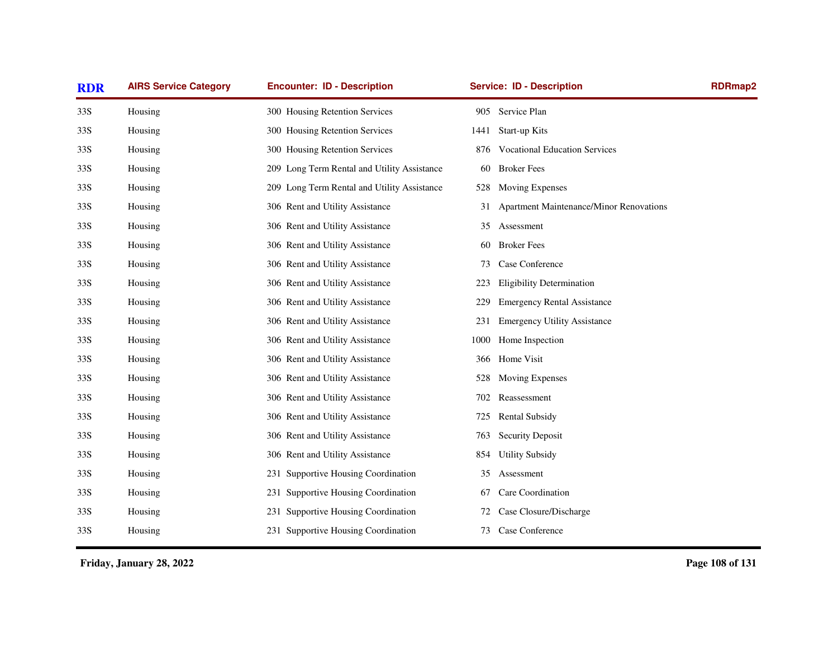| <b>RDR</b> | <b>AIRS Service Category</b> | <b>Encounter: ID - Description</b>          |      | <b>Service: ID - Description</b>        |  |
|------------|------------------------------|---------------------------------------------|------|-----------------------------------------|--|
| 33S        | Housing                      | 300 Housing Retention Services              | 905  | Service Plan                            |  |
| 33S        | Housing                      | 300 Housing Retention Services              | 1441 | Start-up Kits                           |  |
| 33S        | Housing                      | 300 Housing Retention Services              | 876  | <b>Vocational Education Services</b>    |  |
| 33S        | Housing                      | 209 Long Term Rental and Utility Assistance | 60   | <b>Broker Fees</b>                      |  |
| 33S        | Housing                      | 209 Long Term Rental and Utility Assistance | 528  | <b>Moving Expenses</b>                  |  |
| 33S        | Housing                      | 306 Rent and Utility Assistance             | 31   | Apartment Maintenance/Minor Renovations |  |
| 33S        | Housing                      | 306 Rent and Utility Assistance             | 35   | Assessment                              |  |
| 33S        | Housing                      | 306 Rent and Utility Assistance             | 60   | <b>Broker Fees</b>                      |  |
| 33S        | Housing                      | 306 Rent and Utility Assistance             | 73   | Case Conference                         |  |
| 33S        | Housing                      | 306 Rent and Utility Assistance             | 223  | <b>Eligibility Determination</b>        |  |
| 33S        | Housing                      | 306 Rent and Utility Assistance             | 229  | <b>Emergency Rental Assistance</b>      |  |
| 33S        | Housing                      | 306 Rent and Utility Assistance             | 231  | <b>Emergency Utility Assistance</b>     |  |
| 33S        | Housing                      | 306 Rent and Utility Assistance             | 1000 | Home Inspection                         |  |
| 33S        | Housing                      | 306 Rent and Utility Assistance             | 366  | Home Visit                              |  |
| 33S        | Housing                      | 306 Rent and Utility Assistance             | 528  | <b>Moving Expenses</b>                  |  |
| 33S        | Housing                      | 306 Rent and Utility Assistance             | 702  | Reassessment                            |  |
| 33S        | Housing                      | 306 Rent and Utility Assistance             | 725  | <b>Rental Subsidy</b>                   |  |
| 33S        | Housing                      | 306 Rent and Utility Assistance             | 763  | <b>Security Deposit</b>                 |  |
| 33S        | Housing                      | 306 Rent and Utility Assistance             | 854  | <b>Utility Subsidy</b>                  |  |
| 33S        | Housing                      | 231 Supportive Housing Coordination         | 35   | Assessment                              |  |
| 33S        | Housing                      | 231 Supportive Housing Coordination         | 67   | Care Coordination                       |  |
| 33S        | Housing                      | 231 Supportive Housing Coordination         | 72   | Case Closure/Discharge                  |  |
| 33S        | Housing                      | 231 Supportive Housing Coordination         | 73   | Case Conference                         |  |
|            |                              |                                             |      |                                         |  |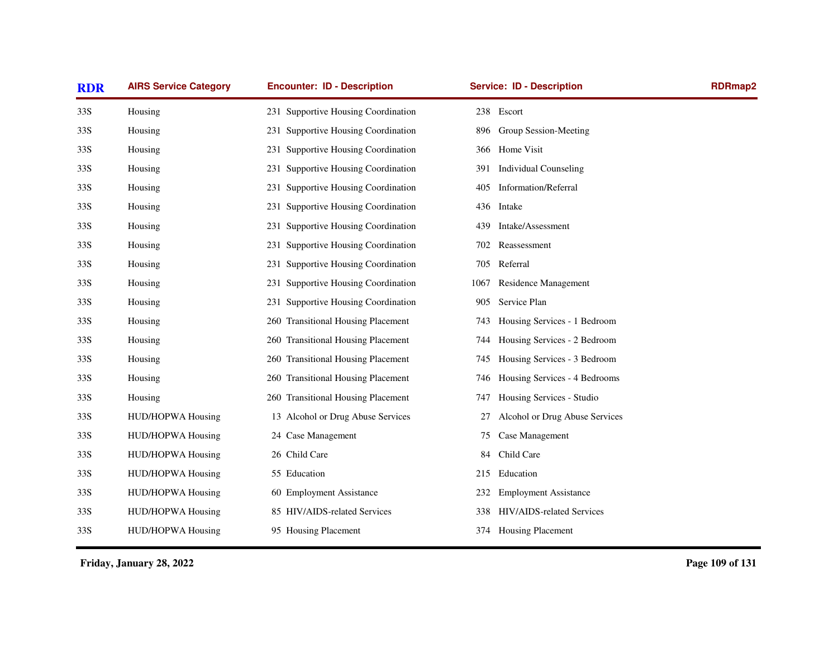| <b>AIRS Service Category</b> | <b>Encounter: ID - Description</b>  | <b>Service: ID - Description</b>     | <b>RDRmap2</b> |
|------------------------------|-------------------------------------|--------------------------------------|----------------|
| Housing                      | 231 Supportive Housing Coordination | 238 Escort                           |                |
| Housing                      | 231 Supportive Housing Coordination | 896 Group Session-Meeting            |                |
| Housing                      | 231 Supportive Housing Coordination | Home Visit<br>366                    |                |
| Housing                      | 231 Supportive Housing Coordination | <b>Individual Counseling</b><br>391  |                |
| Housing                      | 231 Supportive Housing Coordination | <b>Information/Referral</b><br>405   |                |
| Housing                      | 231 Supportive Housing Coordination | 436 Intake                           |                |
| Housing                      | 231 Supportive Housing Coordination | Intake/Assessment<br>439             |                |
| Housing                      | 231 Supportive Housing Coordination | Reassessment<br>702                  |                |
| Housing                      | 231 Supportive Housing Coordination | Referral<br>705                      |                |
| Housing                      | 231 Supportive Housing Coordination | Residence Management<br>1067         |                |
| Housing                      | 231 Supportive Housing Coordination | Service Plan<br>905                  |                |
| Housing                      | 260 Transitional Housing Placement  | Housing Services - 1 Bedroom<br>743  |                |
| Housing                      | 260 Transitional Housing Placement  | Housing Services - 2 Bedroom<br>744  |                |
| Housing                      | 260 Transitional Housing Placement  | Housing Services - 3 Bedroom<br>745  |                |
| Housing                      | 260 Transitional Housing Placement  | Housing Services - 4 Bedrooms<br>746 |                |
| Housing                      | 260 Transitional Housing Placement  | Housing Services - Studio<br>747     |                |
| <b>HUD/HOPWA Housing</b>     | 13 Alcohol or Drug Abuse Services   | Alcohol or Drug Abuse Services<br>27 |                |
| HUD/HOPWA Housing            | 24 Case Management                  | Case Management<br>75                |                |
| HUD/HOPWA Housing            | 26 Child Care                       | Child Care<br>84                     |                |
| HUD/HOPWA Housing            | 55 Education                        | 215<br>Education                     |                |
| <b>HUD/HOPWA Housing</b>     | 60 Employment Assistance            | <b>Employment Assistance</b><br>232  |                |
| HUD/HOPWA Housing            | 85 HIV/AIDS-related Services        | HIV/AIDS-related Services<br>338     |                |
| <b>HUD/HOPWA Housing</b>     | 95 Housing Placement                | 374 Housing Placement                |                |
|                              |                                     |                                      |                |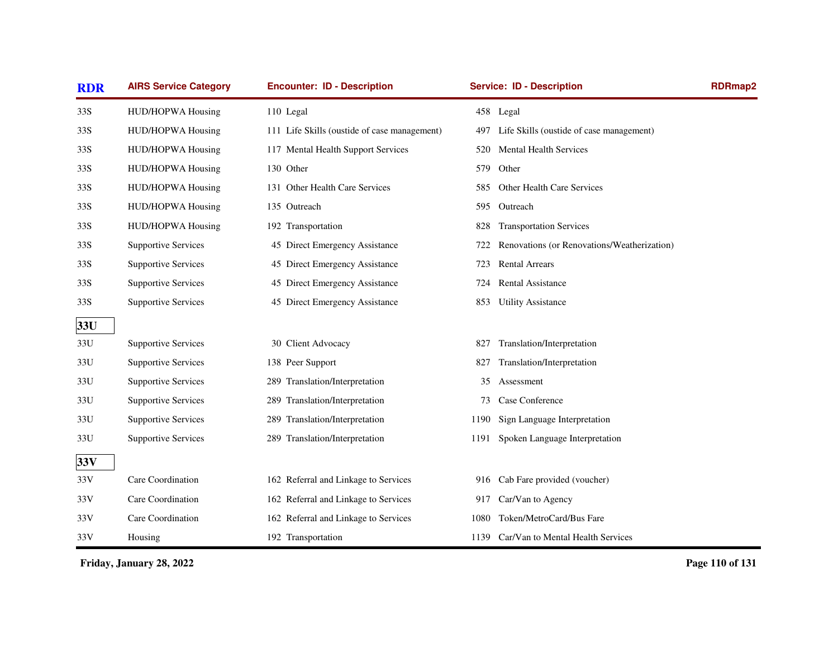| <b>RDR</b> | <b>AIRS Service Category</b> | <b>Encounter: ID - Description</b>           |      | <b>Service: ID - Description</b>            | <b>RDRmap2</b> |
|------------|------------------------------|----------------------------------------------|------|---------------------------------------------|----------------|
| 33S        | HUD/HOPWA Housing            | 110 Legal                                    |      | 458 Legal                                   |                |
| 33S        | HUD/HOPWA Housing            | 111 Life Skills (oustide of case management) | 497  | Life Skills (oustide of case management)    |                |
| 33S        | HUD/HOPWA Housing            | 117 Mental Health Support Services           | 520  | <b>Mental Health Services</b>               |                |
| 33S        | <b>HUD/HOPWA Housing</b>     | 130 Other                                    | 579  | Other                                       |                |
| 33S        | HUD/HOPWA Housing            | 131 Other Health Care Services               | 585  | Other Health Care Services                  |                |
| 33S        | <b>HUD/HOPWA Housing</b>     | 135 Outreach                                 | 595. | Outreach                                    |                |
| 33S        | <b>HUD/HOPWA Housing</b>     | 192 Transportation                           | 828  | <b>Transportation Services</b>              |                |
| 33S        | <b>Supportive Services</b>   | 45 Direct Emergency Assistance               | 722  | Renovations (or Renovations/Weatherization) |                |
| 33S        | <b>Supportive Services</b>   | 45 Direct Emergency Assistance               | 723  | <b>Rental Arrears</b>                       |                |
| 33S        | <b>Supportive Services</b>   | 45 Direct Emergency Assistance               | 724  | <b>Rental Assistance</b>                    |                |
| 33S        | <b>Supportive Services</b>   | 45 Direct Emergency Assistance               | 853  | <b>Utility Assistance</b>                   |                |
| 33U        |                              |                                              |      |                                             |                |
| 33U        | <b>Supportive Services</b>   | 30 Client Advocacy                           | 827  | Translation/Interpretation                  |                |
| 33U        | <b>Supportive Services</b>   | 138 Peer Support                             | 827  | Translation/Interpretation                  |                |
| 33U        | <b>Supportive Services</b>   | 289 Translation/Interpretation               | 35   | Assessment                                  |                |
| 33U        | <b>Supportive Services</b>   | 289 Translation/Interpretation               | 73   | Case Conference                             |                |
| 33U        | <b>Supportive Services</b>   | 289 Translation/Interpretation               | 1190 | Sign Language Interpretation                |                |
| 33U        | <b>Supportive Services</b>   | 289 Translation/Interpretation               | 1191 | Spoken Language Interpretation              |                |
| 33V        |                              |                                              |      |                                             |                |
| 33V        | Care Coordination            | 162 Referral and Linkage to Services         | 916  | Cab Fare provided (voucher)                 |                |
| 33V        | Care Coordination            | 162 Referral and Linkage to Services         | 917  | Car/Van to Agency                           |                |
| 33V        | Care Coordination            | 162 Referral and Linkage to Services         | 1080 | Token/MetroCard/Bus Fare                    |                |
| 33V        | Housing                      | 192 Transportation                           |      | 1139 Car/Van to Mental Health Services      |                |

**Page 110 of 131**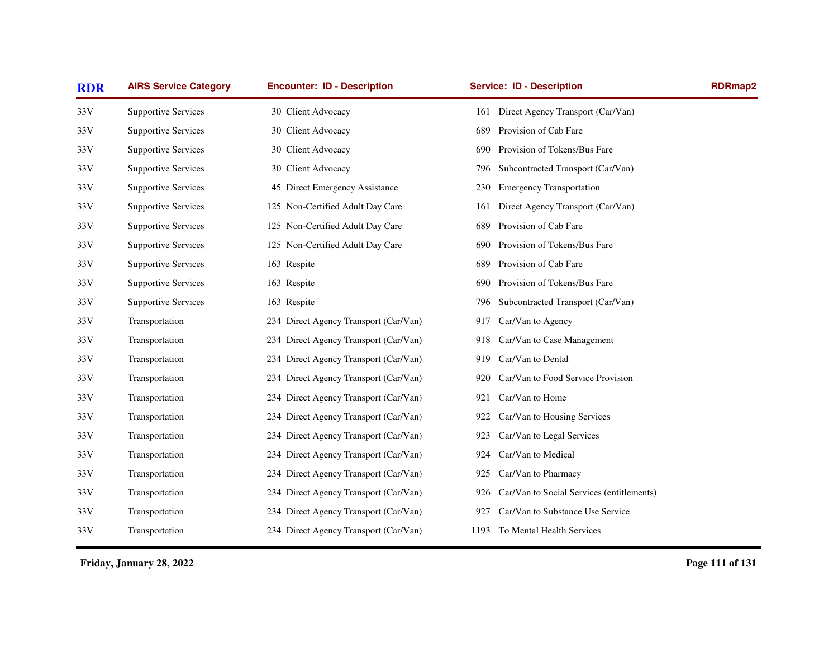| <b>AIRS Service Category</b> | <b>Encounter: ID - Description</b>    | <b>Service: ID - Description</b>                 | <b>RDRmap2</b> |
|------------------------------|---------------------------------------|--------------------------------------------------|----------------|
| <b>Supportive Services</b>   | 30 Client Advocacy                    | 161 Direct Agency Transport (Car/Van)            |                |
| <b>Supportive Services</b>   | 30 Client Advocacy                    | Provision of Cab Fare<br>689                     |                |
| <b>Supportive Services</b>   | 30 Client Advocacy                    | Provision of Tokens/Bus Fare<br>690              |                |
| <b>Supportive Services</b>   | 30 Client Advocacy                    | Subcontracted Transport (Car/Van)<br>796         |                |
| <b>Supportive Services</b>   | 45 Direct Emergency Assistance        | <b>Emergency Transportation</b><br>230           |                |
| <b>Supportive Services</b>   | 125 Non-Certified Adult Day Care      | Direct Agency Transport (Car/Van)<br>161         |                |
| <b>Supportive Services</b>   | 125 Non-Certified Adult Day Care      | Provision of Cab Fare<br>689                     |                |
| <b>Supportive Services</b>   | 125 Non-Certified Adult Day Care      | Provision of Tokens/Bus Fare<br>690              |                |
| <b>Supportive Services</b>   | 163 Respite                           | Provision of Cab Fare<br>689                     |                |
| <b>Supportive Services</b>   | 163 Respite                           | Provision of Tokens/Bus Fare<br>690              |                |
| <b>Supportive Services</b>   | 163 Respite                           | Subcontracted Transport (Car/Van)<br>796         |                |
| Transportation               | 234 Direct Agency Transport (Car/Van) | Car/Van to Agency<br>917                         |                |
| Transportation               | 234 Direct Agency Transport (Car/Van) | Car/Van to Case Management<br>918                |                |
| Transportation               | 234 Direct Agency Transport (Car/Van) | Car/Van to Dental<br>919                         |                |
| Transportation               | 234 Direct Agency Transport (Car/Van) | Car/Van to Food Service Provision<br>920         |                |
| Transportation               | 234 Direct Agency Transport (Car/Van) | Car/Van to Home<br>921                           |                |
| Transportation               | 234 Direct Agency Transport (Car/Van) | Car/Van to Housing Services<br>922               |                |
| Transportation               | 234 Direct Agency Transport (Car/Van) | Car/Van to Legal Services<br>923                 |                |
| Transportation               | 234 Direct Agency Transport (Car/Van) | Car/Van to Medical<br>924                        |                |
| Transportation               | 234 Direct Agency Transport (Car/Van) | Car/Van to Pharmacy<br>925                       |                |
| Transportation               | 234 Direct Agency Transport (Car/Van) | Car/Van to Social Services (entitlements)<br>926 |                |
| Transportation               | 234 Direct Agency Transport (Car/Van) | Car/Van to Substance Use Service<br>927          |                |
| Transportation               | 234 Direct Agency Transport (Car/Van) | 1193 To Mental Health Services                   |                |
|                              |                                       |                                                  |                |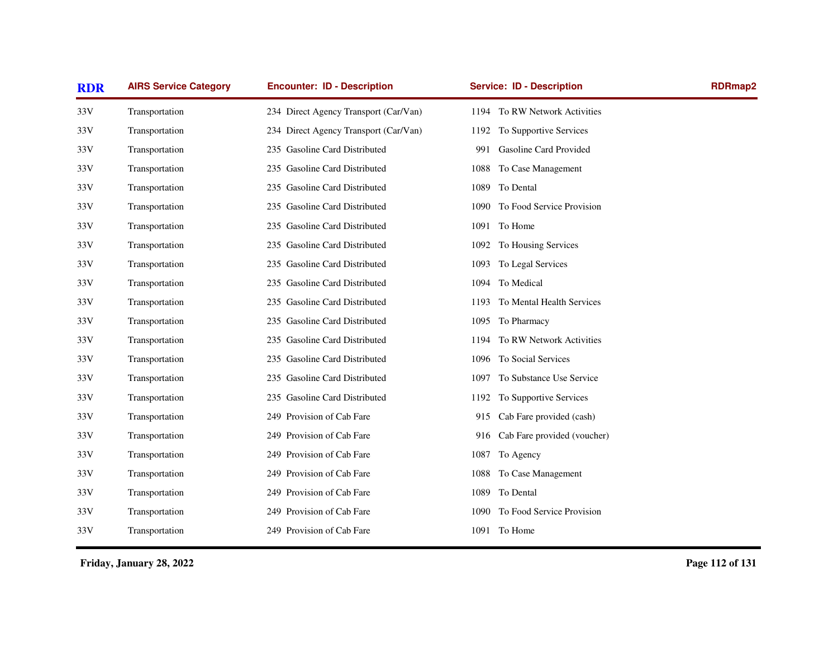| <b>RDR</b> | <b>AIRS Service Category</b> | <b>Encounter: ID - Description</b>    | <b>Service: ID - Description</b>   | <b>RDRmap2</b> |
|------------|------------------------------|---------------------------------------|------------------------------------|----------------|
| 33V        | Transportation               | 234 Direct Agency Transport (Car/Van) | 1194 To RW Network Activities      |                |
| 33V        | Transportation               | 234 Direct Agency Transport (Car/Van) | To Supportive Services<br>1192     |                |
| 33V        | Transportation               | 235 Gasoline Card Distributed         | Gasoline Card Provided<br>991      |                |
| 33V        | Transportation               | 235 Gasoline Card Distributed         | To Case Management<br>1088         |                |
| 33V        | Transportation               | 235 Gasoline Card Distributed         | To Dental<br>1089                  |                |
| 33V        | Transportation               | 235 Gasoline Card Distributed         | To Food Service Provision<br>1090  |                |
| 33V        | Transportation               | 235 Gasoline Card Distributed         | 1091<br>To Home                    |                |
| 33V        | Transportation               | 235 Gasoline Card Distributed         | To Housing Services<br>1092        |                |
| 33V        | Transportation               | 235 Gasoline Card Distributed         | To Legal Services<br>1093          |                |
| 33V        | Transportation               | 235 Gasoline Card Distributed         | 1094 To Medical                    |                |
| 33V        | Transportation               | 235 Gasoline Card Distributed         | To Mental Health Services<br>1193  |                |
| 33V        | Transportation               | 235 Gasoline Card Distributed         | 1095 To Pharmacy                   |                |
| 33V        | Transportation               | 235 Gasoline Card Distributed         | To RW Network Activities<br>1194   |                |
| 33V        | Transportation               | 235 Gasoline Card Distributed         | To Social Services<br>1096         |                |
| 33V        | Transportation               | 235 Gasoline Card Distributed         | To Substance Use Service<br>1097   |                |
| 33V        | Transportation               | 235 Gasoline Card Distributed         | To Supportive Services<br>1192     |                |
| 33 V       | Transportation               | 249 Provision of Cab Fare             | Cab Fare provided (cash)<br>915    |                |
| 33V        | Transportation               | 249 Provision of Cab Fare             | Cab Fare provided (voucher)<br>916 |                |
| 33V        | Transportation               | 249 Provision of Cab Fare             | To Agency<br>1087                  |                |
| 33V        | Transportation               | 249 Provision of Cab Fare             | To Case Management<br>1088         |                |
| 33V        | Transportation               | 249 Provision of Cab Fare             | To Dental<br>1089                  |                |
| 33V        | Transportation               | 249 Provision of Cab Fare             | To Food Service Provision<br>1090  |                |
| 33V        | Transportation               | 249 Provision of Cab Fare             | 1091 To Home                       |                |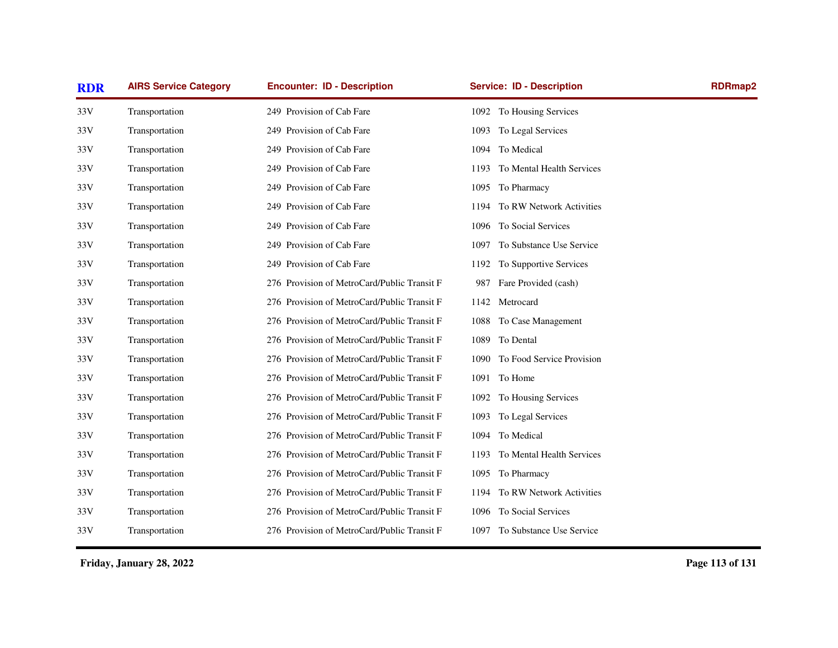| <b>RDR</b> | <b>AIRS Service Category</b> | <b>Encounter: ID - Description</b>          | <b>Service: ID - Description</b>  | <b>RDRmap2</b> |
|------------|------------------------------|---------------------------------------------|-----------------------------------|----------------|
| 33V        | Transportation               | 249 Provision of Cab Fare                   | 1092 To Housing Services          |                |
| 33V        | Transportation               | 249 Provision of Cab Fare                   | 1093 To Legal Services            |                |
| 33V        | Transportation               | 249 Provision of Cab Fare                   | 1094 To Medical                   |                |
| 33V        | Transportation               | 249 Provision of Cab Fare                   | To Mental Health Services<br>1193 |                |
| 33V        | Transportation               | 249 Provision of Cab Fare                   | 1095 To Pharmacy                  |                |
| 33V        | Transportation               | 249 Provision of Cab Fare                   | To RW Network Activities<br>1194  |                |
| 33V        | Transportation               | 249 Provision of Cab Fare                   | To Social Services<br>1096        |                |
| 33V        | Transportation               | 249 Provision of Cab Fare                   | To Substance Use Service<br>1097  |                |
| 33V        | Transportation               | 249 Provision of Cab Fare                   | To Supportive Services<br>1192    |                |
| 33V        | Transportation               | 276 Provision of MetroCard/Public Transit F | Fare Provided (cash)<br>987       |                |
| 33V        | Transportation               | 276 Provision of MetroCard/Public Transit F | 1142<br>Metrocard                 |                |
| 33V        | Transportation               | 276 Provision of MetroCard/Public Transit F | To Case Management<br>1088        |                |
| 33V        | Transportation               | 276 Provision of MetroCard/Public Transit F | To Dental<br>1089                 |                |
| 33V        | Transportation               | 276 Provision of MetroCard/Public Transit F | 1090 To Food Service Provision    |                |
| 33V        | Transportation               | 276 Provision of MetroCard/Public Transit F | 1091 To Home                      |                |
| 33V        | Transportation               | 276 Provision of MetroCard/Public Transit F | 1092 To Housing Services          |                |
| 33V        | Transportation               | 276 Provision of MetroCard/Public Transit F | To Legal Services<br>1093         |                |
| 33V        | Transportation               | 276 Provision of MetroCard/Public Transit F | To Medical<br>1094                |                |
| 33V        | Transportation               | 276 Provision of MetroCard/Public Transit F | To Mental Health Services<br>1193 |                |
| 33V        | Transportation               | 276 Provision of MetroCard/Public Transit F | To Pharmacy<br>1095               |                |
| 33V        | Transportation               | 276 Provision of MetroCard/Public Transit F | To RW Network Activities<br>1194  |                |
| 33V        | Transportation               | 276 Provision of MetroCard/Public Transit F | To Social Services<br>1096        |                |
| 33V        | Transportation               | 276 Provision of MetroCard/Public Transit F | 1097 To Substance Use Service     |                |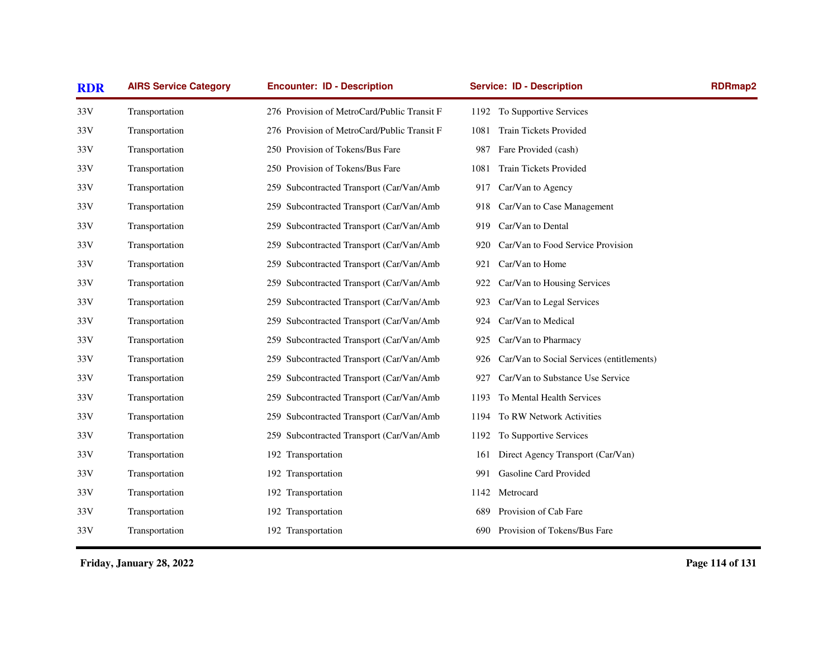| <b>RDR</b> | <b>AIRS Service Category</b> | <b>Encounter: ID - Description</b>           | <b>Service: ID - Description</b>                 | <b>RDRmap2</b> |
|------------|------------------------------|----------------------------------------------|--------------------------------------------------|----------------|
| 33V        | Transportation               | 276 Provision of MetroCard/Public Transit F  | 1192 To Supportive Services                      |                |
| 33V        | Transportation               | 276 Provision of MetroCard/Public Transit F  | Train Tickets Provided<br>1081                   |                |
| 33V        | Transportation               | 250 Provision of Tokens/Bus Fare             | 987<br>Fare Provided (cash)                      |                |
| 33V        | Transportation               | 250 Provision of Tokens/Bus Fare             | <b>Train Tickets Provided</b><br>1081            |                |
| 33V        | Transportation               | 259 Subcontracted Transport (Car/Van/Amb     | Car/Van to Agency<br>917                         |                |
| 33V        | Transportation               | 259 Subcontracted Transport (Car/Van/Amb     | Car/Van to Case Management<br>918                |                |
| 33V        | Transportation               | Subcontracted Transport (Car/Van/Amb<br>259. | Car/Van to Dental<br>919                         |                |
| 33V        | Transportation               | 259 Subcontracted Transport (Car/Van/Amb     | Car/Van to Food Service Provision<br>920         |                |
| 33V        | Transportation               | 259 Subcontracted Transport (Car/Van/Amb     | Car/Van to Home<br>921                           |                |
| 33V        | Transportation               | 259 Subcontracted Transport (Car/Van/Amb     | Car/Van to Housing Services<br>922               |                |
| 33V        | Transportation               | 259 Subcontracted Transport (Car/Van/Amb     | Car/Van to Legal Services<br>923                 |                |
| 33V        | Transportation               | 259 Subcontracted Transport (Car/Van/Amb     | Car/Van to Medical<br>924                        |                |
| 33V        | Transportation               | 259 Subcontracted Transport (Car/Van/Amb     | Car/Van to Pharmacy<br>925                       |                |
| 33V        | Transportation               | 259 Subcontracted Transport (Car/Van/Amb     | Car/Van to Social Services (entitlements)<br>926 |                |
| 33V        | Transportation               | 259 Subcontracted Transport (Car/Van/Amb     | Car/Van to Substance Use Service<br>927          |                |
| 33V        | Transportation               | 259 Subcontracted Transport (Car/Van/Amb     | To Mental Health Services<br>1193                |                |
| 33V        | Transportation               | 259 Subcontracted Transport (Car/Van/Amb     | To RW Network Activities<br>1194                 |                |
| 33V        | Transportation               | 259 Subcontracted Transport (Car/Van/Amb     | To Supportive Services<br>1192                   |                |
| 33V        | Transportation               | 192 Transportation                           | Direct Agency Transport (Car/Van)<br>161         |                |
| 33V        | Transportation               | 192 Transportation                           | Gasoline Card Provided<br>991                    |                |
| 33V        | Transportation               | 192 Transportation                           | Metrocard<br>1142                                |                |
| 33V        | Transportation               | 192 Transportation                           | Provision of Cab Fare<br>689                     |                |
| 33V        | Transportation               | 192 Transportation                           | Provision of Tokens/Bus Fare<br>690              |                |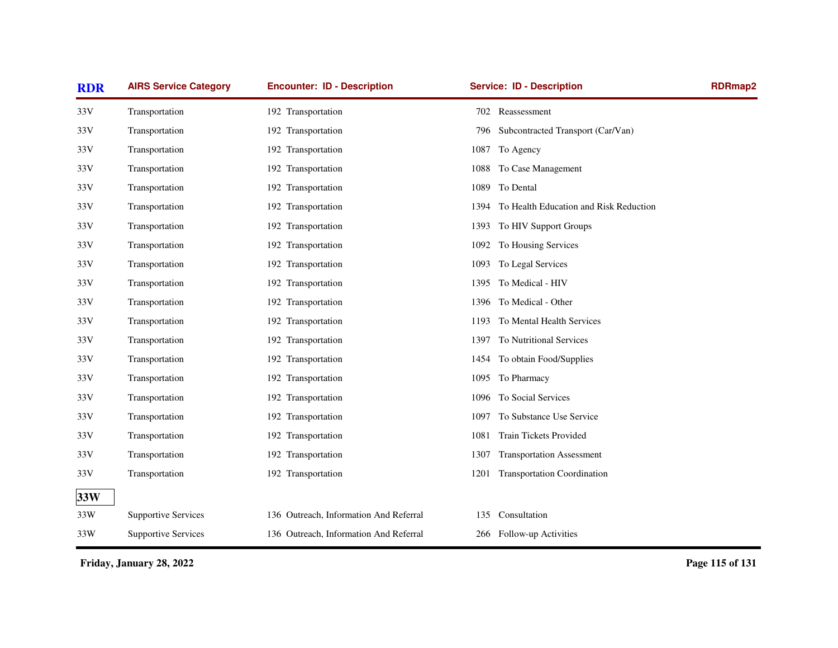| <b>RDR</b> | <b>AIRS Service Category</b> | <b>Encounter: ID - Description</b>     | <b>Service: ID - Description</b>               | <b>RDRmap2</b> |
|------------|------------------------------|----------------------------------------|------------------------------------------------|----------------|
| 33V        | Transportation               | 192 Transportation                     | 702 Reassessment                               |                |
| 33V        | Transportation               | 192 Transportation                     | 796<br>Subcontracted Transport (Car/Van)       |                |
| 33V        | Transportation               | 192 Transportation                     | 1087 To Agency                                 |                |
| 33V        | Transportation               | 192 Transportation                     | To Case Management<br>1088                     |                |
| 33V        | Transportation               | 192 Transportation                     | To Dental<br>1089                              |                |
| 33V        | Transportation               | 192 Transportation                     | To Health Education and Risk Reduction<br>1394 |                |
| 33V        | Transportation               | 192 Transportation                     | To HIV Support Groups<br>1393                  |                |
| 33V        | Transportation               | 192 Transportation                     | To Housing Services<br>1092                    |                |
| 33V        | Transportation               | 192 Transportation                     | To Legal Services<br>1093                      |                |
| 33V        | Transportation               | 192 Transportation                     | To Medical - HIV<br>1395                       |                |
| 33V        | Transportation               | 192 Transportation                     | To Medical - Other<br>1396                     |                |
| 33V        | Transportation               | 192 Transportation                     | To Mental Health Services<br>1193              |                |
| 33V        | Transportation               | 192 Transportation                     | To Nutritional Services<br>1397                |                |
| 33V        | Transportation               | 192 Transportation                     | 1454 To obtain Food/Supplies                   |                |
| 33V        | Transportation               | 192 Transportation                     | To Pharmacy<br>1095                            |                |
| 33V        | Transportation               | 192 Transportation                     | To Social Services<br>1096                     |                |
| 33V        | Transportation               | 192 Transportation                     | To Substance Use Service<br>1097               |                |
| 33V        | Transportation               | 192 Transportation                     | <b>Train Tickets Provided</b><br>1081          |                |
| 33V        | Transportation               | 192 Transportation                     | <b>Transportation Assessment</b><br>1307       |                |
| 33V        | Transportation               | 192 Transportation                     | <b>Transportation Coordination</b><br>1201     |                |
| 33W        |                              |                                        |                                                |                |
| 33W        | <b>Supportive Services</b>   | 136 Outreach, Information And Referral | Consultation<br>135                            |                |
| 33W        | <b>Supportive Services</b>   | 136 Outreach, Information And Referral | 266 Follow-up Activities                       |                |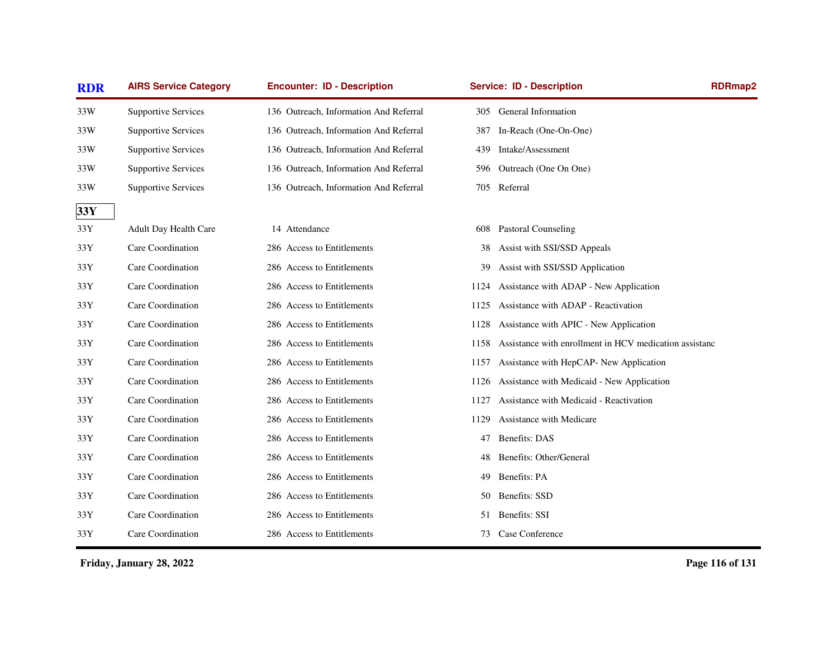| <b>RDR</b>       | <b>AIRS Service Category</b> | <b>Encounter: ID - Description</b>     | <b>Service: ID - Description</b> |                                                        | <b>RDRmap2</b> |
|------------------|------------------------------|----------------------------------------|----------------------------------|--------------------------------------------------------|----------------|
| 33W              | <b>Supportive Services</b>   | 136 Outreach, Information And Referral | 305                              | <b>General Information</b>                             |                |
| 33W              | <b>Supportive Services</b>   | 136 Outreach, Information And Referral | 387                              | In-Reach (One-On-One)                                  |                |
| 33W              | <b>Supportive Services</b>   | 136 Outreach, Information And Referral | 439                              | Intake/Assessment                                      |                |
| 33W              | <b>Supportive Services</b>   | 136 Outreach, Information And Referral | 596                              | Outreach (One On One)                                  |                |
| 33W              | <b>Supportive Services</b>   | 136 Outreach, Information And Referral | 705 Referral                     |                                                        |                |
| 33Y              |                              |                                        |                                  |                                                        |                |
| $33\,\mathrm{Y}$ | Adult Day Health Care        | 14 Attendance                          | 608                              | <b>Pastoral Counseling</b>                             |                |
| 33Y              | Care Coordination            | 286 Access to Entitlements             | 38                               | Assist with SSI/SSD Appeals                            |                |
| 33Y              | Care Coordination            | 286 Access to Entitlements             | 39                               | Assist with SSI/SSD Application                        |                |
| 33Y              | Care Coordination            | 286 Access to Entitlements             | 1124                             | Assistance with ADAP - New Application                 |                |
| 33Y              | Care Coordination            | 286 Access to Entitlements             | 1125                             | Assistance with ADAP - Reactivation                    |                |
| 33Y              | Care Coordination            | 286 Access to Entitlements             | 1128                             | Assistance with APIC - New Application                 |                |
| 33Y              | Care Coordination            | 286 Access to Entitlements             | 1158                             | Assistance with enrollment in HCV medication assistanc |                |
| 33Y              | Care Coordination            | 286 Access to Entitlements             | 1157                             | Assistance with HepCAP- New Application                |                |
| 33Y              | Care Coordination            | 286 Access to Entitlements             | 1126                             | Assistance with Medicaid - New Application             |                |
| 33Y              | Care Coordination            | 286 Access to Entitlements             | 1127                             | Assistance with Medicaid - Reactivation                |                |
| 33Y              | Care Coordination            | 286 Access to Entitlements             | 1129                             | Assistance with Medicare                               |                |
| 33Y              | Care Coordination            | 286 Access to Entitlements             | <b>Benefits: DAS</b><br>47       |                                                        |                |
| 33Y              | Care Coordination            | 286 Access to Entitlements             | 48                               | Benefits: Other/General                                |                |
| 33Y              | Care Coordination            | 286 Access to Entitlements             | Benefits: PA<br>49               |                                                        |                |
| 33Y              | Care Coordination            | 286 Access to Entitlements             | Benefits: SSD<br>50              |                                                        |                |
| 33Y              | Care Coordination            | 286 Access to Entitlements             | Benefits: SSI<br>51              |                                                        |                |
| 33Y              | Care Coordination            | 286 Access to Entitlements             | 73                               | Case Conference                                        |                |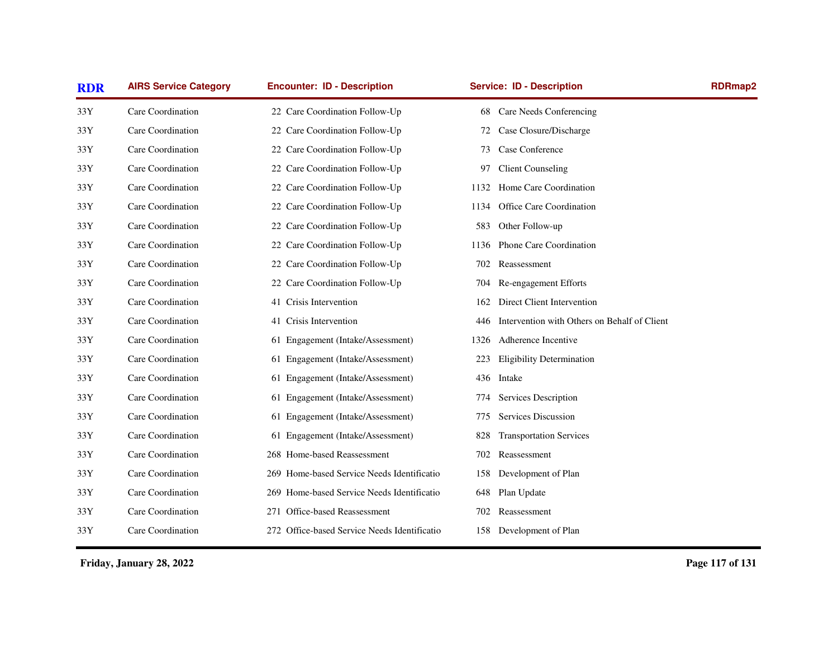| <b>RDR</b> | <b>AIRS Service Category</b> | <b>Encounter: ID - Description</b>           | <b>Service: ID - Description</b>                    | <b>RDRmap2</b> |
|------------|------------------------------|----------------------------------------------|-----------------------------------------------------|----------------|
| 33Y        | Care Coordination            | 22 Care Coordination Follow-Up               | Care Needs Conferencing<br>68                       |                |
| 33Y        | Care Coordination            | 22 Care Coordination Follow-Up               | Case Closure/Discharge<br>72                        |                |
| 33Y        | Care Coordination            | 22 Care Coordination Follow-Up               | Case Conference<br>73                               |                |
| 33Y        | Care Coordination            | 22 Care Coordination Follow-Up               | <b>Client Counseling</b><br>97                      |                |
| 33Y        | Care Coordination            | 22 Care Coordination Follow-Up               | Home Care Coordination<br>1132                      |                |
| 33Y        | Care Coordination            | 22 Care Coordination Follow-Up               | Office Care Coordination<br>1134                    |                |
| 33Y        | Care Coordination            | 22 Care Coordination Follow-Up               | Other Follow-up<br>583                              |                |
| 33Y        | Care Coordination            | 22 Care Coordination Follow-Up               | Phone Care Coordination<br>1136                     |                |
| 33Y        | Care Coordination            | 22 Care Coordination Follow-Up               | Reassessment<br>702                                 |                |
| 33Y        | Care Coordination            | 22 Care Coordination Follow-Up               | Re-engagement Efforts<br>704                        |                |
| 33Y        | Care Coordination            | 41 Crisis Intervention                       | Direct Client Intervention<br>162                   |                |
| 33Y        | Care Coordination            | 41 Crisis Intervention                       | Intervention with Others on Behalf of Client<br>446 |                |
| 33Y        | Care Coordination            | 61 Engagement (Intake/Assessment)            | Adherence Incentive<br>1326                         |                |
| 33Y        | Care Coordination            | 61 Engagement (Intake/Assessment)            | <b>Eligibility Determination</b><br>223             |                |
| 33Y        | Care Coordination            | 61 Engagement (Intake/Assessment)            | 436 Intake                                          |                |
| 33Y        | Care Coordination            | 61 Engagement (Intake/Assessment)            | Services Description<br>774                         |                |
| 33Y        | Care Coordination            | 61 Engagement (Intake/Assessment)            | Services Discussion<br>775                          |                |
| 33Y        | Care Coordination            | 61 Engagement (Intake/Assessment)            | <b>Transportation Services</b><br>828               |                |
| 33Y        | Care Coordination            | 268 Home-based Reassessment                  | Reassessment<br>702                                 |                |
| 33Y        | Care Coordination            | 269 Home-based Service Needs Identificatio   | Development of Plan<br>158                          |                |
| 33Y        | Care Coordination            | 269 Home-based Service Needs Identificatio   | Plan Update<br>648                                  |                |
| 33Y        | Care Coordination            | 271 Office-based Reassessment                | Reassessment<br>702                                 |                |
| 33Y        | Care Coordination            | 272 Office-based Service Needs Identificatio | Development of Plan<br>158                          |                |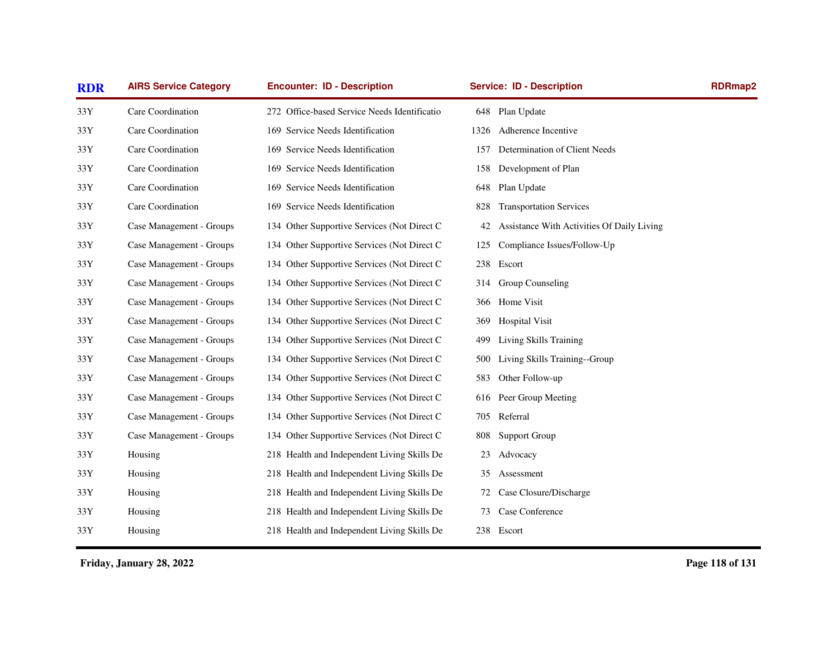| <b>RDR</b>     | <b>AIRS Service Category</b> | <b>Encounter: ID - Description</b>           |            | <b>Service: ID - Description</b>           | <b>RDRmap2</b> |
|----------------|------------------------------|----------------------------------------------|------------|--------------------------------------------|----------------|
| 33Y            | Care Coordination            | 272 Office-based Service Needs Identificatio |            | 648 Plan Update                            |                |
| $33\mathrm{Y}$ | Care Coordination            | 169 Service Needs Identification             | 1326       | Adherence Incentive                        |                |
| 33Y            | Care Coordination            | 169 Service Needs Identification             | 157        | Determination of Client Needs              |                |
| 33Y            | Care Coordination            | 169 Service Needs Identification             | 158        | Development of Plan                        |                |
| 33Y            | Care Coordination            | 169 Service Needs Identification             | 648        | Plan Update                                |                |
| 33Y            | Care Coordination            | 169 Service Needs Identification             | 828        | <b>Transportation Services</b>             |                |
| 33Y            | Case Management - Groups     | 134 Other Supportive Services (Not Direct C  | 42         | Assistance With Activities Of Daily Living |                |
| 33Y            | Case Management - Groups     | 134 Other Supportive Services (Not Direct C  | 125        | Compliance Issues/Follow-Up                |                |
| 33Y            | Case Management - Groups     | 134 Other Supportive Services (Not Direct C  | 238        | Escort                                     |                |
| 33Y            | Case Management - Groups     | 134 Other Supportive Services (Not Direct C  | 314        | Group Counseling                           |                |
| 33Y            | Case Management - Groups     | 134 Other Supportive Services (Not Direct C  |            | 366 Home Visit                             |                |
| 33Y            | Case Management - Groups     | 134 Other Supportive Services (Not Direct C  | 369        | <b>Hospital Visit</b>                      |                |
| 33Y            | Case Management - Groups     | 134 Other Supportive Services (Not Direct C  | 499        | Living Skills Training                     |                |
| 33Y            | Case Management - Groups     | 134 Other Supportive Services (Not Direct C  | 500        | Living Skills Training--Group              |                |
| 33Y            | Case Management - Groups     | 134 Other Supportive Services (Not Direct C  | 583        | Other Follow-up                            |                |
| 33Y            | Case Management - Groups     | 134 Other Supportive Services (Not Direct C  | 616        | Peer Group Meeting                         |                |
| 33Y            | Case Management - Groups     | 134 Other Supportive Services (Not Direct C  | 705        | Referral                                   |                |
| 33Y            | Case Management - Groups     | 134 Other Supportive Services (Not Direct C  | 808        | <b>Support Group</b>                       |                |
| 33Y            | Housing                      | 218 Health and Independent Living Skills De  | 23         | Advocacy                                   |                |
| 33Y            | Housing                      | 218 Health and Independent Living Skills De  | 35         | Assessment                                 |                |
| 33Y            | Housing                      | 218 Health and Independent Living Skills De  | 72         | Case Closure/Discharge                     |                |
| 33Y            | Housing                      | 218 Health and Independent Living Skills De  | 73         | Case Conference                            |                |
| 33Y            | Housing                      | 218 Health and Independent Living Skills De  | 238 Escort |                                            |                |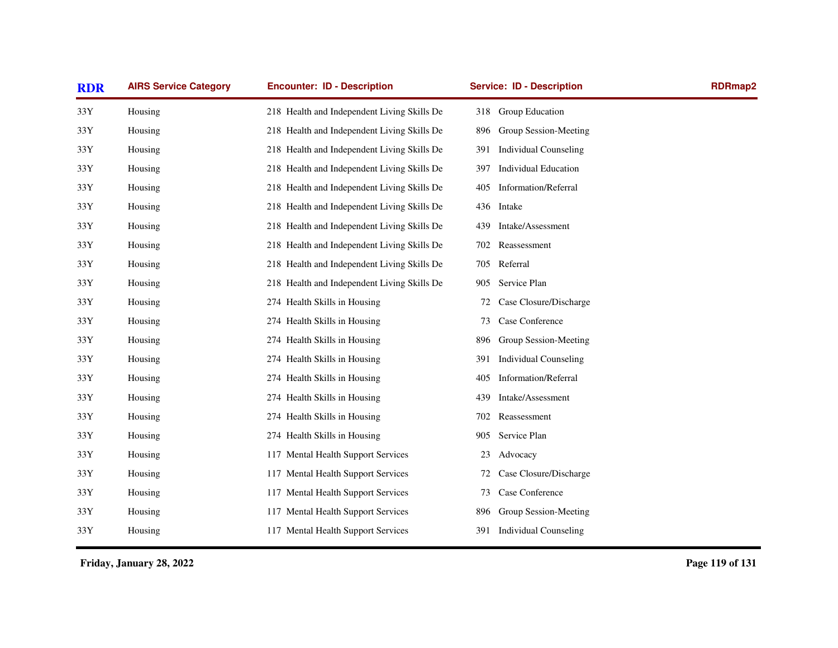| <b>RDR</b>       | <b>AIRS Service Category</b> | <b>Encounter: ID - Description</b>          | <b>Service: ID - Description</b>    | <b>RDRmap2</b> |
|------------------|------------------------------|---------------------------------------------|-------------------------------------|----------------|
| 33Y              | Housing                      | 218 Health and Independent Living Skills De | 318 Group Education                 |                |
| $33\,\mathrm{Y}$ | Housing                      | 218 Health and Independent Living Skills De | Group Session-Meeting<br>896        |                |
| 33Y              | Housing                      | 218 Health and Independent Living Skills De | <b>Individual Counseling</b><br>391 |                |
| 33Y              | Housing                      | 218 Health and Independent Living Skills De | <b>Individual Education</b><br>397  |                |
| 33Y              | Housing                      | 218 Health and Independent Living Skills De | <b>Information/Referral</b><br>405  |                |
| 33Y              | Housing                      | 218 Health and Independent Living Skills De | Intake<br>436                       |                |
| 33Y              | Housing                      | 218 Health and Independent Living Skills De | Intake/Assessment<br>439            |                |
| 33Y              | Housing                      | 218 Health and Independent Living Skills De | Reassessment<br>702                 |                |
| 33Y              | Housing                      | 218 Health and Independent Living Skills De | Referral<br>705                     |                |
| 33Y              | Housing                      | 218 Health and Independent Living Skills De | Service Plan<br>905                 |                |
| 33Y              | Housing                      | 274 Health Skills in Housing                | Case Closure/Discharge<br>72        |                |
| 33Y              | Housing                      | 274 Health Skills in Housing                | Case Conference<br>73               |                |
| 33Y              | Housing                      | 274 Health Skills in Housing                | Group Session-Meeting<br>896        |                |
| 33Y              | Housing                      | 274 Health Skills in Housing                | <b>Individual Counseling</b><br>391 |                |
| 33Y              | Housing                      | 274 Health Skills in Housing                | Information/Referral<br>405         |                |
| 33Y              | Housing                      | 274 Health Skills in Housing                | Intake/Assessment<br>439            |                |
| 33Y              | Housing                      | 274 Health Skills in Housing                | Reassessment<br>702                 |                |
| 33Y              | Housing                      | 274 Health Skills in Housing                | Service Plan<br>905                 |                |
| 33Y              | Housing                      | 117 Mental Health Support Services          | Advocacy<br>23                      |                |
| 33Y              | Housing                      | 117 Mental Health Support Services          | Case Closure/Discharge<br>72        |                |
| 33Y              | Housing                      | 117 Mental Health Support Services          | Case Conference<br>73               |                |
| 33Y              | Housing                      | 117 Mental Health Support Services          | Group Session-Meeting<br>896        |                |
| 33Y              | Housing                      | 117 Mental Health Support Services          | <b>Individual Counseling</b><br>391 |                |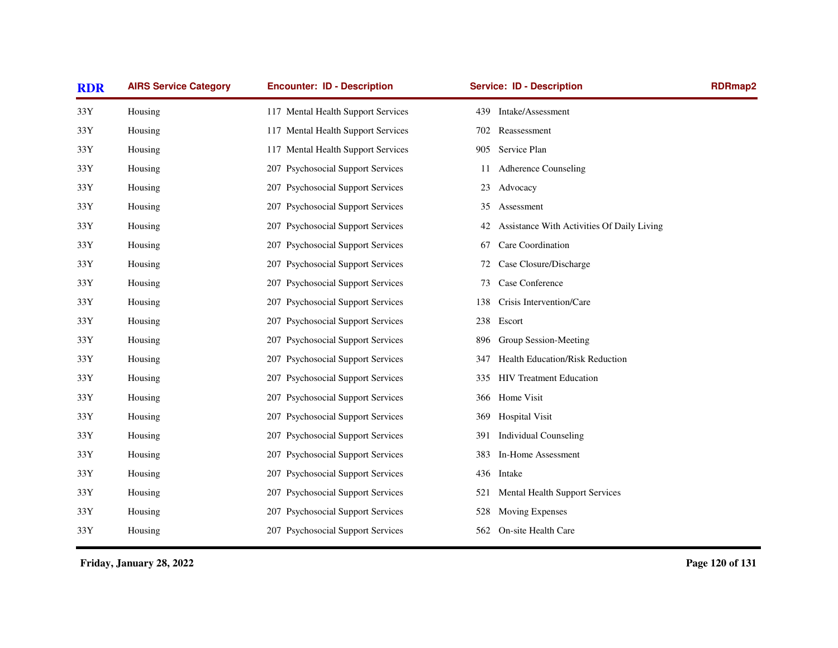| <b>RDR</b> | <b>AIRS Service Category</b> | <b>Encounter: ID - Description</b> | <b>Service: ID - Description</b>                 | <b>RDRmap2</b> |
|------------|------------------------------|------------------------------------|--------------------------------------------------|----------------|
| 33Y        | Housing                      | 117 Mental Health Support Services | Intake/Assessment<br>439                         |                |
| 33Y        | Housing                      | 117 Mental Health Support Services | Reassessment<br>702                              |                |
| 33Y        | Housing                      | 117 Mental Health Support Services | 905<br>Service Plan                              |                |
| 33Y        | Housing                      | 207 Psychosocial Support Services  | Adherence Counseling<br>11                       |                |
| 33Y        | Housing                      | 207 Psychosocial Support Services  | Advocacy<br>23                                   |                |
| 33Y        | Housing                      | 207 Psychosocial Support Services  | Assessment<br>35                                 |                |
| 33Y        | Housing                      | 207 Psychosocial Support Services  | Assistance With Activities Of Daily Living<br>42 |                |
| 33Y        | Housing                      | 207 Psychosocial Support Services  | Care Coordination<br>67                          |                |
| 33Y        | Housing                      | 207 Psychosocial Support Services  | Case Closure/Discharge<br>72                     |                |
| 33Y        | Housing                      | 207 Psychosocial Support Services  | Case Conference<br>73                            |                |
| 33Y        | Housing                      | 207 Psychosocial Support Services  | Crisis Intervention/Care<br>138                  |                |
| 33Y        | Housing                      | 207 Psychosocial Support Services  | Escort<br>238                                    |                |
| 33Y        | Housing                      | 207 Psychosocial Support Services  | Group Session-Meeting<br>896                     |                |
| 33Y        | Housing                      | 207 Psychosocial Support Services  | Health Education/Risk Reduction<br>347           |                |
| 33Y        | Housing                      | 207 Psychosocial Support Services  | <b>HIV Treatment Education</b><br>335            |                |
| 33Y        | Housing                      | 207 Psychosocial Support Services  | Home Visit<br>366                                |                |
| 33Y        | Housing                      | 207 Psychosocial Support Services  | <b>Hospital Visit</b><br>369                     |                |
| 33Y        | Housing                      | 207 Psychosocial Support Services  | Individual Counseling<br>391                     |                |
| 33Y        | Housing                      | 207 Psychosocial Support Services  | In-Home Assessment<br>383                        |                |
| 33Y        | Housing                      | 207 Psychosocial Support Services  | 436 Intake                                       |                |
| 33Y        | Housing                      | 207 Psychosocial Support Services  | Mental Health Support Services<br>521            |                |
| 33Y        | Housing                      | 207 Psychosocial Support Services  | Moving Expenses<br>528                           |                |
| 33Y        | Housing                      | 207 Psychosocial Support Services  | On-site Health Care<br>562                       |                |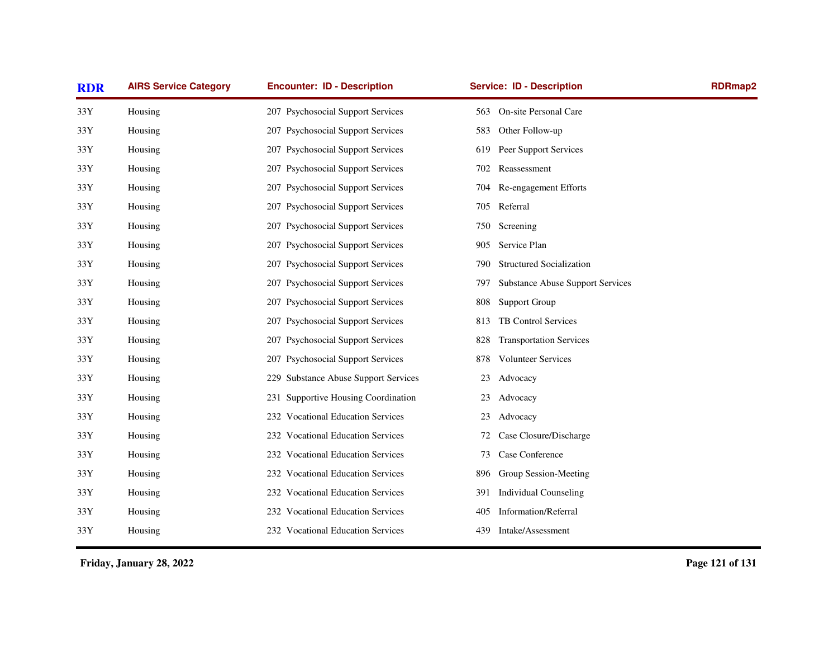| <b>RDR</b> | <b>AIRS Service Category</b> | <b>Encounter: ID - Description</b>   | <b>Service: ID - Description</b>               | RDRmap2 |
|------------|------------------------------|--------------------------------------|------------------------------------------------|---------|
| 33Y        | Housing                      | 207 Psychosocial Support Services    | On-site Personal Care<br>563                   |         |
| 33Y        | Housing                      | 207 Psychosocial Support Services    | Other Follow-up<br>583                         |         |
| 33Y        | Housing                      | 207 Psychosocial Support Services    | Peer Support Services<br>619                   |         |
| 33Y        | Housing                      | 207 Psychosocial Support Services    | Reassessment<br>702                            |         |
| 33Y        | Housing                      | 207 Psychosocial Support Services    | Re-engagement Efforts<br>704                   |         |
| 33Y        | Housing                      | 207 Psychosocial Support Services    | Referral<br>705                                |         |
| 33Y        | Housing                      | 207 Psychosocial Support Services    | Screening<br>750                               |         |
| 33Y        | Housing                      | 207 Psychosocial Support Services    | Service Plan<br>905                            |         |
| 33Y        | Housing                      | 207 Psychosocial Support Services    | <b>Structured Socialization</b><br>790         |         |
| 33Y        | Housing                      | 207 Psychosocial Support Services    | <b>Substance Abuse Support Services</b><br>797 |         |
| 33Y        | Housing                      | 207 Psychosocial Support Services    | <b>Support Group</b><br>808                    |         |
| 33Y        | Housing                      | 207 Psychosocial Support Services    | TB Control Services<br>813                     |         |
| 33Y        | Housing                      | 207 Psychosocial Support Services    | <b>Transportation Services</b><br>828          |         |
| 33Y        | Housing                      | 207 Psychosocial Support Services    | <b>Volunteer Services</b><br>878               |         |
| 33Y        | Housing                      | 229 Substance Abuse Support Services | Advocacy<br>23                                 |         |
| 33Y        | Housing                      | 231 Supportive Housing Coordination  | Advocacy<br>23                                 |         |
| 33Y        | Housing                      | 232 Vocational Education Services    | Advocacy<br>23                                 |         |
| 33Y        | Housing                      | 232 Vocational Education Services    | Case Closure/Discharge<br>72                   |         |
| 33Y        | Housing                      | 232 Vocational Education Services    | Case Conference<br>73                          |         |
| 33Y        | Housing                      | 232 Vocational Education Services    | Group Session-Meeting<br>896                   |         |
| 33Y        | Housing                      | 232 Vocational Education Services    | <b>Individual Counseling</b><br>391            |         |
| 33Y        | Housing                      | 232 Vocational Education Services    | Information/Referral<br>405                    |         |
| 33Y        | Housing                      | 232 Vocational Education Services    | Intake/Assessment<br>439                       |         |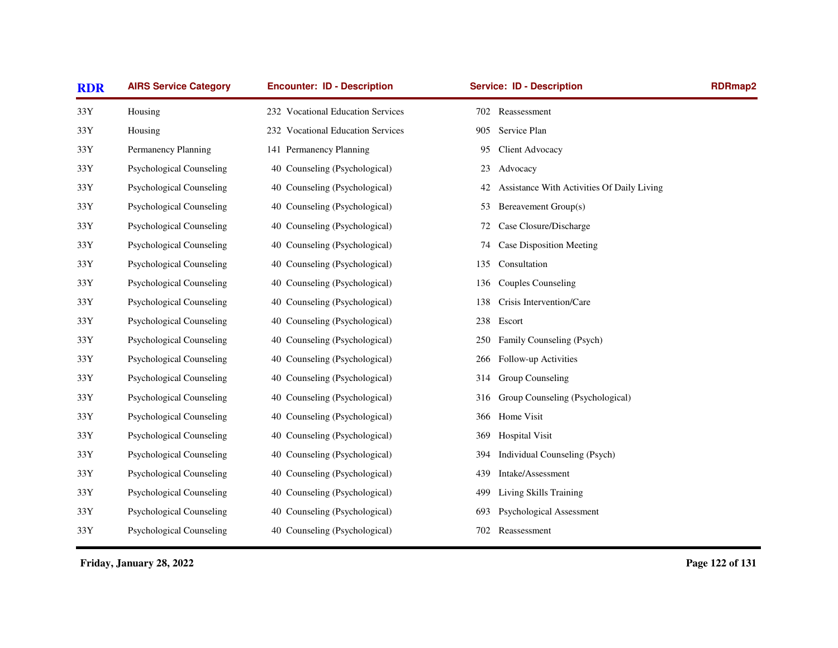| <b>AIRS Service Category</b><br><b>RDR</b> |                                 | <b>Encounter: ID - Description</b> | <b>Service: ID - Description</b>                 | <b>RDRmap2</b> |
|--------------------------------------------|---------------------------------|------------------------------------|--------------------------------------------------|----------------|
| 33Y                                        | Housing                         | 232 Vocational Education Services  | 702 Reassessment                                 |                |
| 33Y                                        | Housing                         | 232 Vocational Education Services  | Service Plan<br>905                              |                |
| 33Y                                        | Permanency Planning             | 141 Permanency Planning            | Client Advocacy<br>95                            |                |
| 33Y                                        | <b>Psychological Counseling</b> | 40 Counseling (Psychological)      | Advocacy<br>23                                   |                |
| 33Y                                        | <b>Psychological Counseling</b> | 40 Counseling (Psychological)      | Assistance With Activities Of Daily Living<br>42 |                |
| $33\,\mathrm{Y}$                           | <b>Psychological Counseling</b> | 40 Counseling (Psychological)      | Bereavement Group(s)<br>53                       |                |
| 33Y                                        | <b>Psychological Counseling</b> | 40 Counseling (Psychological)      | Case Closure/Discharge<br>72                     |                |
| 33Y                                        | <b>Psychological Counseling</b> | 40 Counseling (Psychological)      | Case Disposition Meeting<br>74                   |                |
| 33Y                                        | <b>Psychological Counseling</b> | 40 Counseling (Psychological)      | Consultation<br>135                              |                |
| 33Y                                        | <b>Psychological Counseling</b> | 40 Counseling (Psychological)      | <b>Couples Counseling</b><br>136                 |                |
| $33\,\mathrm{Y}$                           | <b>Psychological Counseling</b> | 40 Counseling (Psychological)      | Crisis Intervention/Care<br>138                  |                |
| 33Y                                        | <b>Psychological Counseling</b> | 40 Counseling (Psychological)      | 238<br>Escort                                    |                |
| $33\,\mathrm{Y}$                           | <b>Psychological Counseling</b> | 40 Counseling (Psychological)      | Family Counseling (Psych)<br>250                 |                |
| 33Y                                        | <b>Psychological Counseling</b> | 40 Counseling (Psychological)      | Follow-up Activities<br>266                      |                |
| $33\,\mathrm{Y}$                           | <b>Psychological Counseling</b> | 40 Counseling (Psychological)      | Group Counseling<br>314                          |                |
| 33Y                                        | <b>Psychological Counseling</b> | 40 Counseling (Psychological)      | Group Counseling (Psychological)<br>316          |                |
| 33Y                                        | <b>Psychological Counseling</b> | 40 Counseling (Psychological)      | Home Visit<br>366                                |                |
| 33Y                                        | <b>Psychological Counseling</b> | 40 Counseling (Psychological)      | <b>Hospital Visit</b><br>369                     |                |
| 33Y                                        | <b>Psychological Counseling</b> | 40 Counseling (Psychological)      | Individual Counseling (Psych)<br>394             |                |
| 33Y                                        | <b>Psychological Counseling</b> | 40 Counseling (Psychological)      | Intake/Assessment<br>439                         |                |
| 33Y                                        | <b>Psychological Counseling</b> | 40 Counseling (Psychological)      | Living Skills Training<br>499                    |                |
| 33Y                                        | <b>Psychological Counseling</b> | 40 Counseling (Psychological)      | Psychological Assessment<br>693                  |                |
| 33Y                                        | <b>Psychological Counseling</b> | 40 Counseling (Psychological)      | 702<br>Reassessment                              |                |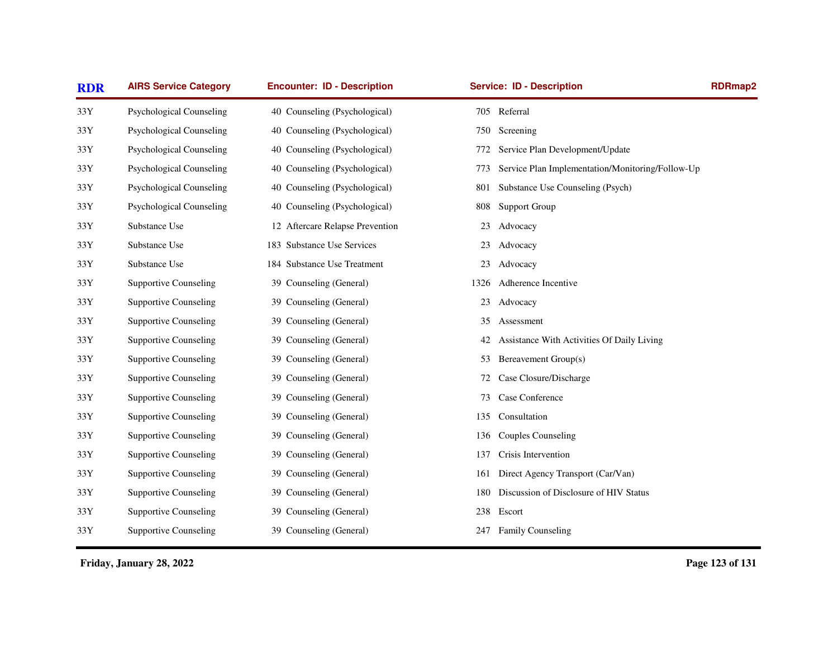| <b>RDR</b>       | <b>AIRS Service Category</b>    | <b>Encounter: ID - Description</b> | <b>Service: ID - Description</b>                        | <b>RDRmap2</b> |
|------------------|---------------------------------|------------------------------------|---------------------------------------------------------|----------------|
| 33Y              | Psychological Counseling        | 40 Counseling (Psychological)      | 705 Referral                                            |                |
| 33Y              | <b>Psychological Counseling</b> | 40 Counseling (Psychological)      | 750<br>Screening                                        |                |
| 33Y              | <b>Psychological Counseling</b> | 40 Counseling (Psychological)      | Service Plan Development/Update<br>772                  |                |
| 33Y              | <b>Psychological Counseling</b> | 40 Counseling (Psychological)      | Service Plan Implementation/Monitoring/Follow-Up<br>773 |                |
| 33Y              | <b>Psychological Counseling</b> | 40 Counseling (Psychological)      | Substance Use Counseling (Psych)<br>801                 |                |
| 33Y              | <b>Psychological Counseling</b> | 40 Counseling (Psychological)      | Support Group<br>808                                    |                |
| 33Y              | Substance Use                   | 12 Aftercare Relapse Prevention    | Advocacy<br>23                                          |                |
| 33Y              | Substance Use                   | 183 Substance Use Services         | Advocacy<br>23                                          |                |
| 33Y              | Substance Use                   | 184 Substance Use Treatment        | Advocacy<br>23                                          |                |
| 33Y              | <b>Supportive Counseling</b>    | 39 Counseling (General)            | Adherence Incentive<br>1326                             |                |
| $33\,\mathrm{Y}$ | <b>Supportive Counseling</b>    | 39 Counseling (General)            | Advocacy<br>23                                          |                |
| 33Y              | <b>Supportive Counseling</b>    | 39 Counseling (General)            | 35<br>Assessment                                        |                |
| $33\,\mathrm{Y}$ | <b>Supportive Counseling</b>    | 39 Counseling (General)            | Assistance With Activities Of Daily Living<br>42        |                |
| 33Y              | <b>Supportive Counseling</b>    | 39 Counseling (General)            | Bereavement Group(s)<br>53                              |                |
| $33\,\mathrm{Y}$ | <b>Supportive Counseling</b>    | 39 Counseling (General)            | Case Closure/Discharge<br>72                            |                |
| 33Y              | <b>Supportive Counseling</b>    | 39 Counseling (General)            | Case Conference<br>73                                   |                |
| 33Y              | <b>Supportive Counseling</b>    | 39 Counseling (General)            | Consultation<br>135                                     |                |
| $33\,\mathrm{Y}$ | <b>Supportive Counseling</b>    | 39 Counseling (General)            | <b>Couples Counseling</b><br>136                        |                |
| 33Y              | <b>Supportive Counseling</b>    | 39 Counseling (General)            | Crisis Intervention<br>137                              |                |
| 33Y              | <b>Supportive Counseling</b>    | 39 Counseling (General)            | Direct Agency Transport (Car/Van)<br>161                |                |
| 33Y              | <b>Supportive Counseling</b>    | 39 Counseling (General)            | Discussion of Disclosure of HIV Status<br>180           |                |
| 33Y              | <b>Supportive Counseling</b>    | 39 Counseling (General)            | 238 Escort                                              |                |
| 33Y              | <b>Supportive Counseling</b>    | 39 Counseling (General)            | 247 Family Counseling                                   |                |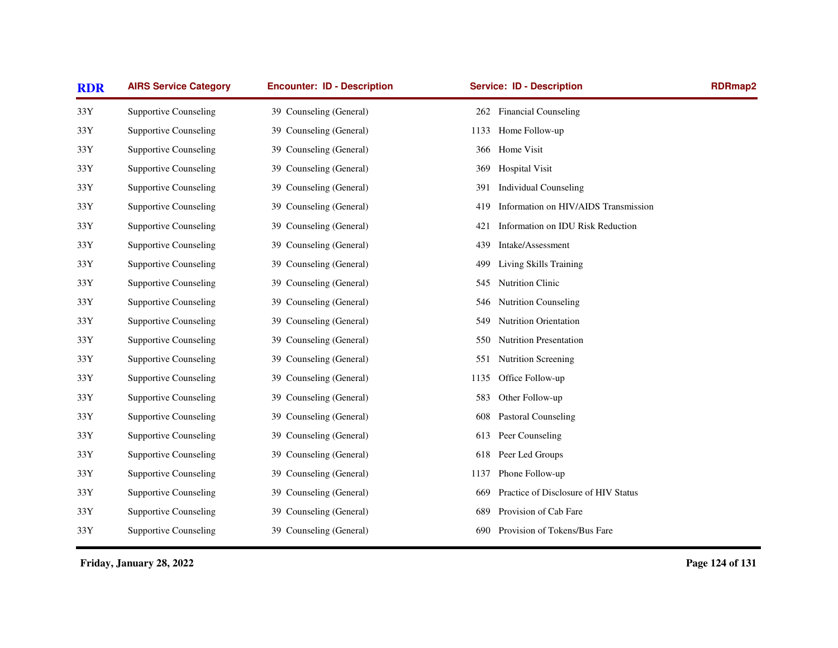| <b>AIRS Service Category</b> | <b>Encounter: ID - Description</b> | <b>Service: ID - Description</b>            | <b>RDRmap2</b>                       |
|------------------------------|------------------------------------|---------------------------------------------|--------------------------------------|
| <b>Supportive Counseling</b> | 39 Counseling (General)            | <b>Financial Counseling</b><br>262          |                                      |
| <b>Supportive Counseling</b> | 39 Counseling (General)            | 1133<br>Home Follow-up                      |                                      |
| <b>Supportive Counseling</b> | 39 Counseling (General)            | 366 Home Visit                              |                                      |
| <b>Supportive Counseling</b> | 39 Counseling (General)            | <b>Hospital Visit</b><br>369                |                                      |
| <b>Supportive Counseling</b> | 39 Counseling (General)            | <b>Individual Counseling</b><br>391         |                                      |
| <b>Supportive Counseling</b> | 39 Counseling (General)            | 419                                         |                                      |
| <b>Supportive Counseling</b> | 39 Counseling (General)            | Information on IDU Risk Reduction<br>421    |                                      |
| <b>Supportive Counseling</b> | 39 Counseling (General)            | Intake/Assessment<br>439                    |                                      |
| <b>Supportive Counseling</b> | 39 Counseling (General)            | Living Skills Training<br>499               |                                      |
| <b>Supportive Counseling</b> | 39 Counseling (General)            | Nutrition Clinic<br>545                     |                                      |
| <b>Supportive Counseling</b> | 39 Counseling (General)            | <b>Nutrition Counseling</b><br>546          |                                      |
| <b>Supportive Counseling</b> | 39 Counseling (General)            | Nutrition Orientation<br>549                |                                      |
| <b>Supportive Counseling</b> | 39 Counseling (General)            | Nutrition Presentation<br>550               |                                      |
| <b>Supportive Counseling</b> | 39 Counseling (General)            | Nutrition Screening<br>551                  |                                      |
| <b>Supportive Counseling</b> | 39 Counseling (General)            | Office Follow-up<br>1135                    |                                      |
| <b>Supportive Counseling</b> | 39 Counseling (General)            | 583<br>Other Follow-up                      |                                      |
| <b>Supportive Counseling</b> | 39 Counseling (General)            | 608<br>Pastoral Counseling                  |                                      |
| <b>Supportive Counseling</b> | 39 Counseling (General)            | Peer Counseling<br>613                      |                                      |
| <b>Supportive Counseling</b> | 39 Counseling (General)            | Peer Led Groups<br>618                      |                                      |
| <b>Supportive Counseling</b> | 39 Counseling (General)            | Phone Follow-up<br>1137                     |                                      |
| <b>Supportive Counseling</b> | 39 Counseling (General)            | Practice of Disclosure of HIV Status<br>669 |                                      |
| <b>Supportive Counseling</b> | 39 Counseling (General)            | Provision of Cab Fare<br>689                |                                      |
| <b>Supportive Counseling</b> | 39 Counseling (General)            | Provision of Tokens/Bus Fare<br>690         |                                      |
|                              |                                    |                                             | Information on HIV/AIDS Transmission |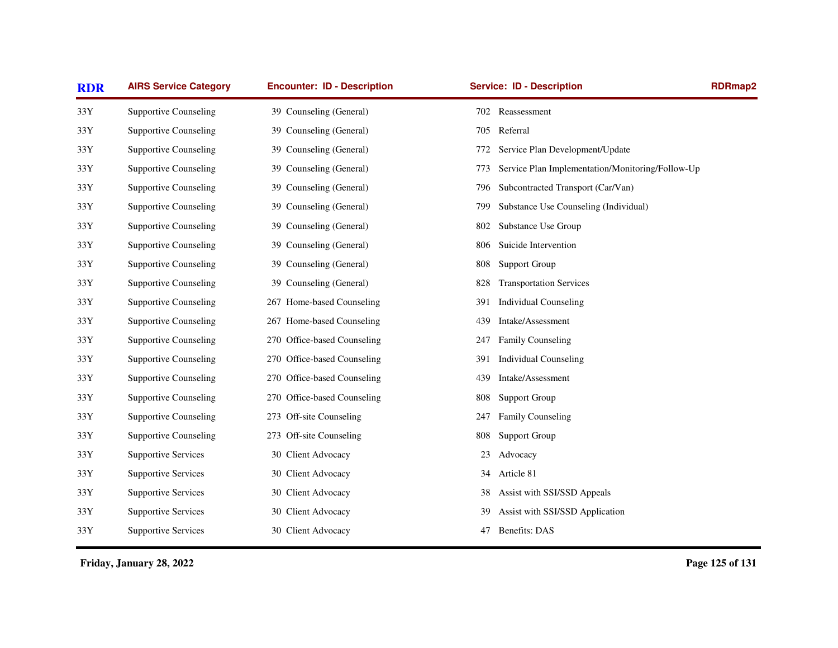| <b>RDR</b>       | <b>AIRS Service Category</b> | <b>Encounter: ID - Description</b> | <b>Service: ID - Description</b>                        | <b>RDRmap2</b> |
|------------------|------------------------------|------------------------------------|---------------------------------------------------------|----------------|
| 33Y              | <b>Supportive Counseling</b> | 39 Counseling (General)            | 702 Reassessment                                        |                |
| $33\mathrm{Y}$   | <b>Supportive Counseling</b> | 39 Counseling (General)            | Referral<br>705                                         |                |
| 33Y              | <b>Supportive Counseling</b> | 39 Counseling (General)            | Service Plan Development/Update<br>772                  |                |
| 33Y              | <b>Supportive Counseling</b> | 39 Counseling (General)            | Service Plan Implementation/Monitoring/Follow-Up<br>773 |                |
| $33\mathrm{Y}$   | <b>Supportive Counseling</b> | 39 Counseling (General)            | Subcontracted Transport (Car/Van)<br>796                |                |
| 33Y              | <b>Supportive Counseling</b> | 39 Counseling (General)            | Substance Use Counseling (Individual)<br>799            |                |
| 33Y              | <b>Supportive Counseling</b> | 39 Counseling (General)            | Substance Use Group<br>802                              |                |
| 33Y              | <b>Supportive Counseling</b> | 39 Counseling (General)            | Suicide Intervention<br>806                             |                |
| 33Y              | <b>Supportive Counseling</b> | 39 Counseling (General)            | <b>Support Group</b><br>808                             |                |
| 33Y              | <b>Supportive Counseling</b> | 39 Counseling (General)            | <b>Transportation Services</b><br>828                   |                |
| $33\,\mathrm{Y}$ | <b>Supportive Counseling</b> | 267 Home-based Counseling          | <b>Individual Counseling</b><br>391                     |                |
| 33Y              | <b>Supportive Counseling</b> | 267 Home-based Counseling          | Intake/Assessment<br>439                                |                |
| 33Y              | <b>Supportive Counseling</b> | 270 Office-based Counseling        | <b>Family Counseling</b><br>247                         |                |
| $33\mathrm{Y}$   | <b>Supportive Counseling</b> | 270 Office-based Counseling        | <b>Individual Counseling</b><br>391                     |                |
| $33\mathrm{Y}$   | <b>Supportive Counseling</b> | 270 Office-based Counseling        | Intake/Assessment<br>439                                |                |
| 33Y              | <b>Supportive Counseling</b> | 270 Office-based Counseling        | <b>Support Group</b><br>808                             |                |
| 33Y              | <b>Supportive Counseling</b> | 273 Off-site Counseling            | Family Counseling<br>247                                |                |
| 33Y              | <b>Supportive Counseling</b> | 273 Off-site Counseling            | Support Group<br>808                                    |                |
| 33Y              | <b>Supportive Services</b>   | 30 Client Advocacy                 | Advocacy<br>23                                          |                |
| 33Y              | <b>Supportive Services</b>   | 30 Client Advocacy                 | Article 81<br>34                                        |                |
| 33Y              | <b>Supportive Services</b>   | 30 Client Advocacy                 | Assist with SSI/SSD Appeals<br>38                       |                |
| 33Y              | <b>Supportive Services</b>   | 30 Client Advocacy                 | Assist with SSI/SSD Application<br>39                   |                |
| 33Y              | <b>Supportive Services</b>   | 30 Client Advocacy                 | Benefits: DAS<br>47                                     |                |
|                  |                              |                                    |                                                         |                |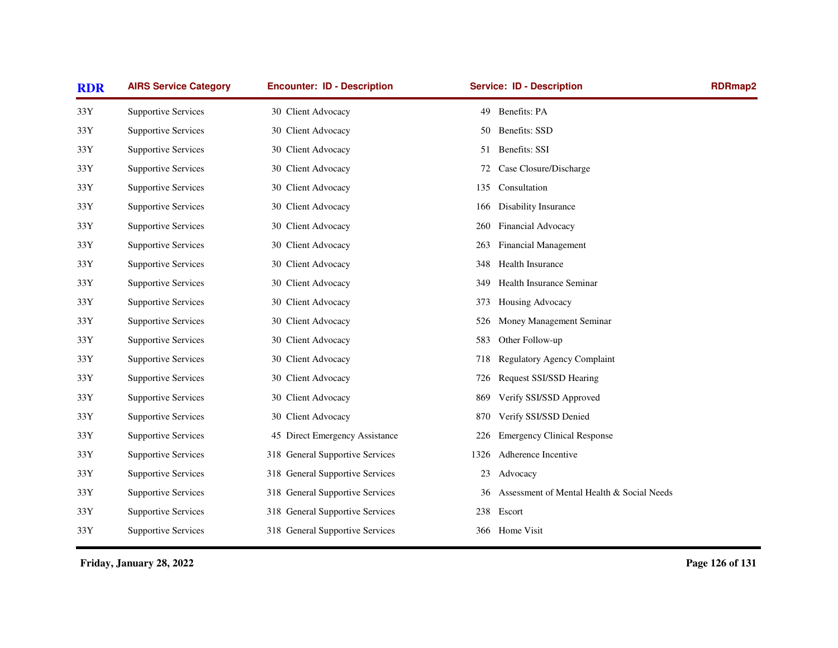| <b>RDR</b>     | <b>AIRS Service Category</b> | <b>Encounter: ID - Description</b> | <b>Service: ID - Description</b>                 | <b>RDRmap2</b> |
|----------------|------------------------------|------------------------------------|--------------------------------------------------|----------------|
| 33Y            | <b>Supportive Services</b>   | 30 Client Advocacy                 | Benefits: PA<br>49                               |                |
| 33Y            | <b>Supportive Services</b>   | 30 Client Advocacy                 | Benefits: SSD<br>50                              |                |
| 33Y            | <b>Supportive Services</b>   | 30 Client Advocacy                 | 51 Benefits: SSI                                 |                |
| 33Y            | <b>Supportive Services</b>   | 30 Client Advocacy                 | Case Closure/Discharge<br>72                     |                |
| $33\mathrm{Y}$ | <b>Supportive Services</b>   | 30 Client Advocacy                 | Consultation<br>135                              |                |
| 33Y            | <b>Supportive Services</b>   | 30 Client Advocacy                 | Disability Insurance<br>166                      |                |
| 33Y            | <b>Supportive Services</b>   | 30 Client Advocacy                 | Financial Advocacy<br>260                        |                |
| 33Y            | <b>Supportive Services</b>   | 30 Client Advocacy                 | <b>Financial Management</b><br>263               |                |
| 33Y            | <b>Supportive Services</b>   | 30 Client Advocacy                 | Health Insurance<br>348                          |                |
| 33Y            | <b>Supportive Services</b>   | 30 Client Advocacy                 | Health Insurance Seminar<br>349                  |                |
| $33\mathrm{Y}$ | <b>Supportive Services</b>   | 30 Client Advocacy                 | Housing Advocacy<br>373                          |                |
| 33Y            | <b>Supportive Services</b>   | 30 Client Advocacy                 | Money Management Seminar<br>526                  |                |
| 33Y            | <b>Supportive Services</b>   | 30 Client Advocacy                 | Other Follow-up<br>583                           |                |
| 33Y            | <b>Supportive Services</b>   | 30 Client Advocacy                 | <b>Regulatory Agency Complaint</b><br>718        |                |
| $33\mathrm{Y}$ | <b>Supportive Services</b>   | 30 Client Advocacy                 | Request SSI/SSD Hearing<br>726                   |                |
| 33Y            | <b>Supportive Services</b>   | 30 Client Advocacy                 | Verify SSI/SSD Approved<br>869                   |                |
| 33Y            | <b>Supportive Services</b>   | 30 Client Advocacy                 | Verify SSI/SSD Denied<br>870                     |                |
| 33Y            | <b>Supportive Services</b>   | 45 Direct Emergency Assistance     | <b>Emergency Clinical Response</b><br>226        |                |
| 33Y            | <b>Supportive Services</b>   | 318 General Supportive Services    | Adherence Incentive<br>1326                      |                |
| 33Y            | <b>Supportive Services</b>   | 318 General Supportive Services    | Advocacy<br>23                                   |                |
| 33Y            | <b>Supportive Services</b>   | 318 General Supportive Services    | Assessment of Mental Health & Social Needs<br>36 |                |
| 33Y            | <b>Supportive Services</b>   | 318 General Supportive Services    | 238 Escort                                       |                |
| 33Y            | <b>Supportive Services</b>   | 318 General Supportive Services    | 366 Home Visit                                   |                |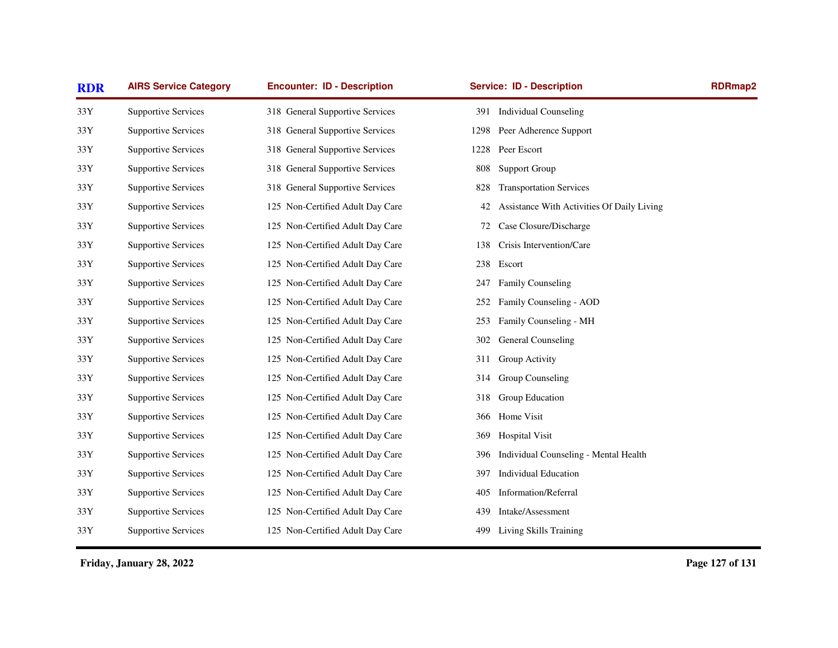| <b>RDR</b>     | <b>AIRS Service Category</b> | <b>Encounter: ID - Description</b> | <b>Service: ID - Description</b>                 | RDRmap2 |
|----------------|------------------------------|------------------------------------|--------------------------------------------------|---------|
| $33\mathrm{Y}$ | <b>Supportive Services</b>   | 318 General Supportive Services    | 391 Individual Counseling                        |         |
| 33Y            | <b>Supportive Services</b>   | 318 General Supportive Services    | Peer Adherence Support<br>1298                   |         |
| 33Y            | <b>Supportive Services</b>   | 318 General Supportive Services    | 1228 Peer Escort                                 |         |
| 33Y            | <b>Supportive Services</b>   | 318 General Supportive Services    | <b>Support Group</b><br>808                      |         |
| $33\mathrm{Y}$ | <b>Supportive Services</b>   | 318 General Supportive Services    | 828<br><b>Transportation Services</b>            |         |
| 33Y            | <b>Supportive Services</b>   | 125 Non-Certified Adult Day Care   | Assistance With Activities Of Daily Living<br>42 |         |
| 33Y            | <b>Supportive Services</b>   | 125 Non-Certified Adult Day Care   | Case Closure/Discharge<br>72                     |         |
| 33Y            | <b>Supportive Services</b>   | 125 Non-Certified Adult Day Care   | Crisis Intervention/Care<br>138                  |         |
| $33\mathrm{Y}$ | <b>Supportive Services</b>   | 125 Non-Certified Adult Day Care   | Escort<br>238                                    |         |
| 33Y            | <b>Supportive Services</b>   | 125 Non-Certified Adult Day Care   | <b>Family Counseling</b><br>247                  |         |
| $33\mathrm{Y}$ | <b>Supportive Services</b>   | 125 Non-Certified Adult Day Care   | Family Counseling - AOD<br>252                   |         |
| 33Y            | <b>Supportive Services</b>   | 125 Non-Certified Adult Day Care   | Family Counseling - MH<br>253                    |         |
| $33\mathrm{Y}$ | <b>Supportive Services</b>   | 125 Non-Certified Adult Day Care   | General Counseling<br>302                        |         |
| 33Y            | <b>Supportive Services</b>   | 125 Non-Certified Adult Day Care   | Group Activity<br>311                            |         |
| $33\mathrm{Y}$ | <b>Supportive Services</b>   | 125 Non-Certified Adult Day Care   | Group Counseling<br>314                          |         |
| 33Y            | <b>Supportive Services</b>   | 125 Non-Certified Adult Day Care   | Group Education<br>318                           |         |
| 33Y            | <b>Supportive Services</b>   | 125 Non-Certified Adult Day Care   | Home Visit<br>366                                |         |
| 33Y            | <b>Supportive Services</b>   | 125 Non-Certified Adult Day Care   | <b>Hospital Visit</b><br>369                     |         |
| 33Y            | <b>Supportive Services</b>   | 125 Non-Certified Adult Day Care   | Individual Counseling - Mental Health<br>396     |         |
| 33Y            | <b>Supportive Services</b>   | 125 Non-Certified Adult Day Care   | <b>Individual Education</b><br>397               |         |
| 33Y            | <b>Supportive Services</b>   | 125 Non-Certified Adult Day Care   | Information/Referral<br>405                      |         |
| 33Y            | <b>Supportive Services</b>   | 125 Non-Certified Adult Day Care   | Intake/Assessment<br>439                         |         |
| 33Y            | <b>Supportive Services</b>   | 125 Non-Certified Adult Day Care   | Living Skills Training<br>499                    |         |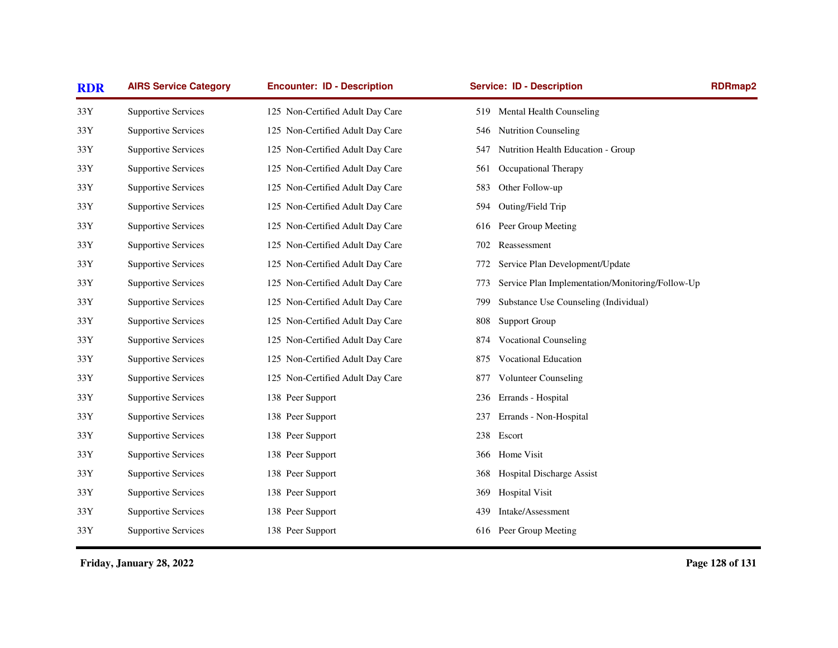| <b>RDR</b>     | <b>AIRS Service Category</b> | <b>Encounter: ID - Description</b> | <b>Service: ID - Description</b>                        | <b>RDRmap2</b> |
|----------------|------------------------------|------------------------------------|---------------------------------------------------------|----------------|
| 33Y            | <b>Supportive Services</b>   | 125 Non-Certified Adult Day Care   | 519 Mental Health Counseling                            |                |
| $33\mathrm{Y}$ | <b>Supportive Services</b>   | 125 Non-Certified Adult Day Care   | <b>Nutrition Counseling</b><br>546                      |                |
| 33Y            | <b>Supportive Services</b>   | 125 Non-Certified Adult Day Care   | Nutrition Health Education - Group<br>547               |                |
| 33Y            | <b>Supportive Services</b>   | 125 Non-Certified Adult Day Care   | Occupational Therapy<br>561                             |                |
| 33Y            | <b>Supportive Services</b>   | 125 Non-Certified Adult Day Care   | Other Follow-up<br>583                                  |                |
| 33Y            | <b>Supportive Services</b>   | 125 Non-Certified Adult Day Care   | Outing/Field Trip<br>594                                |                |
| 33Y            | <b>Supportive Services</b>   | 125 Non-Certified Adult Day Care   | Peer Group Meeting<br>616                               |                |
| 33Y            | <b>Supportive Services</b>   | 125 Non-Certified Adult Day Care   | Reassessment<br>702                                     |                |
| $33\mathrm{Y}$ | <b>Supportive Services</b>   | 125 Non-Certified Adult Day Care   | Service Plan Development/Update<br>772                  |                |
| 33Y            | <b>Supportive Services</b>   | 125 Non-Certified Adult Day Care   | Service Plan Implementation/Monitoring/Follow-Up<br>773 |                |
| 33Y            | <b>Supportive Services</b>   | 125 Non-Certified Adult Day Care   | Substance Use Counseling (Individual)<br>799            |                |
| 33Y            | <b>Supportive Services</b>   | 125 Non-Certified Adult Day Care   | <b>Support Group</b><br>808                             |                |
| 33Y            | <b>Supportive Services</b>   | 125 Non-Certified Adult Day Care   | <b>Vocational Counseling</b><br>874                     |                |
| 33Y            | <b>Supportive Services</b>   | 125 Non-Certified Adult Day Care   | <b>Vocational Education</b><br>875                      |                |
| 33Y            | <b>Supportive Services</b>   | 125 Non-Certified Adult Day Care   | <b>Volunteer Counseling</b><br>877                      |                |
| $33\mathrm{Y}$ | <b>Supportive Services</b>   | 138 Peer Support                   | Errands - Hospital<br>236                               |                |
| 33Y            | <b>Supportive Services</b>   | 138 Peer Support                   | Errands - Non-Hospital<br>237                           |                |
| 33Y            | <b>Supportive Services</b>   | 138 Peer Support                   | Escort<br>238                                           |                |
| 33Y            | <b>Supportive Services</b>   | 138 Peer Support                   | Home Visit<br>366                                       |                |
| 33Y            | <b>Supportive Services</b>   | 138 Peer Support                   | Hospital Discharge Assist<br>368                        |                |
| 33Y            | <b>Supportive Services</b>   | 138 Peer Support                   | <b>Hospital Visit</b><br>369                            |                |
| 33Y            | <b>Supportive Services</b>   | 138 Peer Support                   | Intake/Assessment<br>439                                |                |
| 33Y            | <b>Supportive Services</b>   | 138 Peer Support                   | 616 Peer Group Meeting                                  |                |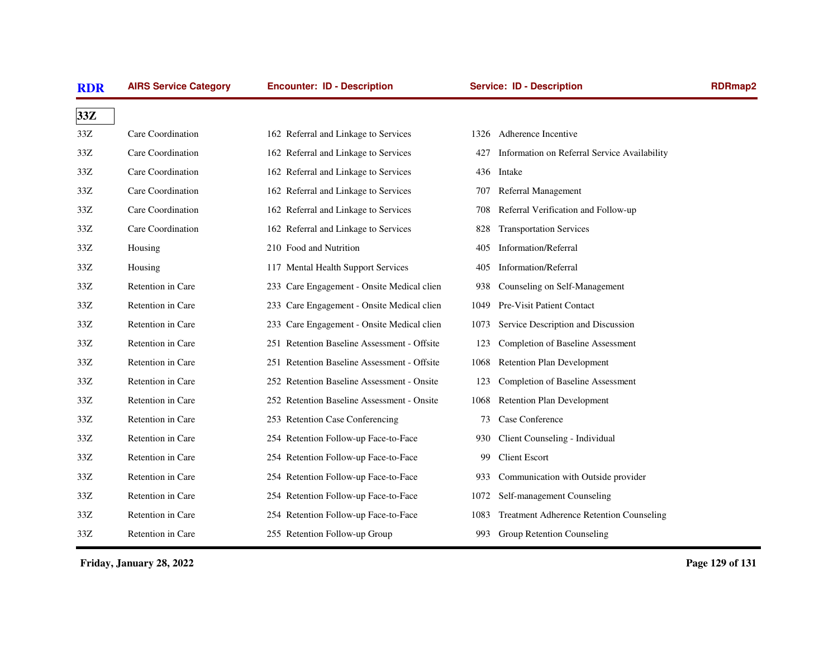| <b>RDR</b> | <b>AIRS Service Category</b> | <b>Encounter: ID - Description</b>          |      | <b>Service: ID - Description</b>                | <b>RDRmap2</b> |
|------------|------------------------------|---------------------------------------------|------|-------------------------------------------------|----------------|
| 33Z        |                              |                                             |      |                                                 |                |
| 33Z        | Care Coordination            | 162 Referral and Linkage to Services        |      | 1326 Adherence Incentive                        |                |
| 33Z        | Care Coordination            | 162 Referral and Linkage to Services        | 427  | Information on Referral Service Availability    |                |
| 33Z        | Care Coordination            | 162 Referral and Linkage to Services        |      | 436 Intake                                      |                |
| 33Z        | Care Coordination            | 162 Referral and Linkage to Services        | 707  | Referral Management                             |                |
| 33Z        | Care Coordination            | 162 Referral and Linkage to Services        | 708  | Referral Verification and Follow-up             |                |
| 33Z        | Care Coordination            | 162 Referral and Linkage to Services        | 828  | <b>Transportation Services</b>                  |                |
| 33Z        | Housing                      | 210 Food and Nutrition                      | 405  | <b>Information/Referral</b>                     |                |
| 33Z        | Housing                      | 117 Mental Health Support Services          | 405  | Information/Referral                            |                |
| 33Z        | Retention in Care            | 233 Care Engagement - Onsite Medical clien  | 938  | Counseling on Self-Management                   |                |
| 33Z        | Retention in Care            | 233 Care Engagement - Onsite Medical clien  | 1049 | <b>Pre-Visit Patient Contact</b>                |                |
| 33Z        | Retention in Care            | 233 Care Engagement - Onsite Medical clien  | 1073 | Service Description and Discussion              |                |
| 33Z        | Retention in Care            | 251 Retention Baseline Assessment - Offsite | 123  | <b>Completion of Baseline Assessment</b>        |                |
| 33Z        | Retention in Care            | 251 Retention Baseline Assessment - Offsite | 1068 | <b>Retention Plan Development</b>               |                |
| 33Z        | Retention in Care            | 252 Retention Baseline Assessment - Onsite  | 123  | Completion of Baseline Assessment               |                |
| 33Z        | Retention in Care            | 252 Retention Baseline Assessment - Onsite  | 1068 | <b>Retention Plan Development</b>               |                |
| 33Z        | Retention in Care            | 253 Retention Case Conferencing             | 73   | Case Conference                                 |                |
| 33Z        | Retention in Care            | 254 Retention Follow-up Face-to-Face        | 930  | Client Counseling - Individual                  |                |
| 33Z        | Retention in Care            | 254 Retention Follow-up Face-to-Face        | 99   | <b>Client Escort</b>                            |                |
| 33Z        | Retention in Care            | 254 Retention Follow-up Face-to-Face        | 933  | Communication with Outside provider             |                |
| 33Z        | Retention in Care            | 254 Retention Follow-up Face-to-Face        | 1072 | Self-management Counseling                      |                |
| 33Z        | Retention in Care            | 254 Retention Follow-up Face-to-Face        | 1083 | <b>Treatment Adherence Retention Counseling</b> |                |
| 33Z        | Retention in Care            | 255 Retention Follow-up Group               |      | 993 Group Retention Counseling                  |                |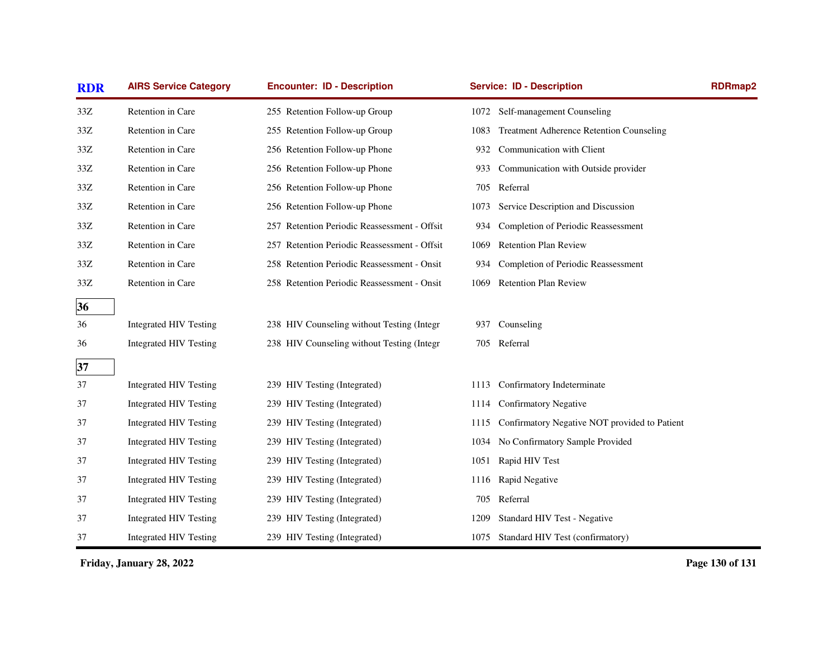| <b>RDR</b> | <b>AIRS Service Category</b>  | <b>Encounter: ID - Description</b>           |      | <b>Service: ID - Description</b>                | <b>RDRmap2</b> |
|------------|-------------------------------|----------------------------------------------|------|-------------------------------------------------|----------------|
| $33Z$      | Retention in Care             | 255 Retention Follow-up Group                |      | 1072 Self-management Counseling                 |                |
| 33Z        | Retention in Care             | 255 Retention Follow-up Group                | 1083 | <b>Treatment Adherence Retention Counseling</b> |                |
| 33Z        | Retention in Care             | 256 Retention Follow-up Phone                | 932  | Communication with Client                       |                |
| 33Z        | Retention in Care             | 256 Retention Follow-up Phone                | 933  | Communication with Outside provider             |                |
| 33Z        | Retention in Care             | 256 Retention Follow-up Phone                |      | 705 Referral                                    |                |
| 33Z        | Retention in Care             | 256 Retention Follow-up Phone                | 1073 | Service Description and Discussion              |                |
| 33Z        | Retention in Care             | 257 Retention Periodic Reassessment - Offsit | 934  | Completion of Periodic Reassessment             |                |
| 33Z        | Retention in Care             | 257 Retention Periodic Reassessment - Offsit | 1069 | <b>Retention Plan Review</b>                    |                |
| 33Z        | Retention in Care             | 258 Retention Periodic Reassessment - Onsit  | 934  | Completion of Periodic Reassessment             |                |
| 33Z        | Retention in Care             | 258 Retention Periodic Reassessment - Onsit  | 1069 | Retention Plan Review                           |                |
| 36         |                               |                                              |      |                                                 |                |
| 36         | <b>Integrated HIV Testing</b> | 238 HIV Counseling without Testing (Integr   | 937  | Counseling                                      |                |
| 36         | <b>Integrated HIV Testing</b> | 238 HIV Counseling without Testing (Integr   |      | 705 Referral                                    |                |
| 37         |                               |                                              |      |                                                 |                |
| 37         | <b>Integrated HIV Testing</b> | 239 HIV Testing (Integrated)                 | 1113 | Confirmatory Indeterminate                      |                |
| 37         | Integrated HIV Testing        | 239 HIV Testing (Integrated)                 | 1114 | <b>Confirmatory Negative</b>                    |                |
| 37         | <b>Integrated HIV Testing</b> | 239 HIV Testing (Integrated)                 | 1115 | Confirmatory Negative NOT provided to Patient   |                |
| 37         | <b>Integrated HIV Testing</b> | 239 HIV Testing (Integrated)                 | 1034 | No Confirmatory Sample Provided                 |                |
| 37         | <b>Integrated HIV Testing</b> | 239 HIV Testing (Integrated)                 |      | 1051 Rapid HIV Test                             |                |
| 37         | <b>Integrated HIV Testing</b> | 239 HIV Testing (Integrated)                 |      | 1116 Rapid Negative                             |                |
| 37         | <b>Integrated HIV Testing</b> | 239 HIV Testing (Integrated)                 |      | 705 Referral                                    |                |
| 37         | Integrated HIV Testing        | 239 HIV Testing (Integrated)                 | 1209 | Standard HIV Test - Negative                    |                |
| 37         | <b>Integrated HIV Testing</b> | 239 HIV Testing (Integrated)                 |      | 1075 Standard HIV Test (confirmatory)           |                |